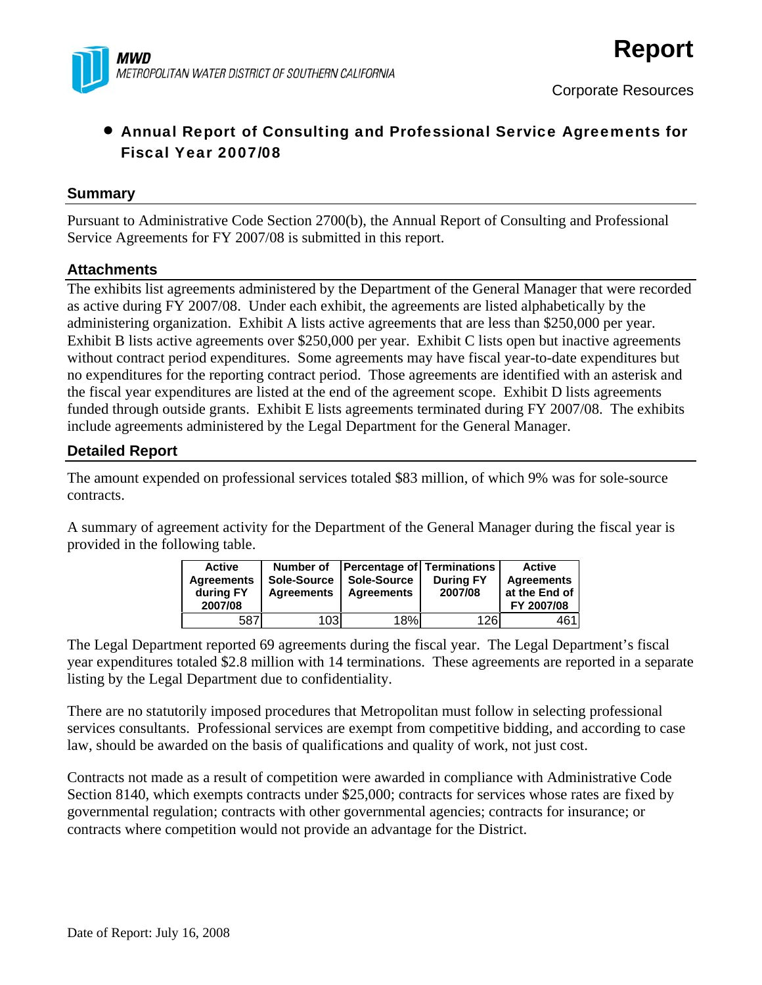

## • Annual Report of Consulting and Professional Service Agreements for Fiscal Year 2007/08

### **Summary**

Pursuant to Administrative Code Section 2700(b), the Annual Report of Consulting and Professional Service Agreements for FY 2007/08 is submitted in this report.

### **Attachments**

The exhibits list agreements administered by the Department of the General Manager that were recorded as active during FY 2007/08. Under each exhibit, the agreements are listed alphabetically by the administering organization. Exhibit A lists active agreements that are less than \$250,000 per year. Exhibit B lists active agreements over \$250,000 per year. Exhibit C lists open but inactive agreements without contract period expenditures. Some agreements may have fiscal year-to-date expenditures but no expenditures for the reporting contract period. Those agreements are identified with an asterisk and the fiscal year expenditures are listed at the end of the agreement scope. Exhibit D lists agreements funded through outside grants. Exhibit E lists agreements terminated during FY 2007/08. The exhibits include agreements administered by the Legal Department for the General Manager.

### **Detailed Report**

The amount expended on professional services totaled \$83 million, of which 9% was for sole-source contracts.

A summary of agreement activity for the Department of the General Manager during the fiscal year is provided in the following table.

| Active<br><b>Agreements</b><br>during FY<br>2007/08 | Number of<br>Sole-Source<br><b>Agreements</b> | <b>Percentage of Terminations</b><br>Sole-Source<br>Agreements | <b>During FY</b><br>2007/08 | <b>Active</b><br>Agreements<br>at the End of<br>FY 2007/08 |
|-----------------------------------------------------|-----------------------------------------------|----------------------------------------------------------------|-----------------------------|------------------------------------------------------------|
| 587                                                 | 103                                           | 18%                                                            | 126                         | 461                                                        |

The Legal Department reported 69 agreements during the fiscal year. The Legal Department's fiscal year expenditures totaled \$2.8 million with 14 terminations. These agreements are reported in a separate listing by the Legal Department due to confidentiality.

There are no statutorily imposed procedures that Metropolitan must follow in selecting professional services consultants. Professional services are exempt from competitive bidding, and according to case law, should be awarded on the basis of qualifications and quality of work, not just cost.

Contracts not made as a result of competition were awarded in compliance with Administrative Code Section 8140, which exempts contracts under \$25,000; contracts for services whose rates are fixed by governmental regulation; contracts with other governmental agencies; contracts for insurance; or contracts where competition would not provide an advantage for the District.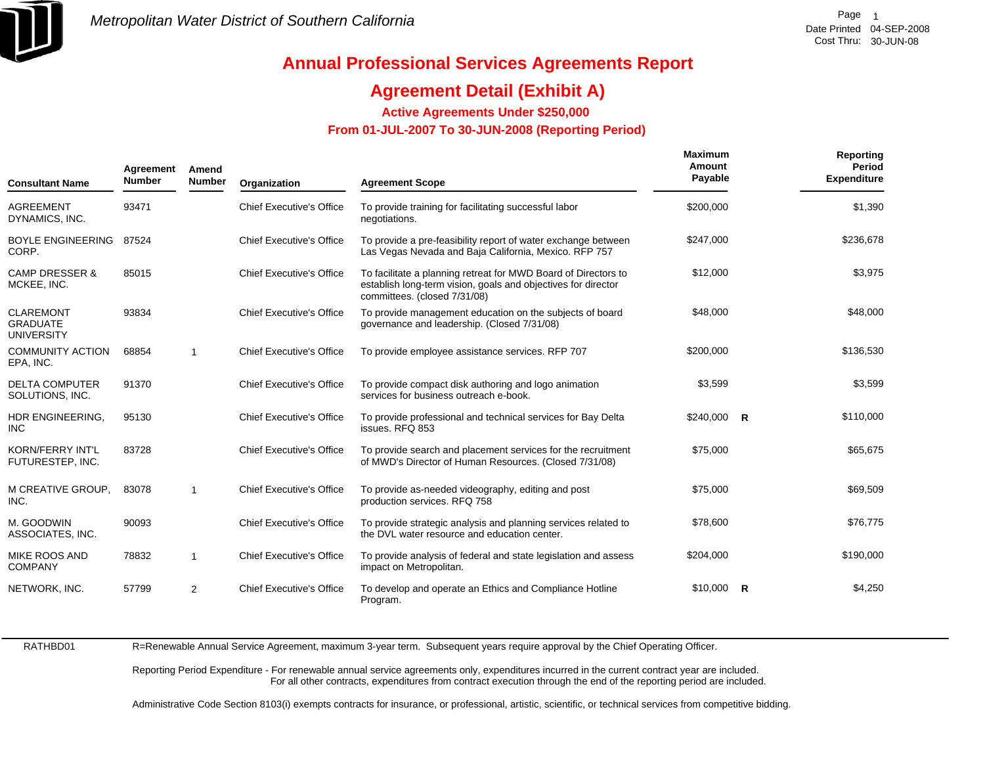

## **Agreement Detail (Exhibit A)**

**Active Agreements Under \$250,000** 

 **From 01-JUL-2007 To 30-JUN-2008 (Reporting Period)** 

| <b>Consultant Name</b>                                   | Agreement<br><b>Number</b> | Amend<br><b>Number</b> | Organization                    | <b>Agreement Scope</b>                                                                                                                                          | Maximum<br>Amount<br>Payable | Reporting<br><b>Period</b><br><b>Expenditure</b> |
|----------------------------------------------------------|----------------------------|------------------------|---------------------------------|-----------------------------------------------------------------------------------------------------------------------------------------------------------------|------------------------------|--------------------------------------------------|
| <b>AGREEMENT</b><br>DYNAMICS, INC.                       | 93471                      |                        | <b>Chief Executive's Office</b> | To provide training for facilitating successful labor<br>negotiations.                                                                                          | \$200,000                    | \$1,390                                          |
| <b>BOYLE ENGINEERING</b><br>CORP.                        | 87524                      |                        | <b>Chief Executive's Office</b> | To provide a pre-feasibility report of water exchange between<br>Las Vegas Nevada and Baja California, Mexico. RFP 757                                          | \$247,000                    | \$236,678                                        |
| <b>CAMP DRESSER &amp;</b><br>MCKEE, INC.                 | 85015                      |                        | <b>Chief Executive's Office</b> | To facilitate a planning retreat for MWD Board of Directors to<br>establish long-term vision, goals and objectives for director<br>committees. (closed 7/31/08) | \$12,000                     | \$3,975                                          |
| <b>CLAREMONT</b><br><b>GRADUATE</b><br><b>UNIVERSITY</b> | 93834                      |                        | <b>Chief Executive's Office</b> | To provide management education on the subjects of board<br>governance and leadership. (Closed 7/31/08)                                                         | \$48,000                     | \$48,000                                         |
| <b>COMMUNITY ACTION</b><br>EPA, INC.                     | 68854                      | $\mathbf{1}$           | <b>Chief Executive's Office</b> | To provide employee assistance services. RFP 707                                                                                                                | \$200,000                    | \$136,530                                        |
| <b>DELTA COMPUTER</b><br>SOLUTIONS, INC.                 | 91370                      |                        | <b>Chief Executive's Office</b> | To provide compact disk authoring and logo animation<br>services for business outreach e-book.                                                                  | \$3,599                      | \$3,599                                          |
| HDR ENGINEERING,<br><b>INC</b>                           | 95130                      |                        | <b>Chief Executive's Office</b> | To provide professional and technical services for Bay Delta<br>issues. RFQ 853                                                                                 | $$240,000$ R                 | \$110,000                                        |
| <b>KORN/FERRY INT'L</b><br>FUTURESTEP, INC.              | 83728                      |                        | <b>Chief Executive's Office</b> | To provide search and placement services for the recruitment<br>of MWD's Director of Human Resources. (Closed 7/31/08)                                          | \$75,000                     | \$65,675                                         |
| M CREATIVE GROUP.<br>INC.                                | 83078                      | $\mathbf{1}$           | <b>Chief Executive's Office</b> | To provide as-needed videography, editing and post<br>production services. RFQ 758                                                                              | \$75,000                     | \$69,509                                         |
| M. GOODWIN<br>ASSOCIATES, INC.                           | 90093                      |                        | <b>Chief Executive's Office</b> | To provide strategic analysis and planning services related to<br>the DVL water resource and education center.                                                  | \$78,600                     | \$76,775                                         |
| MIKE ROOS AND<br><b>COMPANY</b>                          | 78832                      | $\mathbf{1}$           | <b>Chief Executive's Office</b> | To provide analysis of federal and state legislation and assess<br>impact on Metropolitan.                                                                      | \$204.000                    | \$190,000                                        |
| NETWORK, INC.                                            | 57799                      | 2                      | <b>Chief Executive's Office</b> | To develop and operate an Ethics and Compliance Hotline<br>Program.                                                                                             | $$10,000$ R                  | \$4,250                                          |

RATHBD01

R=Renewable Annual Service Agreement, maximum 3-year term. Subsequent years require approval by the Chief Operating Officer.

Reporting Period Expenditure - For renewable annual service agreements only, expenditures incurred in the current contract year are included. For all other contracts, expenditures from contract execution through the end of the reporting period are included.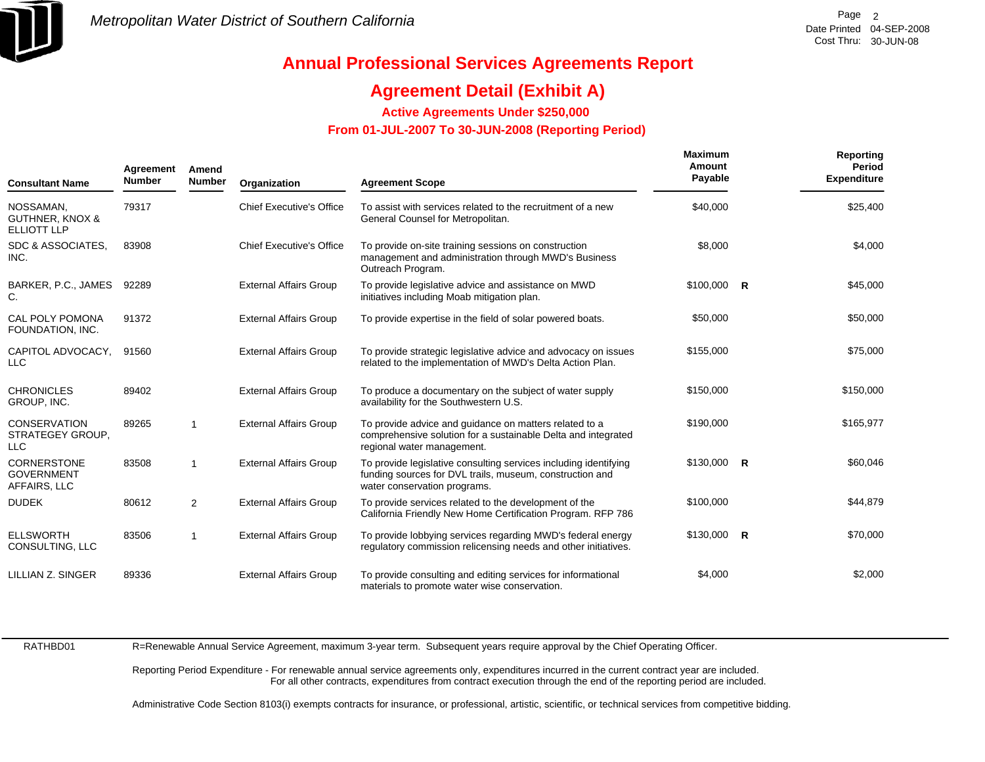

## **Agreement Detail (Exhibit A)**

**Active Agreements Under \$250,000** 

 **From 01-JUL-2007 To 30-JUN-2008 (Reporting Period)** 

| <b>Consultant Name</b>                                        | Agreement<br><b>Number</b> | Amend<br><b>Number</b> | Organization                    | <b>Agreement Scope</b>                                                                                                                                       | <b>Maximum</b><br>Amount<br>Payable | Reporting<br>Period<br><b>Expenditure</b> |
|---------------------------------------------------------------|----------------------------|------------------------|---------------------------------|--------------------------------------------------------------------------------------------------------------------------------------------------------------|-------------------------------------|-------------------------------------------|
| NOSSAMAN,<br><b>GUTHNER, KNOX &amp;</b><br><b>ELLIOTT LLP</b> | 79317                      |                        | <b>Chief Executive's Office</b> | To assist with services related to the recruitment of a new<br>General Counsel for Metropolitan.                                                             | \$40,000                            | \$25,400                                  |
| SDC & ASSOCIATES,<br>INC.                                     | 83908                      |                        | <b>Chief Executive's Office</b> | To provide on-site training sessions on construction<br>management and administration through MWD's Business<br>Outreach Program.                            | \$8,000                             | \$4,000                                   |
| BARKER, P.C., JAMES<br>C.                                     | 92289                      |                        | <b>External Affairs Group</b>   | To provide legislative advice and assistance on MWD<br>initiatives including Moab mitigation plan.                                                           | $$100,000$ R                        | \$45,000                                  |
| <b>CAL POLY POMONA</b><br>FOUNDATION, INC.                    | 91372                      |                        | <b>External Affairs Group</b>   | To provide expertise in the field of solar powered boats.                                                                                                    | \$50,000                            | \$50,000                                  |
| CAPITOL ADVOCACY,<br>LLC                                      | 91560                      |                        | <b>External Affairs Group</b>   | To provide strategic legislative advice and advocacy on issues<br>related to the implementation of MWD's Delta Action Plan.                                  | \$155,000                           | \$75,000                                  |
| <b>CHRONICLES</b><br>GROUP, INC.                              | 89402                      |                        | <b>External Affairs Group</b>   | To produce a documentary on the subject of water supply<br>availability for the Southwestern U.S.                                                            | \$150,000                           | \$150,000                                 |
| <b>CONSERVATION</b><br>STRATEGEY GROUP,<br>LLC                | 89265                      | $\mathbf{1}$           | <b>External Affairs Group</b>   | To provide advice and guidance on matters related to a<br>comprehensive solution for a sustainable Delta and integrated<br>regional water management.        | \$190,000                           | \$165,977                                 |
| <b>CORNERSTONE</b><br><b>GOVERNMENT</b><br>AFFAIRS, LLC       | 83508                      | 1                      | <b>External Affairs Group</b>   | To provide legislative consulting services including identifying<br>funding sources for DVL trails, museum, construction and<br>water conservation programs. | $$130,000$ R                        | \$60,046                                  |
| <b>DUDEK</b>                                                  | 80612                      | $\overline{2}$         | <b>External Affairs Group</b>   | To provide services related to the development of the<br>California Friendly New Home Certification Program. RFP 786                                         | \$100,000                           | \$44,879                                  |
| <b>ELLSWORTH</b><br>CONSULTING, LLC                           | 83506                      | 1                      | <b>External Affairs Group</b>   | To provide lobbying services regarding MWD's federal energy<br>regulatory commission relicensing needs and other initiatives.                                | $$130,000$ R                        | \$70,000                                  |
| LILLIAN Z. SINGER                                             | 89336                      |                        | <b>External Affairs Group</b>   | To provide consulting and editing services for informational<br>materials to promote water wise conservation.                                                | \$4,000                             | \$2,000                                   |

RATHBD01

R=Renewable Annual Service Agreement, maximum 3-year term. Subsequent years require approval by the Chief Operating Officer.

Reporting Period Expenditure - For renewable annual service agreements only, expenditures incurred in the current contract year are included. For all other contracts, expenditures from contract execution through the end of the reporting period are included.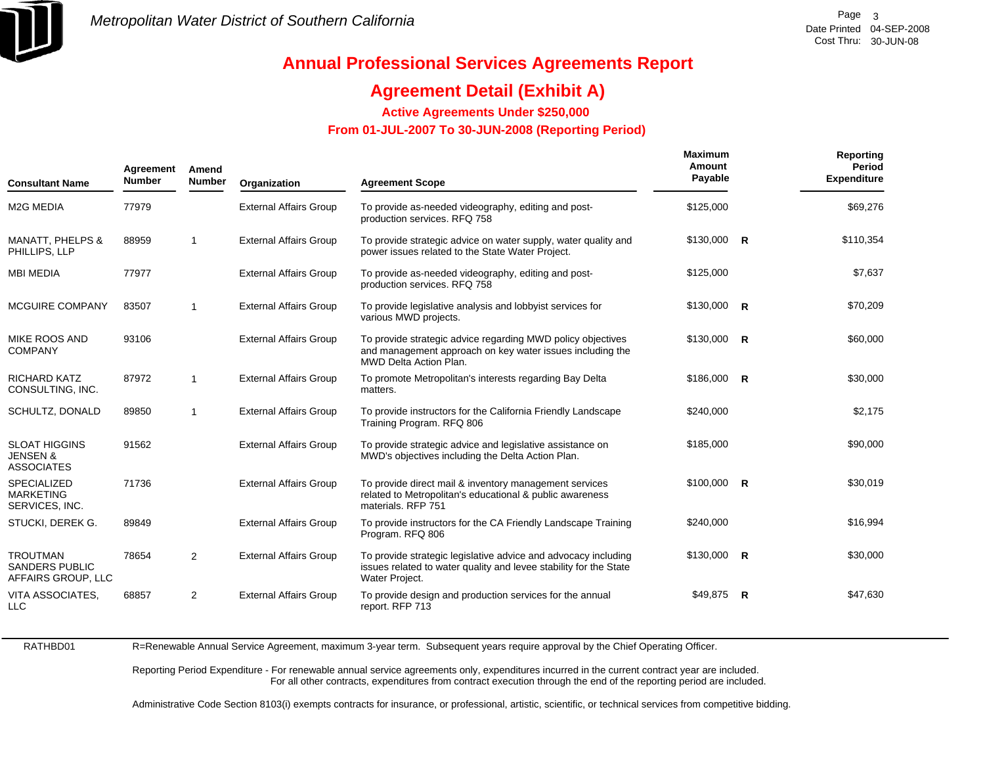

## **Agreement Detail (Exhibit A)**

**Active Agreements Under \$250,000** 

 **From 01-JUL-2007 To 30-JUN-2008 (Reporting Period)** 

| <b>Consultant Name</b>                                           | Agreement<br><b>Number</b> | Amend<br><b>Number</b> | Organization                  | <b>Agreement Scope</b>                                                                                                                                    | <b>Maximum</b><br>Amount<br>Payable | Reporting<br>Period<br><b>Expenditure</b> |
|------------------------------------------------------------------|----------------------------|------------------------|-------------------------------|-----------------------------------------------------------------------------------------------------------------------------------------------------------|-------------------------------------|-------------------------------------------|
| <b>M2G MEDIA</b>                                                 | 77979                      |                        | <b>External Affairs Group</b> | To provide as-needed videography, editing and post-<br>production services. RFQ 758                                                                       | \$125,000                           | \$69,276                                  |
| MANATT, PHELPS &<br>PHILLIPS, LLP                                | 88959                      | $\mathbf{1}$           | <b>External Affairs Group</b> | To provide strategic advice on water supply, water quality and<br>power issues related to the State Water Project.                                        | $$130,000$ R                        | \$110,354                                 |
| <b>MBI MEDIA</b>                                                 | 77977                      |                        | <b>External Affairs Group</b> | To provide as-needed videography, editing and post-<br>production services. RFQ 758                                                                       | \$125,000                           | \$7,637                                   |
| MCGUIRE COMPANY                                                  | 83507                      | $\mathbf{1}$           | <b>External Affairs Group</b> | To provide legislative analysis and lobbyist services for<br>various MWD projects.                                                                        | $$130,000$ R                        | \$70,209                                  |
| <b>MIKE ROOS AND</b><br><b>COMPANY</b>                           | 93106                      |                        | <b>External Affairs Group</b> | To provide strategic advice regarding MWD policy objectives<br>and management approach on key water issues including the<br><b>MWD Delta Action Plan.</b> | $$130,000$ R                        | \$60,000                                  |
| <b>RICHARD KATZ</b><br>CONSULTING, INC.                          | 87972                      | $\mathbf{1}$           | <b>External Affairs Group</b> | To promote Metropolitan's interests regarding Bay Delta<br>matters.                                                                                       | $$186,000$ R                        | \$30,000                                  |
| SCHULTZ, DONALD                                                  | 89850                      | $\mathbf{1}$           | <b>External Affairs Group</b> | To provide instructors for the California Friendly Landscape<br>Training Program. RFQ 806                                                                 | \$240,000                           | \$2,175                                   |
| <b>SLOAT HIGGINS</b><br><b>JENSEN &amp;</b><br><b>ASSOCIATES</b> | 91562                      |                        | <b>External Affairs Group</b> | To provide strategic advice and legislative assistance on<br>MWD's objectives including the Delta Action Plan.                                            | \$185,000                           | \$90,000                                  |
| <b>SPECIALIZED</b><br><b>MARKETING</b><br>SERVICES, INC.         | 71736                      |                        | <b>External Affairs Group</b> | To provide direct mail & inventory management services<br>related to Metropolitan's educational & public awareness<br>materials, RFP 751                  | $$100,000$ R                        | \$30,019                                  |
| STUCKI, DEREK G.                                                 | 89849                      |                        | <b>External Affairs Group</b> | To provide instructors for the CA Friendly Landscape Training<br>Program. RFQ 806                                                                         | \$240,000                           | \$16,994                                  |
| <b>TROUTMAN</b><br><b>SANDERS PUBLIC</b><br>AFFAIRS GROUP, LLC   | 78654                      | $\overline{2}$         | <b>External Affairs Group</b> | To provide strategic legislative advice and advocacy including<br>issues related to water quality and levee stability for the State<br>Water Project.     | $$130,000$ R                        | \$30,000                                  |
| <b>VITA ASSOCIATES,</b><br><b>LLC</b>                            | 68857                      | 2                      | <b>External Affairs Group</b> | To provide design and production services for the annual<br>report. RFP 713                                                                               | $$49,875$ R                         | \$47,630                                  |

RATHBD01R=Renewable Annual Service Agreement, maximum 3-year term. Subsequent years require approval by the Chief Operating Officer.

> Reporting Period Expenditure - For renewable annual service agreements only, expenditures incurred in the current contract year are included. For all other contracts, expenditures from contract execution through the end of the reporting period are included.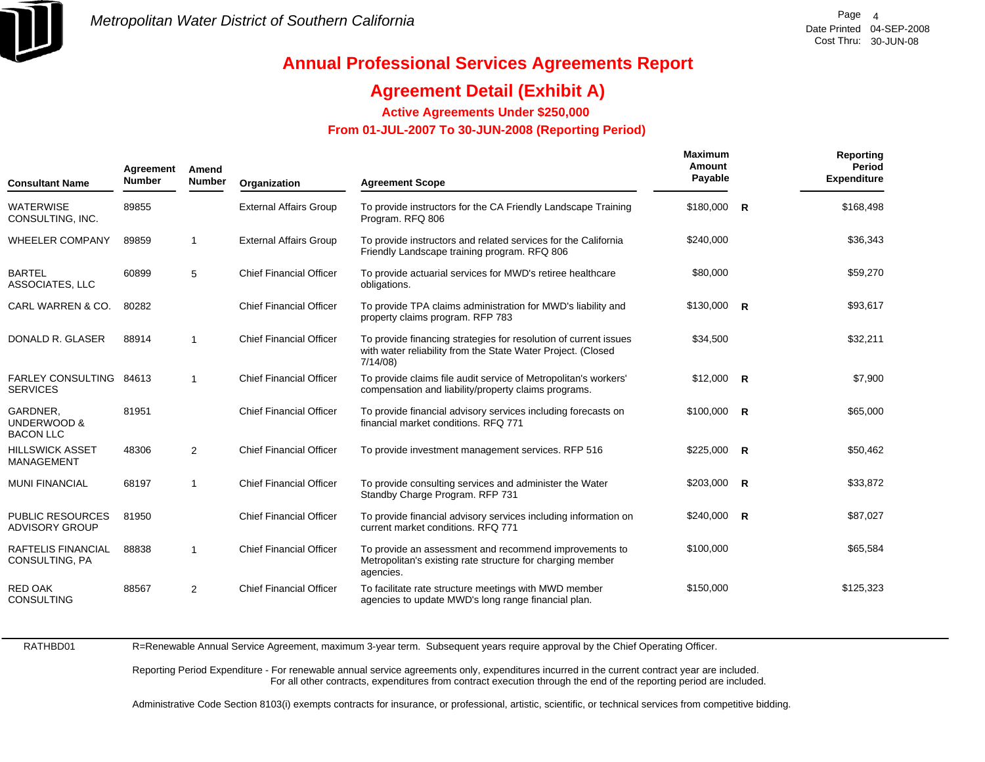

## **Agreement Detail (Exhibit A)**

**Active Agreements Under \$250,000** 

 **From 01-JUL-2007 To 30-JUN-2008 (Reporting Period)** 

| <b>Consultant Name</b>                      | Agreement<br><b>Number</b> | Amend<br><b>Number</b> | Organization                   | <b>Agreement Scope</b>                                                                                                                      | <b>Maximum</b><br>Amount<br>Payable | Reporting<br>Period<br><b>Expenditure</b> |
|---------------------------------------------|----------------------------|------------------------|--------------------------------|---------------------------------------------------------------------------------------------------------------------------------------------|-------------------------------------|-------------------------------------------|
| <b>WATERWISE</b><br>CONSULTING, INC.        | 89855                      |                        | <b>External Affairs Group</b>  | To provide instructors for the CA Friendly Landscape Training<br>Program. RFQ 806                                                           | \$180,000 R                         | \$168,498                                 |
| <b>WHEELER COMPANY</b>                      | 89859                      | $\mathbf{1}$           | <b>External Affairs Group</b>  | To provide instructors and related services for the California<br>Friendly Landscape training program. RFQ 806                              | \$240,000                           | \$36,343                                  |
| <b>BARTEL</b><br>ASSOCIATES, LLC            | 60899                      | 5                      | <b>Chief Financial Officer</b> | To provide actuarial services for MWD's retiree healthcare<br>obligations.                                                                  | \$80,000                            | \$59,270                                  |
| CARL WARREN & CO.                           | 80282                      |                        | <b>Chief Financial Officer</b> | To provide TPA claims administration for MWD's liability and<br>property claims program. RFP 783                                            | $$130,000$ R                        | \$93,617                                  |
| DONALD R. GLASER                            | 88914                      | $\mathbf 1$            | <b>Chief Financial Officer</b> | To provide financing strategies for resolution of current issues<br>with water reliability from the State Water Project. (Closed<br>7/14/08 | \$34,500                            | \$32,211                                  |
| FARLEY CONSULTING 84613<br><b>SERVICES</b>  |                            | $\mathbf{1}$           | <b>Chief Financial Officer</b> | To provide claims file audit service of Metropolitan's workers'<br>compensation and liability/property claims programs.                     | $$12,000$ R                         | \$7,900                                   |
| GARDNER.<br>UNDERWOOD &<br><b>BACON LLC</b> | 81951                      |                        | <b>Chief Financial Officer</b> | To provide financial advisory services including forecasts on<br>financial market conditions, RFQ 771                                       | $$100.000$ R                        | \$65,000                                  |
| <b>HILLSWICK ASSET</b><br>MANAGEMENT        | 48306                      | $\overline{2}$         | <b>Chief Financial Officer</b> | To provide investment management services. RFP 516                                                                                          | $$225,000$ R                        | \$50,462                                  |
| <b>MUNI FINANCIAL</b>                       | 68197                      | $\mathbf{1}$           | <b>Chief Financial Officer</b> | To provide consulting services and administer the Water<br>Standby Charge Program. RFP 731                                                  | $$203,000$ R                        | \$33,872                                  |
| PUBLIC RESOURCES<br><b>ADVISORY GROUP</b>   | 81950                      |                        | <b>Chief Financial Officer</b> | To provide financial advisory services including information on<br>current market conditions. RFQ 771                                       | $$240,000$ R                        | \$87,027                                  |
| RAFTELIS FINANCIAL<br>CONSULTING, PA        | 88838                      | $\overline{1}$         | <b>Chief Financial Officer</b> | To provide an assessment and recommend improvements to<br>Metropolitan's existing rate structure for charging member<br>agencies.           | \$100,000                           | \$65,584                                  |
| <b>RED OAK</b><br><b>CONSULTING</b>         | 88567                      | 2                      | <b>Chief Financial Officer</b> | To facilitate rate structure meetings with MWD member<br>agencies to update MWD's long range financial plan.                                | \$150,000                           | \$125,323                                 |

RATHBD01

R=Renewable Annual Service Agreement, maximum 3-year term. Subsequent years require approval by the Chief Operating Officer.

Reporting Period Expenditure - For renewable annual service agreements only, expenditures incurred in the current contract year are included. For all other contracts, expenditures from contract execution through the end of the reporting period are included.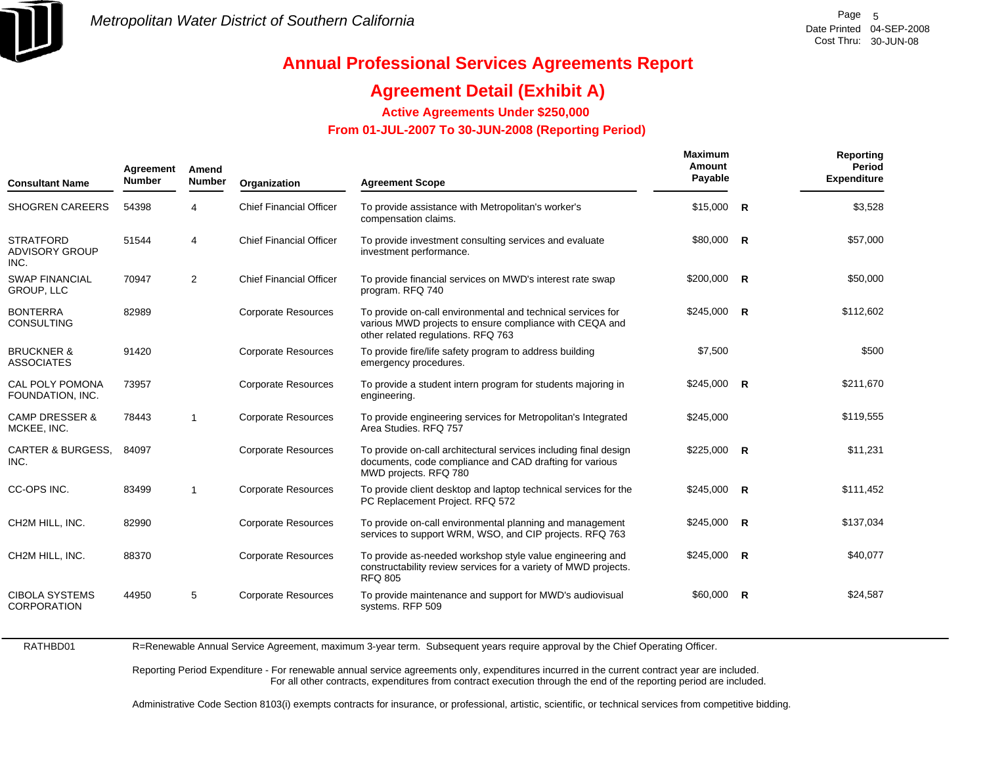

## **Agreement Detail (Exhibit A)**

**Active Agreements Under \$250,000** 

 **From 01-JUL-2007 To 30-JUN-2008 (Reporting Period)** 

| <b>Consultant Name</b>                            | Agreement<br><b>Number</b> | Amend<br><b>Number</b> | Organization                   | <b>Agreement Scope</b>                                                                                                                                       | <b>Maximum</b><br>Amount<br>Payable |                | Reporting<br><b>Period</b><br><b>Expenditure</b> |
|---------------------------------------------------|----------------------------|------------------------|--------------------------------|--------------------------------------------------------------------------------------------------------------------------------------------------------------|-------------------------------------|----------------|--------------------------------------------------|
| <b>SHOGREN CAREERS</b>                            | 54398                      | 4                      | <b>Chief Financial Officer</b> | To provide assistance with Metropolitan's worker's<br>compensation claims.                                                                                   | \$15,000                            | $\overline{R}$ | \$3,528                                          |
| <b>STRATFORD</b><br><b>ADVISORY GROUP</b><br>INC. | 51544                      | $\overline{4}$         | <b>Chief Financial Officer</b> | To provide investment consulting services and evaluate<br>investment performance.                                                                            | \$80,000 R                          |                | \$57,000                                         |
| <b>SWAP FINANCIAL</b><br><b>GROUP, LLC</b>        | 70947                      | 2                      | <b>Chief Financial Officer</b> | To provide financial services on MWD's interest rate swap<br>program. RFQ 740                                                                                | \$200,000                           | $\overline{R}$ | \$50,000                                         |
| <b>BONTERRA</b><br><b>CONSULTING</b>              | 82989                      |                        | <b>Corporate Resources</b>     | To provide on-call environmental and technical services for<br>various MWD projects to ensure compliance with CEQA and<br>other related regulations. RFQ 763 | $$245,000$ R                        |                | \$112,602                                        |
| <b>BRUCKNER &amp;</b><br><b>ASSOCIATES</b>        | 91420                      |                        | <b>Corporate Resources</b>     | To provide fire/life safety program to address building<br>emergency procedures.                                                                             | \$7,500                             |                | \$500                                            |
| CAL POLY POMONA<br>FOUNDATION, INC.               | 73957                      |                        | <b>Corporate Resources</b>     | To provide a student intern program for students majoring in<br>engineering.                                                                                 | $$245,000$ R                        |                | \$211,670                                        |
| <b>CAMP DRESSER &amp;</b><br>MCKEE, INC.          | 78443                      | $\overline{1}$         | <b>Corporate Resources</b>     | To provide engineering services for Metropolitan's Integrated<br>Area Studies. RFQ 757                                                                       | \$245,000                           |                | \$119,555                                        |
| <b>CARTER &amp; BURGESS.</b><br>INC.              | 84097                      |                        | <b>Corporate Resources</b>     | To provide on-call architectural services including final design<br>documents, code compliance and CAD drafting for various<br>MWD projects. RFQ 780         | $$225,000$ R                        |                | \$11,231                                         |
| CC-OPS INC.                                       | 83499                      | -1                     | <b>Corporate Resources</b>     | To provide client desktop and laptop technical services for the<br>PC Replacement Project. RFQ 572                                                           | \$245,000                           | $\overline{R}$ | \$111,452                                        |
| CH2M HILL, INC.                                   | 82990                      |                        | <b>Corporate Resources</b>     | To provide on-call environmental planning and management<br>services to support WRM, WSO, and CIP projects. RFQ 763                                          | \$245,000                           | $\overline{R}$ | \$137,034                                        |
| CH2M HILL. INC.                                   | 88370                      |                        | <b>Corporate Resources</b>     | To provide as-needed workshop style value engineering and<br>constructability review services for a variety of MWD projects.<br><b>RFQ 805</b>               | $$245,000$ R                        |                | \$40,077                                         |
| <b>CIBOLA SYSTEMS</b><br><b>CORPORATION</b>       | 44950                      | 5                      | <b>Corporate Resources</b>     | To provide maintenance and support for MWD's audiovisual<br>systems. RFP 509                                                                                 | \$60,000                            | $\overline{R}$ | \$24,587                                         |

RATHBD01R=Renewable Annual Service Agreement, maximum 3-year term. Subsequent years require approval by the Chief Operating Officer.

> Reporting Period Expenditure - For renewable annual service agreements only, expenditures incurred in the current contract year are included. For all other contracts, expenditures from contract execution through the end of the reporting period are included.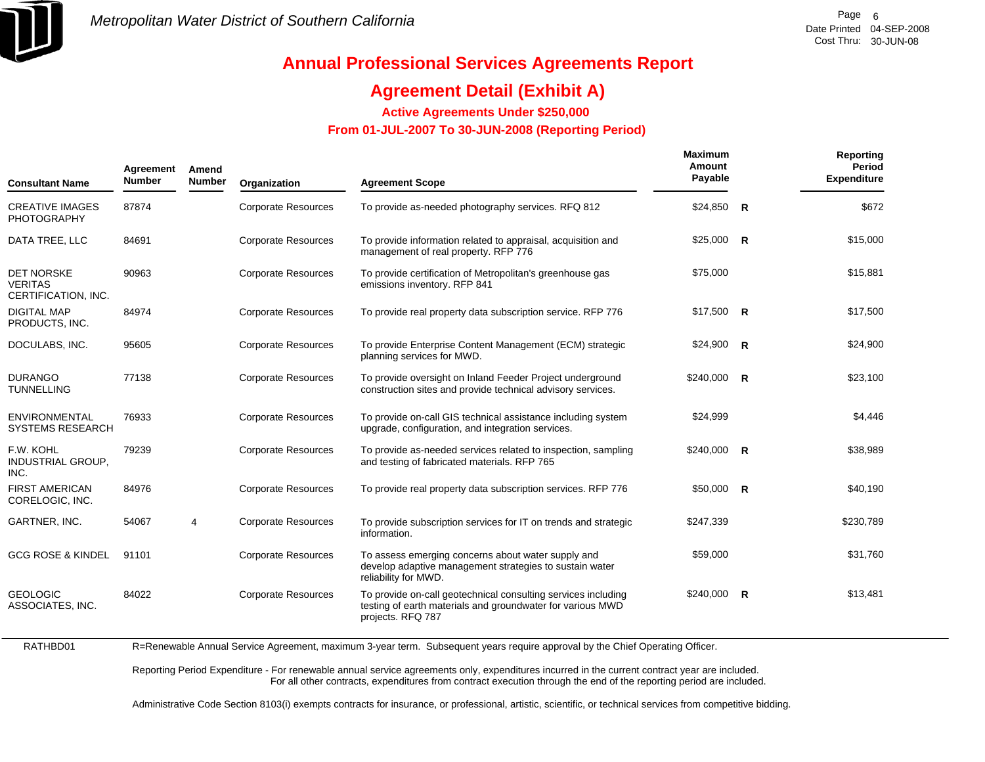

## **Agreement Detail (Exhibit A)**

**Active Agreements Under \$250,000** 

 **From 01-JUL-2007 To 30-JUN-2008 (Reporting Period)** 

| <b>Consultant Name</b>                                     | Agreement<br><b>Number</b> | Amend<br><b>Number</b> | Organization               | <b>Agreement Scope</b>                                                                                                                           | Maximum<br>Amount<br>Payable |                         | <b>Reporting</b><br>Period<br><b>Expenditure</b> |
|------------------------------------------------------------|----------------------------|------------------------|----------------------------|--------------------------------------------------------------------------------------------------------------------------------------------------|------------------------------|-------------------------|--------------------------------------------------|
| <b>CREATIVE IMAGES</b><br><b>PHOTOGRAPHY</b>               | 87874                      |                        | <b>Corporate Resources</b> | To provide as-needed photography services. RFQ 812                                                                                               | \$24,850                     | $\overline{\mathsf{R}}$ | \$672                                            |
| DATA TREE, LLC                                             | 84691                      |                        | <b>Corporate Resources</b> | To provide information related to appraisal, acquisition and<br>management of real property. RFP 776                                             | $$25,000$ R                  |                         | \$15,000                                         |
| <b>DET NORSKE</b><br><b>VERITAS</b><br>CERTIFICATION, INC. | 90963                      |                        | <b>Corporate Resources</b> | To provide certification of Metropolitan's greenhouse gas<br>emissions inventory. RFP 841                                                        | \$75,000                     |                         | \$15,881                                         |
| <b>DIGITAL MAP</b><br>PRODUCTS, INC.                       | 84974                      |                        | <b>Corporate Resources</b> | To provide real property data subscription service. RFP 776                                                                                      | $$17,500$ R                  |                         | \$17,500                                         |
| DOCULABS, INC.                                             | 95605                      |                        | <b>Corporate Resources</b> | To provide Enterprise Content Management (ECM) strategic<br>planning services for MWD.                                                           | \$24,900                     | $\overline{R}$          | \$24,900                                         |
| <b>DURANGO</b><br><b>TUNNELLING</b>                        | 77138                      |                        | <b>Corporate Resources</b> | To provide oversight on Inland Feeder Project underground<br>construction sites and provide technical advisory services.                         | $$240,000$ R                 |                         | \$23,100                                         |
| ENVIRONMENTAL<br><b>SYSTEMS RESEARCH</b>                   | 76933                      |                        | <b>Corporate Resources</b> | To provide on-call GIS technical assistance including system<br>upgrade, configuration, and integration services.                                | \$24,999                     |                         | \$4,446                                          |
| F.W. KOHL<br><b>INDUSTRIAL GROUP,</b><br>INC.              | 79239                      |                        | <b>Corporate Resources</b> | To provide as-needed services related to inspection, sampling<br>and testing of fabricated materials. RFP 765                                    | \$240,000                    | $\overline{\mathsf{R}}$ | \$38,989                                         |
| <b>FIRST AMERICAN</b><br>CORELOGIC, INC.                   | 84976                      |                        | <b>Corporate Resources</b> | To provide real property data subscription services. RFP 776                                                                                     | $$50,000$ R                  |                         | \$40,190                                         |
| GARTNER, INC.                                              | 54067                      | 4                      | <b>Corporate Resources</b> | To provide subscription services for IT on trends and strategic<br>information.                                                                  | \$247,339                    |                         | \$230,789                                        |
| <b>GCG ROSE &amp; KINDEL</b>                               | 91101                      |                        | <b>Corporate Resources</b> | To assess emerging concerns about water supply and<br>develop adaptive management strategies to sustain water<br>reliability for MWD.            | \$59,000                     |                         | \$31,760                                         |
| <b>GEOLOGIC</b><br>ASSOCIATES, INC.                        | 84022                      |                        | <b>Corporate Resources</b> | To provide on-call geotechnical consulting services including<br>testing of earth materials and groundwater for various MWD<br>projects. RFQ 787 | $$240,000$ R                 |                         | \$13,481                                         |

RATHBD01R=Renewable Annual Service Agreement, maximum 3-year term. Subsequent years require approval by the Chief Operating Officer.

> Reporting Period Expenditure - For renewable annual service agreements only, expenditures incurred in the current contract year are included. For all other contracts, expenditures from contract execution through the end of the reporting period are included.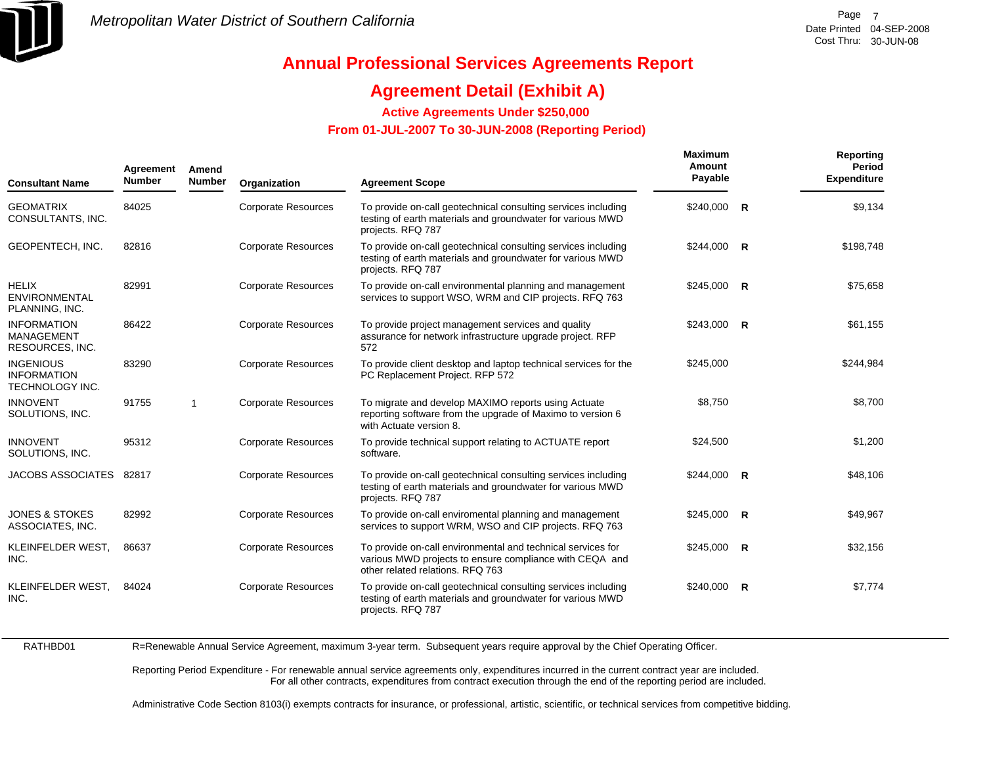

## **Agreement Detail (Exhibit A)**

**Active Agreements Under \$250,000** 

 **From 01-JUL-2007 To 30-JUN-2008 (Reporting Period)** 

| <b>Consultant Name</b>                                    | Agreement<br><b>Number</b> | Amend<br><b>Number</b> | Organization               | <b>Agreement Scope</b>                                                                                                                                     | Maximum<br>Amount<br>Payable |              | Reporting<br>Period<br><b>Expenditure</b> |
|-----------------------------------------------------------|----------------------------|------------------------|----------------------------|------------------------------------------------------------------------------------------------------------------------------------------------------------|------------------------------|--------------|-------------------------------------------|
| <b>GEOMATRIX</b><br>CONSULTANTS, INC.                     | 84025                      |                        | <b>Corporate Resources</b> | To provide on-call geotechnical consulting services including<br>testing of earth materials and groundwater for various MWD<br>projects. RFQ 787           | \$240,000                    | $\mathsf{R}$ | \$9,134                                   |
| GEOPENTECH, INC.                                          | 82816                      |                        | <b>Corporate Resources</b> | To provide on-call geotechnical consulting services including<br>testing of earth materials and groundwater for various MWD<br>projects. RFQ 787           | \$244,000 R                  |              | \$198,748                                 |
| <b>HELIX</b><br><b>ENVIRONMENTAL</b><br>PLANNING, INC.    | 82991                      |                        | <b>Corporate Resources</b> | To provide on-call environmental planning and management<br>services to support WSO, WRM and CIP projects. RFQ 763                                         | $$245,000$ R                 |              | \$75,658                                  |
| <b>INFORMATION</b><br>MANAGEMENT<br>RESOURCES, INC.       | 86422                      |                        | <b>Corporate Resources</b> | To provide project management services and quality<br>assurance for network infrastructure upgrade project. RFP<br>572                                     | $$243,000$ R                 |              | \$61,155                                  |
| <b>INGENIOUS</b><br><b>INFORMATION</b><br>TECHNOLOGY INC. | 83290                      |                        | <b>Corporate Resources</b> | To provide client desktop and laptop technical services for the<br>PC Replacement Project. RFP 572                                                         | \$245,000                    |              | \$244,984                                 |
| <b>INNOVENT</b><br>SOLUTIONS, INC.                        | 91755                      | $\mathbf{1}$           | <b>Corporate Resources</b> | To migrate and develop MAXIMO reports using Actuate<br>reporting software from the upgrade of Maximo to version 6<br>with Actuate version 8.               | \$8,750                      |              | \$8,700                                   |
| <b>INNOVENT</b><br>SOLUTIONS, INC.                        | 95312                      |                        | <b>Corporate Resources</b> | To provide technical support relating to ACTUATE report<br>software.                                                                                       | \$24,500                     |              | \$1,200                                   |
| JACOBS ASSOCIATES 82817                                   |                            |                        | <b>Corporate Resources</b> | To provide on-call geotechnical consulting services including<br>testing of earth materials and groundwater for various MWD<br>projects. RFQ 787           | $$244,000$ R                 |              | \$48,106                                  |
| <b>JONES &amp; STOKES</b><br>ASSOCIATES, INC.             | 82992                      |                        | <b>Corporate Resources</b> | To provide on-call enviromental planning and management<br>services to support WRM, WSO and CIP projects. RFQ 763                                          | $$245,000$ R                 |              | \$49,967                                  |
| KLEINFELDER WEST,<br>INC.                                 | 86637                      |                        | <b>Corporate Resources</b> | To provide on-call environmental and technical services for<br>various MWD projects to ensure compliance with CEQA and<br>other related relations. RFQ 763 | $$245,000$ R                 |              | \$32,156                                  |
| KLEINFELDER WEST,<br>INC.                                 | 84024                      |                        | <b>Corporate Resources</b> | To provide on-call geotechnical consulting services including<br>testing of earth materials and groundwater for various MWD<br>projects. RFQ 787           | \$240,000 R                  |              | \$7,774                                   |
|                                                           |                            |                        |                            |                                                                                                                                                            |                              |              |                                           |

RATHBD01

R=Renewable Annual Service Agreement, maximum 3-year term. Subsequent years require approval by the Chief Operating Officer.

Reporting Period Expenditure - For renewable annual service agreements only, expenditures incurred in the current contract year are included. For all other contracts, expenditures from contract execution through the end of the reporting period are included.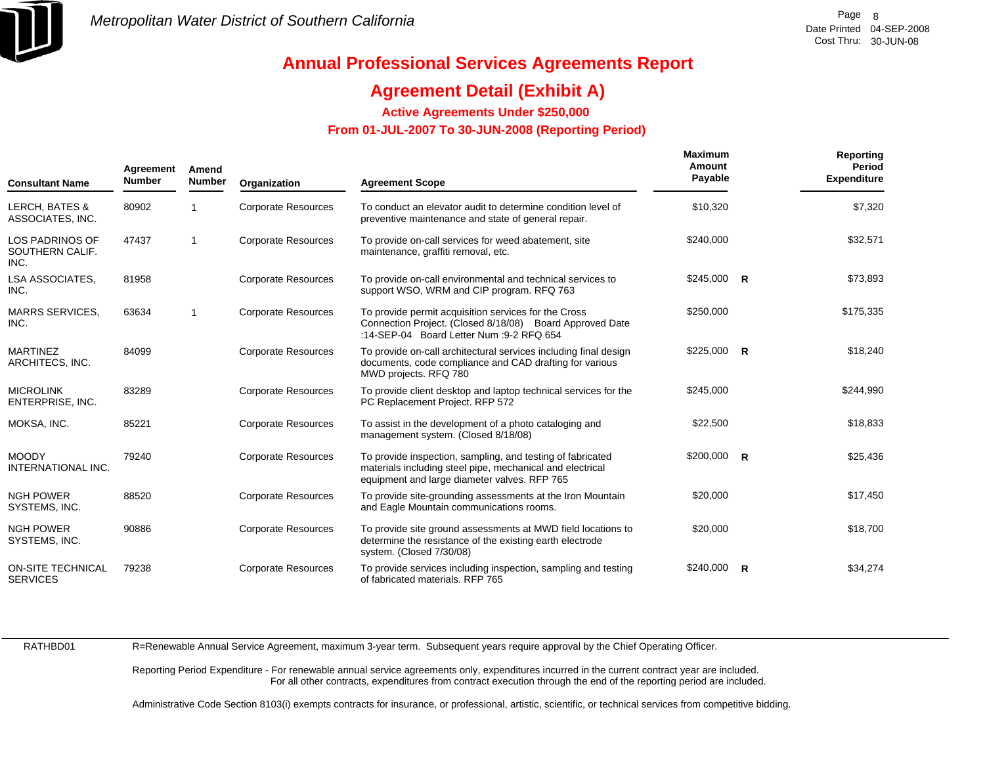

## **Agreement Detail (Exhibit A)**

**Active Agreements Under \$250,000** 

 **From 01-JUL-2007 To 30-JUN-2008 (Reporting Period)** 

| <b>Consultant Name</b>                            | Agreement<br><b>Number</b> | Amend<br><b>Number</b> | Organization               | <b>Agreement Scope</b>                                                                                                                                                  | Maximum<br>Amount<br>Payable |              | Reporting<br>Period<br><b>Expenditure</b> |
|---------------------------------------------------|----------------------------|------------------------|----------------------------|-------------------------------------------------------------------------------------------------------------------------------------------------------------------------|------------------------------|--------------|-------------------------------------------|
| <b>LERCH, BATES &amp;</b><br>ASSOCIATES, INC.     | 80902                      |                        | <b>Corporate Resources</b> | To conduct an elevator audit to determine condition level of<br>preventive maintenance and state of general repair.                                                     | \$10,320                     |              | \$7,320                                   |
| <b>LOS PADRINOS OF</b><br>SOUTHERN CALIF.<br>INC. | 47437                      | -1                     | <b>Corporate Resources</b> | To provide on-call services for weed abatement, site<br>maintenance, graffiti removal, etc.                                                                             | \$240,000                    |              | \$32,571                                  |
| <b>LSA ASSOCIATES.</b><br>INC.                    | 81958                      |                        | <b>Corporate Resources</b> | To provide on-call environmental and technical services to<br>support WSO, WRM and CIP program. RFQ 763                                                                 | $$245,000$ R                 |              | \$73,893                                  |
| <b>MARRS SERVICES,</b><br>INC.                    | 63634                      | -1                     | <b>Corporate Resources</b> | To provide permit acquisition services for the Cross<br>Connection Project. (Closed 8/18/08) Board Approved Date<br>:14-SEP-04 Board Letter Num :9-2 RFQ 654            | \$250,000                    |              | \$175,335                                 |
| <b>MARTINEZ</b><br>ARCHITECS, INC.                | 84099                      |                        | <b>Corporate Resources</b> | To provide on-call architectural services including final design<br>documents, code compliance and CAD drafting for various<br>MWD projects. RFQ 780                    | $$225,000$ R                 |              | \$18,240                                  |
| <b>MICROLINK</b><br>ENTERPRISE, INC.              | 83289                      |                        | <b>Corporate Resources</b> | To provide client desktop and laptop technical services for the<br>PC Replacement Project. RFP 572                                                                      | \$245,000                    |              | \$244,990                                 |
| MOKSA, INC.                                       | 85221                      |                        | <b>Corporate Resources</b> | To assist in the development of a photo cataloging and<br>management system. (Closed 8/18/08)                                                                           | \$22,500                     |              | \$18,833                                  |
| <b>MOODY</b><br>INTERNATIONAL INC.                | 79240                      |                        | <b>Corporate Resources</b> | To provide inspection, sampling, and testing of fabricated<br>materials including steel pipe, mechanical and electrical<br>equipment and large diameter valves. RFP 765 | $$200,000$ R                 |              | \$25,436                                  |
| <b>NGH POWER</b><br>SYSTEMS, INC.                 | 88520                      |                        | <b>Corporate Resources</b> | To provide site-grounding assessments at the Iron Mountain<br>and Eagle Mountain communications rooms.                                                                  | \$20,000                     |              | \$17,450                                  |
| <b>NGH POWER</b><br>SYSTEMS, INC.                 | 90886                      |                        | <b>Corporate Resources</b> | To provide site ground assessments at MWD field locations to<br>determine the resistance of the existing earth electrode<br>system. (Closed 7/30/08)                    | \$20,000                     |              | \$18,700                                  |
| <b>ON-SITE TECHNICAL</b><br><b>SERVICES</b>       | 79238                      |                        | <b>Corporate Resources</b> | To provide services including inspection, sampling and testing<br>of fabricated materials. RFP 765                                                                      | \$240,000                    | $\mathsf{R}$ | \$34,274                                  |

RATHBD01

R=Renewable Annual Service Agreement, maximum 3-year term. Subsequent years require approval by the Chief Operating Officer.

Reporting Period Expenditure - For renewable annual service agreements only, expenditures incurred in the current contract year are included. For all other contracts, expenditures from contract execution through the end of the reporting period are included.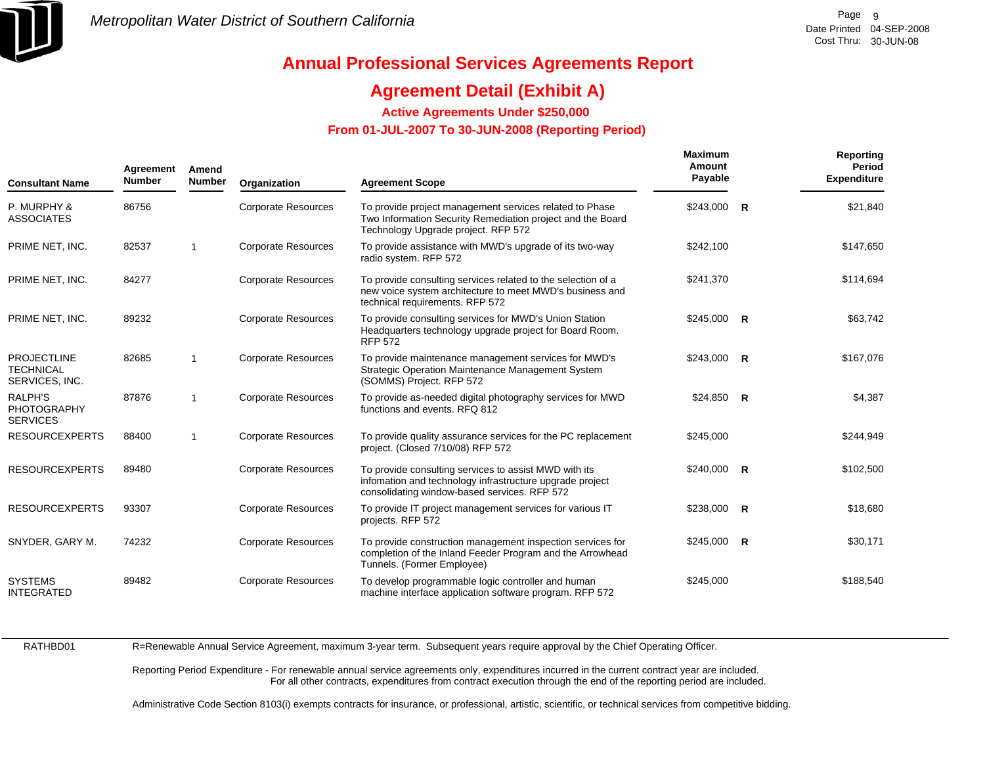

## **Agreement Detail (Exhibit A)**

**Active Agreements Under \$250,000** 

 **From 01-JUL-2007 To 30-JUN-2008 (Reporting Period)** 

| <b>Consultant Name</b>                                   | Agreement<br><b>Number</b> | Amend<br><b>Number</b> | Organization               | <b>Agreement Scope</b>                                                                                                                                            | Maximum<br>Amount<br>Payable | Reporting<br><b>Period</b><br><b>Expenditure</b> |
|----------------------------------------------------------|----------------------------|------------------------|----------------------------|-------------------------------------------------------------------------------------------------------------------------------------------------------------------|------------------------------|--------------------------------------------------|
| P. MURPHY &<br><b>ASSOCIATES</b>                         | 86756                      |                        | <b>Corporate Resources</b> | To provide project management services related to Phase<br>Two Information Security Remediation project and the Board<br>Technology Upgrade project. RFP 572      | $$243,000$ R                 | \$21,840                                         |
| PRIME NET, INC.                                          | 82537                      | $\mathbf 1$            | <b>Corporate Resources</b> | To provide assistance with MWD's upgrade of its two-way<br>radio system. RFP 572                                                                                  | \$242,100                    | \$147,650                                        |
| PRIME NET, INC.                                          | 84277                      |                        | <b>Corporate Resources</b> | To provide consulting services related to the selection of a<br>new voice system architecture to meet MWD's business and<br>technical requirements. RFP 572       | \$241,370                    | \$114,694                                        |
| PRIME NET, INC.                                          | 89232                      |                        | <b>Corporate Resources</b> | To provide consulting services for MWD's Union Station<br>Headquarters technology upgrade project for Board Room.<br><b>RFP 572</b>                               | $$245,000$ R                 | \$63,742                                         |
| <b>PROJECTLINE</b><br><b>TECHNICAL</b><br>SERVICES, INC. | 82685                      | -1                     | Corporate Resources        | To provide maintenance management services for MWD's<br><b>Strategic Operation Maintenance Management System</b><br>(SOMMS) Project. RFP 572                      | $$243,000$ R                 | \$167,076                                        |
| <b>RALPH'S</b><br><b>PHOTOGRAPHY</b><br><b>SERVICES</b>  | 87876                      | $\mathbf{1}$           | <b>Corporate Resources</b> | To provide as-needed digital photography services for MWD<br>functions and events, RFQ 812                                                                        | $$24,850$ R                  | \$4,387                                          |
| <b>RESOURCEXPERTS</b>                                    | 88400                      |                        | <b>Corporate Resources</b> | To provide quality assurance services for the PC replacement<br>project. (Closed 7/10/08) RFP 572                                                                 | \$245,000                    | \$244,949                                        |
| <b>RESOURCEXPERTS</b>                                    | 89480                      |                        | <b>Corporate Resources</b> | To provide consulting services to assist MWD with its<br>infomation and technology infrastructure upgrade project<br>consolidating window-based services. RFP 572 | \$240,000 R                  | \$102,500                                        |
| <b>RESOURCEXPERTS</b>                                    | 93307                      |                        | <b>Corporate Resources</b> | To provide IT project management services for various IT<br>projects. RFP 572                                                                                     | $$238,000$ R                 | \$18,680                                         |
| SNYDER, GARY M.                                          | 74232                      |                        | <b>Corporate Resources</b> | To provide construction management inspection services for<br>completion of the Inland Feeder Program and the Arrowhead<br>Tunnels. (Former Employee)             | $$245,000$ R                 | \$30,171                                         |
| <b>SYSTEMS</b><br><b>INTEGRATED</b>                      | 89482                      |                        | <b>Corporate Resources</b> | To develop programmable logic controller and human<br>machine interface application software program. RFP 572                                                     | \$245,000                    | \$188,540                                        |

RATHBD01R=Renewable Annual Service Agreement, maximum 3-year term. Subsequent years require approval by the Chief Operating Officer.

> Reporting Period Expenditure - For renewable annual service agreements only, expenditures incurred in the current contract year are included. For all other contracts, expenditures from contract execution through the end of the reporting period are included.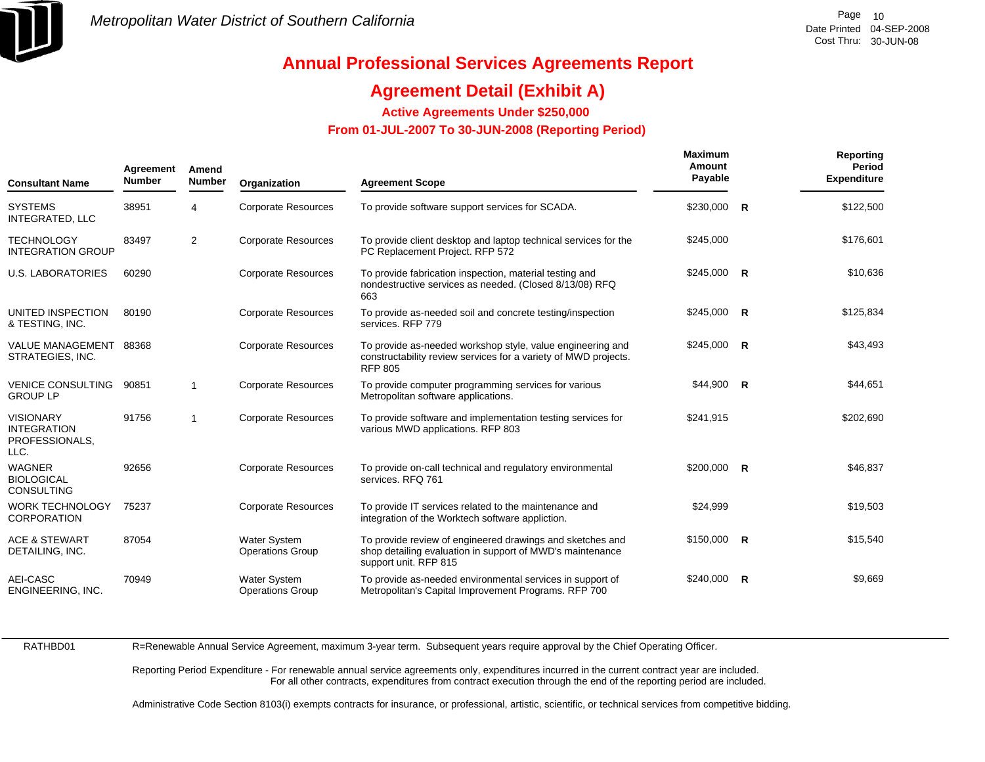

## **Agreement Detail (Exhibit A)**

**Active Agreements Under \$250,000** 

 **From 01-JUL-2007 To 30-JUN-2008 (Reporting Period)** 

| <b>Consultant Name</b>                                           | Agreement<br><b>Number</b> | Amend<br><b>Number</b> | Organization                            | <b>Agreement Scope</b>                                                                                                                          | <b>Maximum</b><br>Amount<br>Payable | <b>Reporting</b><br><b>Period</b><br><b>Expenditure</b> |
|------------------------------------------------------------------|----------------------------|------------------------|-----------------------------------------|-------------------------------------------------------------------------------------------------------------------------------------------------|-------------------------------------|---------------------------------------------------------|
| <b>SYSTEMS</b><br><b>INTEGRATED, LLC</b>                         | 38951                      | 4                      | <b>Corporate Resources</b>              | To provide software support services for SCADA.                                                                                                 | \$230,000 R                         | \$122,500                                               |
| <b>TECHNOLOGY</b><br><b>INTEGRATION GROUP</b>                    | 83497                      | $\overline{2}$         | <b>Corporate Resources</b>              | To provide client desktop and laptop technical services for the<br>PC Replacement Project. RFP 572                                              | \$245,000                           | \$176,601                                               |
| <b>U.S. LABORATORIES</b>                                         | 60290                      |                        | <b>Corporate Resources</b>              | To provide fabrication inspection, material testing and<br>nondestructive services as needed. (Closed 8/13/08) RFQ<br>663                       | $$245,000$ R                        | \$10,636                                                |
| UNITED INSPECTION<br>& TESTING, INC.                             | 80190                      |                        | <b>Corporate Resources</b>              | To provide as-needed soil and concrete testing/inspection<br>services. RFP 779                                                                  | $$245,000$ R                        | \$125,834                                               |
| <b>VALUE MANAGEMENT</b><br>STRATEGIES, INC.                      | 88368                      |                        | <b>Corporate Resources</b>              | To provide as-needed workshop style, value engineering and<br>constructability review services for a variety of MWD projects.<br><b>RFP 805</b> | $$245,000$ R                        | \$43,493                                                |
| <b>VENICE CONSULTING</b><br><b>GROUP LP</b>                      | 90851                      | -1                     | <b>Corporate Resources</b>              | To provide computer programming services for various<br>Metropolitan software applications.                                                     | \$44,900 R                          | \$44,651                                                |
| <b>VISIONARY</b><br><b>INTEGRATION</b><br>PROFESSIONALS,<br>LLC. | 91756                      | $\overline{1}$         | <b>Corporate Resources</b>              | To provide software and implementation testing services for<br>various MWD applications. RFP 803                                                | \$241,915                           | \$202,690                                               |
| <b>WAGNER</b><br><b>BIOLOGICAL</b><br><b>CONSULTING</b>          | 92656                      |                        | <b>Corporate Resources</b>              | To provide on-call technical and regulatory environmental<br>services. RFQ 761                                                                  | $$200,000$ R                        | \$46,837                                                |
| <b>WORK TECHNOLOGY</b><br><b>CORPORATION</b>                     | 75237                      |                        | <b>Corporate Resources</b>              | To provide IT services related to the maintenance and<br>integration of the Worktech software appliction.                                       | \$24,999                            | \$19,503                                                |
| <b>ACE &amp; STEWART</b><br>DETAILING, INC.                      | 87054                      |                        | Water System<br><b>Operations Group</b> | To provide review of engineered drawings and sketches and<br>shop detailing evaluation in support of MWD's maintenance<br>support unit. RFP 815 | $$150,000$ R                        | \$15,540                                                |
| AEI-CASC<br>ENGINEERING, INC.                                    | 70949                      |                        | Water System<br><b>Operations Group</b> | To provide as-needed environmental services in support of<br>Metropolitan's Capital Improvement Programs. RFP 700                               | $$240,000$ R                        | \$9,669                                                 |

RATHBD01

R=Renewable Annual Service Agreement, maximum 3-year term. Subsequent years require approval by the Chief Operating Officer.

Reporting Period Expenditure - For renewable annual service agreements only, expenditures incurred in the current contract year are included. For all other contracts, expenditures from contract execution through the end of the reporting period are included.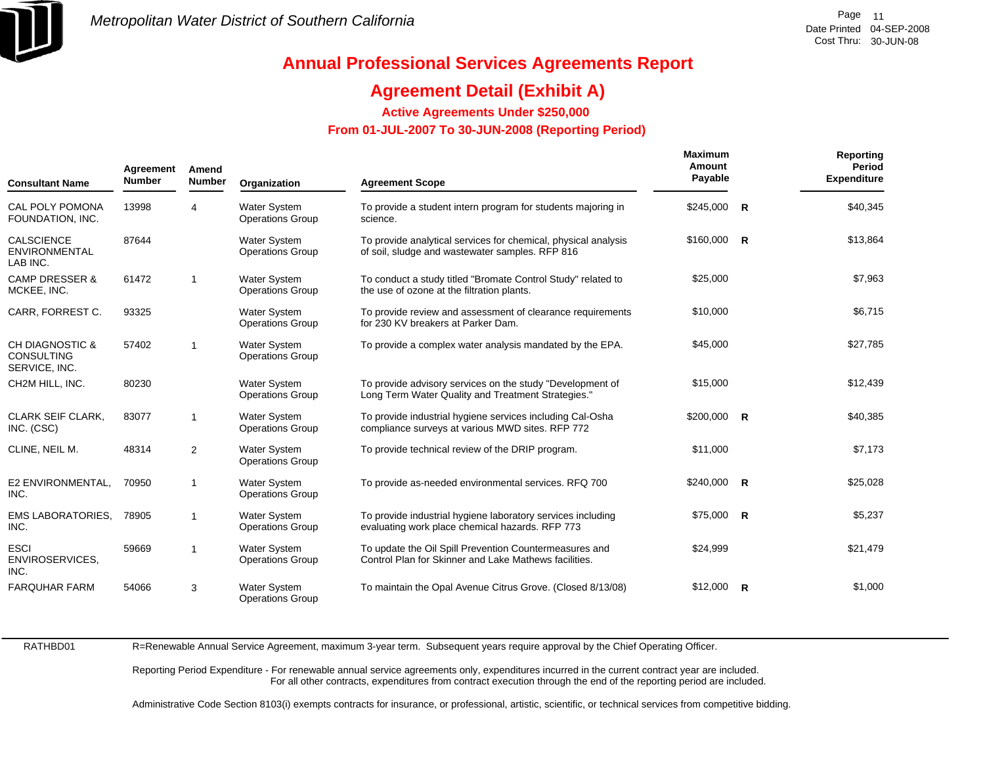

## **Agreement Detail (Exhibit A)**

**Active Agreements Under \$250,000** 

 **From 01-JUL-2007 To 30-JUN-2008 (Reporting Period)** 

| <b>Consultant Name</b>                                           | Agreement<br><b>Number</b> | Amend<br><b>Number</b> | Organization                                   | <b>Agreement Scope</b>                                                                                            | <b>Maximum</b><br>Amount<br>Payable | Reporting<br>Period<br><b>Expenditure</b> |
|------------------------------------------------------------------|----------------------------|------------------------|------------------------------------------------|-------------------------------------------------------------------------------------------------------------------|-------------------------------------|-------------------------------------------|
| CAL POLY POMONA<br>FOUNDATION, INC.                              | 13998                      | 4                      | <b>Water System</b><br><b>Operations Group</b> | To provide a student intern program for students majoring in<br>science.                                          | $$245,000$ R                        | \$40,345                                  |
| <b>CALSCIENCE</b><br><b>ENVIRONMENTAL</b><br>LAB INC.            | 87644                      |                        | <b>Water System</b><br><b>Operations Group</b> | To provide analytical services for chemical, physical analysis<br>of soil, sludge and wastewater samples. RFP 816 | $$160,000$ R                        | \$13,864                                  |
| <b>CAMP DRESSER &amp;</b><br>MCKEE, INC.                         | 61472                      | $\mathbf{1}$           | <b>Water System</b><br><b>Operations Group</b> | To conduct a study titled "Bromate Control Study" related to<br>the use of ozone at the filtration plants.        | \$25,000                            | \$7,963                                   |
| CARR, FORREST C.                                                 | 93325                      |                        | <b>Water System</b><br><b>Operations Group</b> | To provide review and assessment of clearance requirements<br>for 230 KV breakers at Parker Dam.                  | \$10,000                            | \$6,715                                   |
| <b>CH DIAGNOSTIC &amp;</b><br><b>CONSULTING</b><br>SERVICE, INC. | 57402                      | $\mathbf{1}$           | <b>Water System</b><br><b>Operations Group</b> | To provide a complex water analysis mandated by the EPA.                                                          | \$45,000                            | \$27,785                                  |
| CH2M HILL, INC.                                                  | 80230                      |                        | <b>Water System</b><br><b>Operations Group</b> | To provide advisory services on the study "Development of<br>Long Term Water Quality and Treatment Strategies."   | \$15,000                            | \$12,439                                  |
| <b>CLARK SEIF CLARK.</b><br>INC. (CSC)                           | 83077                      | 1                      | <b>Water System</b><br><b>Operations Group</b> | To provide industrial hygiene services including Cal-Osha<br>compliance surveys at various MWD sites. RFP 772     | $$200,000$ R                        | \$40,385                                  |
| CLINE, NEIL M.                                                   | 48314                      | 2                      | <b>Water System</b><br><b>Operations Group</b> | To provide technical review of the DRIP program.                                                                  | \$11,000                            | \$7,173                                   |
| E2 ENVIRONMENTAL,<br>INC.                                        | 70950                      | $\mathbf{1}$           | <b>Water System</b><br><b>Operations Group</b> | To provide as-needed environmental services. RFQ 700                                                              | $$240,000$ R                        | \$25,028                                  |
| <b>EMS LABORATORIES.</b><br>INC.                                 | 78905                      | $\mathbf{1}$           | <b>Water System</b><br><b>Operations Group</b> | To provide industrial hygiene laboratory services including<br>evaluating work place chemical hazards. RFP 773    | $$75,000$ R                         | \$5,237                                   |
| <b>ESCI</b><br>ENVIROSERVICES,<br>INC.                           | 59669                      | 1                      | <b>Water System</b><br><b>Operations Group</b> | To update the Oil Spill Prevention Countermeasures and<br>Control Plan for Skinner and Lake Mathews facilities.   | \$24,999                            | \$21,479                                  |
| <b>FARQUHAR FARM</b>                                             | 54066                      | 3                      | <b>Water System</b><br><b>Operations Group</b> | To maintain the Opal Avenue Citrus Grove. (Closed 8/13/08)                                                        | $$12,000$ R                         | \$1,000                                   |

RATHBD01

R=Renewable Annual Service Agreement, maximum 3-year term. Subsequent years require approval by the Chief Operating Officer.

Reporting Period Expenditure - For renewable annual service agreements only, expenditures incurred in the current contract year are included. For all other contracts, expenditures from contract execution through the end of the reporting period are included.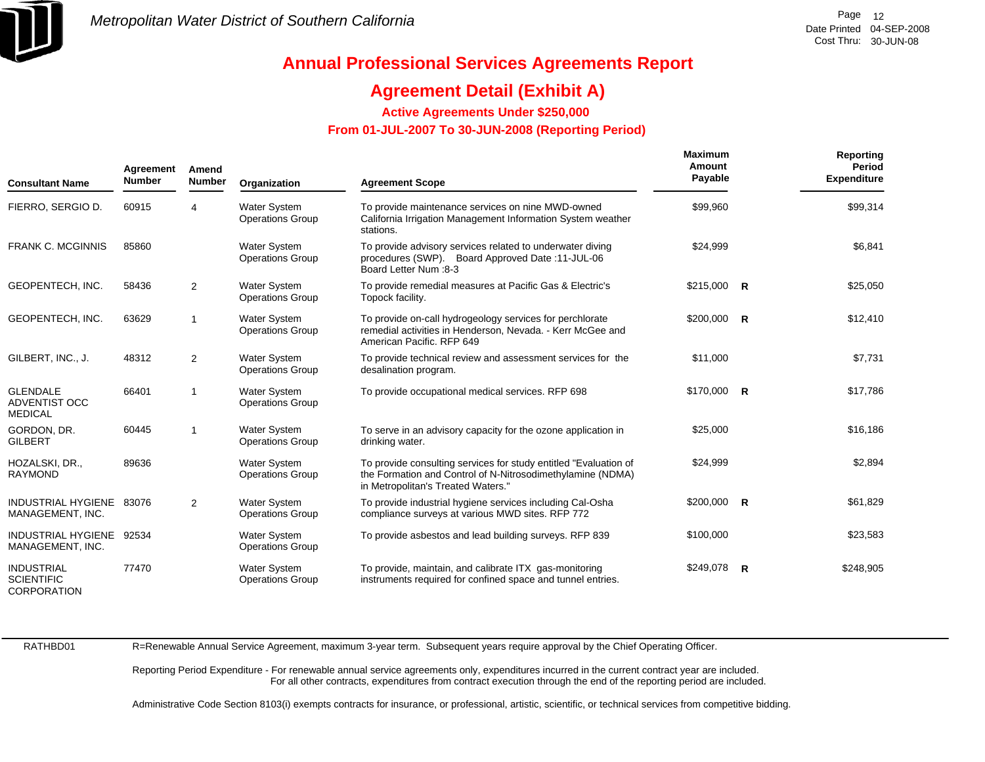

## **Agreement Detail (Exhibit A)**

**Active Agreements Under \$250,000** 

 **From 01-JUL-2007 To 30-JUN-2008 (Reporting Period)** 

| <b>Consultant Name</b>                                | Agreement<br><b>Number</b> | Amend<br><b>Number</b> | Organization                                   | <b>Agreement Scope</b>                                                                                                                                               | <b>Maximum</b><br>Amount<br>Payable | <b>Reporting</b><br>Period<br><b>Expenditure</b> |
|-------------------------------------------------------|----------------------------|------------------------|------------------------------------------------|----------------------------------------------------------------------------------------------------------------------------------------------------------------------|-------------------------------------|--------------------------------------------------|
| FIERRO, SERGIO D.                                     | 60915                      | 4                      | <b>Water System</b><br><b>Operations Group</b> | To provide maintenance services on nine MWD-owned<br>California Irrigation Management Information System weather<br>stations.                                        | \$99,960                            | \$99,314                                         |
| <b>FRANK C. MCGINNIS</b>                              | 85860                      |                        | <b>Water System</b><br><b>Operations Group</b> | To provide advisory services related to underwater diving<br>procedures (SWP). Board Approved Date: 11-JUL-06<br><b>Board Letter Num :8-3</b>                        | \$24,999                            | \$6,841                                          |
| <b>GEOPENTECH, INC.</b>                               | 58436                      | $\overline{2}$         | <b>Water System</b><br><b>Operations Group</b> | To provide remedial measures at Pacific Gas & Electric's<br>Topock facility.                                                                                         | $$215,000$ R                        | \$25,050                                         |
| GEOPENTECH, INC.                                      | 63629                      | $\mathbf 1$            | <b>Water System</b><br><b>Operations Group</b> | To provide on-call hydrogeology services for perchlorate<br>remedial activities in Henderson, Nevada. - Kerr McGee and<br>American Pacific. RFP 649                  | $$200,000$ R                        | \$12,410                                         |
| GILBERT, INC., J.                                     | 48312                      | $\overline{2}$         | <b>Water System</b><br><b>Operations Group</b> | To provide technical review and assessment services for the<br>desalination program.                                                                                 | \$11,000                            | \$7,731                                          |
| <b>GLENDALE</b><br>ADVENTIST OCC<br><b>MEDICAL</b>    | 66401                      | $\mathbf 1$            | <b>Water System</b><br><b>Operations Group</b> | To provide occupational medical services. RFP 698                                                                                                                    | $$170,000$ R                        | \$17,786                                         |
| GORDON, DR.<br><b>GILBERT</b>                         | 60445                      | 1                      | <b>Water System</b><br><b>Operations Group</b> | To serve in an advisory capacity for the ozone application in<br>drinking water.                                                                                     | \$25,000                            | \$16,186                                         |
| HOZALSKI, DR.,<br><b>RAYMOND</b>                      | 89636                      |                        | <b>Water System</b><br><b>Operations Group</b> | To provide consulting services for study entitled "Evaluation of<br>the Formation and Control of N-Nitrosodimethylamine (NDMA)<br>in Metropolitan's Treated Waters." | \$24,999                            | \$2,894                                          |
| INDUSTRIAL HYGIENE 83076<br>MANAGEMENT, INC.          |                            | 2                      | <b>Water System</b><br><b>Operations Group</b> | To provide industrial hygiene services including Cal-Osha<br>compliance surveys at various MWD sites. RFP 772                                                        | $$200,000$ R                        | \$61,829                                         |
| INDUSTRIAL HYGIENE 92534<br>MANAGEMENT, INC.          |                            |                        | <b>Water System</b><br><b>Operations Group</b> | To provide asbestos and lead building surveys. RFP 839                                                                                                               | \$100,000                           | \$23,583                                         |
| <b>INDUSTRIAL</b><br><b>SCIENTIFIC</b><br>CORPORATION | 77470                      |                        | <b>Water System</b><br><b>Operations Group</b> | To provide, maintain, and calibrate ITX gas-monitoring<br>instruments required for confined space and tunnel entries.                                                | \$249,078 R                         | \$248,905                                        |

RATHBD01

R=Renewable Annual Service Agreement, maximum 3-year term. Subsequent years require approval by the Chief Operating Officer.

Reporting Period Expenditure - For renewable annual service agreements only, expenditures incurred in the current contract year are included. For all other contracts, expenditures from contract execution through the end of the reporting period are included.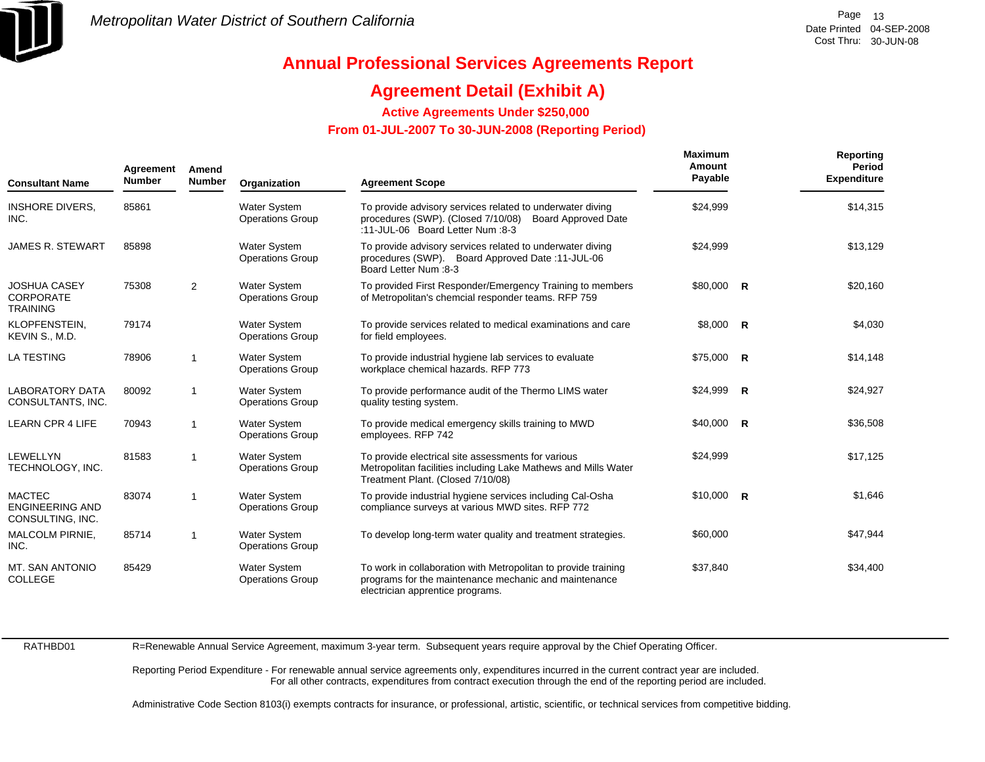

## **Agreement Detail (Exhibit A)**

**Active Agreements Under \$250,000** 

 **From 01-JUL-2007 To 30-JUN-2008 (Reporting Period)** 

| Agreement<br><b>Number</b><br><b>Consultant Name</b>        |       | Amend<br><b>Number</b>  | Organization                                   | <b>Agreement Scope</b>                                                                                                                                      | <b>Maximum</b><br>Amount<br>Payable | Reporting<br>Period<br><b>Expenditure</b> |
|-------------------------------------------------------------|-------|-------------------------|------------------------------------------------|-------------------------------------------------------------------------------------------------------------------------------------------------------------|-------------------------------------|-------------------------------------------|
| <b>INSHORE DIVERS,</b><br>INC.                              | 85861 |                         | <b>Water System</b><br><b>Operations Group</b> | To provide advisory services related to underwater diving<br>procedures (SWP). (Closed 7/10/08) Board Approved Date<br>:11-JUL-06 Board Letter Num :8-3     | \$24,999                            | \$14,315                                  |
| <b>JAMES R. STEWART</b>                                     | 85898 |                         | <b>Water System</b><br><b>Operations Group</b> | To provide advisory services related to underwater diving<br>procedures (SWP). Board Approved Date: 11-JUL-06<br><b>Board Letter Num: 8-3</b>               | \$24,999                            | \$13,129                                  |
| <b>JOSHUA CASEY</b><br><b>CORPORATE</b><br><b>TRAINING</b>  | 75308 | 2                       | Water System<br><b>Operations Group</b>        | To provided First Responder/Emergency Training to members<br>of Metropolitan's chemcial responder teams. RFP 759                                            | \$80,000 R                          | \$20,160                                  |
| KLOPFENSTEIN.<br>KEVIN S., M.D.                             | 79174 |                         | <b>Water System</b><br><b>Operations Group</b> | To provide services related to medical examinations and care<br>for field employees.                                                                        | \$8,000 R                           | \$4,030                                   |
| <b>LA TESTING</b>                                           | 78906 |                         | <b>Water System</b><br><b>Operations Group</b> | To provide industrial hygiene lab services to evaluate<br>workplace chemical hazards. RFP 773                                                               | $$75,000$ R                         | \$14,148                                  |
| <b>LABORATORY DATA</b><br>CONSULTANTS, INC.                 | 80092 | -1                      | <b>Water System</b><br><b>Operations Group</b> | To provide performance audit of the Thermo LIMS water<br>quality testing system.                                                                            | $$24,999$ R                         | \$24,927                                  |
| <b>LEARN CPR 4 LIFE</b>                                     | 70943 | -1                      | <b>Water System</b><br><b>Operations Group</b> | To provide medical emergency skills training to MWD<br>employees. RFP 742                                                                                   | $$40,000$ R                         | \$36,508                                  |
| LEWELLYN<br>TECHNOLOGY, INC.                                | 81583 | 1                       | <b>Water System</b><br><b>Operations Group</b> | To provide electrical site assessments for various<br>Metropolitan facilities including Lake Mathews and Mills Water<br>Treatment Plant. (Closed 7/10/08)   | \$24,999                            | \$17,125                                  |
| <b>MACTEC</b><br><b>ENGINEERING AND</b><br>CONSULTING, INC. | 83074 | $\overline{\mathbf{1}}$ | <b>Water System</b><br><b>Operations Group</b> | To provide industrial hygiene services including Cal-Osha<br>compliance surveys at various MWD sites. RFP 772                                               | $$10,000$ R                         | \$1,646                                   |
| MALCOLM PIRNIE,<br>INC.                                     | 85714 | -1                      | <b>Water System</b><br><b>Operations Group</b> | To develop long-term water quality and treatment strategies.                                                                                                | \$60,000                            | \$47,944                                  |
| MT. SAN ANTONIO<br><b>COLLEGE</b>                           | 85429 |                         | <b>Water System</b><br><b>Operations Group</b> | To work in collaboration with Metropolitan to provide training<br>programs for the maintenance mechanic and maintenance<br>electrician apprentice programs. | \$37,840                            | \$34,400                                  |

RATHBD01

R=Renewable Annual Service Agreement, maximum 3-year term. Subsequent years require approval by the Chief Operating Officer.

Reporting Period Expenditure - For renewable annual service agreements only, expenditures incurred in the current contract year are included. For all other contracts, expenditures from contract execution through the end of the reporting period are included.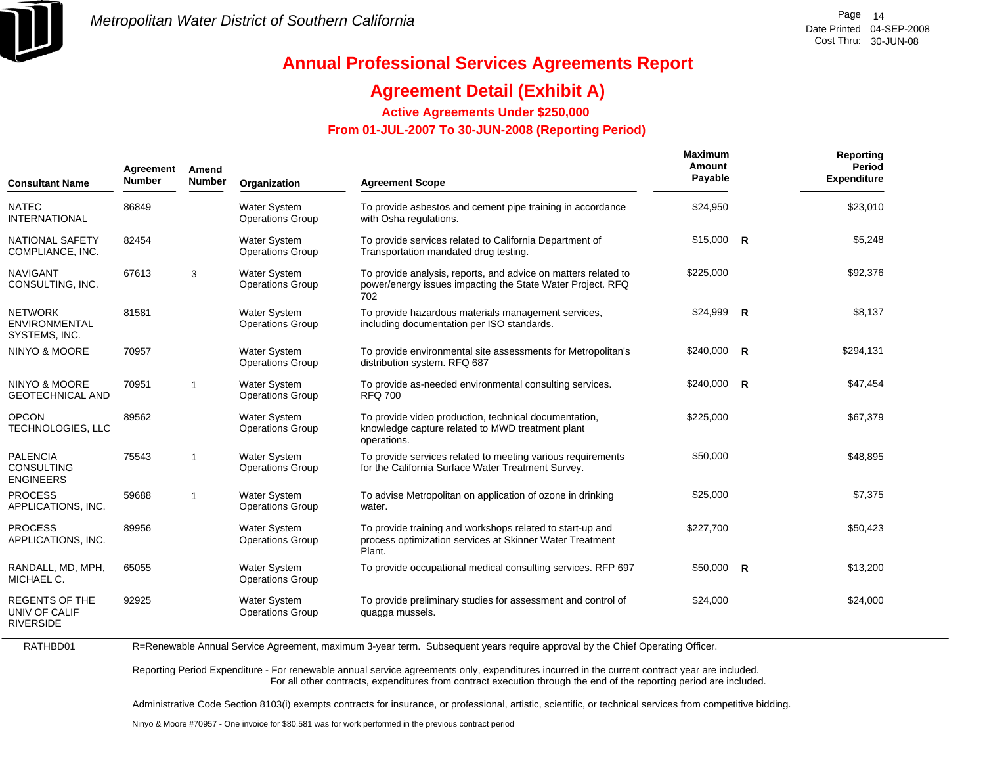

# **Annual Professional Services Agreements Report**

## **Agreement Detail (Exhibit A)**

**Active Agreements Under \$250,000** 

 **From 01-JUL-2007 To 30-JUN-2008 (Reporting Period)** 

| <b>Consultant Name</b>                                     | Agreement<br><b>Number</b> | Amend<br><b>Number</b> | Organization                                   | <b>Agreement Scope</b>                                                                                                              | <b>Maximum</b><br>Amount<br>Payable |              | Reporting<br>Period<br><b>Expenditure</b> |
|------------------------------------------------------------|----------------------------|------------------------|------------------------------------------------|-------------------------------------------------------------------------------------------------------------------------------------|-------------------------------------|--------------|-------------------------------------------|
| <b>NATEC</b><br><b>INTERNATIONAL</b>                       | 86849                      |                        | <b>Water System</b><br><b>Operations Group</b> | To provide asbestos and cement pipe training in accordance<br>with Osha regulations.                                                | \$24,950                            |              | \$23,010                                  |
| NATIONAL SAFETY<br>COMPLIANCE, INC.                        | 82454                      |                        | <b>Water System</b><br><b>Operations Group</b> | To provide services related to California Department of<br>Transportation mandated drug testing.                                    | $$15,000$ R                         |              | \$5,248                                   |
| <b>NAVIGANT</b><br>CONSULTING, INC.                        | 67613                      | 3                      | <b>Water System</b><br><b>Operations Group</b> | To provide analysis, reports, and advice on matters related to<br>power/energy issues impacting the State Water Project. RFQ<br>702 | \$225,000                           |              | \$92,376                                  |
| <b>NETWORK</b><br><b>ENVIRONMENTAL</b><br>SYSTEMS, INC.    | 81581                      |                        | <b>Water System</b><br><b>Operations Group</b> | To provide hazardous materials management services,<br>including documentation per ISO standards.                                   | \$24,999                            | R            | \$8,137                                   |
| <b>NINYO &amp; MOORE</b>                                   | 70957                      |                        | <b>Water System</b><br><b>Operations Group</b> | To provide environmental site assessments for Metropolitan's<br>distribution system. RFQ 687                                        | \$240,000                           | R            | \$294,131                                 |
| <b>NINYO &amp; MOORE</b><br><b>GEOTECHNICAL AND</b>        | 70951                      | 1                      | <b>Water System</b><br><b>Operations Group</b> | To provide as-needed environmental consulting services.<br><b>RFQ 700</b>                                                           | \$240,000                           | $\mathsf{R}$ | \$47,454                                  |
| <b>OPCON</b><br>TECHNOLOGIES, LLC                          | 89562                      |                        | <b>Water System</b><br><b>Operations Group</b> | To provide video production, technical documentation,<br>knowledge capture related to MWD treatment plant<br>operations.            | \$225.000                           |              | \$67,379                                  |
| <b>PALENCIA</b><br><b>CONSULTING</b><br><b>ENGINEERS</b>   | 75543                      | $\overline{1}$         | <b>Water System</b><br><b>Operations Group</b> | To provide services related to meeting various requirements<br>for the California Surface Water Treatment Survey.                   | \$50,000                            |              | \$48,895                                  |
| <b>PROCESS</b><br>APPLICATIONS, INC.                       | 59688                      | 1                      | <b>Water System</b><br><b>Operations Group</b> | To advise Metropolitan on application of ozone in drinking<br>water.                                                                | \$25,000                            |              | \$7,375                                   |
| <b>PROCESS</b><br>APPLICATIONS, INC.                       | 89956                      |                        | <b>Water System</b><br><b>Operations Group</b> | To provide training and workshops related to start-up and<br>process optimization services at Skinner Water Treatment<br>Plant.     | \$227,700                           |              | \$50,423                                  |
| RANDALL, MD, MPH,<br>MICHAEL C.                            | 65055                      |                        | <b>Water System</b><br><b>Operations Group</b> | To provide occupational medical consulting services. RFP 697                                                                        | $$50,000$ R                         |              | \$13,200                                  |
| <b>REGENTS OF THE</b><br>UNIV OF CALIF<br><b>RIVERSIDE</b> | 92925                      |                        | <b>Water System</b><br><b>Operations Group</b> | To provide preliminary studies for assessment and control of<br>quagga mussels.                                                     | \$24,000                            |              | \$24,000                                  |

R=Renewable Annual Service Agreement, maximum 3-year term. Subsequent years require approval by the Chief Operating Officer.

Reporting Period Expenditure - For renewable annual service agreements only, expenditures incurred in the current contract year are included. For all other contracts, expenditures from contract execution through the end of the reporting period are included.

Administrative Code Section 8103(i) exempts contracts for insurance, or professional, artistic, scientific, or technical services from competitive bidding.

Ninyo & Moore #70957 - One invoice for \$80,581 was for work performed in the previous contract period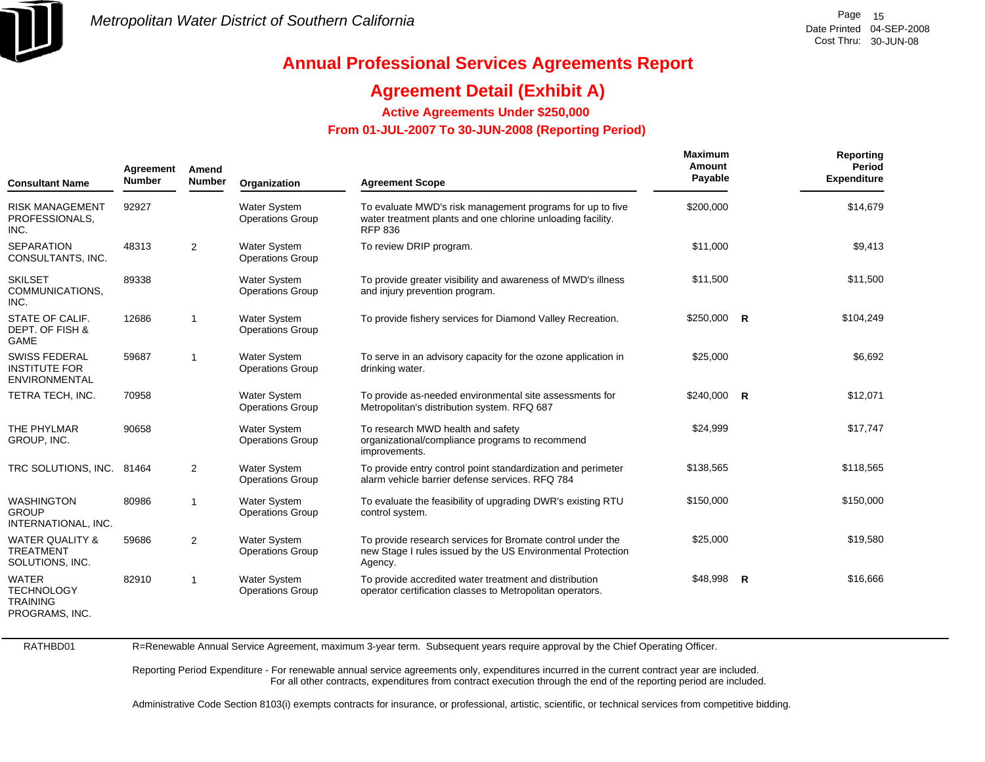

## **Agreement Detail (Exhibit A)**

**Active Agreements Under \$250,000** 

 **From 01-JUL-2007 To 30-JUN-2008 (Reporting Period)** 

| <b>Consultant Name</b>                                                 | Agreement<br>Amend<br><b>Number</b><br><b>Number</b><br><b>Agreement Scope</b><br>Organization |              |                                                | Maximum<br>Amount<br>Payable                                                                                                         | Reporting<br>Period<br><b>Expenditure</b> |           |
|------------------------------------------------------------------------|------------------------------------------------------------------------------------------------|--------------|------------------------------------------------|--------------------------------------------------------------------------------------------------------------------------------------|-------------------------------------------|-----------|
| <b>RISK MANAGEMENT</b><br>PROFESSIONALS,<br>INC.                       | 92927                                                                                          |              | <b>Water System</b><br><b>Operations Group</b> | To evaluate MWD's risk management programs for up to five<br>water treatment plants and one chlorine unloading facility.<br>RFP 836  | \$200,000                                 | \$14,679  |
| <b>SEPARATION</b><br>CONSULTANTS, INC.                                 | 48313                                                                                          | 2            | <b>Water System</b><br><b>Operations Group</b> | To review DRIP program.                                                                                                              | \$11,000                                  | \$9,413   |
| <b>SKILSET</b><br>COMMUNICATIONS,<br>INC.                              | 89338                                                                                          |              | <b>Water System</b><br><b>Operations Group</b> | To provide greater visibility and awareness of MWD's illness<br>and injury prevention program.                                       | \$11,500                                  | \$11,500  |
| STATE OF CALIF.<br>DEPT. OF FISH &<br><b>GAME</b>                      | 12686                                                                                          | $\mathbf 1$  | Water System<br><b>Operations Group</b>        | To provide fishery services for Diamond Valley Recreation.                                                                           | \$250,000 R                               | \$104,249 |
| <b>SWISS FEDERAL</b><br><b>INSTITUTE FOR</b><br><b>ENVIRONMENTAL</b>   | 59687                                                                                          | $\mathbf{1}$ | <b>Water System</b><br><b>Operations Group</b> | To serve in an advisory capacity for the ozone application in<br>drinking water.                                                     | \$25,000                                  | \$6,692   |
| TETRA TECH, INC.                                                       | 70958                                                                                          |              | Water System<br><b>Operations Group</b>        | To provide as-needed environmental site assessments for<br>Metropolitan's distribution system. RFQ 687                               | \$240,000 R                               | \$12,071  |
| THE PHYLMAR<br>GROUP, INC.                                             | 90658                                                                                          |              | <b>Water System</b><br><b>Operations Group</b> | To research MWD health and safety<br>organizational/compliance programs to recommend<br>improvements.                                | \$24,999                                  | \$17,747  |
| TRC SOLUTIONS, INC.                                                    | 81464                                                                                          | 2            | <b>Water System</b><br><b>Operations Group</b> | To provide entry control point standardization and perimeter<br>alarm vehicle barrier defense services. RFQ 784                      | \$138,565                                 | \$118,565 |
| <b>WASHINGTON</b><br><b>GROUP</b><br>INTERNATIONAL, INC.               | 80986                                                                                          | $\mathbf{1}$ | <b>Water System</b><br><b>Operations Group</b> | To evaluate the feasibility of upgrading DWR's existing RTU<br>control system.                                                       | \$150,000                                 | \$150,000 |
| <b>WATER QUALITY &amp;</b><br><b>TREATMENT</b><br>SOLUTIONS, INC.      | 59686                                                                                          | 2            | Water System<br><b>Operations Group</b>        | To provide research services for Bromate control under the<br>new Stage I rules issued by the US Environmental Protection<br>Agency. | \$25,000                                  | \$19,580  |
| <b>WATER</b><br><b>TECHNOLOGY</b><br><b>TRAINING</b><br>PROGRAMS, INC. | 82910                                                                                          | $\mathbf{1}$ | <b>Water System</b><br><b>Operations Group</b> | To provide accredited water treatment and distribution<br>operator certification classes to Metropolitan operators.                  | \$48,998 R                                | \$16,666  |

RATHBD01

R=Renewable Annual Service Agreement, maximum 3-year term. Subsequent years require approval by the Chief Operating Officer.

Reporting Period Expenditure - For renewable annual service agreements only, expenditures incurred in the current contract year are included. For all other contracts, expenditures from contract execution through the end of the reporting period are included.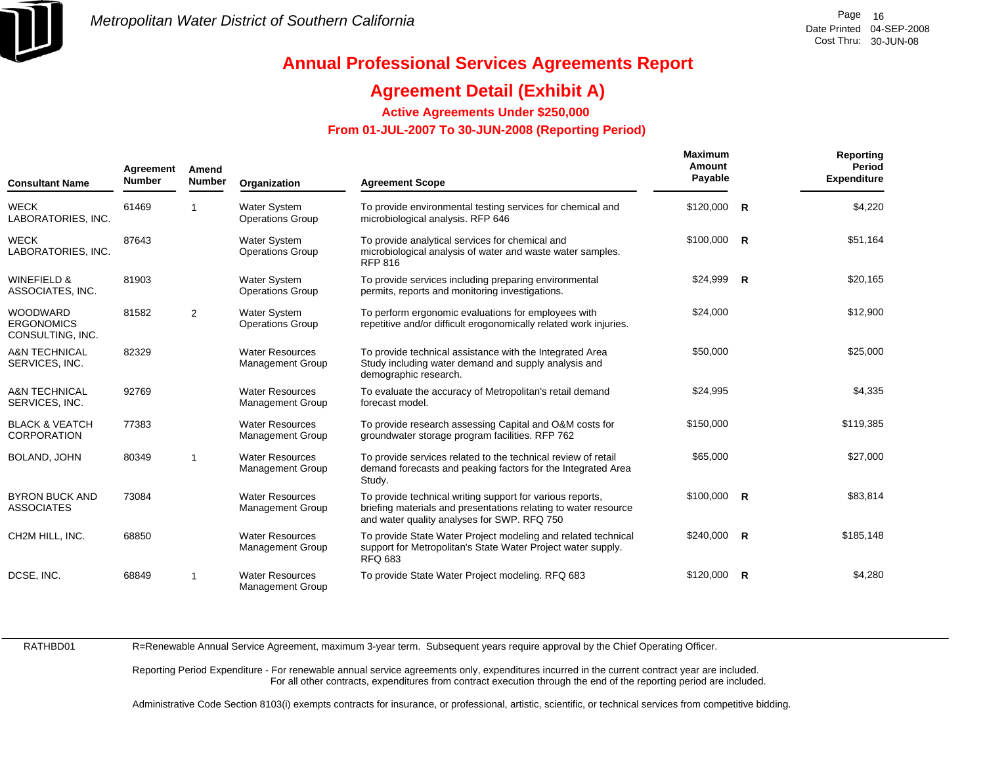

## **Agreement Detail (Exhibit A)**

**Active Agreements Under \$250,000** 

 **From 01-JUL-2007 To 30-JUN-2008 (Reporting Period)** 

| <b>Consultant Name</b>                                   | Agreement<br><b>Number</b> | Amend<br><b>Number</b> | Organization                                      | <b>Agreement Scope</b>                                                                                                                                                      | <b>Maximum</b><br>Amount<br>Payable | Reporting<br>Period<br><b>Expenditure</b> |
|----------------------------------------------------------|----------------------------|------------------------|---------------------------------------------------|-----------------------------------------------------------------------------------------------------------------------------------------------------------------------------|-------------------------------------|-------------------------------------------|
| <b>WECK</b><br>LABORATORIES, INC.                        | 61469                      | -1                     | Water System<br><b>Operations Group</b>           | To provide environmental testing services for chemical and<br>microbiological analysis. RFP 646                                                                             | \$120,000 R                         | \$4,220                                   |
| <b>WECK</b><br>LABORATORIES, INC.                        | 87643                      |                        | <b>Water System</b><br><b>Operations Group</b>    | To provide analytical services for chemical and<br>microbiological analysis of water and waste water samples.<br><b>RFP 816</b>                                             | \$100,000 R                         | \$51,164                                  |
| <b>WINEFIELD &amp;</b><br>ASSOCIATES, INC.               | 81903                      |                        | <b>Water System</b><br><b>Operations Group</b>    | To provide services including preparing environmental<br>permits, reports and monitoring investigations.                                                                    | $$24,999$ R                         | \$20,165                                  |
| <b>WOODWARD</b><br><b>ERGONOMICS</b><br>CONSULTING, INC. | 81582                      | 2                      | <b>Water System</b><br><b>Operations Group</b>    | To perform ergonomic evaluations for employees with<br>repetitive and/or difficult erogonomically related work injuries.                                                    | \$24,000                            | \$12,900                                  |
| <b>A&amp;N TECHNICAL</b><br>SERVICES, INC.               | 82329                      |                        | <b>Water Resources</b><br><b>Management Group</b> | To provide technical assistance with the Integrated Area<br>Study including water demand and supply analysis and<br>demographic research.                                   | \$50,000                            | \$25,000                                  |
| <b>A&amp;N TECHNICAL</b><br>SERVICES, INC.               | 92769                      |                        | <b>Water Resources</b><br><b>Management Group</b> | To evaluate the accuracy of Metropolitan's retail demand<br>forecast model.                                                                                                 | \$24,995                            | \$4,335                                   |
| <b>BLACK &amp; VEATCH</b><br><b>CORPORATION</b>          | 77383                      |                        | <b>Water Resources</b><br><b>Management Group</b> | To provide research assessing Capital and O&M costs for<br>groundwater storage program facilities. RFP 762                                                                  | \$150,000                           | \$119,385                                 |
| BOLAND, JOHN                                             | 80349                      | -1                     | <b>Water Resources</b><br><b>Management Group</b> | To provide services related to the technical review of retail<br>demand forecasts and peaking factors for the Integrated Area<br>Study.                                     | \$65,000                            | \$27,000                                  |
| <b>BYRON BUCK AND</b><br><b>ASSOCIATES</b>               | 73084                      |                        | <b>Water Resources</b><br><b>Management Group</b> | To provide technical writing support for various reports,<br>briefing materials and presentations relating to water resource<br>and water quality analyses for SWP. RFQ 750 | $$100,000$ R                        | \$83,814                                  |
| CH2M HILL, INC.                                          | 68850                      |                        | <b>Water Resources</b><br><b>Management Group</b> | To provide State Water Project modeling and related technical<br>support for Metropolitan's State Water Project water supply.<br><b>RFQ 683</b>                             | $$240,000$ R                        | \$185,148                                 |
| DCSE, INC.                                               | 68849                      | -1                     | <b>Water Resources</b><br><b>Management Group</b> | To provide State Water Project modeling. RFQ 683                                                                                                                            | $$120,000$ R                        | \$4,280                                   |

RATHBD01

R=Renewable Annual Service Agreement, maximum 3-year term. Subsequent years require approval by the Chief Operating Officer.

Reporting Period Expenditure - For renewable annual service agreements only, expenditures incurred in the current contract year are included. For all other contracts, expenditures from contract execution through the end of the reporting period are included.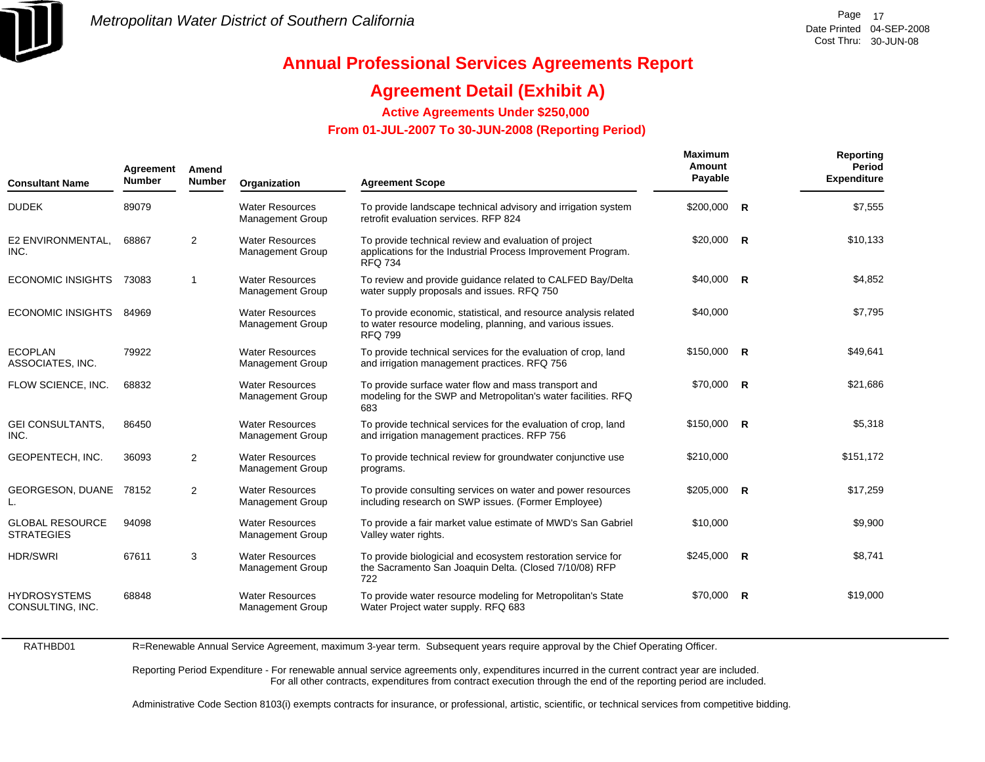

## **Agreement Detail (Exhibit A)**

**Active Agreements Under \$250,000** 

 **From 01-JUL-2007 To 30-JUN-2008 (Reporting Period)** 

| <b>Consultant Name</b>                      | Agreement<br><b>Number</b> | Amend<br><b>Number</b> | Organization                                      | <b>Agreement Scope</b>                                                                                                                         | <b>Maximum</b><br>Amount<br>Payable | Reporting<br>Period<br><b>Expenditure</b> |
|---------------------------------------------|----------------------------|------------------------|---------------------------------------------------|------------------------------------------------------------------------------------------------------------------------------------------------|-------------------------------------|-------------------------------------------|
| <b>DUDEK</b>                                | 89079                      |                        | <b>Water Resources</b><br>Management Group        | To provide landscape technical advisory and irrigation system<br>retrofit evaluation services. RFP 824                                         | $$200,000$ R                        | \$7,555                                   |
| E2 ENVIRONMENTAL.<br>INC.                   | 68867                      | $\overline{2}$         | <b>Water Resources</b><br><b>Management Group</b> | To provide technical review and evaluation of project<br>applications for the Industrial Process Improvement Program.<br><b>RFQ 734</b>        | $$20,000$ R                         | \$10,133                                  |
| <b>ECONOMIC INSIGHTS</b>                    | 73083                      | $\mathbf{1}$           | <b>Water Resources</b><br><b>Management Group</b> | To review and provide guidance related to CALFED Bay/Delta<br>water supply proposals and issues. RFQ 750                                       | $$40,000$ R                         | \$4,852                                   |
| <b>ECONOMIC INSIGHTS</b>                    | 84969                      |                        | <b>Water Resources</b><br><b>Management Group</b> | To provide economic, statistical, and resource analysis related<br>to water resource modeling, planning, and various issues.<br><b>RFQ 799</b> | \$40,000                            | \$7,795                                   |
| <b>ECOPLAN</b><br>ASSOCIATES, INC.          | 79922                      |                        | <b>Water Resources</b><br><b>Management Group</b> | To provide technical services for the evaluation of crop, land<br>and irrigation management practices. RFQ 756                                 | $$150,000$ R                        | \$49,641                                  |
| FLOW SCIENCE, INC.                          | 68832                      |                        | <b>Water Resources</b><br>Management Group        | To provide surface water flow and mass transport and<br>modeling for the SWP and Metropolitan's water facilities. RFQ<br>683                   | \$70,000 R                          | \$21,686                                  |
| <b>GEI CONSULTANTS,</b><br>INC.             | 86450                      |                        | <b>Water Resources</b><br><b>Management Group</b> | To provide technical services for the evaluation of crop, land<br>and irrigation management practices. RFP 756                                 | $$150,000$ R                        | \$5,318                                   |
| GEOPENTECH, INC.                            | 36093                      | $\overline{2}$         | <b>Water Resources</b><br>Management Group        | To provide technical review for groundwater conjunctive use<br>programs.                                                                       | \$210,000                           | \$151,172                                 |
| <b>GEORGESON, DUANE</b>                     | 78152                      | 2                      | <b>Water Resources</b><br><b>Management Group</b> | To provide consulting services on water and power resources<br>including research on SWP issues. (Former Employee)                             | $$205,000$ R                        | \$17,259                                  |
| <b>GLOBAL RESOURCE</b><br><b>STRATEGIES</b> | 94098                      |                        | <b>Water Resources</b><br><b>Management Group</b> | To provide a fair market value estimate of MWD's San Gabriel<br>Valley water rights.                                                           | \$10,000                            | \$9,900                                   |
| <b>HDR/SWRI</b>                             | 67611                      | 3                      | <b>Water Resources</b><br><b>Management Group</b> | To provide biologicial and ecosystem restoration service for<br>the Sacramento San Joaquin Delta. (Closed 7/10/08) RFP<br>722                  | $$245,000$ R                        | \$8,741                                   |
| <b>HYDROSYSTEMS</b><br>CONSULTING, INC.     | 68848                      |                        | <b>Water Resources</b><br><b>Management Group</b> | To provide water resource modeling for Metropolitan's State<br>Water Project water supply. RFQ 683                                             | $$70,000$ R                         | \$19,000                                  |

RATHBD01R=Renewable Annual Service Agreement, maximum 3-year term. Subsequent years require approval by the Chief Operating Officer.

> Reporting Period Expenditure - For renewable annual service agreements only, expenditures incurred in the current contract year are included. For all other contracts, expenditures from contract execution through the end of the reporting period are included.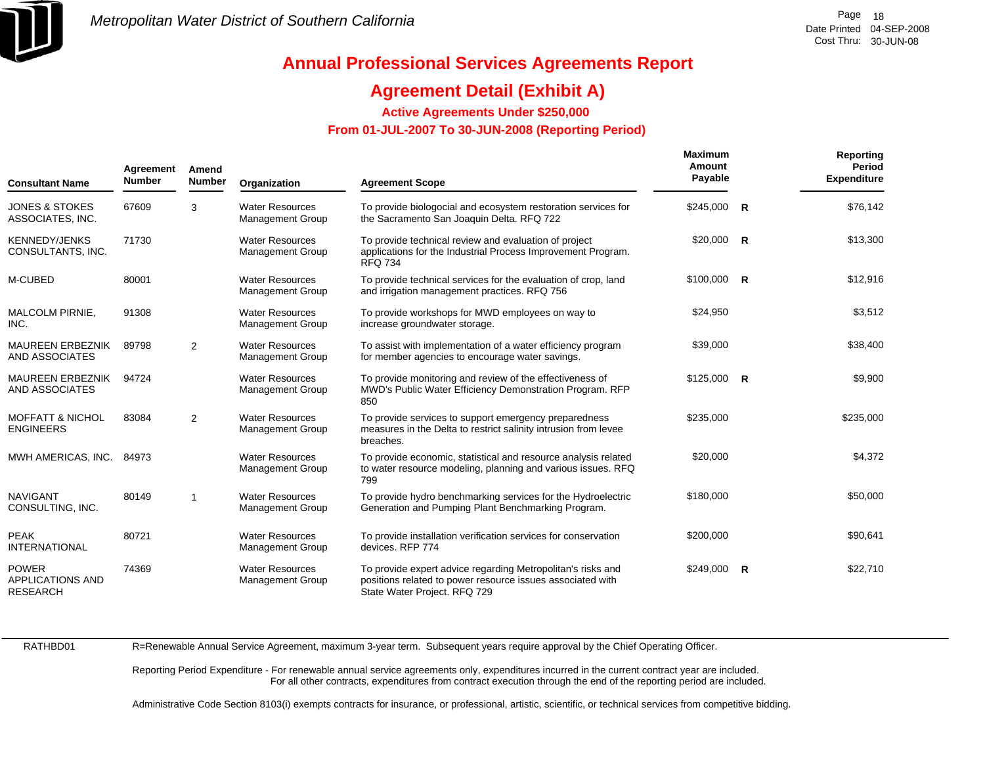

## **Agreement Detail (Exhibit A)**

**Active Agreements Under \$250,000** 

 **From 01-JUL-2007 To 30-JUN-2008 (Reporting Period)** 

| Agreement<br><b>Number</b><br><b>Consultant Name</b>       |       | Amend<br><b>Number</b>  | Organization                                      | <b>Agreement Scope</b>                                                                                                                                    | <b>Maximum</b><br>Amount<br>Payable | Reporting<br>Period<br><b>Expenditure</b> |
|------------------------------------------------------------|-------|-------------------------|---------------------------------------------------|-----------------------------------------------------------------------------------------------------------------------------------------------------------|-------------------------------------|-------------------------------------------|
| <b>JONES &amp; STOKES</b><br>ASSOCIATES, INC.              | 67609 | 3                       | <b>Water Resources</b><br><b>Management Group</b> | To provide biologocial and ecosystem restoration services for<br>the Sacramento San Joaquin Delta. RFQ 722                                                | $$245,000$ R                        | \$76,142                                  |
| <b>KENNEDY/JENKS</b><br>CONSULTANTS, INC.                  | 71730 |                         | <b>Water Resources</b><br><b>Management Group</b> | To provide technical review and evaluation of project<br>applications for the Industrial Process Improvement Program.<br><b>RFQ 734</b>                   | $$20,000$ R                         | \$13,300                                  |
| M-CUBED                                                    | 80001 |                         | <b>Water Resources</b><br><b>Management Group</b> | To provide technical services for the evaluation of crop, land<br>and irrigation management practices. RFQ 756                                            | $$100,000$ R                        | \$12,916                                  |
| MALCOLM PIRNIE,<br>INC.                                    | 91308 |                         | <b>Water Resources</b><br><b>Management Group</b> | To provide workshops for MWD employees on way to<br>increase groundwater storage.                                                                         | \$24,950                            | \$3,512                                   |
| <b>MAUREEN ERBEZNIK</b><br>AND ASSOCIATES                  | 89798 | 2                       | <b>Water Resources</b><br><b>Management Group</b> | To assist with implementation of a water efficiency program<br>for member agencies to encourage water savings.                                            | \$39,000                            | \$38,400                                  |
| <b>MAUREEN ERBEZNIK</b><br>AND ASSOCIATES                  | 94724 |                         | <b>Water Resources</b><br><b>Management Group</b> | To provide monitoring and review of the effectiveness of<br>MWD's Public Water Efficiency Demonstration Program. RFP<br>850                               | $$125,000$ R                        | \$9,900                                   |
| <b>MOFFATT &amp; NICHOL</b><br><b>ENGINEERS</b>            | 83084 | 2                       | <b>Water Resources</b><br><b>Management Group</b> | To provide services to support emergency preparedness<br>measures in the Delta to restrict salinity intrusion from levee<br>breaches.                     | \$235,000                           | \$235,000                                 |
| MWH AMERICAS, INC.                                         | 84973 |                         | <b>Water Resources</b><br><b>Management Group</b> | To provide economic, statistical and resource analysis related<br>to water resource modeling, planning and various issues. RFQ<br>799                     | \$20,000                            | \$4,372                                   |
| <b>NAVIGANT</b><br>CONSULTING, INC.                        | 80149 | $\overline{\mathbf{1}}$ | <b>Water Resources</b><br><b>Management Group</b> | To provide hydro benchmarking services for the Hydroelectric<br>Generation and Pumping Plant Benchmarking Program.                                        | \$180,000                           | \$50,000                                  |
| <b>PEAK</b><br><b>INTERNATIONAL</b>                        | 80721 |                         | <b>Water Resources</b><br><b>Management Group</b> | To provide installation verification services for conservation<br>devices, RFP 774                                                                        | \$200,000                           | \$90,641                                  |
| <b>POWER</b><br><b>APPLICATIONS AND</b><br><b>RESEARCH</b> | 74369 |                         | <b>Water Resources</b><br><b>Management Group</b> | To provide expert advice regarding Metropolitan's risks and<br>positions related to power resource issues associated with<br>State Water Project. RFQ 729 | $$249,000$ R                        | \$22,710                                  |

RATHBD01

R=Renewable Annual Service Agreement, maximum 3-year term. Subsequent years require approval by the Chief Operating Officer.

Reporting Period Expenditure - For renewable annual service agreements only, expenditures incurred in the current contract year are included. For all other contracts, expenditures from contract execution through the end of the reporting period are included.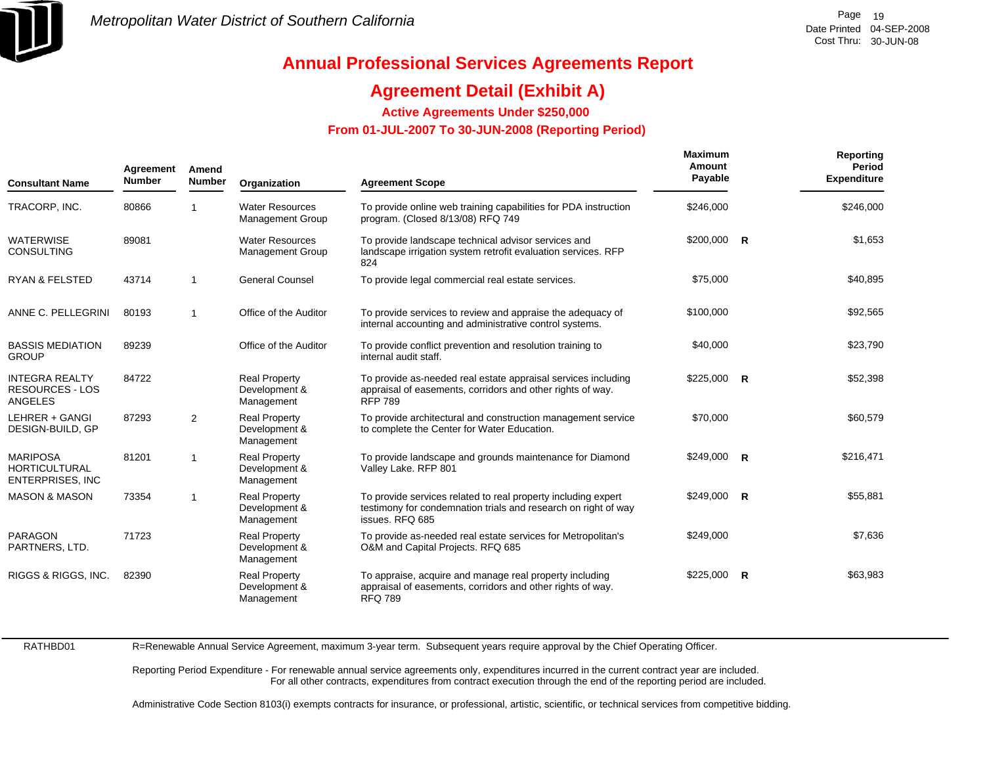

## **Agreement Detail (Exhibit A)**

**Active Agreements Under \$250,000** 

 **From 01-JUL-2007 To 30-JUN-2008 (Reporting Period)** 

| <b>Consultant Name</b>                                             | Agreement<br><b>Number</b> | Amend<br><b>Number</b> | Organization                                        | <b>Agreement Scope</b>                                                                                                                             | <b>Maximum</b><br>Amount<br>Payable | Reporting<br>Period<br><b>Expenditure</b> |
|--------------------------------------------------------------------|----------------------------|------------------------|-----------------------------------------------------|----------------------------------------------------------------------------------------------------------------------------------------------------|-------------------------------------|-------------------------------------------|
| TRACORP, INC.                                                      | 80866                      | 1                      | <b>Water Resources</b><br><b>Management Group</b>   | To provide online web training capabilities for PDA instruction<br>program. (Closed 8/13/08) RFQ 749                                               | \$246.000                           | \$246,000                                 |
| <b>WATERWISE</b><br><b>CONSULTING</b>                              | 89081                      |                        | <b>Water Resources</b><br><b>Management Group</b>   | To provide landscape technical advisor services and<br>landscape irrigation system retrofit evaluation services. RFP<br>824                        | $$200,000$ R                        | \$1,653                                   |
| <b>RYAN &amp; FELSTED</b>                                          | 43714                      | $\mathbf{1}$           | <b>General Counsel</b>                              | To provide legal commercial real estate services.                                                                                                  | \$75,000                            | \$40,895                                  |
| ANNE C. PELLEGRINI                                                 | 80193                      | $\overline{1}$         | Office of the Auditor                               | To provide services to review and appraise the adequacy of<br>internal accounting and administrative control systems.                              | \$100,000                           | \$92,565                                  |
| <b>BASSIS MEDIATION</b><br><b>GROUP</b>                            | 89239                      |                        | Office of the Auditor                               | To provide conflict prevention and resolution training to<br>internal audit staff.                                                                 | \$40,000                            | \$23,790                                  |
| <b>INTEGRA REALTY</b><br><b>RESOURCES - LOS</b><br><b>ANGELES</b>  | 84722                      |                        | <b>Real Property</b><br>Development &<br>Management | To provide as-needed real estate appraisal services including<br>appraisal of easements, corridors and other rights of way.<br><b>RFP 789</b>      | $$225,000$ R                        | \$52,398                                  |
| LEHRER + GANGI<br>DESIGN-BUILD, GP                                 | 87293                      | 2                      | <b>Real Property</b><br>Development &<br>Management | To provide architectural and construction management service<br>to complete the Center for Water Education.                                        | \$70,000                            | \$60,579                                  |
| <b>MARIPOSA</b><br><b>HORTICULTURAL</b><br><b>ENTERPRISES, INC</b> | 81201                      | $\overline{1}$         | <b>Real Property</b><br>Development &<br>Management | To provide landscape and grounds maintenance for Diamond<br>Valley Lake. RFP 801                                                                   | \$249,000 R                         | \$216,471                                 |
| <b>MASON &amp; MASON</b>                                           | 73354                      | $\mathbf{1}$           | <b>Real Property</b><br>Development &<br>Management | To provide services related to real property including expert<br>testimony for condemnation trials and research on right of way<br>issues. RFQ 685 | $$249,000$ R                        | \$55,881                                  |
| <b>PARAGON</b><br>PARTNERS, LTD.                                   | 71723                      |                        | <b>Real Property</b><br>Development &<br>Management | To provide as-needed real estate services for Metropolitan's<br>O&M and Capital Projects. RFQ 685                                                  | \$249,000                           | \$7,636                                   |
| RIGGS & RIGGS, INC.                                                | 82390                      |                        | <b>Real Property</b><br>Development &<br>Management | To appraise, acquire and manage real property including<br>appraisal of easements, corridors and other rights of way.<br><b>RFQ 789</b>            | $$225,000$ R                        | \$63,983                                  |

RATHBD01

R=Renewable Annual Service Agreement, maximum 3-year term. Subsequent years require approval by the Chief Operating Officer.

Reporting Period Expenditure - For renewable annual service agreements only, expenditures incurred in the current contract year are included. For all other contracts, expenditures from contract execution through the end of the reporting period are included.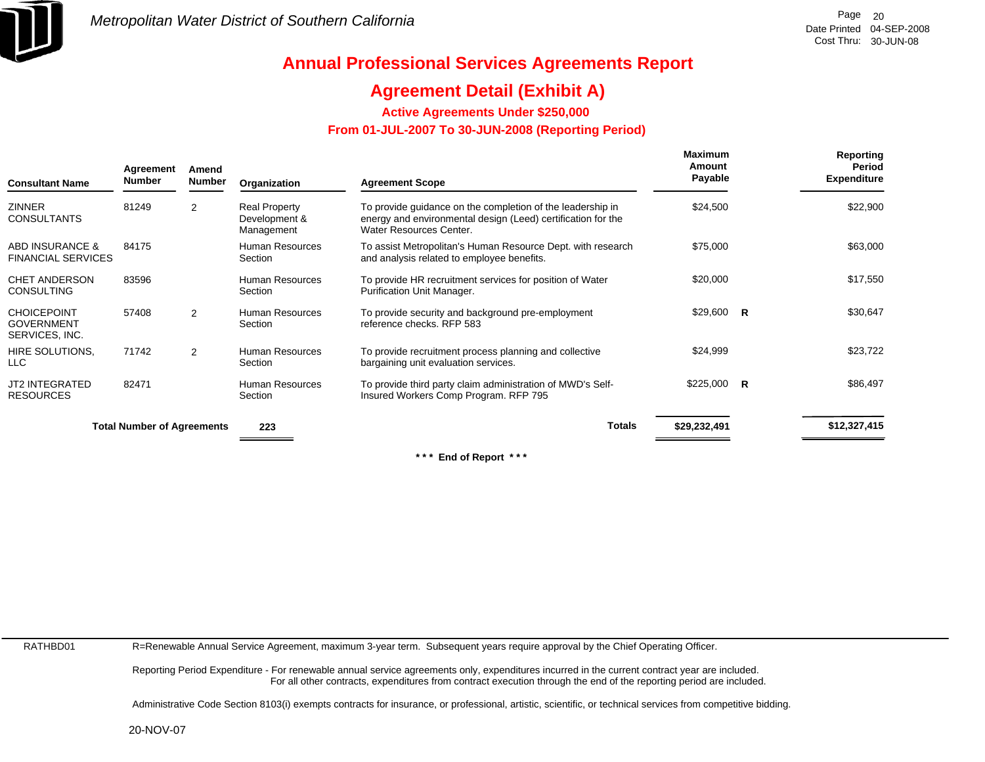

## **Agreement Detail (Exhibit A)**

**Active Agreements Under \$250,000** 

 **From 01-JUL-2007 To 30-JUN-2008 (Reporting Period)** 

| <b>Consultant Name</b>                                    | Agreement<br><b>Number</b>        | Amend<br><b>Number</b> | Organization                                        | <b>Agreement Scope</b>                                                                                                                                | <b>Maximum</b><br>Amount<br>Payable |              | Reporting<br>Period<br><b>Expenditure</b> |
|-----------------------------------------------------------|-----------------------------------|------------------------|-----------------------------------------------------|-------------------------------------------------------------------------------------------------------------------------------------------------------|-------------------------------------|--------------|-------------------------------------------|
| <b>ZINNER</b><br><b>CONSULTANTS</b>                       | 81249                             | 2                      | <b>Real Property</b><br>Development &<br>Management | To provide guidance on the completion of the leadership in<br>energy and environmental design (Leed) certification for the<br>Water Resources Center. | \$24,500                            |              | \$22,900                                  |
| ABD INSURANCE &<br><b>FINANCIAL SERVICES</b>              | 84175                             |                        | Human Resources<br>Section                          | To assist Metropolitan's Human Resource Dept. with research<br>and analysis related to employee benefits.                                             | \$75,000                            |              | \$63,000                                  |
| <b>CHET ANDERSON</b><br><b>CONSULTING</b>                 | 83596                             |                        | Human Resources<br>Section                          | To provide HR recruitment services for position of Water<br>Purification Unit Manager.                                                                | \$20,000                            |              | \$17,550                                  |
| <b>CHOICEPOINT</b><br><b>GOVERNMENT</b><br>SERVICES, INC. | 57408                             | 2                      | Human Resources<br>Section                          | To provide security and background pre-employment<br>reference checks. RFP 583                                                                        | \$29,600                            | $\mathsf{R}$ | \$30,647                                  |
| HIRE SOLUTIONS.<br>LLC.                                   | 71742                             | 2                      | <b>Human Resources</b><br>Section                   | To provide recruitment process planning and collective<br>bargaining unit evaluation services.                                                        | \$24,999                            |              | \$23,722                                  |
| <b>JT2 INTEGRATED</b><br><b>RESOURCES</b>                 | 82471                             |                        | <b>Human Resources</b><br>Section                   | To provide third party claim administration of MWD's Self-<br>Insured Workers Comp Program. RFP 795                                                   | \$225,000                           | <b>R</b>     | \$86,497                                  |
|                                                           | <b>Total Number of Agreements</b> |                        | 223                                                 | <b>Totals</b>                                                                                                                                         | \$29,232,491                        |              | \$12,327,415                              |

**\* \* \* End of Report \* \* \***

RATHBD01

R=Renewable Annual Service Agreement, maximum 3-year term. Subsequent years require approval by the Chief Operating Officer.

Reporting Period Expenditure - For renewable annual service agreements only, expenditures incurred in the current contract year are included. For all other contracts, expenditures from contract execution through the end of the reporting period are included.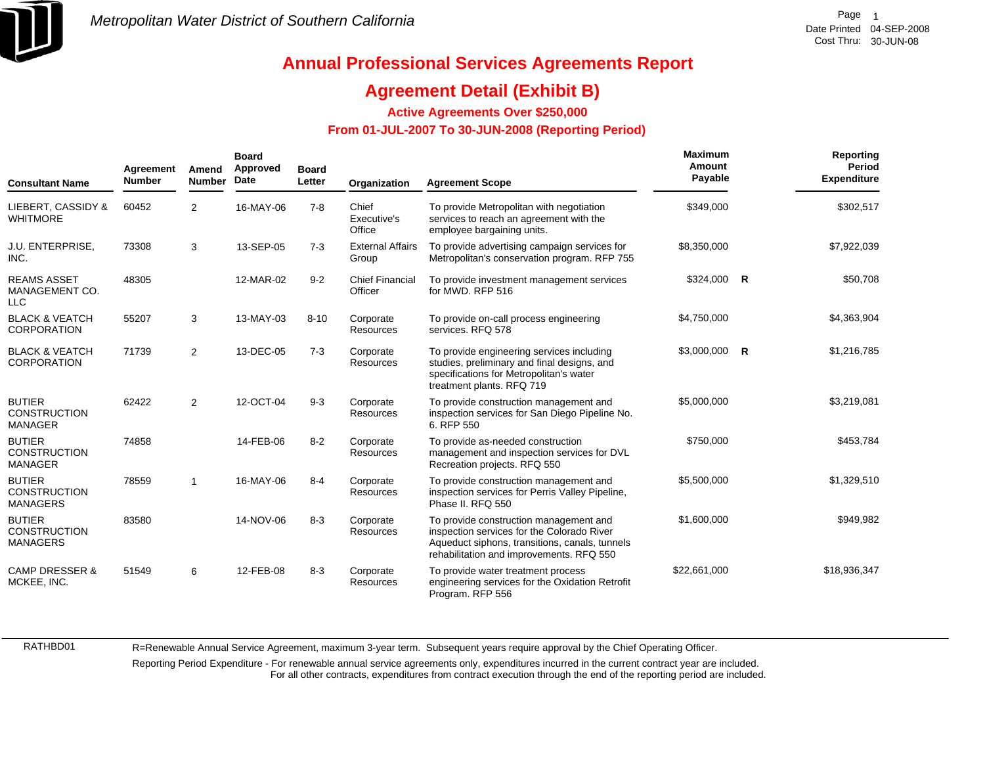

## **Agreement Detail (Exhibit B)**

**Active Agreements Over \$250,000**

### **From 01-JUL-2007 To 30-JUN-2008 (Reporting Period)**

| <b>Consultant Name</b>                                  | Agreement<br><b>Number</b> | Amend<br><b>Number</b> | <b>Board</b><br>Approved<br>Date | <b>Board</b><br>Letter | Organization                      | <b>Agreement Scope</b>                                                                                                                                                             | Maximum<br>Amount<br>Payable |              | <b>Reporting</b><br>Period<br><b>Expenditure</b> |
|---------------------------------------------------------|----------------------------|------------------------|----------------------------------|------------------------|-----------------------------------|------------------------------------------------------------------------------------------------------------------------------------------------------------------------------------|------------------------------|--------------|--------------------------------------------------|
| LIEBERT, CASSIDY &<br><b>WHITMORE</b>                   | 60452                      | $\overline{2}$         | 16-MAY-06                        | $7 - 8$                | Chief<br>Executive's<br>Office    | To provide Metropolitan with negotiation<br>services to reach an agreement with the<br>employee bargaining units.                                                                  | \$349,000                    |              | \$302,517                                        |
| J.U. ENTERPRISE,<br>INC.                                | 73308                      | 3                      | 13-SEP-05                        | $7 - 3$                | <b>External Affairs</b><br>Group  | To provide advertising campaign services for<br>Metropolitan's conservation program. RFP 755                                                                                       | \$8,350,000                  |              | \$7,922,039                                      |
| <b>REAMS ASSET</b><br>MANAGEMENT CO.<br><b>LLC</b>      | 48305                      |                        | 12-MAR-02                        | $9 - 2$                | <b>Chief Financial</b><br>Officer | To provide investment management services<br>for MWD, RFP 516                                                                                                                      | \$324,000                    | $\mathsf{R}$ | \$50,708                                         |
| <b>BLACK &amp; VEATCH</b><br><b>CORPORATION</b>         | 55207                      | 3                      | 13-MAY-03                        | $8 - 10$               | Corporate<br><b>Resources</b>     | To provide on-call process engineering<br>services, RFQ 578                                                                                                                        | \$4,750,000                  |              | \$4,363,904                                      |
| <b>BLACK &amp; VEATCH</b><br><b>CORPORATION</b>         | 71739                      | $\overline{2}$         | 13-DEC-05                        | $7 - 3$                | Corporate<br>Resources            | To provide engineering services including<br>studies, preliminary and final designs, and<br>specifications for Metropolitan's water<br>treatment plants. RFQ 719                   | $$3,000,000$ R               |              | \$1,216,785                                      |
| <b>BUTIER</b><br><b>CONSTRUCTION</b><br><b>MANAGER</b>  | 62422                      | $\overline{2}$         | 12-OCT-04                        | $9 - 3$                | Corporate<br><b>Resources</b>     | To provide construction management and<br>inspection services for San Diego Pipeline No.<br>6. RFP 550                                                                             | \$5,000,000                  |              | \$3,219,081                                      |
| <b>BUTIER</b><br><b>CONSTRUCTION</b><br><b>MANAGER</b>  | 74858                      |                        | 14-FEB-06                        | $8 - 2$                | Corporate<br>Resources            | To provide as-needed construction<br>management and inspection services for DVL<br>Recreation projects. RFQ 550                                                                    | \$750,000                    |              | \$453,784                                        |
| <b>BUTIER</b><br><b>CONSTRUCTION</b><br><b>MANAGERS</b> | 78559                      | $\mathbf{1}$           | 16-MAY-06                        | $8 - 4$                | Corporate<br><b>Resources</b>     | To provide construction management and<br>inspection services for Perris Valley Pipeline,<br>Phase II. RFQ 550                                                                     | \$5,500,000                  |              | \$1,329,510                                      |
| <b>BUTIER</b><br><b>CONSTRUCTION</b><br><b>MANAGERS</b> | 83580                      |                        | 14-NOV-06                        | $8 - 3$                | Corporate<br><b>Resources</b>     | To provide construction management and<br>inspection services for the Colorado River<br>Aqueduct siphons, transitions, canals, tunnels<br>rehabilitation and improvements. RFQ 550 | \$1,600,000                  |              | \$949,982                                        |
| <b>CAMP DRESSER &amp;</b><br>MCKEE, INC.                | 51549                      | 6                      | 12-FEB-08                        | $8 - 3$                | Corporate<br><b>Resources</b>     | To provide water treatment process<br>engineering services for the Oxidation Retrofit<br>Program. RFP 556                                                                          | \$22,661,000                 |              | \$18,936,347                                     |

RATHBD01

R=Renewable Annual Service Agreement, maximum 3-year term. Subsequent years require approval by the Chief Operating Officer.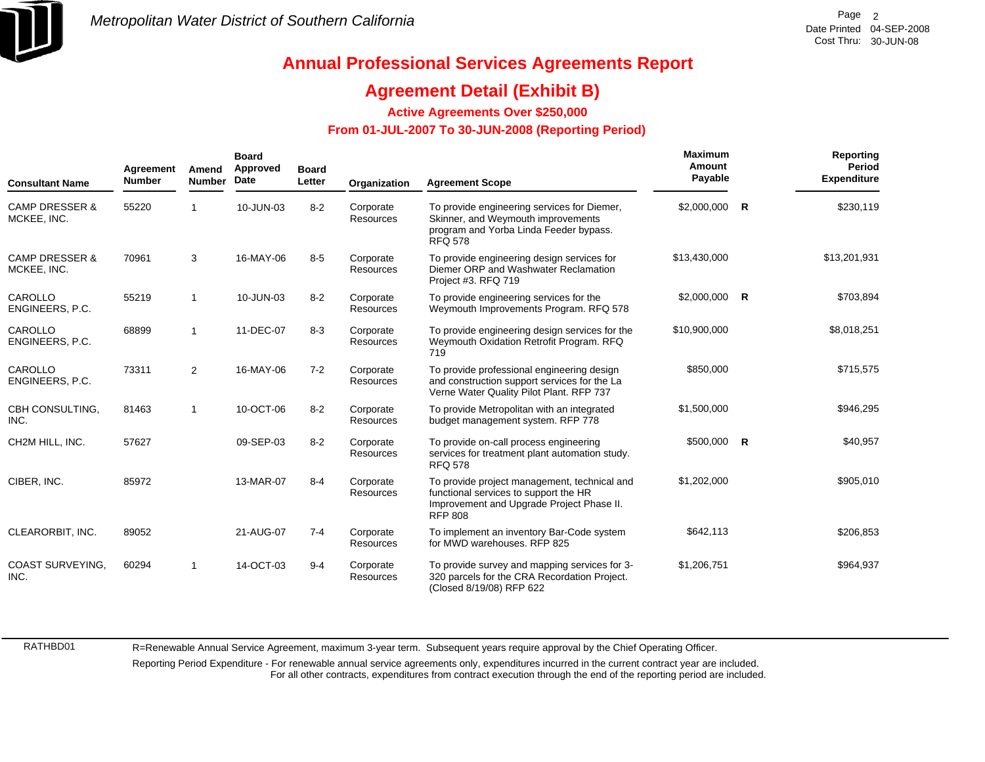

## **Annual Professional Services Agreements Report**

## **Agreement Detail (Exhibit B)**

**Active Agreements Over \$250,000**

### **From 01-JUL-2007 To 30-JUN-2008 (Reporting Period)**

| <b>Consultant Name</b>                   | Agreement<br><b>Number</b> | Amend<br><b>Number</b> | <b>Board</b><br>Approved<br>Date | <b>Board</b><br>Letter | Organization                  | <b>Agreement Scope</b>                                                                                                                               | Maximum<br>Amount<br>Payable |              | Reporting<br><b>Period</b><br><b>Expenditure</b> |
|------------------------------------------|----------------------------|------------------------|----------------------------------|------------------------|-------------------------------|------------------------------------------------------------------------------------------------------------------------------------------------------|------------------------------|--------------|--------------------------------------------------|
| <b>CAMP DRESSER &amp;</b><br>MCKEE, INC. | 55220                      |                        | 10-JUN-03                        | $8 - 2$                | Corporate<br>Resources        | To provide engineering services for Diemer,<br>Skinner, and Weymouth improvements<br>program and Yorba Linda Feeder bypass.<br><b>RFQ 578</b>        | \$2,000,000                  | $\mathsf{R}$ | \$230,119                                        |
| <b>CAMP DRESSER &amp;</b><br>MCKEE, INC. | 70961                      | 3                      | 16-MAY-06                        | $8 - 5$                | Corporate<br><b>Resources</b> | To provide engineering design services for<br>Diemer ORP and Washwater Reclamation<br>Project #3. RFQ 719                                            | \$13,430,000                 |              | \$13,201,931                                     |
| CAROLLO<br>ENGINEERS, P.C.               | 55219                      | 1                      | 10-JUN-03                        | $8 - 2$                | Corporate<br><b>Resources</b> | To provide engineering services for the<br>Weymouth Improvements Program. RFQ 578                                                                    | \$2,000,000 R                |              | \$703,894                                        |
| CAROLLO<br>ENGINEERS, P.C.               | 68899                      | 1                      | 11-DEC-07                        | $8 - 3$                | Corporate<br><b>Resources</b> | To provide engineering design services for the<br>Weymouth Oxidation Retrofit Program. RFQ<br>719                                                    | \$10,900,000                 |              | \$8,018,251                                      |
| CAROLLO<br>ENGINEERS, P.C.               | 73311                      | $\overline{2}$         | 16-MAY-06                        | $7 - 2$                | Corporate<br><b>Resources</b> | To provide professional engineering design<br>and construction support services for the La<br>Verne Water Quality Pilot Plant. RFP 737               | \$850,000                    |              | \$715,575                                        |
| CBH CONSULTING,<br>INC.                  | 81463                      |                        | 10-OCT-06                        | $8 - 2$                | Corporate<br><b>Resources</b> | To provide Metropolitan with an integrated<br>budget management system. RFP 778                                                                      | \$1,500,000                  |              | \$946,295                                        |
| CH2M HILL, INC.                          | 57627                      |                        | 09-SEP-03                        | $8 - 2$                | Corporate<br><b>Resources</b> | To provide on-call process engineering<br>services for treatment plant automation study.<br><b>RFQ 578</b>                                           | $$500,000$ R                 |              | \$40,957                                         |
| CIBER, INC.                              | 85972                      |                        | 13-MAR-07                        | $8 - 4$                | Corporate<br><b>Resources</b> | To provide project management, technical and<br>functional services to support the HR<br>Improvement and Upgrade Project Phase II.<br><b>RFP 808</b> | \$1,202,000                  |              | \$905,010                                        |
| CLEARORBIT, INC.                         | 89052                      |                        | 21-AUG-07                        | $7 - 4$                | Corporate<br><b>Resources</b> | To implement an inventory Bar-Code system<br>for MWD warehouses. RFP 825                                                                             | \$642,113                    |              | \$206,853                                        |
| <b>COAST SURVEYING.</b><br>INC.          | 60294                      | 1                      | 14-OCT-03                        | $9 - 4$                | Corporate<br><b>Resources</b> | To provide survey and mapping services for 3-<br>320 parcels for the CRA Recordation Project.<br>(Closed 8/19/08) RFP 622                            | \$1,206,751                  |              | \$964,937                                        |

R=Renewable Annual Service Agreement, maximum 3-year term. Subsequent years require approval by the Chief Operating Officer.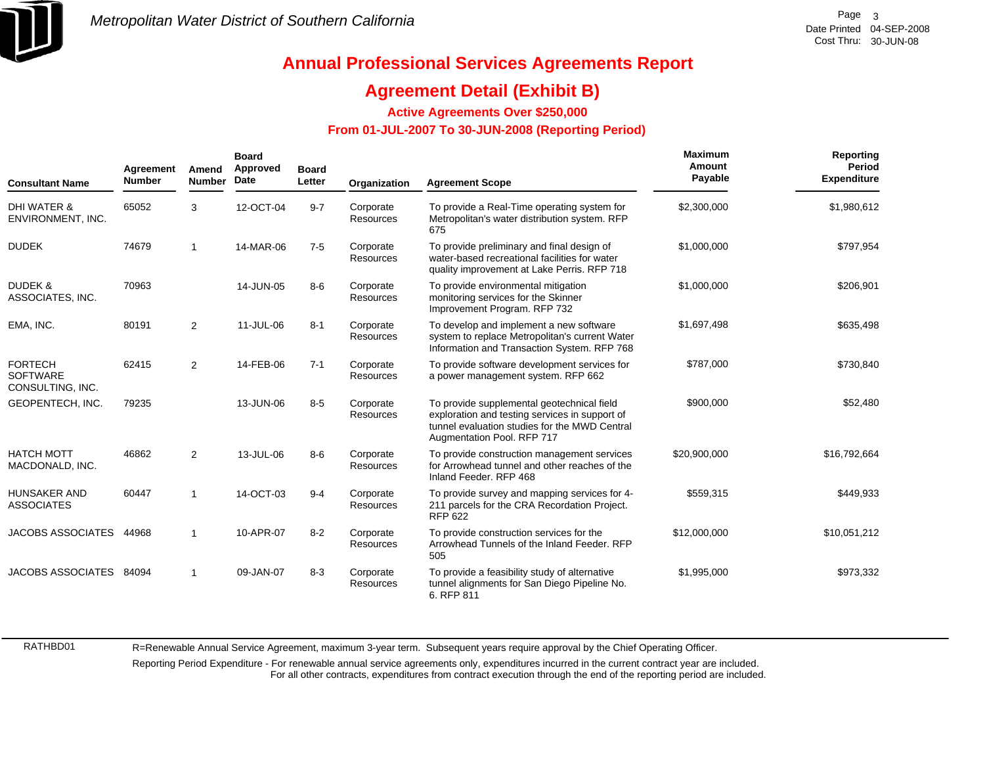

# **Annual Professional Services Agreements Report**

### **Agreement Detail (Exhibit B)**

**Active Agreements Over \$250,000**

### **From 01-JUL-2007 To 30-JUN-2008 (Reporting Period)**

| <b>Consultant Name</b>                                | Agreement<br><b>Number</b> | Amend<br><b>Number</b> | <b>Board</b><br>Approved<br>Date | <b>Board</b><br>Letter | Organization                  | <b>Agreement Scope</b>                                                                                                                                                      | Maximum<br>Amount<br>Payable | Reporting<br>Period<br><b>Expenditure</b> |
|-------------------------------------------------------|----------------------------|------------------------|----------------------------------|------------------------|-------------------------------|-----------------------------------------------------------------------------------------------------------------------------------------------------------------------------|------------------------------|-------------------------------------------|
| <b>DHI WATER &amp;</b><br>ENVIRONMENT, INC.           | 65052                      | 3                      | 12-OCT-04                        | $9 - 7$                | Corporate<br>Resources        | To provide a Real-Time operating system for<br>Metropolitan's water distribution system. RFP<br>675                                                                         | \$2,300,000                  | \$1,980,612                               |
| <b>DUDEK</b>                                          | 74679                      | 1                      | 14-MAR-06                        | $7-5$                  | Corporate<br><b>Resources</b> | To provide preliminary and final design of<br>water-based recreational facilities for water<br>quality improvement at Lake Perris. RFP 718                                  | \$1,000,000                  | \$797,954                                 |
| <b>DUDEK &amp;</b><br>ASSOCIATES, INC.                | 70963                      |                        | 14-JUN-05                        | $8-6$                  | Corporate<br><b>Resources</b> | To provide environmental mitigation<br>monitoring services for the Skinner<br>Improvement Program. RFP 732                                                                  | \$1,000,000                  | \$206,901                                 |
| EMA, INC.                                             | 80191                      | $\overline{2}$         | 11-JUL-06                        | $8 - 1$                | Corporate<br>Resources        | To develop and implement a new software<br>system to replace Metropolitan's current Water<br>Information and Transaction System. RFP 768                                    | \$1,697,498                  | \$635,498                                 |
| <b>FORTECH</b><br><b>SOFTWARE</b><br>CONSULTING, INC. | 62415                      | $\overline{2}$         | 14-FEB-06                        | $7 - 1$                | Corporate<br><b>Resources</b> | To provide software development services for<br>a power management system. RFP 662                                                                                          | \$787,000                    | \$730,840                                 |
| GEOPENTECH, INC.                                      | 79235                      |                        | 13-JUN-06                        | $8 - 5$                | Corporate<br><b>Resources</b> | To provide supplemental geotechnical field<br>exploration and testing services in support of<br>tunnel evaluation studies for the MWD Central<br>Augmentation Pool. RFP 717 | \$900,000                    | \$52,480                                  |
| <b>HATCH MOTT</b><br>MACDONALD, INC.                  | 46862                      | $\overline{2}$         | 13-JUL-06                        | $8-6$                  | Corporate<br><b>Resources</b> | To provide construction management services<br>for Arrowhead tunnel and other reaches of the<br>Inland Feeder, RFP 468                                                      | \$20,900,000                 | \$16,792,664                              |
| <b>HUNSAKER AND</b><br><b>ASSOCIATES</b>              | 60447                      |                        | 14-OCT-03                        | $9 - 4$                | Corporate<br>Resources        | To provide survey and mapping services for 4-<br>211 parcels for the CRA Recordation Project.<br><b>RFP 622</b>                                                             | \$559,315                    | \$449,933                                 |
| <b>JACOBS ASSOCIATES</b>                              | 44968                      |                        | 10-APR-07                        | $8 - 2$                | Corporate<br><b>Resources</b> | To provide construction services for the<br>Arrowhead Tunnels of the Inland Feeder, RFP<br>505                                                                              | \$12,000,000                 | \$10,051,212                              |
| <b>JACOBS ASSOCIATES</b>                              | 84094                      | 1                      | 09-JAN-07                        | $8 - 3$                | Corporate<br><b>Resources</b> | To provide a feasibility study of alternative<br>tunnel alignments for San Diego Pipeline No.<br>6. RFP 811                                                                 | \$1,995,000                  | \$973,332                                 |

R=Renewable Annual Service Agreement, maximum 3-year term. Subsequent years require approval by the Chief Operating Officer.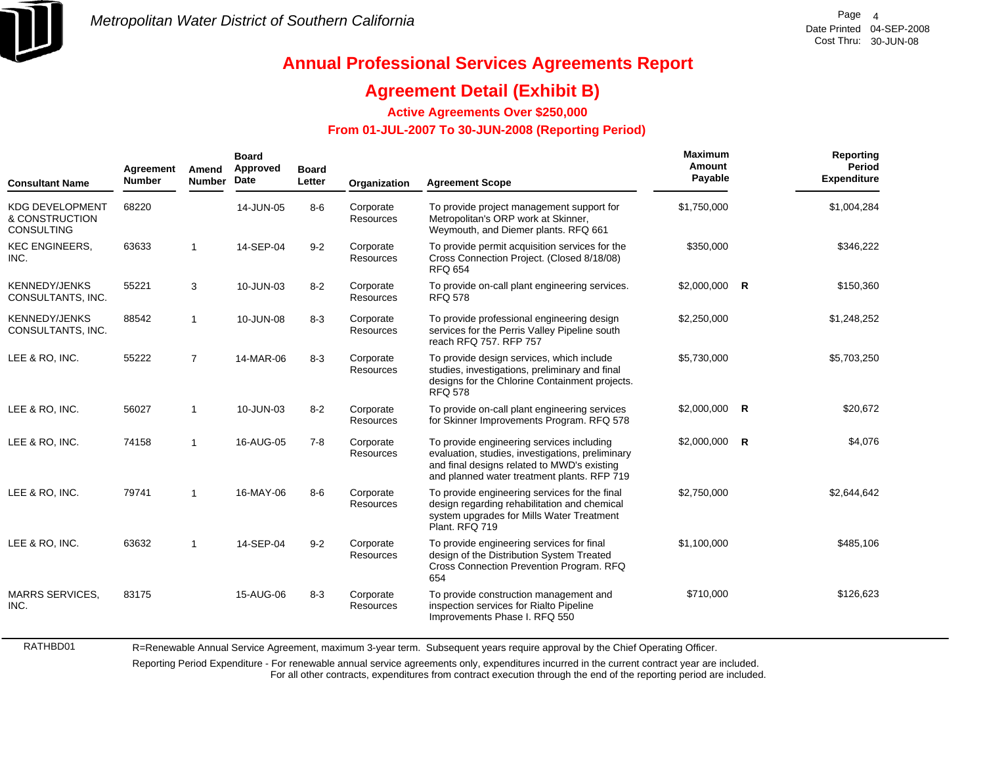

# **Annual Professional Services Agreements Report**

### **Agreement Detail (Exhibit B)**

**Active Agreements Over \$250,000**

 **From 01-JUL-2007 To 30-JUN-2008 (Reporting Period)** 

| <b>Consultant Name</b>                                        | Agreement<br><b>Number</b> | Amend<br><b>Number</b> | <b>Board</b><br>Approved<br>Date | <b>Board</b><br>Letter | Organization                  | <b>Agreement Scope</b>                                                                                                                                                                      | Maximum<br>Amount<br>Payable | Reporting<br><b>Period</b><br><b>Expenditure</b> |
|---------------------------------------------------------------|----------------------------|------------------------|----------------------------------|------------------------|-------------------------------|---------------------------------------------------------------------------------------------------------------------------------------------------------------------------------------------|------------------------------|--------------------------------------------------|
| <b>KDG DEVELOPMENT</b><br>& CONSTRUCTION<br><b>CONSULTING</b> | 68220                      |                        | 14-JUN-05                        | $8 - 6$                | Corporate<br><b>Resources</b> | To provide project management support for<br>Metropolitan's ORP work at Skinner,<br>Weymouth, and Diemer plants. RFQ 661                                                                    | \$1,750,000                  | \$1,004,284                                      |
| <b>KEC ENGINEERS,</b><br>INC.                                 | 63633                      | $\mathbf{1}$           | 14-SEP-04                        | $9 - 2$                | Corporate<br>Resources        | To provide permit acquisition services for the<br>Cross Connection Project. (Closed 8/18/08)<br><b>RFQ 654</b>                                                                              | \$350,000                    | \$346,222                                        |
| <b>KENNEDY/JENKS</b><br>CONSULTANTS, INC.                     | 55221                      | 3                      | 10-JUN-03                        | $8 - 2$                | Corporate<br><b>Resources</b> | To provide on-call plant engineering services.<br><b>RFQ 578</b>                                                                                                                            | $$2,000,000$ R               | \$150,360                                        |
| <b>KENNEDY/JENKS</b><br>CONSULTANTS, INC.                     | 88542                      | $\mathbf{1}$           | 10-JUN-08                        | $8 - 3$                | Corporate<br>Resources        | To provide professional engineering design<br>services for the Perris Valley Pipeline south<br>reach RFQ 757, RFP 757                                                                       | \$2,250,000                  | \$1,248,252                                      |
| LEE & RO, INC.                                                | 55222                      | $\overline{7}$         | 14-MAR-06                        | $8 - 3$                | Corporate<br>Resources        | To provide design services, which include<br>studies, investigations, preliminary and final<br>designs for the Chlorine Containment projects.<br><b>RFQ 578</b>                             | \$5,730,000                  | \$5,703,250                                      |
| LEE & RO, INC.                                                | 56027                      | $\mathbf{1}$           | 10-JUN-03                        | $8 - 2$                | Corporate<br>Resources        | To provide on-call plant engineering services<br>for Skinner Improvements Program. RFQ 578                                                                                                  | $$2,000,000$ R               | \$20,672                                         |
| LEE & RO, INC.                                                | 74158                      | $\mathbf{1}$           | 16-AUG-05                        | $7 - 8$                | Corporate<br>Resources        | To provide engineering services including<br>evaluation, studies, investigations, preliminary<br>and final designs related to MWD's existing<br>and planned water treatment plants. RFP 719 | \$2,000,000 R                | \$4,076                                          |
| LEE & RO, INC.                                                | 79741                      | $\mathbf 1$            | 16-MAY-06                        | $8-6$                  | Corporate<br>Resources        | To provide engineering services for the final<br>design regarding rehabilitation and chemical<br>system upgrades for Mills Water Treatment<br>Plant. RFQ 719                                | \$2,750,000                  | \$2,644,642                                      |
| LEE & RO. INC.                                                | 63632                      | -1                     | 14-SEP-04                        | $9 - 2$                | Corporate<br>Resources        | To provide engineering services for final<br>design of the Distribution System Treated<br>Cross Connection Prevention Program. RFQ<br>654                                                   | \$1,100,000                  | \$485,106                                        |
| <b>MARRS SERVICES,</b><br>INC.                                | 83175                      |                        | 15-AUG-06                        | $8 - 3$                | Corporate<br>Resources        | To provide construction management and<br>inspection services for Rialto Pipeline<br>Improvements Phase I. RFQ 550                                                                          | \$710,000                    | \$126,623                                        |

R=Renewable Annual Service Agreement, maximum 3-year term. Subsequent years require approval by the Chief Operating Officer.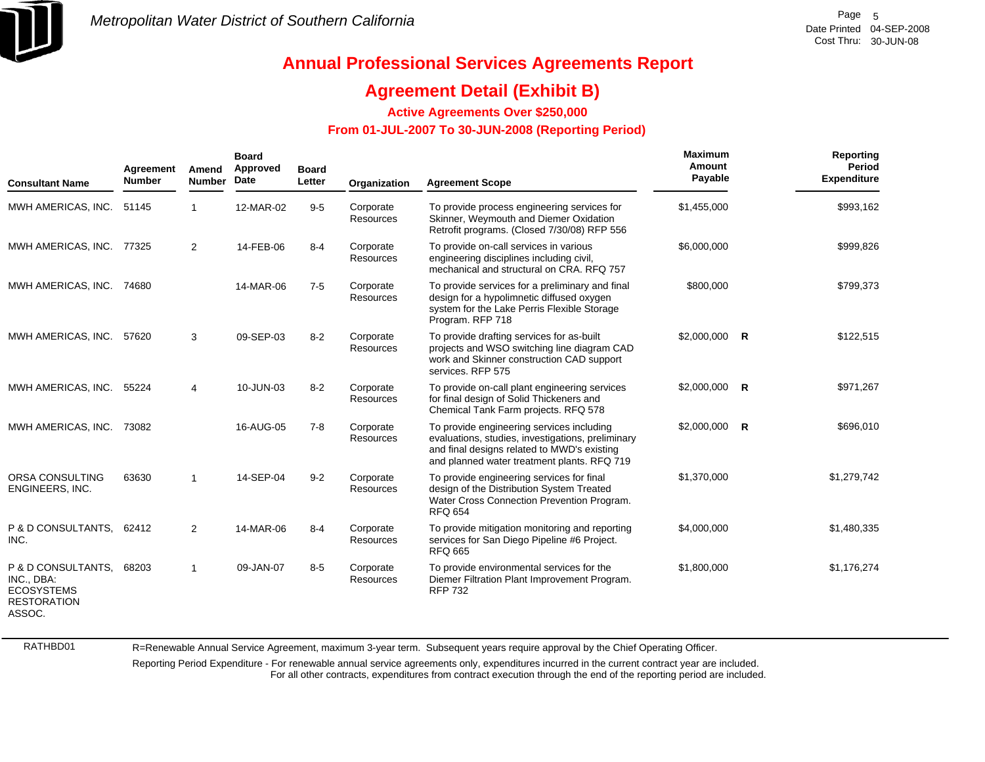

### **Agreement Detail (Exhibit B)**

**Active Agreements Over \$250,000**

### **From 01-JUL-2007 To 30-JUN-2008 (Reporting Period)**

| <b>Consultant Name</b>                                                                | Agreement<br><b>Number</b> | Amend<br><b>Number</b> | <b>Board</b><br>Approved<br><b>Date</b> | <b>Board</b><br>Letter | Organization           | <b>Agreement Scope</b>                                                                                                                                                                       | <b>Maximum</b><br>Amount<br>Payable |          | Reporting<br><b>Period</b><br><b>Expenditure</b> |
|---------------------------------------------------------------------------------------|----------------------------|------------------------|-----------------------------------------|------------------------|------------------------|----------------------------------------------------------------------------------------------------------------------------------------------------------------------------------------------|-------------------------------------|----------|--------------------------------------------------|
| MWH AMERICAS, INC.                                                                    | 51145                      | 1                      | 12-MAR-02                               | $9-5$                  | Corporate<br>Resources | To provide process engineering services for<br>Skinner, Weymouth and Diemer Oxidation<br>Retrofit programs. (Closed 7/30/08) RFP 556                                                         | \$1,455,000                         |          | \$993,162                                        |
| MWH AMERICAS, INC. 77325                                                              |                            | $\overline{2}$         | 14-FEB-06                               | $8 - 4$                | Corporate<br>Resources | To provide on-call services in various<br>engineering disciplines including civil,<br>mechanical and structural on CRA. RFQ 757                                                              | \$6,000,000                         |          | \$999,826                                        |
| MWH AMERICAS, INC.                                                                    | 74680                      |                        | 14-MAR-06                               | $7 - 5$                | Corporate<br>Resources | To provide services for a preliminary and final<br>design for a hypolimnetic diffused oxygen<br>system for the Lake Perris Flexible Storage<br>Program. RFP 718                              | \$800,000                           |          | \$799,373                                        |
| MWH AMERICAS, INC.                                                                    | 57620                      | 3                      | 09-SEP-03                               | $8 - 2$                | Corporate<br>Resources | To provide drafting services for as-built<br>projects and WSO switching line diagram CAD<br>work and Skinner construction CAD support<br>services. RFP 575                                   | \$2,000,000                         | <b>R</b> | \$122,515                                        |
| MWH AMERICAS, INC.                                                                    | 55224                      | 4                      | 10-JUN-03                               | $8 - 2$                | Corporate<br>Resources | To provide on-call plant engineering services<br>for final design of Solid Thickeners and<br>Chemical Tank Farm projects. RFQ 578                                                            | \$2,000,000                         | <b>R</b> | \$971,267                                        |
| MWH AMERICAS, INC.                                                                    | 73082                      |                        | 16-AUG-05                               | $7 - 8$                | Corporate<br>Resources | To provide engineering services including<br>evaluations, studies, investigations, preliminary<br>and final designs related to MWD's existing<br>and planned water treatment plants. RFQ 719 | \$2,000,000                         | R        | \$696,010                                        |
| ORSA CONSULTING<br><b>ENGINEERS, INC.</b>                                             | 63630                      | 1                      | 14-SEP-04                               | $9 - 2$                | Corporate<br>Resources | To provide engineering services for final<br>design of the Distribution System Treated<br>Water Cross Connection Prevention Program.<br><b>RFQ 654</b>                                       | \$1,370,000                         |          | \$1,279,742                                      |
| P & D CONSULTANTS, 62412<br>INC.                                                      |                            | 2                      | 14-MAR-06                               | $8 - 4$                | Corporate<br>Resources | To provide mitigation monitoring and reporting<br>services for San Diego Pipeline #6 Project.<br><b>RFQ 665</b>                                                                              | \$4,000,000                         |          | \$1,480,335                                      |
| P & D CONSULTANTS.<br>INC., DBA:<br><b>ECOSYSTEMS</b><br><b>RESTORATION</b><br>ASSOC. | 68203                      | 1                      | 09-JAN-07                               | $8 - 5$                | Corporate<br>Resources | To provide environmental services for the<br>Diemer Filtration Plant Improvement Program.<br><b>RFP 732</b>                                                                                  | \$1,800,000                         |          | \$1,176,274                                      |

RATHBD01

R=Renewable Annual Service Agreement, maximum 3-year term. Subsequent years require approval by the Chief Operating Officer.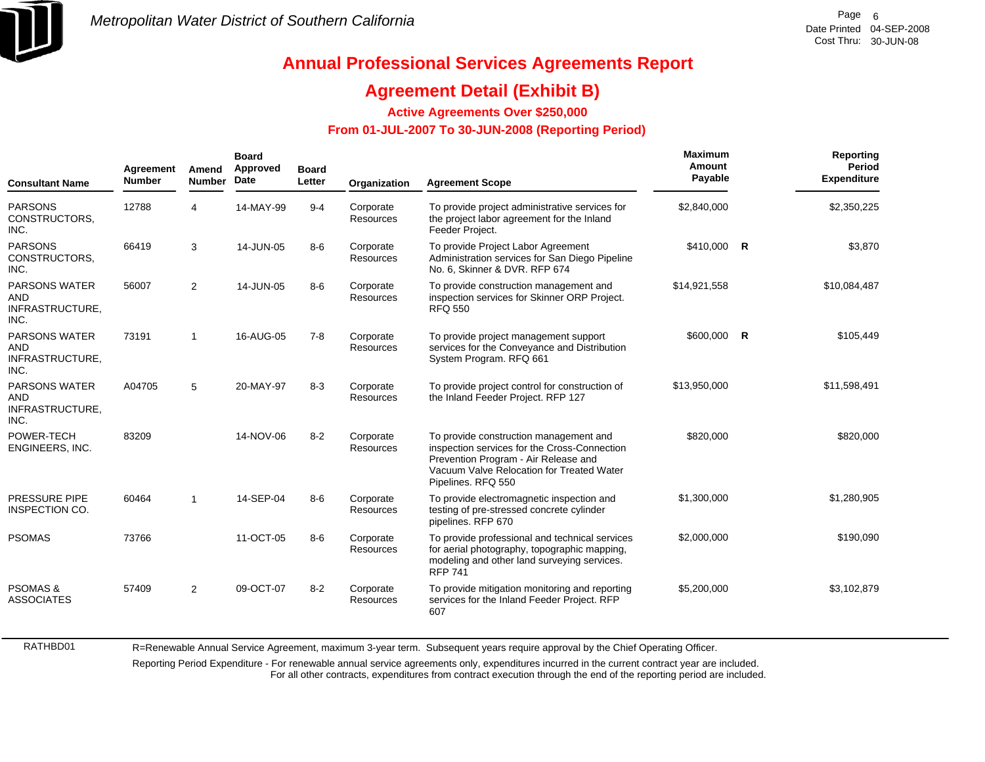

## **Annual Professional Services Agreements Report**

## **Agreement Detail (Exhibit B)**

**Active Agreements Over \$250,000**

 **From 01-JUL-2007 To 30-JUN-2008 (Reporting Period)** 

| <b>Consultant Name</b>                                 | Agreement<br><b>Number</b> | Amend<br><b>Number</b> | <b>Board</b><br>Approved<br>Date | <b>Board</b><br>Letter | Organization                  | <b>Agreement Scope</b>                                                                                                                                                                            | Maximum<br>Amount<br>Payable | Reporting<br><b>Period</b><br><b>Expenditure</b> |
|--------------------------------------------------------|----------------------------|------------------------|----------------------------------|------------------------|-------------------------------|---------------------------------------------------------------------------------------------------------------------------------------------------------------------------------------------------|------------------------------|--------------------------------------------------|
| PARSONS<br>CONSTRUCTORS,<br>INC.                       | 12788                      | 4                      | 14-MAY-99                        | $9 - 4$                | Corporate<br><b>Resources</b> | To provide project administrative services for<br>the project labor agreement for the Inland<br>Feeder Project.                                                                                   | \$2,840,000                  | \$2,350,225                                      |
| <b>PARSONS</b><br>CONSTRUCTORS,<br>INC.                | 66419                      | 3                      | 14-JUN-05                        | $8-6$                  | Corporate<br><b>Resources</b> | To provide Project Labor Agreement<br>Administration services for San Diego Pipeline<br>No. 6, Skinner & DVR. RFP 674                                                                             | \$410,000 R                  | \$3,870                                          |
| <b>PARSONS WATER</b><br>AND<br>INFRASTRUCTURE,<br>INC. | 56007                      | 2                      | 14-JUN-05                        | $8-6$                  | Corporate<br><b>Resources</b> | To provide construction management and<br>inspection services for Skinner ORP Project.<br><b>RFQ 550</b>                                                                                          | \$14,921,558                 | \$10,084,487                                     |
| <b>PARSONS WATER</b><br>AND<br>INFRASTRUCTURE,<br>INC. | 73191                      | 1                      | 16-AUG-05                        | $7 - 8$                | Corporate<br><b>Resources</b> | To provide project management support<br>services for the Conveyance and Distribution<br>System Program. RFQ 661                                                                                  | \$600,000 R                  | \$105,449                                        |
| <b>PARSONS WATER</b><br>AND<br>INFRASTRUCTURE,<br>INC. | A04705                     | 5                      | 20-MAY-97                        | $8 - 3$                | Corporate<br><b>Resources</b> | To provide project control for construction of<br>the Inland Feeder Project. RFP 127                                                                                                              | \$13,950,000                 | \$11,598,491                                     |
| POWER-TECH<br>ENGINEERS, INC.                          | 83209                      |                        | 14-NOV-06                        | $8 - 2$                | Corporate<br><b>Resources</b> | To provide construction management and<br>inspection services for the Cross-Connection<br>Prevention Program - Air Release and<br>Vacuum Valve Relocation for Treated Water<br>Pipelines. RFQ 550 | \$820,000                    | \$820,000                                        |
| PRESSURE PIPE<br>INSPECTION CO.                        | 60464                      | $\mathbf{1}$           | 14-SEP-04                        | $8-6$                  | Corporate<br><b>Resources</b> | To provide electromagnetic inspection and<br>testing of pre-stressed concrete cylinder<br>pipelines. RFP 670                                                                                      | \$1,300,000                  | \$1,280,905                                      |
| <b>PSOMAS</b>                                          | 73766                      |                        | 11-OCT-05                        | $8-6$                  | Corporate<br><b>Resources</b> | To provide professional and technical services<br>for aerial photography, topographic mapping,<br>modeling and other land surveying services.<br><b>RFP 741</b>                                   | \$2,000,000                  | \$190,090                                        |
| <b>PSOMAS &amp;</b><br><b>ASSOCIATES</b>               | 57409                      | 2                      | 09-OCT-07                        | $8 - 2$                | Corporate<br><b>Resources</b> | To provide mitigation monitoring and reporting<br>services for the Inland Feeder Project. RFP<br>607                                                                                              | \$5,200,000                  | \$3,102,879                                      |

R=Renewable Annual Service Agreement, maximum 3-year term. Subsequent years require approval by the Chief Operating Officer.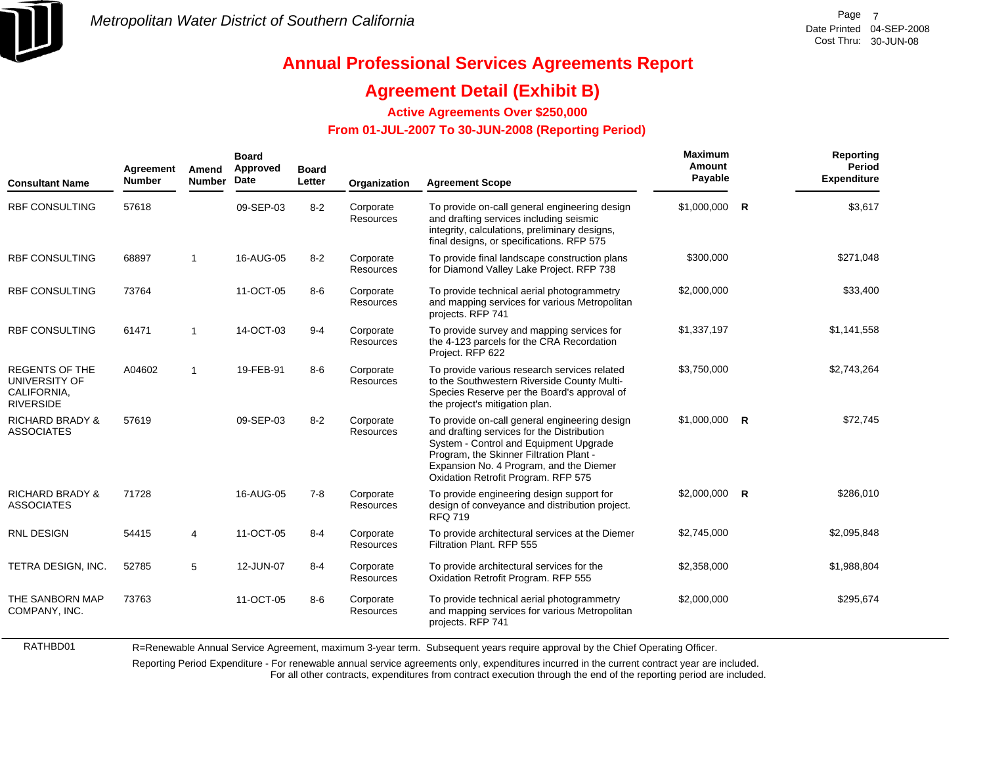

# **Annual Professional Services Agreements Report**

## **Agreement Detail (Exhibit B)**

**Active Agreements Over \$250,000**

### **From 01-JUL-2007 To 30-JUN-2008 (Reporting Period)**

| <b>Consultant Name</b>                                                    | Agreement<br><b>Number</b> | Amend<br><b>Number</b> | <b>Board</b><br>Approved<br>Date | <b>Board</b><br>Letter | Organization           | <b>Agreement Scope</b>                                                                                                                                                                                                                                             | Maximum<br>Amount<br>Payable | Reporting<br><b>Period</b><br><b>Expenditure</b> |
|---------------------------------------------------------------------------|----------------------------|------------------------|----------------------------------|------------------------|------------------------|--------------------------------------------------------------------------------------------------------------------------------------------------------------------------------------------------------------------------------------------------------------------|------------------------------|--------------------------------------------------|
| <b>RBF CONSULTING</b>                                                     | 57618                      |                        | 09-SEP-03                        | $8 - 2$                | Corporate<br>Resources | To provide on-call general engineering design<br>and drafting services including seismic<br>integrity, calculations, preliminary designs,<br>final designs, or specifications. RFP 575                                                                             | $$1,000,000$ R               | \$3,617                                          |
| <b>RBF CONSULTING</b>                                                     | 68897                      | $\mathbf{1}$           | 16-AUG-05                        | $8 - 2$                | Corporate<br>Resources | To provide final landscape construction plans<br>for Diamond Valley Lake Project. RFP 738                                                                                                                                                                          | \$300,000                    | \$271,048                                        |
| <b>RBF CONSULTING</b>                                                     | 73764                      |                        | 11-OCT-05                        | $8-6$                  | Corporate<br>Resources | To provide technical aerial photogrammetry<br>and mapping services for various Metropolitan<br>projects. RFP 741                                                                                                                                                   | \$2,000,000                  | \$33,400                                         |
| <b>RBF CONSULTING</b>                                                     | 61471                      | $\mathbf{1}$           | 14-OCT-03                        | $9 - 4$                | Corporate<br>Resources | To provide survey and mapping services for<br>the 4-123 parcels for the CRA Recordation<br>Project. RFP 622                                                                                                                                                        | \$1,337,197                  | \$1,141,558                                      |
| <b>REGENTS OF THE</b><br>UNIVERSITY OF<br>CALIFORNIA,<br><b>RIVERSIDE</b> | A04602                     | $\overline{1}$         | 19-FEB-91                        | $8-6$                  | Corporate<br>Resources | To provide various research services related<br>to the Southwestern Riverside County Multi-<br>Species Reserve per the Board's approval of<br>the project's mitigation plan.                                                                                       | \$3,750,000                  | \$2,743,264                                      |
| <b>RICHARD BRADY &amp;</b><br><b>ASSOCIATES</b>                           | 57619                      |                        | 09-SEP-03                        | $8 - 2$                | Corporate<br>Resources | To provide on-call general engineering design<br>and drafting services for the Distribution<br>System - Control and Equipment Upgrade<br>Program, the Skinner Filtration Plant -<br>Expansion No. 4 Program, and the Diemer<br>Oxidation Retrofit Program. RFP 575 | \$1,000,000 R                | \$72,745                                         |
| <b>RICHARD BRADY &amp;</b><br><b>ASSOCIATES</b>                           | 71728                      |                        | 16-AUG-05                        | $7 - 8$                | Corporate<br>Resources | To provide engineering design support for<br>design of conveyance and distribution project.<br><b>RFQ 719</b>                                                                                                                                                      | $$2,000,000$ R               | \$286,010                                        |
| <b>RNL DESIGN</b>                                                         | 54415                      | 4                      | 11-OCT-05                        | $8 - 4$                | Corporate<br>Resources | To provide architectural services at the Diemer<br>Filtration Plant, RFP 555                                                                                                                                                                                       | \$2,745,000                  | \$2,095,848                                      |
| TETRA DESIGN, INC.                                                        | 52785                      | 5                      | 12-JUN-07                        | $8 - 4$                | Corporate<br>Resources | To provide architectural services for the<br>Oxidation Retrofit Program. RFP 555                                                                                                                                                                                   | \$2,358,000                  | \$1,988,804                                      |
| THE SANBORN MAP<br>COMPANY, INC.                                          | 73763                      |                        | 11-OCT-05                        | $8-6$                  | Corporate<br>Resources | To provide technical aerial photogrammetry<br>and mapping services for various Metropolitan<br>projects. RFP 741                                                                                                                                                   | \$2,000,000                  | \$295,674                                        |

R=Renewable Annual Service Agreement, maximum 3-year term. Subsequent years require approval by the Chief Operating Officer.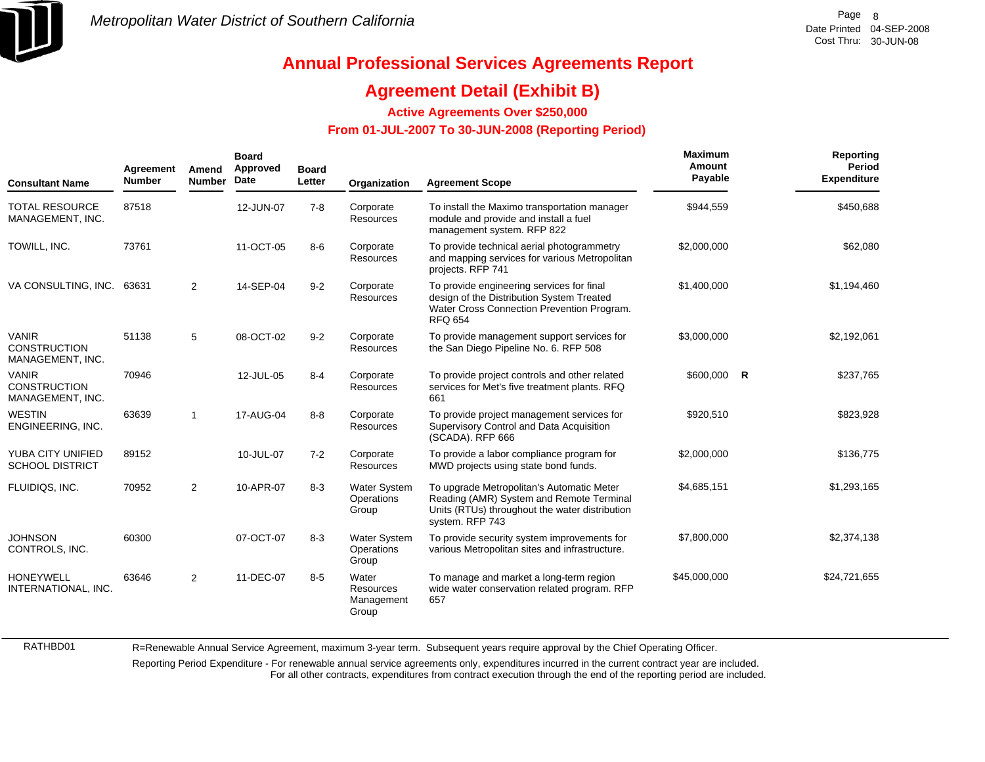

## **Annual Professional Services Agreements Report**

### **Agreement Detail (Exhibit B)**

**Active Agreements Over \$250,000**

#### **From 01-JUL-2007 To 30-JUN-2008 (Reporting Period)**

| <b>Consultant Name</b>                                  | Agreement<br><b>Number</b> | Amend<br><b>Number</b> | <b>Board</b><br>Approved<br>Date | <b>Board</b><br>Letter | Organization                               | <b>Agreement Scope</b>                                                                                                                                     | Maximum<br>Amount<br>Payable | Reporting<br>Period<br><b>Expenditure</b> |
|---------------------------------------------------------|----------------------------|------------------------|----------------------------------|------------------------|--------------------------------------------|------------------------------------------------------------------------------------------------------------------------------------------------------------|------------------------------|-------------------------------------------|
| <b>TOTAL RESOURCE</b><br>MANAGEMENT, INC.               | 87518                      |                        | 12-JUN-07                        | $7 - 8$                | Corporate<br>Resources                     | To install the Maximo transportation manager<br>module and provide and install a fuel<br>management system. RFP 822                                        | \$944,559                    | \$450,688                                 |
| TOWILL, INC.                                            | 73761                      |                        | 11-OCT-05                        | $8 - 6$                | Corporate<br>Resources                     | To provide technical aerial photogrammetry<br>and mapping services for various Metropolitan<br>projects. RFP 741                                           | \$2,000,000                  | \$62,080                                  |
| VA CONSULTING, INC.                                     | 63631                      | $\overline{2}$         | 14-SEP-04                        | $9 - 2$                | Corporate<br><b>Resources</b>              | To provide engineering services for final<br>design of the Distribution System Treated<br>Water Cross Connection Prevention Program.<br><b>RFQ 654</b>     | \$1,400,000                  | \$1,194,460                               |
| <b>VANIR</b><br><b>CONSTRUCTION</b><br>MANAGEMENT, INC. | 51138                      | 5                      | 08-OCT-02                        | $9 - 2$                | Corporate<br>Resources                     | To provide management support services for<br>the San Diego Pipeline No. 6. RFP 508                                                                        | \$3,000,000                  | \$2,192,061                               |
| <b>VANIR</b><br><b>CONSTRUCTION</b><br>MANAGEMENT, INC. | 70946                      |                        | 12-JUL-05                        | $8 - 4$                | Corporate<br>Resources                     | To provide project controls and other related<br>services for Met's five treatment plants. RFQ<br>661                                                      | \$600,000 R                  | \$237,765                                 |
| <b>WESTIN</b><br>ENGINEERING, INC.                      | 63639                      | $\mathbf 1$            | 17-AUG-04                        | $8 - 8$                | Corporate<br>Resources                     | To provide project management services for<br>Supervisory Control and Data Acquisition<br>(SCADA). RFP 666                                                 | \$920,510                    | \$823,928                                 |
| YUBA CITY UNIFIED<br><b>SCHOOL DISTRICT</b>             | 89152                      |                        | 10-JUL-07                        | $7 - 2$                | Corporate<br>Resources                     | To provide a labor compliance program for<br>MWD projects using state bond funds.                                                                          | \$2,000,000                  | \$136,775                                 |
| FLUIDIQS, INC.                                          | 70952                      | $\overline{2}$         | 10-APR-07                        | $8 - 3$                | Water System<br>Operations<br>Group        | To upgrade Metropolitan's Automatic Meter<br>Reading (AMR) System and Remote Terminal<br>Units (RTUs) throughout the water distribution<br>system. RFP 743 | \$4,685,151                  | \$1,293,165                               |
| <b>JOHNSON</b><br>CONTROLS, INC.                        | 60300                      |                        | 07-OCT-07                        | $8 - 3$                | <b>Water System</b><br>Operations<br>Group | To provide security system improvements for<br>various Metropolitan sites and infrastructure.                                                              | \$7,800,000                  | \$2,374,138                               |
| <b>HONEYWELL</b><br>INTERNATIONAL, INC.                 | 63646                      | $\overline{2}$         | 11-DEC-07                        | $8-5$                  | Water<br>Resources<br>Management<br>Group  | To manage and market a long-term region<br>wide water conservation related program. RFP<br>657                                                             | \$45,000,000                 | \$24,721,655                              |

R=Renewable Annual Service Agreement, maximum 3-year term. Subsequent years require approval by the Chief Operating Officer.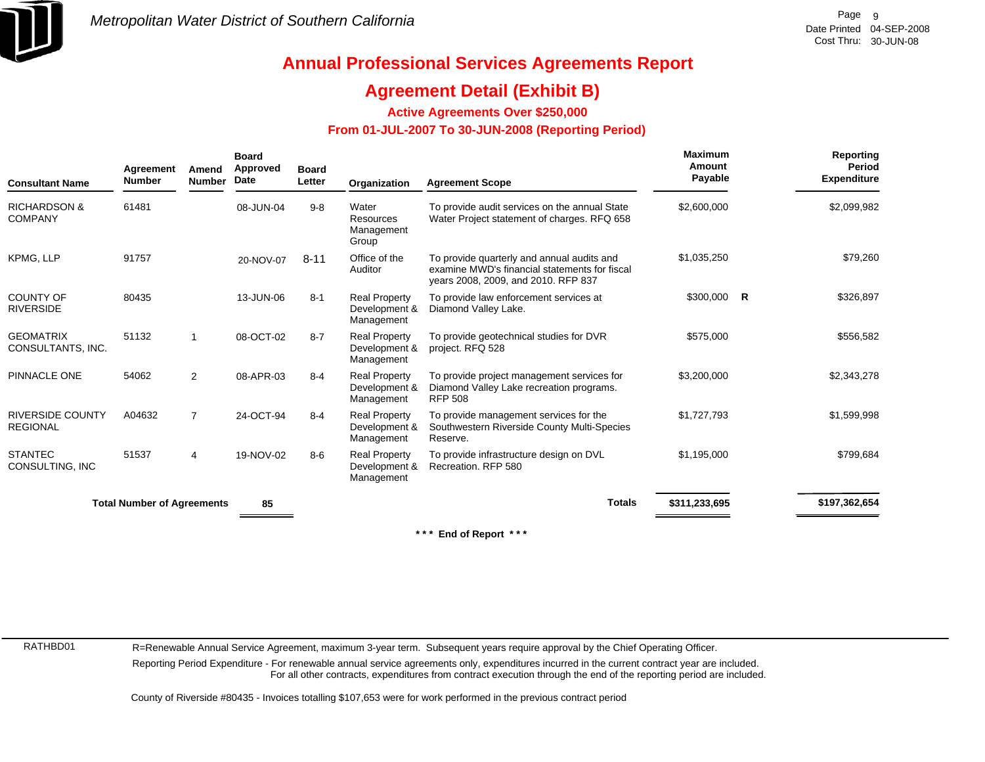

## **Agreement Detail (Exhibit B)**

**Active Agreements Over \$250,000**

### **From 01-JUL-2007 To 30-JUN-2008 (Reporting Period)**

| <b>Consultant Name</b>                     | Agreement<br><b>Number</b>        | Amend<br><b>Number</b> | <b>Board</b><br>Approved<br>Date | <b>Board</b><br>Letter | Organization                                        | <b>Agreement Scope</b>                                                                                                                                                                                                                                               | <b>Maximum</b><br>Amount<br>Payable | Reporting<br>Period<br><b>Expenditure</b> |
|--------------------------------------------|-----------------------------------|------------------------|----------------------------------|------------------------|-----------------------------------------------------|----------------------------------------------------------------------------------------------------------------------------------------------------------------------------------------------------------------------------------------------------------------------|-------------------------------------|-------------------------------------------|
| <b>RICHARDSON &amp;</b><br><b>COMPANY</b>  | 61481                             |                        | 08-JUN-04                        | $9 - 8$                | Water<br>Resources<br>Management<br>Group           | To provide audit services on the annual State<br>Water Project statement of charges. RFQ 658                                                                                                                                                                         | \$2,600,000                         | \$2,099,982                               |
| KPMG, LLP                                  | 91757                             |                        | 20-NOV-07                        | $8 - 11$               | Office of the<br>Auditor                            | To provide quarterly and annual audits and<br>examine MWD's financial statements for fiscal<br>years 2008, 2009, and 2010. RFP 837                                                                                                                                   | \$1,035,250                         | \$79,260                                  |
| <b>COUNTY OF</b><br><b>RIVERSIDE</b>       | 80435                             |                        | 13-JUN-06                        | $8 - 1$                | <b>Real Property</b><br>Development &<br>Management | To provide law enforcement services at<br>Diamond Valley Lake.                                                                                                                                                                                                       | $$300,000$ R                        | \$326,897                                 |
| <b>GEOMATRIX</b><br>CONSULTANTS, INC.      | 51132                             | $\mathbf{1}$           | 08-OCT-02                        | $8 - 7$                | <b>Real Property</b><br>Development &<br>Management | To provide geotechnical studies for DVR<br>project. RFQ 528                                                                                                                                                                                                          | \$575,000                           | \$556,582                                 |
| PINNACLE ONE                               | 54062                             | $\overline{2}$         | 08-APR-03                        | $8 - 4$                | <b>Real Property</b><br>Development &<br>Management | To provide project management services for<br>Diamond Valley Lake recreation programs.<br><b>RFP 508</b>                                                                                                                                                             | \$3,200,000                         | \$2,343,278                               |
| <b>RIVERSIDE COUNTY</b><br><b>REGIONAL</b> | A04632                            | $\overline{7}$         | 24-OCT-94                        | $8 - 4$                | <b>Real Property</b><br>Development &<br>Management | To provide management services for the<br>Southwestern Riverside County Multi-Species<br>Reserve.                                                                                                                                                                    | \$1,727,793                         | \$1,599,998                               |
| <b>STANTEC</b><br>CONSULTING, INC          | 51537                             | $\overline{4}$         | 19-NOV-02                        | $8-6$                  | <b>Real Property</b><br>Development &<br>Management | To provide infrastructure design on DVL<br>Recreation, RFP 580                                                                                                                                                                                                       | \$1,195,000                         | \$799,684                                 |
|                                            | <b>Total Number of Agreements</b> |                        | 85                               |                        |                                                     | <b>Totals</b>                                                                                                                                                                                                                                                        | \$311,233,695                       | \$197,362,654                             |
|                                            |                                   |                        |                                  |                        |                                                     | * * *<br>End of Report ***                                                                                                                                                                                                                                           |                                     |                                           |
|                                            |                                   |                        |                                  |                        |                                                     |                                                                                                                                                                                                                                                                      |                                     |                                           |
|                                            |                                   |                        |                                  |                        |                                                     |                                                                                                                                                                                                                                                                      |                                     |                                           |
|                                            |                                   |                        |                                  |                        |                                                     |                                                                                                                                                                                                                                                                      |                                     |                                           |
| RATHBD01                                   |                                   |                        |                                  |                        |                                                     | R=Renewable Annual Service Agreement, maximum 3-year term. Subsequent years require approval by the Chief Operating Officer.                                                                                                                                         |                                     |                                           |
|                                            |                                   |                        |                                  |                        |                                                     | Reporting Period Expenditure - For renewable annual service agreements only, expenditures incurred in the current contract year are included.<br>For all other contracts, expenditures from contract execution through the end of the reporting period are included. |                                     |                                           |
|                                            |                                   |                        |                                  |                        |                                                     | County of Riverside #80435 - Invoices totalling \$107,653 were for work performed in the previous contract period                                                                                                                                                    |                                     |                                           |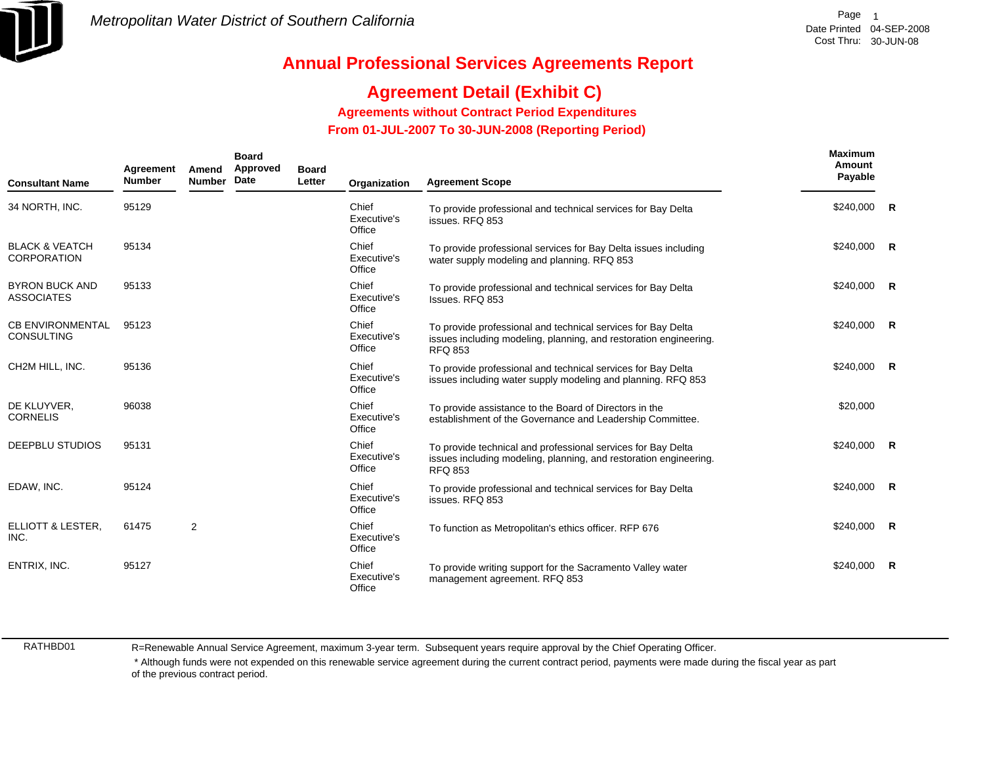

## **Agreement Detail (Exhibit C)**

**Agreements without Contract Period Expenditures**

 **From 01-JUL-2007 To 30-JUN-2008 (Reporting Period)** 

| <b>Consultant Name</b>                          | Agreement<br><b>Number</b> | Amend<br><b>Number</b> | <b>Board</b><br>Approved<br>Date | <b>Board</b><br>Letter | Organization                   | <b>Agreement Scope</b>                                                                                                                              | Maximum<br>Amount<br>Payable |   |
|-------------------------------------------------|----------------------------|------------------------|----------------------------------|------------------------|--------------------------------|-----------------------------------------------------------------------------------------------------------------------------------------------------|------------------------------|---|
| 34 NORTH, INC.                                  | 95129                      |                        |                                  |                        | Chief<br>Executive's<br>Office | To provide professional and technical services for Bay Delta<br>issues, RFQ 853                                                                     | \$240,000 R                  |   |
| <b>BLACK &amp; VEATCH</b><br><b>CORPORATION</b> | 95134                      |                        |                                  |                        | Chief<br>Executive's<br>Office | To provide professional services for Bay Delta issues including<br>water supply modeling and planning. RFQ 853                                      | $$240,000$ R                 |   |
| <b>BYRON BUCK AND</b><br><b>ASSOCIATES</b>      | 95133                      |                        |                                  |                        | Chief<br>Executive's<br>Office | To provide professional and technical services for Bay Delta<br>Issues. RFQ 853                                                                     | $$240,000$ R                 |   |
| <b>CB ENVIRONMENTAL</b><br><b>CONSULTING</b>    | 95123                      |                        |                                  |                        | Chief<br>Executive's<br>Office | To provide professional and technical services for Bay Delta<br>issues including modeling, planning, and restoration engineering.<br><b>RFQ 853</b> | $$240,000$ R                 |   |
| CH2M HILL, INC.                                 | 95136                      |                        |                                  |                        | Chief<br>Executive's<br>Office | To provide professional and technical services for Bay Delta<br>issues including water supply modeling and planning. RFQ 853                        | $$240,000$ R                 |   |
| DE KLUYVER,<br><b>CORNELIS</b>                  | 96038                      |                        |                                  |                        | Chief<br>Executive's<br>Office | To provide assistance to the Board of Directors in the<br>establishment of the Governance and Leadership Committee.                                 | \$20,000                     |   |
| <b>DEEPBLU STUDIOS</b>                          | 95131                      |                        |                                  |                        | Chief<br>Executive's<br>Office | To provide technical and professional services for Bay Delta<br>issues including modeling, planning, and restoration engineering.<br><b>RFQ 853</b> | $$240,000$ R                 |   |
| EDAW, INC.                                      | 95124                      |                        |                                  |                        | Chief<br>Executive's<br>Office | To provide professional and technical services for Bay Delta<br>issues. RFQ 853                                                                     | $$240,000$ R                 |   |
| ELLIOTT & LESTER,<br>INC.                       | 61475                      | 2                      |                                  |                        | Chief<br>Executive's<br>Office | To function as Metropolitan's ethics officer. RFP 676                                                                                               | $$240,000$ R                 |   |
| ENTRIX, INC.                                    | 95127                      |                        |                                  |                        | Chief<br>Executive's<br>Office | To provide writing support for the Sacramento Valley water<br>management agreement. RFQ 853                                                         | \$240,000                    | R |

RATHBD01

R=Renewable Annual Service Agreement, maximum 3-year term. Subsequent years require approval by the Chief Operating Officer.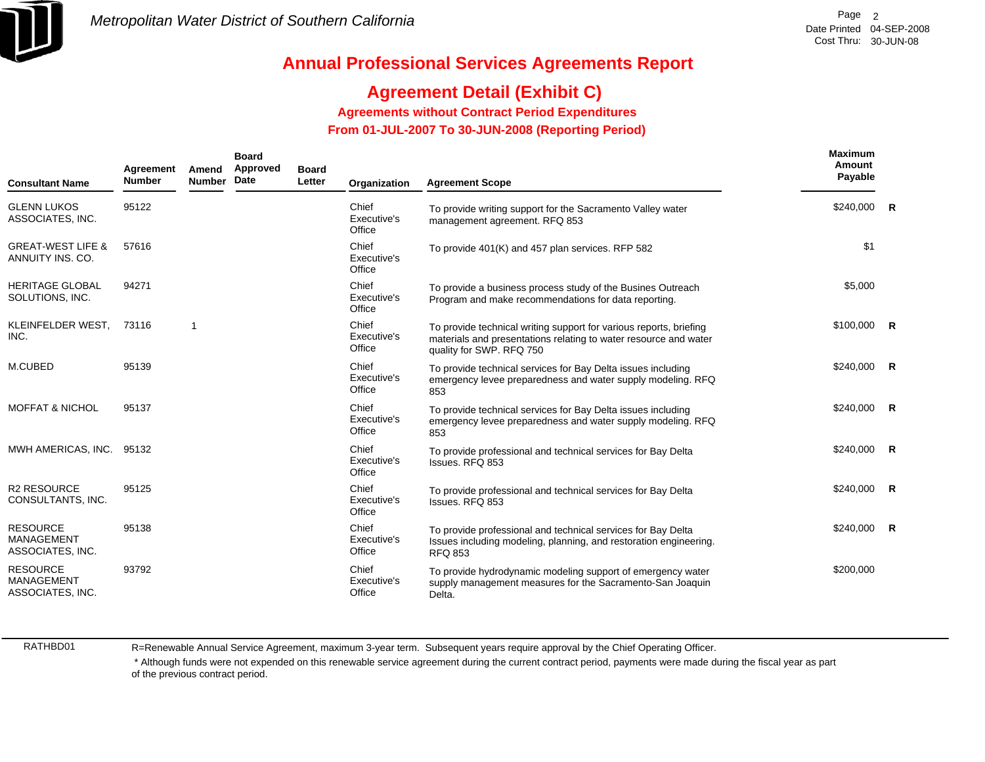

# **Agreement Detail (Exhibit C)**

**Agreements without Contract Period Expenditures**

 **From 01-JUL-2007 To 30-JUN-2008 (Reporting Period)** 

| <b>Consultant Name</b>                                   | Agreement<br><b>Number</b> | Amend<br><b>Number</b> | <b>Board</b><br>Approved<br>Date | <b>Board</b><br>Letter | Organization                   | <b>Agreement Scope</b>                                                                                                                                             | Maximum<br>Amount<br>Payable |  |
|----------------------------------------------------------|----------------------------|------------------------|----------------------------------|------------------------|--------------------------------|--------------------------------------------------------------------------------------------------------------------------------------------------------------------|------------------------------|--|
| <b>GLENN LUKOS</b><br>ASSOCIATES, INC.                   | 95122                      |                        |                                  |                        | Chief<br>Executive's<br>Office | To provide writing support for the Sacramento Valley water<br>management agreement. RFQ 853                                                                        | $$240,000$ R                 |  |
| <b>GREAT-WEST LIFE &amp;</b><br>ANNUITY INS. CO.         | 57616                      |                        |                                  |                        | Chief<br>Executive's<br>Office | To provide 401(K) and 457 plan services. RFP 582                                                                                                                   | \$1                          |  |
| <b>HERITAGE GLOBAL</b><br>SOLUTIONS, INC.                | 94271                      |                        |                                  |                        | Chief<br>Executive's<br>Office | To provide a business process study of the Busines Outreach<br>Program and make recommendations for data reporting.                                                | \$5,000                      |  |
| KLEINFELDER WEST,<br>INC.                                | 73116                      | $\mathbf 1$            |                                  |                        | Chief<br>Executive's<br>Office | To provide technical writing support for various reports, briefing<br>materials and presentations relating to water resource and water<br>quality for SWP. RFQ 750 | $$100,000$ R                 |  |
| M.CUBED                                                  | 95139                      |                        |                                  |                        | Chief<br>Executive's<br>Office | To provide technical services for Bay Delta issues including<br>emergency levee preparedness and water supply modeling. RFQ<br>853                                 | $$240,000$ R                 |  |
| <b>MOFFAT &amp; NICHOL</b>                               | 95137                      |                        |                                  |                        | Chief<br>Executive's<br>Office | To provide technical services for Bay Delta issues including<br>emergency levee preparedness and water supply modeling. RFQ<br>853                                 | $$240,000$ R                 |  |
| MWH AMERICAS, INC. 95132                                 |                            |                        |                                  |                        | Chief<br>Executive's<br>Office | To provide professional and technical services for Bay Delta<br>Issues, RFQ 853                                                                                    | \$240,000 R                  |  |
| <b>R2 RESOURCE</b><br>CONSULTANTS, INC.                  | 95125                      |                        |                                  |                        | Chief<br>Executive's<br>Office | To provide professional and technical services for Bay Delta<br>Issues, RFQ 853                                                                                    | $$240,000$ R                 |  |
| <b>RESOURCE</b><br><b>MANAGEMENT</b><br>ASSOCIATES, INC. | 95138                      |                        |                                  |                        | Chief<br>Executive's<br>Office | To provide professional and technical services for Bay Delta<br>Issues including modeling, planning, and restoration engineering.<br><b>RFQ 853</b>                | \$240,000 R                  |  |
| <b>RESOURCE</b><br><b>MANAGEMENT</b><br>ASSOCIATES, INC. | 93792                      |                        |                                  |                        | Chief<br>Executive's<br>Office | To provide hydrodynamic modeling support of emergency water<br>supply management measures for the Sacramento-San Joaquin<br>Delta.                                 | \$200,000                    |  |

RATHBD01

R=Renewable Annual Service Agreement, maximum 3-year term. Subsequent years require approval by the Chief Operating Officer.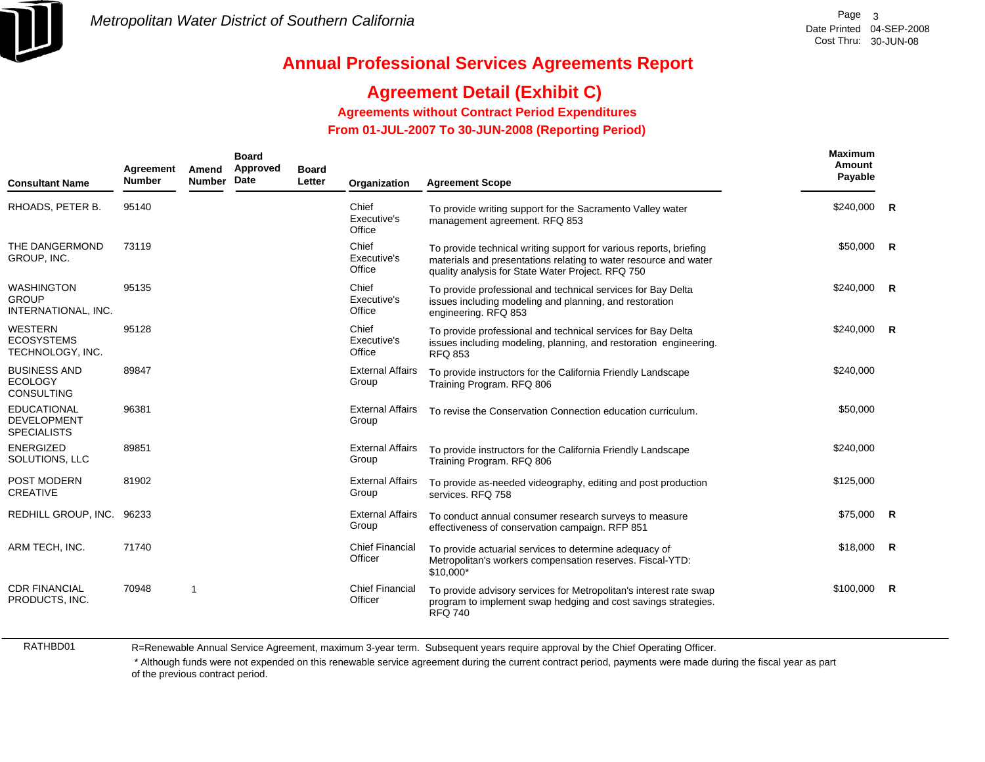

## **Agreement Detail (Exhibit C)**

**Agreements without Contract Period Expenditures**

 **From 01-JUL-2007 To 30-JUN-2008 (Reporting Period)** 

| <b>Consultant Name</b>                                         | Agreement<br><b>Number</b> | Amend<br><b>Number</b> | <b>Board</b><br>Approved<br>Date | <b>Board</b><br>Letter | Organization                      | <b>Agreement Scope</b>                                                                                                                                                                      | Maximum<br>Amount<br>Payable |                |
|----------------------------------------------------------------|----------------------------|------------------------|----------------------------------|------------------------|-----------------------------------|---------------------------------------------------------------------------------------------------------------------------------------------------------------------------------------------|------------------------------|----------------|
| RHOADS, PETER B.                                               | 95140                      |                        |                                  |                        | Chief<br>Executive's<br>Office    | To provide writing support for the Sacramento Valley water<br>management agreement. RFQ 853                                                                                                 | \$240,000                    | $\mathbf R$    |
| THE DANGERMOND<br>GROUP, INC.                                  | 73119                      |                        |                                  |                        | Chief<br>Executive's<br>Office    | To provide technical writing support for various reports, briefing<br>materials and presentations relating to water resource and water<br>quality analysis for State Water Project. RFQ 750 | \$50,000 R                   |                |
| <b>WASHINGTON</b><br><b>GROUP</b><br>INTERNATIONAL, INC.       | 95135                      |                        |                                  |                        | Chief<br>Executive's<br>Office    | To provide professional and technical services for Bay Delta<br>issues including modeling and planning, and restoration<br>engineering. RFQ 853                                             | \$240,000                    | R              |
| <b>WESTERN</b><br><b>ECOSYSTEMS</b><br>TECHNOLOGY, INC.        | 95128                      |                        |                                  |                        | Chief<br>Executive's<br>Office    | To provide professional and technical services for Bay Delta<br>issues including modeling, planning, and restoration engineering.<br><b>RFQ 853</b>                                         | \$240,000                    | $\mathbf R$    |
| <b>BUSINESS AND</b><br><b>ECOLOGY</b><br><b>CONSULTING</b>     | 89847                      |                        |                                  |                        | <b>External Affairs</b><br>Group  | To provide instructors for the California Friendly Landscape<br>Training Program. RFQ 806                                                                                                   | \$240,000                    |                |
| <b>EDUCATIONAL</b><br><b>DEVELOPMENT</b><br><b>SPECIALISTS</b> | 96381                      |                        |                                  |                        | <b>External Affairs</b><br>Group  | To revise the Conservation Connection education curriculum.                                                                                                                                 | \$50,000                     |                |
| <b>ENERGIZED</b><br>SOLUTIONS, LLC                             | 89851                      |                        |                                  |                        | <b>External Affairs</b><br>Group  | To provide instructors for the California Friendly Landscape<br>Training Program. RFQ 806                                                                                                   | \$240,000                    |                |
| POST MODERN<br><b>CREATIVE</b>                                 | 81902                      |                        |                                  |                        | <b>External Affairs</b><br>Group  | To provide as-needed videography, editing and post production<br>services. RFQ 758                                                                                                          | \$125,000                    |                |
| REDHILL GROUP, INC. 96233                                      |                            |                        |                                  |                        | <b>External Affairs</b><br>Group  | To conduct annual consumer research surveys to measure<br>effectiveness of conservation campaign. RFP 851                                                                                   | \$75.000                     | R              |
| ARM TECH, INC.                                                 | 71740                      |                        |                                  |                        | <b>Chief Financial</b><br>Officer | To provide actuarial services to determine adequacy of<br>Metropolitan's workers compensation reserves. Fiscal-YTD:<br>\$10,000*                                                            | \$18,000                     | $\overline{R}$ |
| <b>CDR FINANCIAL</b><br>PRODUCTS, INC.                         | 70948                      | 1                      |                                  |                        | <b>Chief Financial</b><br>Officer | To provide advisory services for Metropolitan's interest rate swap<br>program to implement swap hedging and cost savings strategies.<br><b>RFQ 740</b>                                      | \$100,000                    | R              |

RATHBD01

R=Renewable Annual Service Agreement, maximum 3-year term. Subsequent years require approval by the Chief Operating Officer.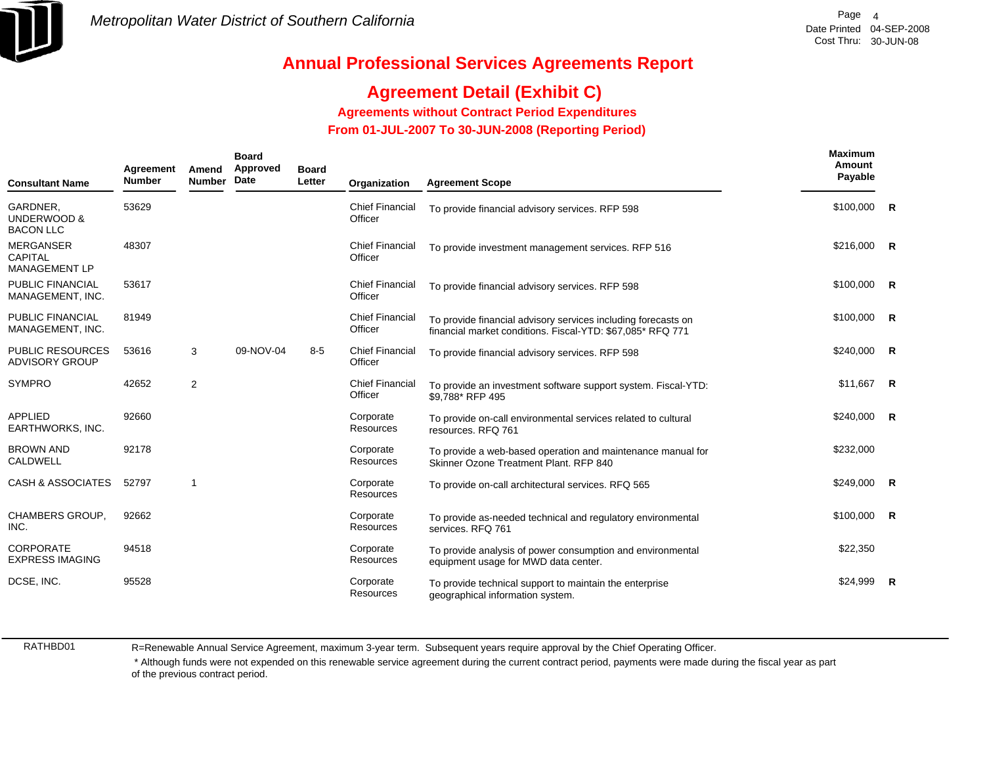

## **Agreement Detail (Exhibit C)**

**Agreements without Contract Period Expenditures**

 **From 01-JUL-2007 To 30-JUN-2008 (Reporting Period)** 

| <b>Consultant Name</b>                              | Agreement<br><b>Number</b> | Amend<br><b>Number</b> | <b>Board</b><br>Approved<br>Date | <b>Board</b><br>Letter | Organization                      | <b>Agreement Scope</b>                                                                                                      | Maximum<br>Amount<br>Payable |                |
|-----------------------------------------------------|----------------------------|------------------------|----------------------------------|------------------------|-----------------------------------|-----------------------------------------------------------------------------------------------------------------------------|------------------------------|----------------|
| GARDNER,<br>UNDERWOOD &<br><b>BACON LLC</b>         | 53629                      |                        |                                  |                        | <b>Chief Financial</b><br>Officer | To provide financial advisory services. RFP 598                                                                             | $$100,000$ R                 |                |
| <b>MERGANSER</b><br><b>CAPITAL</b><br>MANAGEMENT LP | 48307                      |                        |                                  |                        | <b>Chief Financial</b><br>Officer | To provide investment management services. RFP 516                                                                          | $$216,000$ R                 |                |
| PUBLIC FINANCIAL<br>MANAGEMENT, INC.                | 53617                      |                        |                                  |                        | <b>Chief Financial</b><br>Officer | To provide financial advisory services. RFP 598                                                                             | \$100,000                    | R              |
| PUBLIC FINANCIAL<br>MANAGEMENT, INC.                | 81949                      |                        |                                  |                        | <b>Chief Financial</b><br>Officer | To provide financial advisory services including forecasts on<br>financial market conditions. Fiscal-YTD: \$67,085* RFQ 771 | \$100,000                    | $\mathsf{R}$   |
| <b>PUBLIC RESOURCES</b><br><b>ADVISORY GROUP</b>    | 53616                      | 3                      | 09-NOV-04                        | $8 - 5$                | <b>Chief Financial</b><br>Officer | To provide financial advisory services. RFP 598                                                                             | \$240,000                    | $\mathsf{R}$   |
| <b>SYMPRO</b>                                       | 42652                      | $\overline{2}$         |                                  |                        | <b>Chief Financial</b><br>Officer | To provide an investment software support system. Fiscal-YTD:<br>\$9,788* RFP 495                                           | \$11,667                     | $\overline{R}$ |
| APPLIED<br>EARTHWORKS, INC.                         | 92660                      |                        |                                  |                        | Corporate<br>Resources            | To provide on-call environmental services related to cultural<br>resources, RFQ 761                                         | \$240,000                    | R              |
| <b>BROWN AND</b><br>CALDWELL                        | 92178                      |                        |                                  |                        | Corporate<br>Resources            | To provide a web-based operation and maintenance manual for<br>Skinner Ozone Treatment Plant. RFP 840                       | \$232,000                    |                |
| <b>CASH &amp; ASSOCIATES</b>                        | 52797                      | -1                     |                                  |                        | Corporate<br><b>Resources</b>     | To provide on-call architectural services. RFQ 565                                                                          | $$249,000$ R                 |                |
| <b>CHAMBERS GROUP,</b><br>INC.                      | 92662                      |                        |                                  |                        | Corporate<br>Resources            | To provide as-needed technical and regulatory environmental<br>services. RFQ 761                                            | \$100,000                    | $\mathsf{R}$   |
| <b>CORPORATE</b><br><b>EXPRESS IMAGING</b>          | 94518                      |                        |                                  |                        | Corporate<br>Resources            | To provide analysis of power consumption and environmental<br>equipment usage for MWD data center.                          | \$22,350                     |                |
| DCSE, INC.                                          | 95528                      |                        |                                  |                        | Corporate<br><b>Resources</b>     | To provide technical support to maintain the enterprise<br>geographical information system.                                 | \$24.999                     | - R            |

RATHBD01

R=Renewable Annual Service Agreement, maximum 3-year term. Subsequent years require approval by the Chief Operating Officer.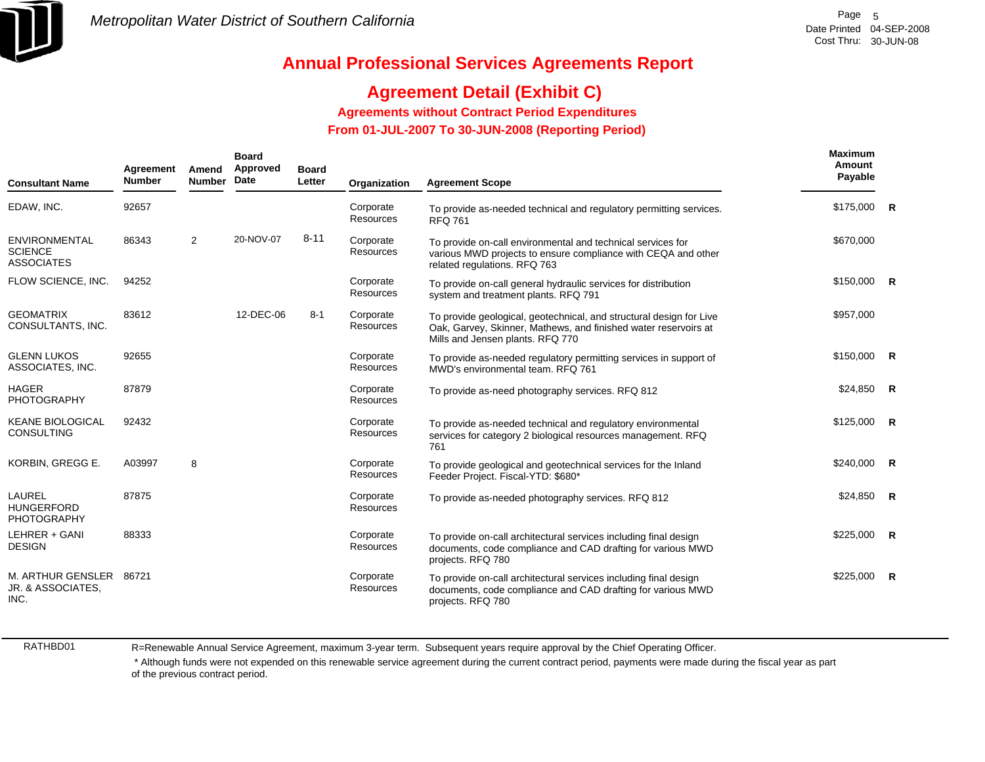

## **Agreement Detail (Exhibit C)**

**Agreements without Contract Period Expenditures**

 **From 01-JUL-2007 To 30-JUN-2008 (Reporting Period)** 

| <b>Consultant Name</b>                                      | Agreement<br><b>Number</b> | Amend<br><b>Number</b> | <b>Board</b><br>Approved<br>Date | <b>Board</b><br>Letter | Organization                  | <b>Agreement Scope</b>                                                                                                                                                     | Maximum<br>Amount<br>Payable |                |
|-------------------------------------------------------------|----------------------------|------------------------|----------------------------------|------------------------|-------------------------------|----------------------------------------------------------------------------------------------------------------------------------------------------------------------------|------------------------------|----------------|
| EDAW, INC.                                                  | 92657                      |                        |                                  |                        | Corporate<br><b>Resources</b> | To provide as-needed technical and regulatory permitting services.<br><b>RFQ 761</b>                                                                                       | \$175,000 R                  |                |
| <b>ENVIRONMENTAL</b><br><b>SCIENCE</b><br><b>ASSOCIATES</b> | 86343                      | 2                      | 20-NOV-07                        | $8 - 11$               | Corporate<br><b>Resources</b> | To provide on-call environmental and technical services for<br>various MWD projects to ensure compliance with CEQA and other<br>related regulations. RFQ 763               | \$670,000                    |                |
| FLOW SCIENCE, INC.                                          | 94252                      |                        |                                  |                        | Corporate<br>Resources        | To provide on-call general hydraulic services for distribution<br>system and treatment plants. RFQ 791                                                                     | $$150,000$ R                 |                |
| <b>GEOMATRIX</b><br>CONSULTANTS, INC.                       | 83612                      |                        | 12-DEC-06                        | $8 - 1$                | Corporate<br>Resources        | To provide geological, geotechnical, and structural design for Live<br>Oak, Garvey, Skinner, Mathews, and finished water reservoirs at<br>Mills and Jensen plants. RFQ 770 | \$957,000                    |                |
| <b>GLENN LUKOS</b><br>ASSOCIATES, INC.                      | 92655                      |                        |                                  |                        | Corporate<br><b>Resources</b> | To provide as-needed regulatory permitting services in support of<br>MWD's environmental team. RFQ 761                                                                     | $$150,000$ R                 |                |
| <b>HAGER</b><br><b>PHOTOGRAPHY</b>                          | 87879                      |                        |                                  |                        | Corporate<br>Resources        | To provide as-need photography services. RFQ 812                                                                                                                           | $$24,850$ R                  |                |
| <b>KEANE BIOLOGICAL</b><br><b>CONSULTING</b>                | 92432                      |                        |                                  |                        | Corporate<br>Resources        | To provide as-needed technical and regulatory environmental<br>services for category 2 biological resources management. RFQ<br>761                                         | \$125,000                    | R              |
| KORBIN, GREGG E.                                            | A03997                     | 8                      |                                  |                        | Corporate<br><b>Resources</b> | To provide geological and geotechnical services for the Inland<br>Feeder Project. Fiscal-YTD: \$680*                                                                       | \$240,000                    | $\overline{R}$ |
| <b>LAUREL</b><br><b>HUNGERFORD</b><br><b>PHOTOGRAPHY</b>    | 87875                      |                        |                                  |                        | Corporate<br>Resources        | To provide as-needed photography services. RFQ 812                                                                                                                         | $$24,850$ R                  |                |
| LEHRER + GANI<br><b>DESIGN</b>                              | 88333                      |                        |                                  |                        | Corporate<br><b>Resources</b> | To provide on-call architectural services including final design<br>documents, code compliance and CAD drafting for various MWD<br>projects. RFQ 780                       | \$225,000                    | $\overline{R}$ |
| M. ARTHUR GENSLER 86721<br>JR. & ASSOCIATES,<br>INC.        |                            |                        |                                  |                        | Corporate<br>Resources        | To provide on-call architectural services including final design<br>documents, code compliance and CAD drafting for various MWD<br>projects. RFQ 780                       | \$225,000                    | $\overline{R}$ |

RATHBD01

R=Renewable Annual Service Agreement, maximum 3-year term. Subsequent years require approval by the Chief Operating Officer.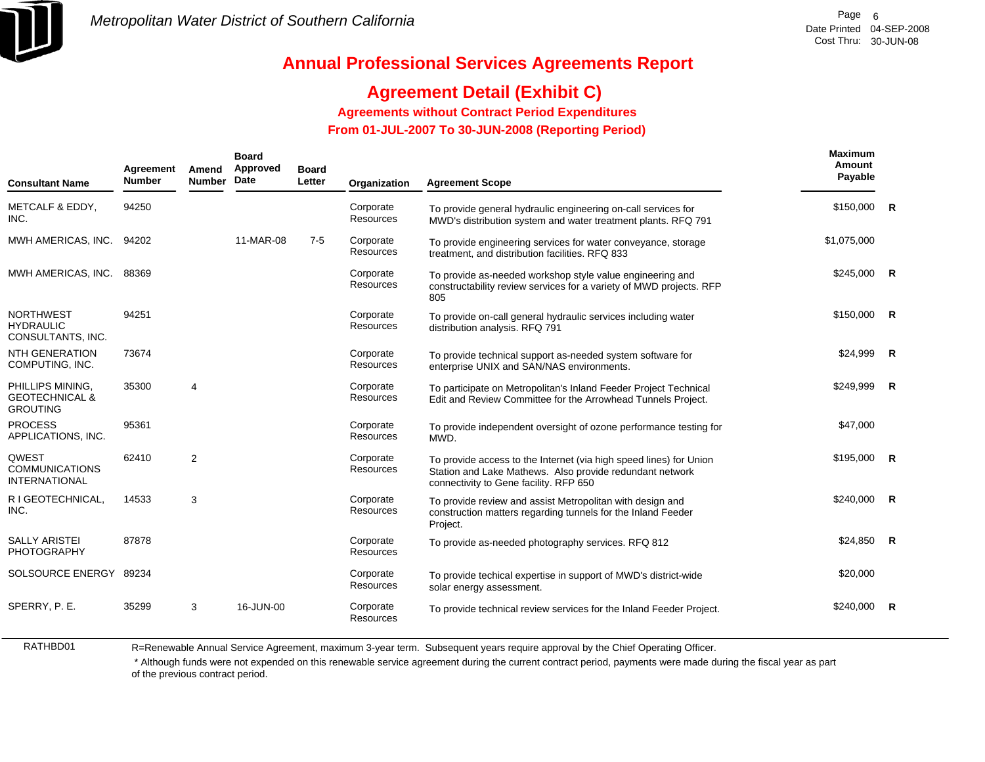

## **Agreement Detail (Exhibit C)**

**Agreements without Contract Period Expenditures**

 **From 01-JUL-2007 To 30-JUN-2008 (Reporting Period)** 

| <b>Consultant Name</b>                                           | Agreement<br><b>Number</b> | Amend<br><b>Number</b> | <b>Board</b><br>Approved<br>Date | <b>Board</b><br>Letter | Organization                  | <b>Agreement Scope</b>                                                                                                                                                   | <b>Maximum</b><br>Amount<br>Payable |              |
|------------------------------------------------------------------|----------------------------|------------------------|----------------------------------|------------------------|-------------------------------|--------------------------------------------------------------------------------------------------------------------------------------------------------------------------|-------------------------------------|--------------|
| METCALF & EDDY,<br>INC.                                          | 94250                      |                        |                                  |                        | Corporate<br><b>Resources</b> | To provide general hydraulic engineering on-call services for<br>MWD's distribution system and water treatment plants. RFQ 791                                           | \$150,000                           | $\mathsf{R}$ |
| MWH AMERICAS, INC.                                               | 94202                      |                        | 11-MAR-08                        | $7 - 5$                | Corporate<br>Resources        | To provide engineering services for water conveyance, storage<br>treatment, and distribution facilities. RFQ 833                                                         | \$1,075,000                         |              |
| MWH AMERICAS, INC.                                               | 88369                      |                        |                                  |                        | Corporate<br>Resources        | To provide as-needed workshop style value engineering and<br>constructability review services for a variety of MWD projects. RFP<br>805                                  | \$245,000                           | $\mathsf{R}$ |
| <b>NORTHWEST</b><br><b>HYDRAULIC</b><br>CONSULTANTS, INC.        | 94251                      |                        |                                  |                        | Corporate<br>Resources        | To provide on-call general hydraulic services including water<br>distribution analysis. RFQ 791                                                                          | \$150,000                           | -R           |
| <b>NTH GENERATION</b><br>COMPUTING, INC.                         | 73674                      |                        |                                  |                        | Corporate<br><b>Resources</b> | To provide technical support as-needed system software for<br>enterprise UNIX and SAN/NAS environments.                                                                  | \$24,999                            | -R           |
| PHILLIPS MINING.<br><b>GEOTECHNICAL &amp;</b><br><b>GROUTING</b> | 35300                      | $\overline{4}$         |                                  |                        | Corporate<br><b>Resources</b> | To participate on Metropolitan's Inland Feeder Project Technical<br>Edit and Review Committee for the Arrowhead Tunnels Project.                                         | \$249,999                           | $\mathsf{R}$ |
| <b>PROCESS</b><br>APPLICATIONS, INC.                             | 95361                      |                        |                                  |                        | Corporate<br><b>Resources</b> | To provide independent oversight of ozone performance testing for<br>MWD.                                                                                                | \$47,000                            |              |
| QWEST<br><b>COMMUNICATIONS</b><br><b>INTERNATIONAL</b>           | 62410                      | 2                      |                                  |                        | Corporate<br>Resources        | To provide access to the Internet (via high speed lines) for Union<br>Station and Lake Mathews. Also provide redundant network<br>connectivity to Gene facility. RFP 650 | \$195,000                           | $\mathsf{R}$ |
| R I GEOTECHNICAL,<br>INC.                                        | 14533                      | 3                      |                                  |                        | Corporate<br>Resources        | To provide review and assist Metropolitan with design and<br>construction matters regarding tunnels for the Inland Feeder<br>Project.                                    | \$240,000                           | <b>R</b>     |
| <b>SALLY ARISTEI</b><br><b>PHOTOGRAPHY</b>                       | 87878                      |                        |                                  |                        | Corporate<br>Resources        | To provide as-needed photography services. RFQ 812                                                                                                                       | \$24,850                            | R            |
| SOLSOURCE ENERGY 89234                                           |                            |                        |                                  |                        | Corporate<br>Resources        | To provide techical expertise in support of MWD's district-wide<br>solar energy assessment.                                                                              | \$20,000                            |              |
| SPERRY, P. E.                                                    | 35299                      | 3                      | 16-JUN-00                        |                        | Corporate<br>Resources        | To provide technical review services for the Inland Feeder Project.                                                                                                      | \$240,000                           | -R           |

RATHBD01

R=Renewable Annual Service Agreement, maximum 3-year term. Subsequent years require approval by the Chief Operating Officer.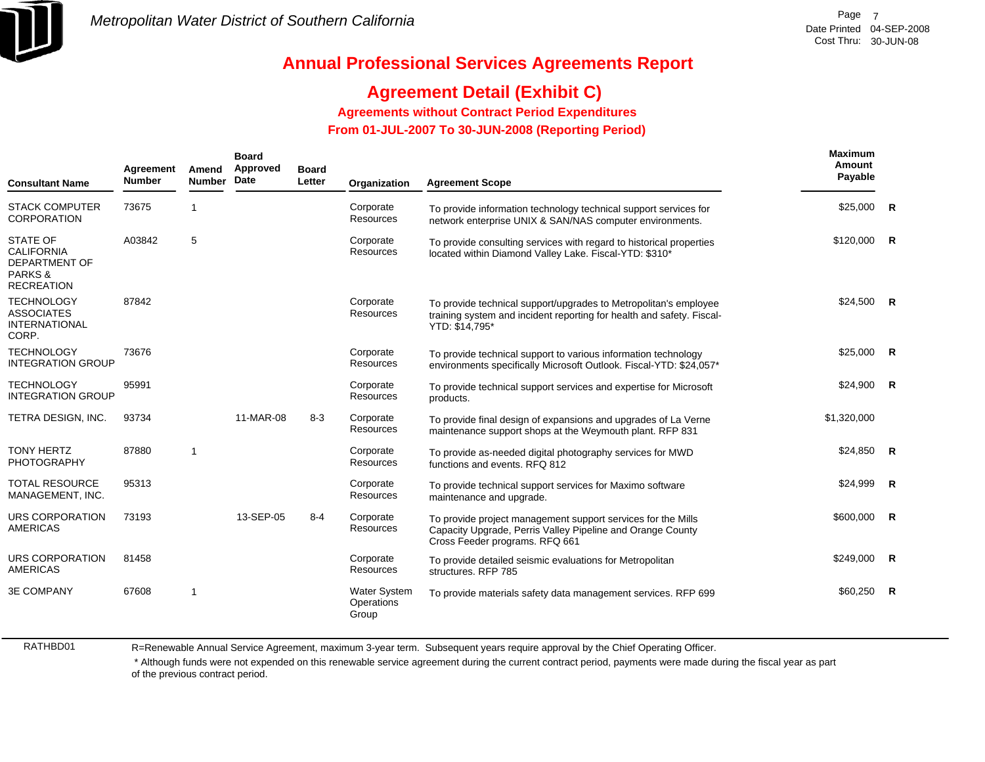

## **Agreement Detail (Exhibit C)**

**Agreements without Contract Period Expenditures**

 **From 01-JUL-2007 To 30-JUN-2008 (Reporting Period)** 

| <b>Consultant Name</b>                                                               | Agreement<br><b>Number</b> | Amend<br><b>Number</b> | <b>Board</b><br>Approved<br>Date | <b>Board</b><br>Letter | Organization                               | <b>Agreement Scope</b>                                                                                                                                       | <b>Maximum</b><br>Amount<br>Payable |                |
|--------------------------------------------------------------------------------------|----------------------------|------------------------|----------------------------------|------------------------|--------------------------------------------|--------------------------------------------------------------------------------------------------------------------------------------------------------------|-------------------------------------|----------------|
| <b>STACK COMPUTER</b><br><b>CORPORATION</b>                                          | 73675                      | $\mathbf{1}$           |                                  |                        | Corporate<br>Resources                     | To provide information technology technical support services for<br>network enterprise UNIX & SAN/NAS computer environments.                                 | \$25,000                            | R              |
| STATE OF<br><b>CALIFORNIA</b><br><b>DEPARTMENT OF</b><br>PARKS&<br><b>RECREATION</b> | A03842                     | 5                      |                                  |                        | Corporate<br>Resources                     | To provide consulting services with regard to historical properties<br>located within Diamond Valley Lake. Fiscal-YTD: \$310*                                | \$120,000                           | $\mathsf{R}$   |
| <b>TECHNOLOGY</b><br><b>ASSOCIATES</b><br><b>INTERNATIONAL</b><br>CORP.              | 87842                      |                        |                                  |                        | Corporate<br>Resources                     | To provide technical support/upgrades to Metropolitan's employee<br>training system and incident reporting for health and safety. Fiscal-<br>YTD: \$14,795*  | $$24,500$ R                         |                |
| <b>TECHNOLOGY</b><br><b>INTEGRATION GROUP</b>                                        | 73676                      |                        |                                  |                        | Corporate<br>Resources                     | To provide technical support to various information technology<br>environments specifically Microsoft Outlook. Fiscal-YTD: \$24,057*                         | \$25,000                            | $\overline{R}$ |
| <b>TECHNOLOGY</b><br><b>INTEGRATION GROUP</b>                                        | 95991                      |                        |                                  |                        | Corporate<br>Resources                     | To provide technical support services and expertise for Microsoft<br>products.                                                                               | \$24,900                            | R              |
| TETRA DESIGN, INC.                                                                   | 93734                      |                        | 11-MAR-08                        | $8 - 3$                | Corporate<br>Resources                     | To provide final design of expansions and upgrades of La Verne<br>maintenance support shops at the Weymouth plant. RFP 831                                   | \$1,320,000                         |                |
| <b>TONY HERTZ</b><br>PHOTOGRAPHY                                                     | 87880                      | $\mathbf{1}$           |                                  |                        | Corporate<br>Resources                     | To provide as-needed digital photography services for MWD<br>functions and events, RFQ 812                                                                   | $$24,850$ R                         |                |
| <b>TOTAL RESOURCE</b><br>MANAGEMENT, INC.                                            | 95313                      |                        |                                  |                        | Corporate<br>Resources                     | To provide technical support services for Maximo software<br>maintenance and upgrade.                                                                        | \$24,999                            | R              |
| URS CORPORATION<br><b>AMERICAS</b>                                                   | 73193                      |                        | 13-SEP-05                        | $8 - 4$                | Corporate<br>Resources                     | To provide project management support services for the Mills<br>Capacity Upgrade, Perris Valley Pipeline and Orange County<br>Cross Feeder programs. RFQ 661 | \$600,000                           | R              |
| URS CORPORATION<br><b>AMERICAS</b>                                                   | 81458                      |                        |                                  |                        | Corporate<br>Resources                     | To provide detailed seismic evaluations for Metropolitan<br>structures. RFP 785                                                                              | \$249,000                           | $\mathsf{R}$   |
| <b>3E COMPANY</b>                                                                    | 67608                      | $\mathbf{1}$           |                                  |                        | <b>Water System</b><br>Operations<br>Group | To provide materials safety data management services. RFP 699                                                                                                | \$60.250                            | $\mathbf R$    |

RATHBD01

R=Renewable Annual Service Agreement, maximum 3-year term. Subsequent years require approval by the Chief Operating Officer.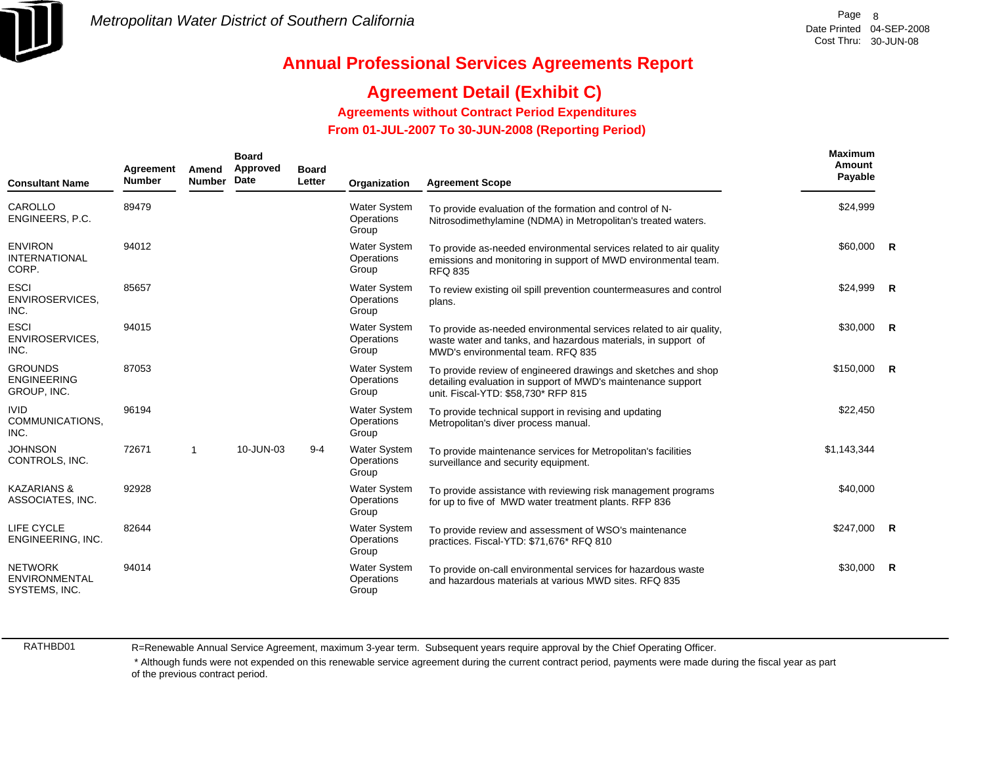

## **Agreement Detail (Exhibit C)**

**Agreements without Contract Period Expenditures**

 **From 01-JUL-2007 To 30-JUN-2008 (Reporting Period)** 

| <b>Consultant Name</b>                                  | Agreement<br><b>Number</b> | Amend<br><b>Number</b> | <b>Board</b><br>Approved<br>Date | <b>Board</b><br>Letter | Organization                               | <b>Agreement Scope</b>                                                                                                                                                    | Maximum<br>Amount<br>Payable |  |
|---------------------------------------------------------|----------------------------|------------------------|----------------------------------|------------------------|--------------------------------------------|---------------------------------------------------------------------------------------------------------------------------------------------------------------------------|------------------------------|--|
| CAROLLO<br>ENGINEERS, P.C.                              | 89479                      |                        |                                  |                        | <b>Water System</b><br>Operations<br>Group | To provide evaluation of the formation and control of N-<br>Nitrosodimethylamine (NDMA) in Metropolitan's treated waters.                                                 | \$24,999                     |  |
| <b>ENVIRON</b><br><b>INTERNATIONAL</b><br>CORP.         | 94012                      |                        |                                  |                        | <b>Water System</b><br>Operations<br>Group | To provide as-needed environmental services related to air quality<br>emissions and monitoring in support of MWD environmental team.<br><b>RFQ 835</b>                    | $$60,000$ R                  |  |
| <b>ESCI</b><br>ENVIROSERVICES,<br>INC.                  | 85657                      |                        |                                  |                        | <b>Water System</b><br>Operations<br>Group | To review existing oil spill prevention countermeasures and control<br>plans.                                                                                             | $$24,999$ R                  |  |
| <b>ESCI</b><br>ENVIROSERVICES,<br>INC.                  | 94015                      |                        |                                  |                        | <b>Water System</b><br>Operations<br>Group | To provide as-needed environmental services related to air quality,<br>waste water and tanks, and hazardous materials, in support of<br>MWD's environmental team. RFQ 835 | $$30,000$ R                  |  |
| <b>GROUNDS</b><br><b>ENGINEERING</b><br>GROUP, INC.     | 87053                      |                        |                                  |                        | <b>Water System</b><br>Operations<br>Group | To provide review of engineered drawings and sketches and shop<br>detailing evaluation in support of MWD's maintenance support<br>unit. Fiscal-YTD: \$58,730* RFP 815     | $$150,000$ R                 |  |
| <b>IVID</b><br>COMMUNICATIONS,<br>INC.                  | 96194                      |                        |                                  |                        | <b>Water System</b><br>Operations<br>Group | To provide technical support in revising and updating<br>Metropolitan's diver process manual.                                                                             | \$22,450                     |  |
| <b>JOHNSON</b><br>CONTROLS, INC.                        | 72671                      | -1                     | 10-JUN-03                        | $9 - 4$                | <b>Water System</b><br>Operations<br>Group | To provide maintenance services for Metropolitan's facilities<br>surveillance and security equipment.                                                                     | \$1,143,344                  |  |
| <b>KAZARIANS &amp;</b><br>ASSOCIATES, INC.              | 92928                      |                        |                                  |                        | <b>Water System</b><br>Operations<br>Group | To provide assistance with reviewing risk management programs<br>for up to five of MWD water treatment plants. RFP 836                                                    | \$40,000                     |  |
| LIFE CYCLE<br>ENGINEERING, INC.                         | 82644                      |                        |                                  |                        | <b>Water System</b><br>Operations<br>Group | To provide review and assessment of WSO's maintenance<br>practices. Fiscal-YTD: \$71,676* RFQ 810                                                                         | $$247,000$ R                 |  |
| <b>NETWORK</b><br><b>ENVIRONMENTAL</b><br>SYSTEMS, INC. | 94014                      |                        |                                  |                        | <b>Water System</b><br>Operations<br>Group | To provide on-call environmental services for hazardous waste<br>and hazardous materials at various MWD sites, RFQ 835                                                    | \$30,000 R                   |  |

RATHBD01

R=Renewable Annual Service Agreement, maximum 3-year term. Subsequent years require approval by the Chief Operating Officer.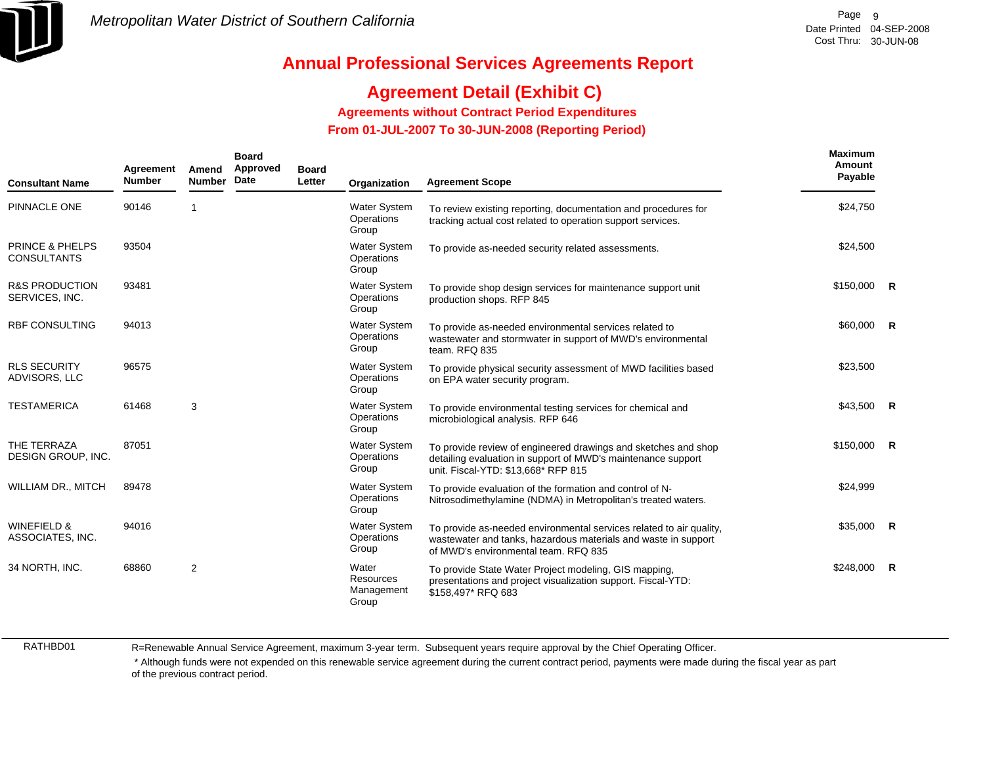

# **Agreement Detail (Exhibit C)**

**Agreements without Contract Period Expenditures**

 **From 01-JUL-2007 To 30-JUN-2008 (Reporting Period)** 

| <b>Consultant Name</b>                           | Agreement<br><b>Number</b> | Amend<br><b>Number</b> | <b>Board</b><br>Approved<br>Date | <b>Board</b><br>Letter | Organization                               | <b>Agreement Scope</b>                                                                                                                                                        | <b>Maximum</b><br>Amount<br>Payable |   |
|--------------------------------------------------|----------------------------|------------------------|----------------------------------|------------------------|--------------------------------------------|-------------------------------------------------------------------------------------------------------------------------------------------------------------------------------|-------------------------------------|---|
| PINNACLE ONE                                     | 90146                      | 1                      |                                  |                        | <b>Water System</b><br>Operations<br>Group | To review existing reporting, documentation and procedures for<br>tracking actual cost related to operation support services.                                                 | \$24,750                            |   |
| <b>PRINCE &amp; PHELPS</b><br><b>CONSULTANTS</b> | 93504                      |                        |                                  |                        | <b>Water System</b><br>Operations<br>Group | To provide as-needed security related assessments.                                                                                                                            | \$24,500                            |   |
| <b>R&amp;S PRODUCTION</b><br>SERVICES, INC.      | 93481                      |                        |                                  |                        | <b>Water System</b><br>Operations<br>Group | To provide shop design services for maintenance support unit<br>production shops. RFP 845                                                                                     | $$150,000$ R                        |   |
| <b>RBF CONSULTING</b>                            | 94013                      |                        |                                  |                        | <b>Water System</b><br>Operations<br>Group | To provide as-needed environmental services related to<br>wastewater and stormwater in support of MWD's environmental<br>team. RFQ 835                                        | \$60,000 R                          |   |
| <b>RLS SECURITY</b><br>ADVISORS, LLC             | 96575                      |                        |                                  |                        | <b>Water System</b><br>Operations<br>Group | To provide physical security assessment of MWD facilities based<br>on EPA water security program.                                                                             | \$23,500                            |   |
| <b>TESTAMERICA</b>                               | 61468                      | 3                      |                                  |                        | <b>Water System</b><br>Operations<br>Group | To provide environmental testing services for chemical and<br>microbiological analysis. RFP 646                                                                               | \$43,500 R                          |   |
| THE TERRAZA<br>DESIGN GROUP, INC.                | 87051                      |                        |                                  |                        | <b>Water System</b><br>Operations<br>Group | To provide review of engineered drawings and sketches and shop<br>detailing evaluation in support of MWD's maintenance support<br>unit. Fiscal-YTD: \$13,668* RFP 815         | $$150,000$ R                        |   |
| WILLIAM DR., MITCH                               | 89478                      |                        |                                  |                        | <b>Water System</b><br>Operations<br>Group | To provide evaluation of the formation and control of N-<br>Nitrosodimethylamine (NDMA) in Metropolitan's treated waters.                                                     | \$24,999                            |   |
| <b>WINEFIELD &amp;</b><br>ASSOCIATES, INC.       | 94016                      |                        |                                  |                        | <b>Water System</b><br>Operations<br>Group | To provide as-needed environmental services related to air quality,<br>wastewater and tanks, hazardous materials and waste in support<br>of MWD's environmental team. RFQ 835 | $$35,000$ R                         |   |
| 34 NORTH, INC.                                   | 68860                      | $\overline{2}$         |                                  |                        | Water<br>Resources<br>Management<br>Group  | To provide State Water Project modeling, GIS mapping,<br>presentations and project visualization support. Fiscal-YTD:<br>\$158,497* RFQ 683                                   | \$248,000                           | R |

RATHBD01

R=Renewable Annual Service Agreement, maximum 3-year term. Subsequent years require approval by the Chief Operating Officer.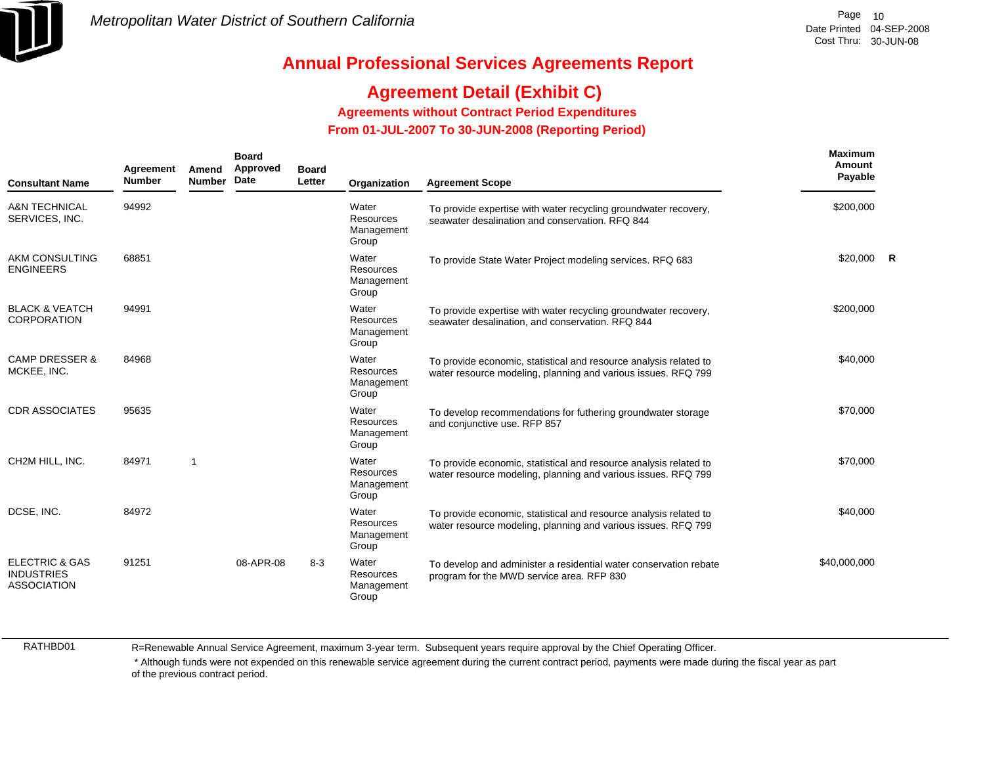

# **Agreement Detail (Exhibit C)**

**Agreements without Contract Period Expenditures**

 **From 01-JUL-2007 To 30-JUN-2008 (Reporting Period)** 

| <b>Consultant Name</b>                                               | Agreement<br><b>Number</b> | Amend<br><b>Number</b> | <b>Board</b><br>Approved<br>Date | <b>Board</b><br>Letter | Organization                              | <b>Agreement Scope</b>                                                                                                             | <b>Maximum</b><br>Amount<br>Payable |  |
|----------------------------------------------------------------------|----------------------------|------------------------|----------------------------------|------------------------|-------------------------------------------|------------------------------------------------------------------------------------------------------------------------------------|-------------------------------------|--|
| <b>A&amp;N TECHNICAL</b><br>SERVICES, INC.                           | 94992                      |                        |                                  |                        | Water<br>Resources<br>Management<br>Group | To provide expertise with water recycling groundwater recovery,<br>seawater desalination and conservation. RFQ 844                 | \$200,000                           |  |
| AKM CONSULTING<br><b>ENGINEERS</b>                                   | 68851                      |                        |                                  |                        | Water<br>Resources<br>Management<br>Group | To provide State Water Project modeling services. RFQ 683                                                                          | $$20,000$ R                         |  |
| <b>BLACK &amp; VEATCH</b><br><b>CORPORATION</b>                      | 94991                      |                        |                                  |                        | Water<br>Resources<br>Management<br>Group | To provide expertise with water recycling groundwater recovery,<br>seawater desalination, and conservation. RFQ 844                | \$200.000                           |  |
| <b>CAMP DRESSER &amp;</b><br>MCKEE, INC.                             | 84968                      |                        |                                  |                        | Water<br>Resources<br>Management<br>Group | To provide economic, statistical and resource analysis related to<br>water resource modeling, planning and various issues. RFQ 799 | \$40,000                            |  |
| <b>CDR ASSOCIATES</b>                                                | 95635                      |                        |                                  |                        | Water<br>Resources<br>Management<br>Group | To develop recommendations for futhering groundwater storage<br>and conjunctive use. RFP 857                                       | \$70,000                            |  |
| CH2M HILL, INC.                                                      | 84971                      | -1                     |                                  |                        | Water<br>Resources<br>Management<br>Group | To provide economic, statistical and resource analysis related to<br>water resource modeling, planning and various issues. RFQ 799 | \$70,000                            |  |
| DCSE, INC.                                                           | 84972                      |                        |                                  |                        | Water<br>Resources<br>Management<br>Group | To provide economic, statistical and resource analysis related to<br>water resource modeling, planning and various issues. RFQ 799 | \$40,000                            |  |
| <b>ELECTRIC &amp; GAS</b><br><b>INDUSTRIES</b><br><b>ASSOCIATION</b> | 91251                      |                        | 08-APR-08                        | $8 - 3$                | Water<br>Resources<br>Management<br>Group | To develop and administer a residential water conservation rebate<br>program for the MWD service area. RFP 830                     | \$40,000,000                        |  |

RATHBD01

R=Renewable Annual Service Agreement, maximum 3-year term. Subsequent years require approval by the Chief Operating Officer.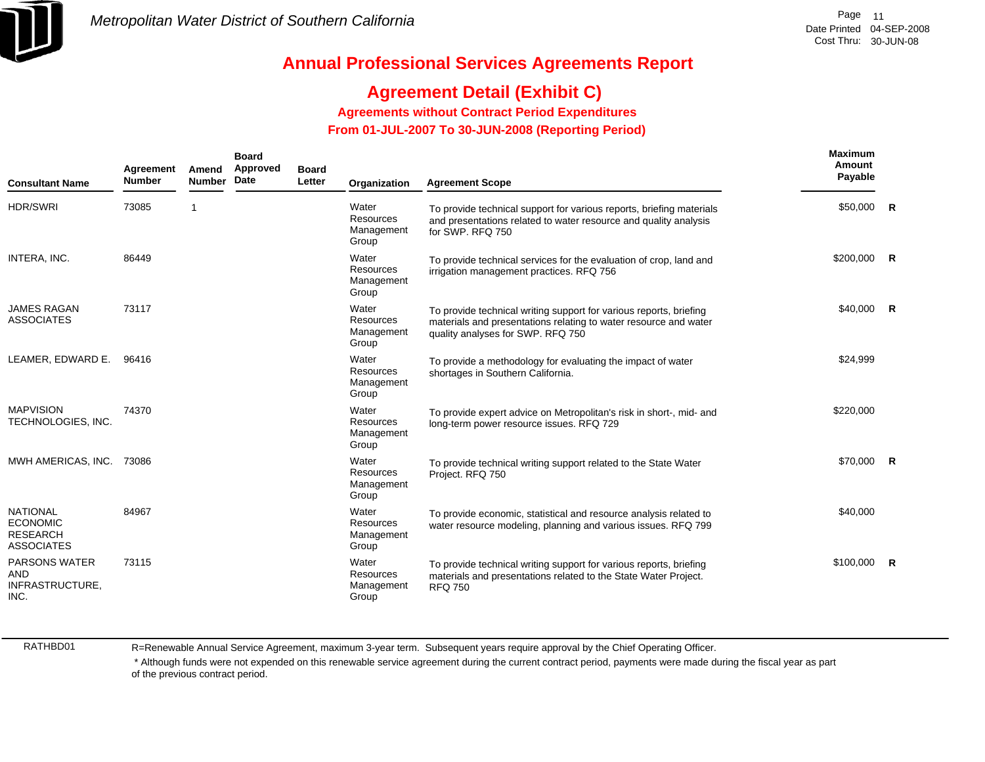

## **Agreement Detail (Exhibit C)**

**Agreements without Contract Period Expenditures**

 **From 01-JUL-2007 To 30-JUN-2008 (Reporting Period)** 

| <b>Consultant Name</b>                                                     | Agreement<br><b>Number</b> | Amend<br><b>Number</b> | <b>Board</b><br>Approved<br>Date | <b>Board</b><br>Letter | Organization                                     | <b>Agreement Scope</b>                                                                                                                                                      | <b>Maximum</b><br>Amount<br>Payable |   |
|----------------------------------------------------------------------------|----------------------------|------------------------|----------------------------------|------------------------|--------------------------------------------------|-----------------------------------------------------------------------------------------------------------------------------------------------------------------------------|-------------------------------------|---|
| <b>HDR/SWRI</b>                                                            | 73085                      |                        |                                  |                        | Water<br><b>Resources</b><br>Management<br>Group | To provide technical support for various reports, briefing materials<br>and presentations related to water resource and quality analysis<br>for SWP. RFQ 750                | \$50,000 R                          |   |
| INTERA, INC.                                                               | 86449                      |                        |                                  |                        | Water<br><b>Resources</b><br>Management<br>Group | To provide technical services for the evaluation of crop, land and<br>irrigation management practices. RFQ 756                                                              | $$200,000$ R                        |   |
| <b>JAMES RAGAN</b><br><b>ASSOCIATES</b>                                    | 73117                      |                        |                                  |                        | Water<br>Resources<br>Management<br>Group        | To provide technical writing support for various reports, briefing<br>materials and presentations relating to water resource and water<br>quality analyses for SWP. RFQ 750 | \$40,000                            | R |
| LEAMER, EDWARD E.                                                          | 96416                      |                        |                                  |                        | Water<br><b>Resources</b><br>Management<br>Group | To provide a methodology for evaluating the impact of water<br>shortages in Southern California.                                                                            | \$24,999                            |   |
| <b>MAPVISION</b><br>TECHNOLOGIES, INC.                                     | 74370                      |                        |                                  |                        | Water<br><b>Resources</b><br>Management<br>Group | To provide expert advice on Metropolitan's risk in short-, mid- and<br>long-term power resource issues. RFQ 729                                                             | \$220,000                           |   |
| MWH AMERICAS, INC. 73086                                                   |                            |                        |                                  |                        | Water<br>Resources<br>Management<br>Group        | To provide technical writing support related to the State Water<br>Project. RFQ 750                                                                                         | \$70,000 R                          |   |
| <b>NATIONAL</b><br><b>ECONOMIC</b><br><b>RESEARCH</b><br><b>ASSOCIATES</b> | 84967                      |                        |                                  |                        | Water<br><b>Resources</b><br>Management<br>Group | To provide economic, statistical and resource analysis related to<br>water resource modeling, planning and various issues. RFQ 799                                          | \$40,000                            |   |
| <b>PARSONS WATER</b><br><b>AND</b><br>INFRASTRUCTURE,<br>INC.              | 73115                      |                        |                                  |                        | Water<br>Resources<br>Management<br>Group        | To provide technical writing support for various reports, briefing<br>materials and presentations related to the State Water Project.<br><b>RFQ 750</b>                     | \$100,000                           | R |

RATHBD01

R=Renewable Annual Service Agreement, maximum 3-year term. Subsequent years require approval by the Chief Operating Officer.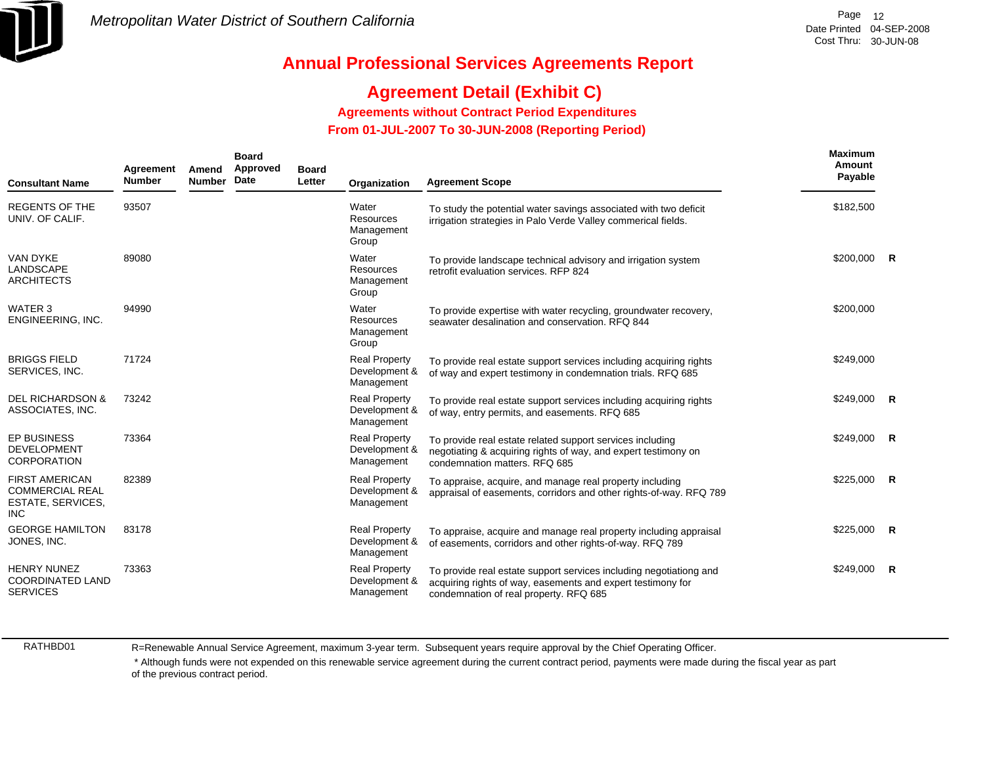

## **Agreement Detail (Exhibit C)**

**Agreements without Contract Period Expenditures**

 **From 01-JUL-2007 To 30-JUN-2008 (Reporting Period)** 

| <b>Consultant Name</b>                                                             | <b>Board</b><br>Approved<br>Agreement<br>Amend<br><b>Board</b><br>Date<br><b>Number</b><br><b>Number</b><br>Letter<br><b>Agreement Scope</b><br>Organization |  | <b>Maximum</b><br>Amount<br>Payable |                                                     |                                                                                                                                                                             |              |                |
|------------------------------------------------------------------------------------|--------------------------------------------------------------------------------------------------------------------------------------------------------------|--|-------------------------------------|-----------------------------------------------------|-----------------------------------------------------------------------------------------------------------------------------------------------------------------------------|--------------|----------------|
| <b>REGENTS OF THE</b><br>UNIV. OF CALIF.                                           | 93507                                                                                                                                                        |  |                                     | Water<br><b>Resources</b><br>Management<br>Group    | To study the potential water savings associated with two deficit<br>irrigation strategies in Palo Verde Valley commerical fields.                                           | \$182,500    |                |
| <b>VAN DYKE</b><br>LANDSCAPE<br><b>ARCHITECTS</b>                                  | 89080                                                                                                                                                        |  |                                     | Water<br><b>Resources</b><br>Management<br>Group    | To provide landscape technical advisory and irrigation system<br>retrofit evaluation services. RFP 824                                                                      | \$200,000 R  |                |
| WATER 3<br>ENGINEERING, INC.                                                       | 94990                                                                                                                                                        |  |                                     | Water<br>Resources<br>Management<br>Group           | To provide expertise with water recycling, groundwater recovery,<br>seawater desalination and conservation. RFQ 844                                                         | \$200,000    |                |
| <b>BRIGGS FIELD</b><br>SERVICES, INC.                                              | 71724                                                                                                                                                        |  |                                     | <b>Real Property</b><br>Development &<br>Management | To provide real estate support services including acquiring rights<br>of way and expert testimony in condemnation trials. RFQ 685                                           | \$249,000    |                |
| <b>DEL RICHARDSON &amp;</b><br>ASSOCIATES, INC.                                    | 73242                                                                                                                                                        |  |                                     | <b>Real Property</b><br>Development &<br>Management | To provide real estate support services including acquiring rights<br>of way, entry permits, and easements. RFQ 685                                                         | $$249,000$ R |                |
| <b>EP BUSINESS</b><br><b>DEVELOPMENT</b><br><b>CORPORATION</b>                     | 73364                                                                                                                                                        |  |                                     | <b>Real Property</b><br>Development &<br>Management | To provide real estate related support services including<br>negotiating & acquiring rights of way, and expert testimony on<br>condemnation matters. RFQ 685                | \$249,000    | $\mathbf R$    |
| <b>FIRST AMERICAN</b><br><b>COMMERCIAL REAL</b><br>ESTATE, SERVICES,<br><b>INC</b> | 82389                                                                                                                                                        |  |                                     | <b>Real Property</b><br>Development &<br>Management | To appraise, acquire, and manage real property including<br>appraisal of easements, corridors and other rights-of-way. RFQ 789                                              | \$225,000    | $\overline{R}$ |
| <b>GEORGE HAMILTON</b><br>JONES, INC.                                              | 83178                                                                                                                                                        |  |                                     | <b>Real Property</b><br>Development &<br>Management | To appraise, acquire and manage real property including appraisal<br>of easements, corridors and other rights-of-way. RFQ 789                                               | \$225,000    | $\overline{R}$ |
| <b>HENRY NUNEZ</b><br><b>COORDINATED LAND</b><br><b>SERVICES</b>                   | 73363                                                                                                                                                        |  |                                     | <b>Real Property</b><br>Development &<br>Management | To provide real estate support services including negotiationg and<br>acquiring rights of way, easements and expert testimony for<br>condemnation of real property. RFQ 685 | \$249,000    | R              |

RATHBD01

R=Renewable Annual Service Agreement, maximum 3-year term. Subsequent years require approval by the Chief Operating Officer.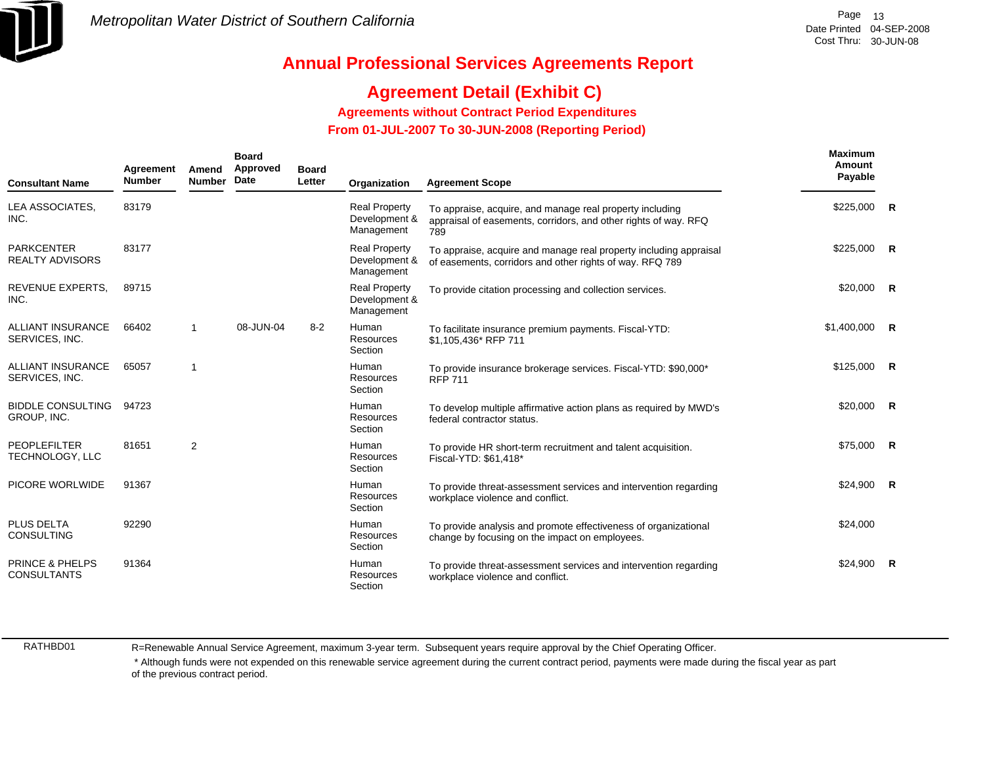

# **Agreement Detail (Exhibit C)**

**Agreements without Contract Period Expenditures**

 **From 01-JUL-2007 To 30-JUN-2008 (Reporting Period)** 

| Agreement<br>Amend<br><b>Number</b><br><b>Number</b><br><b>Consultant Name</b> |       | <b>Board</b><br>Approved<br>Date | <b>Board</b><br>Letter<br>Organization |         | <b>Agreement Scope</b>                              | Maximum<br>Amount<br>Payable                                                                                                       |                |                |
|--------------------------------------------------------------------------------|-------|----------------------------------|----------------------------------------|---------|-----------------------------------------------------|------------------------------------------------------------------------------------------------------------------------------------|----------------|----------------|
| LEA ASSOCIATES,<br>INC.                                                        | 83179 |                                  |                                        |         | <b>Real Property</b><br>Development &<br>Management | To appraise, acquire, and manage real property including<br>appraisal of easements, corridors, and other rights of way. RFQ<br>789 | \$225,000      | $\overline{R}$ |
| <b>PARKCENTER</b><br><b>REALTY ADVISORS</b>                                    | 83177 |                                  |                                        |         | <b>Real Property</b><br>Development &<br>Management | To appraise, acquire and manage real property including appraisal<br>of easements, corridors and other rights of way. RFQ 789      | \$225,000      | <b>R</b>       |
| REVENUE EXPERTS.<br>INC.                                                       | 89715 |                                  |                                        |         | <b>Real Property</b><br>Development &<br>Management | To provide citation processing and collection services.                                                                            | $$20,000$ R    |                |
| <b>ALLIANT INSURANCE</b><br>SERVICES, INC.                                     | 66402 | -1                               | 08-JUN-04                              | $8 - 2$ | <b>Human</b><br>Resources<br>Section                | To facilitate insurance premium payments. Fiscal-YTD:<br>\$1,105,436* RFP 711                                                      | $$1,400,000$ R |                |
| <b>ALLIANT INSURANCE</b><br>SERVICES, INC.                                     | 65057 | $\overline{1}$                   |                                        |         | Human<br>Resources<br>Section                       | To provide insurance brokerage services. Fiscal-YTD: \$90,000*<br><b>RFP 711</b>                                                   | \$125,000      | $\overline{R}$ |
| <b>BIDDLE CONSULTING</b><br>GROUP, INC.                                        | 94723 |                                  |                                        |         | Human<br>Resources<br>Section                       | To develop multiple affirmative action plans as required by MWD's<br>federal contractor status.                                    | $$20,000$ R    |                |
| <b>PEOPLEFILTER</b><br>TECHNOLOGY, LLC                                         | 81651 | 2                                |                                        |         | Human<br><b>Resources</b><br>Section                | To provide HR short-term recruitment and talent acquisition.<br>Fiscal-YTD: \$61,418*                                              | $$75,000$ R    |                |
| PICORE WORLWIDE                                                                | 91367 |                                  |                                        |         | <b>Human</b><br>Resources<br>Section                | To provide threat-assessment services and intervention regarding<br>workplace violence and conflict.                               | $$24,900$ R    |                |
| <b>PLUS DELTA</b><br><b>CONSULTING</b>                                         | 92290 |                                  |                                        |         | <b>Human</b><br>Resources<br>Section                | To provide analysis and promote effectiveness of organizational<br>change by focusing on the impact on employees.                  | \$24,000       |                |
| <b>PRINCE &amp; PHELPS</b><br><b>CONSULTANTS</b>                               | 91364 |                                  |                                        |         | Human<br>Resources<br>Section                       | To provide threat-assessment services and intervention regarding<br>workplace violence and conflict.                               | \$24,900       | $\overline{R}$ |

RATHBD01

R=Renewable Annual Service Agreement, maximum 3-year term. Subsequent years require approval by the Chief Operating Officer.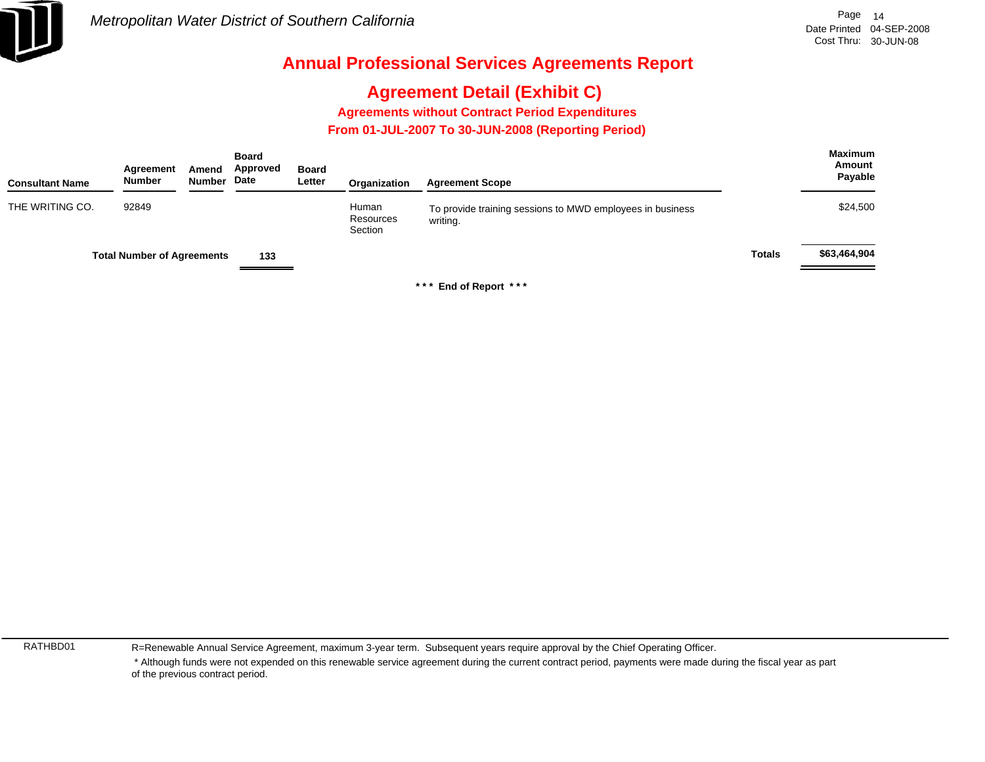

# **Agreement Detail (Exhibit C)**

**Agreements without Contract Period Expenditures**

 **From 01-JUL-2007 To 30-JUN-2008 (Reporting Period)** 

| <b>Consultant Name</b> | Agreement<br><b>Number</b>        | Amend<br><b>Number</b> | <b>Board</b><br>Approved<br>Date | <b>Board</b><br>Letter | Organization                  | <b>Agreement Scope</b>                                                |               | <b>Maximum</b><br>Amount<br>Payable |
|------------------------|-----------------------------------|------------------------|----------------------------------|------------------------|-------------------------------|-----------------------------------------------------------------------|---------------|-------------------------------------|
| THE WRITING CO.        | 92849                             |                        |                                  |                        | Human<br>Resources<br>Section | To provide training sessions to MWD employees in business<br>writing. |               | \$24,500                            |
|                        | <b>Total Number of Agreements</b> |                        | 133                              |                        |                               |                                                                       | <b>Totals</b> | \$63,464,904                        |

**\* \* \* End of Report \* \* \***

RATHBD01

R=Renewable Annual Service Agreement, maximum 3-year term. Subsequent years require approval by the Chief Operating Officer.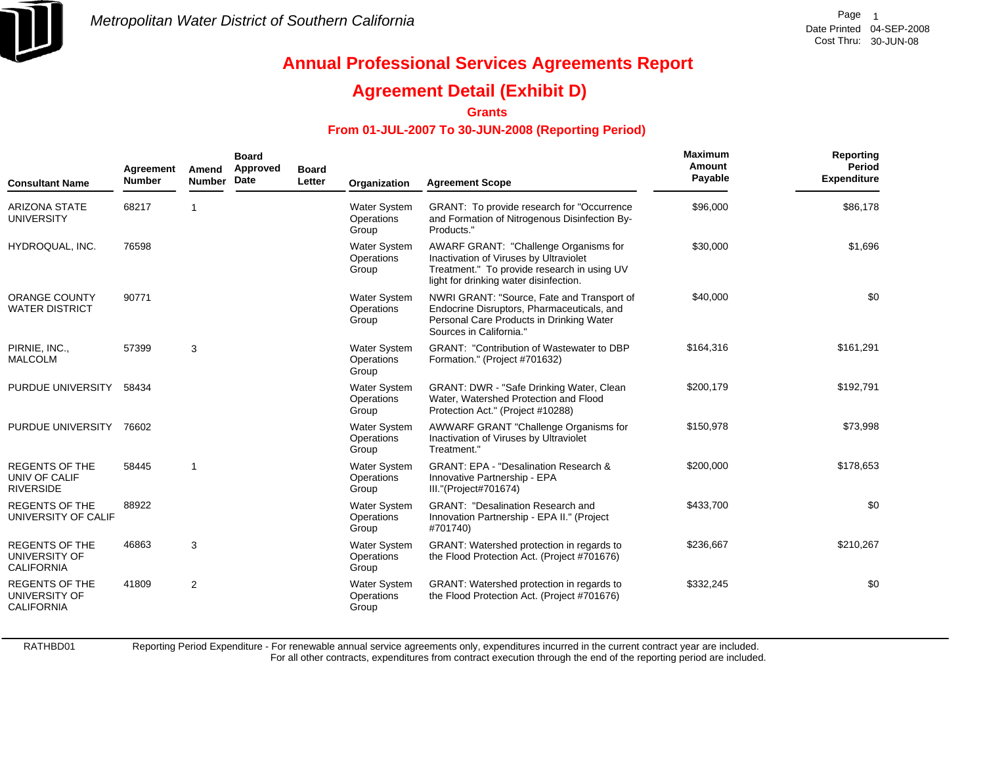

## **Agreement Detail (Exhibit D)**

**Grants**

### **From 01-JUL-2007 To 30-JUN-2008 (Reporting Period)**

| <b>Consultant Name</b>                                      | Agreement<br><b>Number</b> | Amend<br><b>Number</b> | <b>Board</b><br>Approved<br>Date | <b>Board</b><br>Letter | Organization                               | <b>Agreement Scope</b>                                                                                                                                                   | Maximum<br>Amount<br>Payable | <b>Reporting</b><br><b>Period</b><br><b>Expenditure</b> |
|-------------------------------------------------------------|----------------------------|------------------------|----------------------------------|------------------------|--------------------------------------------|--------------------------------------------------------------------------------------------------------------------------------------------------------------------------|------------------------------|---------------------------------------------------------|
| <b>ARIZONA STATE</b><br><b>UNIVERSITY</b>                   | 68217                      |                        |                                  |                        | Water System<br>Operations<br>Group        | GRANT: To provide research for "Occurrence<br>and Formation of Nitrogenous Disinfection By-<br>Products."                                                                | \$96,000                     | \$86,178                                                |
| HYDROQUAL, INC.                                             | 76598                      |                        |                                  |                        | Water System<br>Operations<br>Group        | AWARF GRANT: "Challenge Organisms for<br>Inactivation of Viruses by Ultraviolet<br>Treatment." To provide research in using UV<br>light for drinking water disinfection. | \$30,000                     | \$1,696                                                 |
| <b>ORANGE COUNTY</b><br><b>WATER DISTRICT</b>               | 90771                      |                        |                                  |                        | <b>Water System</b><br>Operations<br>Group | NWRI GRANT: "Source, Fate and Transport of<br>Endocrine Disruptors, Pharmaceuticals, and<br>Personal Care Products in Drinking Water<br>Sources in California."          | \$40,000                     | \$0                                                     |
| PIRNIE, INC.,<br><b>MALCOLM</b>                             | 57399                      | 3                      |                                  |                        | <b>Water System</b><br>Operations<br>Group | <b>GRANT: "Contribution of Wastewater to DBP</b><br>Formation." (Project #701632)                                                                                        | \$164,316                    | \$161,291                                               |
| PURDUE UNIVERSITY                                           | 58434                      |                        |                                  |                        | <b>Water System</b><br>Operations<br>Group | GRANT: DWR - "Safe Drinking Water, Clean<br>Water, Watershed Protection and Flood<br>Protection Act." (Project #10288)                                                   | \$200,179                    | \$192,791                                               |
| PURDUE UNIVERSITY                                           | 76602                      |                        |                                  |                        | <b>Water System</b><br>Operations<br>Group | AWWARF GRANT "Challenge Organisms for<br>Inactivation of Viruses by Ultraviolet<br>Treatment."                                                                           | \$150,978                    | \$73,998                                                |
| <b>REGENTS OF THE</b><br>UNIV OF CALIF<br><b>RIVERSIDE</b>  | 58445                      |                        |                                  |                        | <b>Water System</b><br>Operations<br>Group | <b>GRANT: EPA - "Desalination Research &amp;</b><br>Innovative Partnership - EPA<br>III."(Project#701674)                                                                | \$200,000                    | \$178,653                                               |
| <b>REGENTS OF THE</b><br>UNIVERSITY OF CALIF                | 88922                      |                        |                                  |                        | Water System<br>Operations<br>Group        | <b>GRANT: "Desalination Research and</b><br>Innovation Partnership - EPA II." (Project<br>#701740)                                                                       | \$433,700                    | \$0                                                     |
| <b>REGENTS OF THE</b><br>UNIVERSITY OF<br><b>CALIFORNIA</b> | 46863                      | 3                      |                                  |                        | Water System<br>Operations<br>Group        | GRANT: Watershed protection in regards to<br>the Flood Protection Act. (Project #701676)                                                                                 | \$236,667                    | \$210,267                                               |
| <b>REGENTS OF THE</b><br>UNIVERSITY OF<br><b>CALIFORNIA</b> | 41809                      | $\overline{2}$         |                                  |                        | <b>Water System</b><br>Operations<br>Group | GRANT: Watershed protection in regards to<br>the Flood Protection Act. (Project #701676)                                                                                 | \$332,245                    | \$0                                                     |

RATHBD01

Reporting Period Expenditure - For renewable annual service agreements only, expenditures incurred in the current contract year are included.

For all other contracts, expenditures from contract execution through the end of the reporting period are included.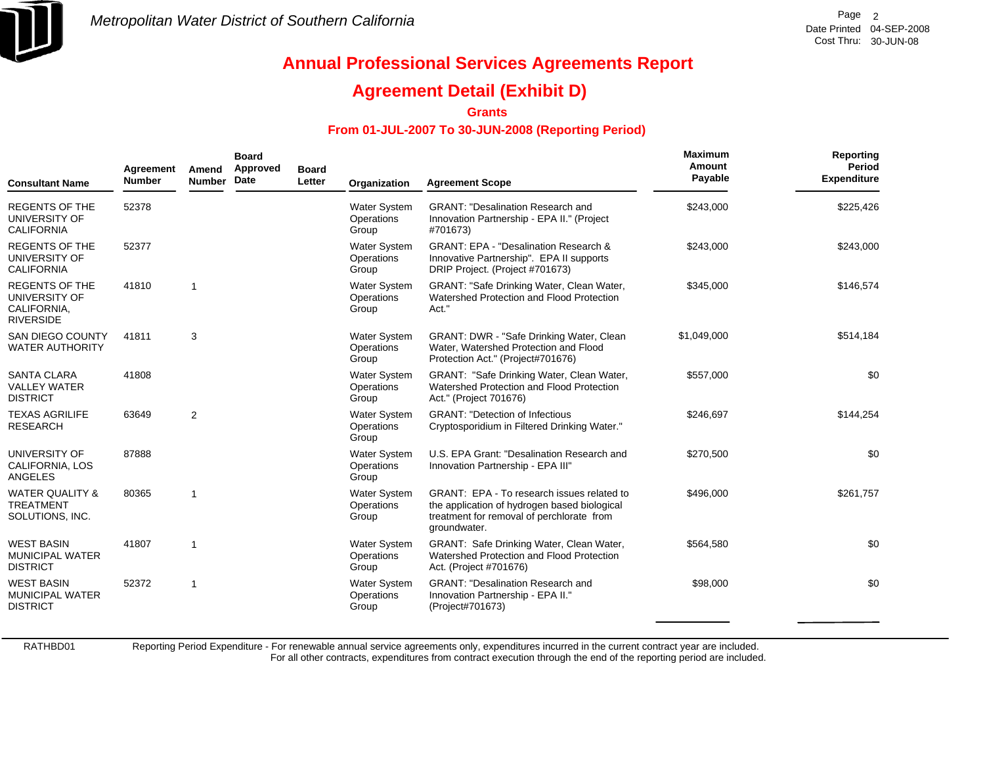

## **Agreement Detail (Exhibit D)**

**Grants**

### **From 01-JUL-2007 To 30-JUN-2008 (Reporting Period)**

| <b>Consultant Name</b>                                                    | Agreement<br><b>Number</b> | Amend<br><b>Number</b> | <b>Board</b><br>Approved<br>Date | <b>Board</b><br>Letter | Organization                               | <b>Agreement Scope</b>                                                                                                                                  | Maximum<br>Amount<br>Payable | <b>Reporting</b><br>Period<br><b>Expenditure</b> |
|---------------------------------------------------------------------------|----------------------------|------------------------|----------------------------------|------------------------|--------------------------------------------|---------------------------------------------------------------------------------------------------------------------------------------------------------|------------------------------|--------------------------------------------------|
| <b>REGENTS OF THE</b><br>UNIVERSITY OF<br><b>CALIFORNIA</b>               | 52378                      |                        |                                  |                        | <b>Water System</b><br>Operations<br>Group | <b>GRANT: "Desalination Research and</b><br>Innovation Partnership - EPA II." (Project<br>#701673)                                                      | \$243,000                    | \$225,426                                        |
| <b>REGENTS OF THE</b><br>UNIVERSITY OF<br><b>CALIFORNIA</b>               | 52377                      |                        |                                  |                        | Water System<br>Operations<br>Group        | <b>GRANT: EPA - "Desalination Research &amp;</b><br>Innovative Partnership". EPA II supports<br>DRIP Project. (Project #701673)                         | \$243,000                    | \$243,000                                        |
| <b>REGENTS OF THE</b><br>UNIVERSITY OF<br>CALIFORNIA,<br><b>RIVERSIDE</b> | 41810                      | -1                     |                                  |                        | Water System<br>Operations<br>Group        | GRANT: "Safe Drinking Water, Clean Water,<br>Watershed Protection and Flood Protection<br>Act."                                                         | \$345,000                    | \$146,574                                        |
| <b>SAN DIEGO COUNTY</b><br><b>WATER AUTHORITY</b>                         | 41811                      | 3                      |                                  |                        | <b>Water System</b><br>Operations<br>Group | GRANT: DWR - "Safe Drinking Water, Clean<br>Water, Watershed Protection and Flood<br>Protection Act." (Project#701676)                                  | \$1,049,000                  | \$514,184                                        |
| <b>SANTA CLARA</b><br><b>VALLEY WATER</b><br><b>DISTRICT</b>              | 41808                      |                        |                                  |                        | <b>Water System</b><br>Operations<br>Group | GRANT: "Safe Drinking Water, Clean Water,<br>Watershed Protection and Flood Protection<br>Act." (Project 701676)                                        | \$557,000                    | \$0                                              |
| <b>TEXAS AGRILIFE</b><br><b>RESEARCH</b>                                  | 63649                      | $\overline{2}$         |                                  |                        | Water System<br>Operations<br>Group        | <b>GRANT: "Detection of Infectious</b><br>Cryptosporidium in Filtered Drinking Water."                                                                  | \$246,697                    | \$144,254                                        |
| UNIVERSITY OF<br>CALIFORNIA, LOS<br>ANGELES                               | 87888                      |                        |                                  |                        | Water System<br>Operations<br>Group        | U.S. EPA Grant: "Desalination Research and<br>Innovation Partnership - EPA III"                                                                         | \$270,500                    | \$0                                              |
| <b>WATER QUALITY &amp;</b><br><b>TREATMENT</b><br>SOLUTIONS, INC.         | 80365                      | $\overline{1}$         |                                  |                        | <b>Water System</b><br>Operations<br>Group | GRANT: EPA - To research issues related to<br>the application of hydrogen based biological<br>treatment for removal of perchlorate from<br>groundwater. | \$496,000                    | \$261,757                                        |
| <b>WEST BASIN</b><br><b>MUNICIPAL WATER</b><br><b>DISTRICT</b>            | 41807                      | $\overline{1}$         |                                  |                        | Water System<br>Operations<br>Group        | GRANT: Safe Drinking Water, Clean Water,<br>Watershed Protection and Flood Protection<br>Act. (Project #701676)                                         | \$564,580                    | \$0                                              |
| <b>WEST BASIN</b><br><b>MUNICIPAL WATER</b><br><b>DISTRICT</b>            | 52372                      | $\overline{1}$         |                                  |                        | <b>Water System</b><br>Operations<br>Group | <b>GRANT: "Desalination Research and</b><br>Innovation Partnership - EPA II."<br>(Project#701673)                                                       | \$98,000                     | \$0                                              |

RATHBD01

Reporting Period Expenditure - For renewable annual service agreements only, expenditures incurred in the current contract year are included.

For all other contracts, expenditures from contract execution through the end of the reporting period are included.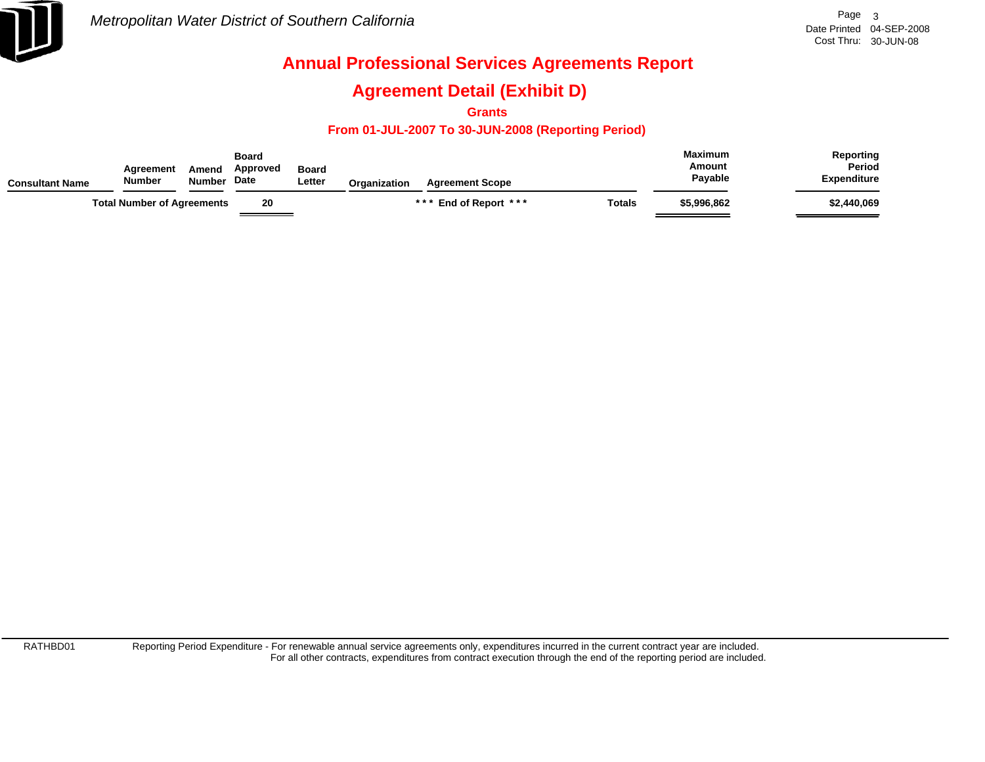

## **Agreement Detail (Exhibit D)**

**Grants**

### **From 01-JUL-2007 To 30-JUN-2008 (Reporting Period)**

| <b>Consultant Name</b> | Agreement<br><b>Number</b>        | Amend<br><b>Number</b> | <b>Board</b><br>Approved<br><b>Date</b> | <b>Board</b><br>Letter | <b>Organization</b> | <b>Agreement Scope</b> |        | <b>Maximum</b><br>Amount<br>Payable | Reporting<br>Period<br><b>Expenditure</b> |
|------------------------|-----------------------------------|------------------------|-----------------------------------------|------------------------|---------------------|------------------------|--------|-------------------------------------|-------------------------------------------|
|                        | <b>Total Number of Agreements</b> |                        | 20                                      |                        |                     | *** End of Report ***  | Totals | \$5.996.862                         | \$2,440,069                               |

RATHBD01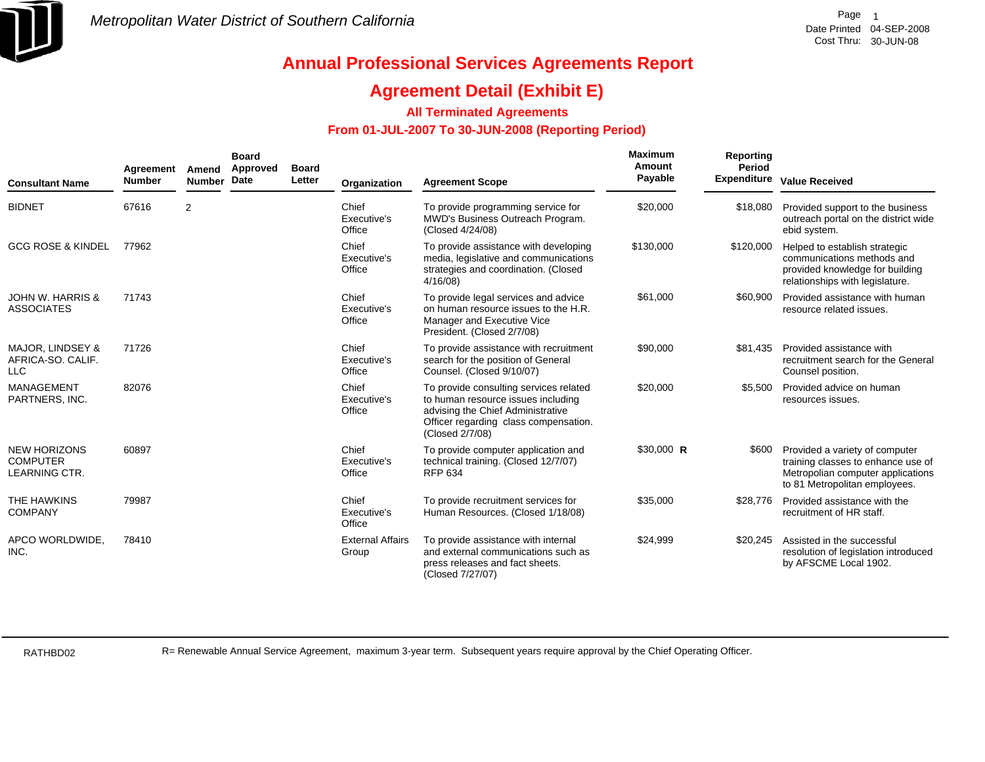

### **Agreement Detail (Exhibit E)**

### **All Terminated Agreements**

### **From 01-JUL-2007 To 30-JUN-2008 (Reporting Period)**

| <b>Consultant Name</b>                                         | Agreement<br><b>Number</b> | Amend<br><b>Number</b> | <b>Board</b><br>Approved<br><b>Date</b> | <b>Board</b><br>Letter | Organization                     | <b>Agreement Scope</b>                                                                                                                                                        | Maximum<br>Amount<br>Payable | Reporting<br>Period<br><b>Expenditure</b> | <b>Value Received</b>                                                                                                                      |
|----------------------------------------------------------------|----------------------------|------------------------|-----------------------------------------|------------------------|----------------------------------|-------------------------------------------------------------------------------------------------------------------------------------------------------------------------------|------------------------------|-------------------------------------------|--------------------------------------------------------------------------------------------------------------------------------------------|
| <b>BIDNET</b>                                                  | 67616                      | $\overline{2}$         |                                         |                        | Chief<br>Executive's<br>Office   | To provide programming service for<br>MWD's Business Outreach Program.<br>(Closed 4/24/08)                                                                                    | \$20,000                     | \$18,080                                  | Provided support to the business<br>outreach portal on the district wide<br>ebid system.                                                   |
| <b>GCG ROSE &amp; KINDEL</b>                                   | 77962                      |                        |                                         |                        | Chief<br>Executive's<br>Office   | To provide assistance with developing<br>media, legislative and communications<br>strategies and coordination. (Closed<br>4/16/08                                             | \$130,000                    | \$120,000                                 | Helped to establish strategic<br>communications methods and<br>provided knowledge for building<br>relationships with legislature.          |
| JOHN W. HARRIS &<br><b>ASSOCIATES</b>                          | 71743                      |                        |                                         |                        | Chief<br>Executive's<br>Office   | To provide legal services and advice<br>on human resource issues to the H.R.<br>Manager and Executive Vice<br>President. (Closed 2/7/08)                                      | \$61,000                     | \$60,900                                  | Provided assistance with human<br>resource related issues.                                                                                 |
| MAJOR, LINDSEY &<br>AFRICA-SO, CALIF.<br><b>LLC</b>            | 71726                      |                        |                                         |                        | Chief<br>Executive's<br>Office   | To provide assistance with recruitment<br>search for the position of General<br>Counsel. (Closed 9/10/07)                                                                     | \$90,000                     | \$81,435                                  | Provided assistance with<br>recruitment search for the General<br>Counsel position.                                                        |
| <b>MANAGEMENT</b><br>PARTNERS, INC.                            | 82076                      |                        |                                         |                        | Chief<br>Executive's<br>Office   | To provide consulting services related<br>to human resource issues including<br>advising the Chief Administrative<br>Officer regarding class compensation.<br>(Closed 2/7/08) | \$20,000                     | \$5,500                                   | Provided advice on human<br>resources issues.                                                                                              |
| <b>NEW HORIZONS</b><br><b>COMPUTER</b><br><b>LEARNING CTR.</b> | 60897                      |                        |                                         |                        | Chief<br>Executive's<br>Office   | To provide computer application and<br>technical training. (Closed 12/7/07)<br>RFP 634                                                                                        | $$30,000$ R                  | \$600                                     | Provided a variety of computer<br>training classes to enhance use of<br>Metropolian computer applications<br>to 81 Metropolitan employees. |
| THE HAWKINS<br><b>COMPANY</b>                                  | 79987                      |                        |                                         |                        | Chief<br>Executive's<br>Office   | To provide recruitment services for<br>Human Resources. (Closed 1/18/08)                                                                                                      | \$35,000                     | \$28,776                                  | Provided assistance with the<br>recruitment of HR staff.                                                                                   |
| APCO WORLDWIDE,<br>INC.                                        | 78410                      |                        |                                         |                        | <b>External Affairs</b><br>Group | To provide assistance with internal<br>and external communications such as<br>press releases and fact sheets.<br>(Closed 7/27/07)                                             | \$24,999                     | \$20,245                                  | Assisted in the successful<br>resolution of legislation introduced<br>by AFSCME Local 1902.                                                |

RATHBD02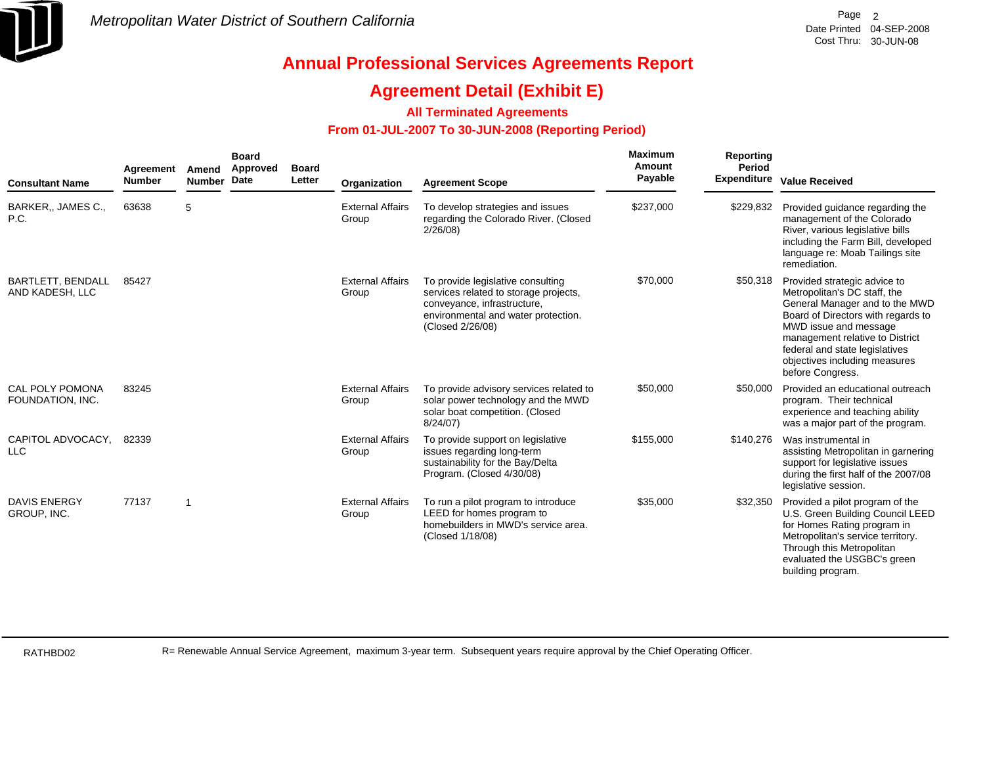

### **Agreement Detail (Exhibit E)**

### **All Terminated Agreements**

### **From 01-JUL-2007 To 30-JUN-2008 (Reporting Period)**

| <b>Consultant Name</b>                      | Agreement<br><b>Number</b> | Amend<br><b>Number</b> | <b>Board</b><br>Approved<br><b>Date</b> | <b>Board</b><br>Letter | Organization                     | <b>Agreement Scope</b>                                                                                                                                               | <b>Maximum</b><br>Amount<br>Payable | Reporting<br>Period<br><b>Expenditure</b> | <b>Value Received</b>                                                                                                                                                                                                                                                                   |
|---------------------------------------------|----------------------------|------------------------|-----------------------------------------|------------------------|----------------------------------|----------------------------------------------------------------------------------------------------------------------------------------------------------------------|-------------------------------------|-------------------------------------------|-----------------------------------------------------------------------------------------------------------------------------------------------------------------------------------------------------------------------------------------------------------------------------------------|
| BARKER,, JAMES C.,<br>P.C.                  | 63638                      | 5                      |                                         |                        | <b>External Affairs</b><br>Group | To develop strategies and issues<br>regarding the Colorado River. (Closed<br>2/26/08                                                                                 | \$237,000                           | \$229,832                                 | Provided guidance regarding the<br>management of the Colorado<br>River, various legislative bills<br>including the Farm Bill, developed<br>language re: Moab Tailings site<br>remediation.                                                                                              |
| <b>BARTLETT, BENDALL</b><br>AND KADESH, LLC | 85427                      |                        |                                         |                        | <b>External Affairs</b><br>Group | To provide legislative consulting<br>services related to storage projects,<br>conveyance, infrastructure,<br>environmental and water protection.<br>(Closed 2/26/08) | \$70,000                            | \$50,318                                  | Provided strategic advice to<br>Metropolitan's DC staff, the<br>General Manager and to the MWD<br>Board of Directors with regards to<br>MWD issue and message<br>management relative to District<br>federal and state legislatives<br>objectives including measures<br>before Congress. |
| <b>CAL POLY POMONA</b><br>FOUNDATION, INC.  | 83245                      |                        |                                         |                        | <b>External Affairs</b><br>Group | To provide advisory services related to<br>solar power technology and the MWD<br>solar boat competition. (Closed<br>8/24/07                                          | \$50,000                            | \$50,000                                  | Provided an educational outreach<br>program. Their technical<br>experience and teaching ability<br>was a major part of the program.                                                                                                                                                     |
| CAPITOL ADVOCACY.<br><b>LLC</b>             | 82339                      |                        |                                         |                        | <b>External Affairs</b><br>Group | To provide support on legislative<br>issues regarding long-term<br>sustainability for the Bay/Delta<br>Program. (Closed 4/30/08)                                     | \$155,000                           | \$140,276                                 | Was instrumental in<br>assisting Metropolitan in garnering<br>support for legislative issues<br>during the first half of the 2007/08<br>legislative session.                                                                                                                            |
| <b>DAVIS ENERGY</b><br>GROUP, INC.          | 77137                      | -1                     |                                         |                        | <b>External Affairs</b><br>Group | To run a pilot program to introduce<br>LEED for homes program to<br>homebuilders in MWD's service area.<br>(Closed 1/18/08)                                          | \$35,000                            | \$32,350                                  | Provided a pilot program of the<br>U.S. Green Building Council LEED<br>for Homes Rating program in<br>Metropolitan's service territory.<br>Through this Metropolitan<br>evaluated the USGBC's green<br>building program.                                                                |

RATHBD02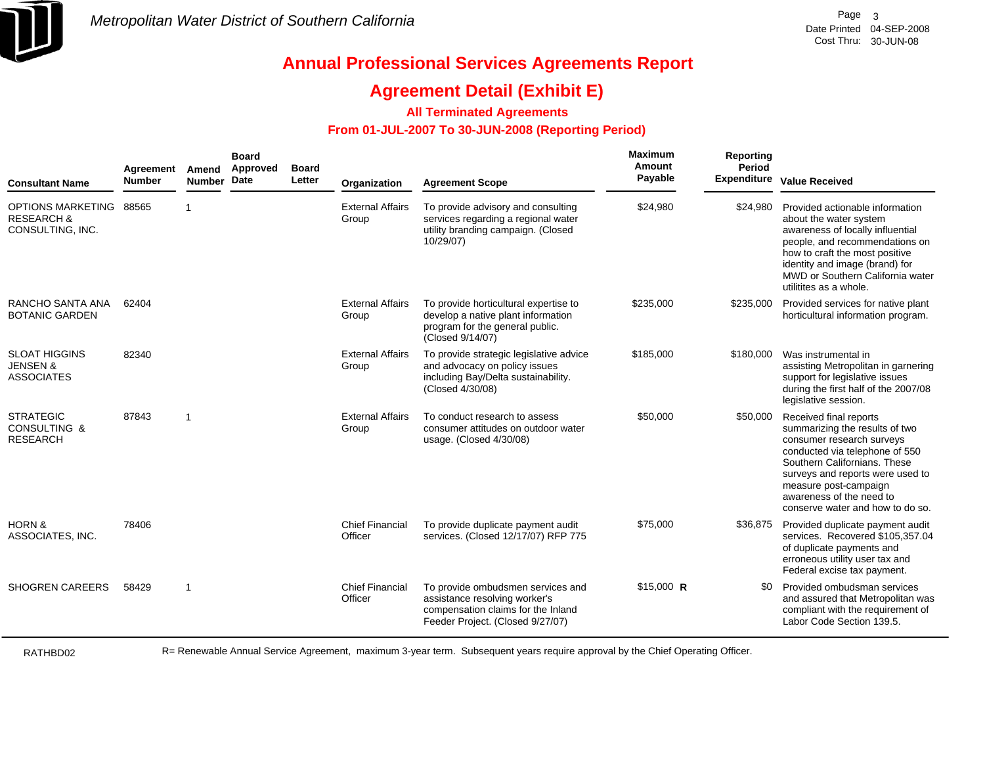

## **Agreement Detail (Exhibit E)**

### **All Terminated Agreements**

### **From 01-JUL-2007 To 30-JUN-2008 (Reporting Period)**

| <b>Consultant Name</b>                                           | Agreement<br><b>Number</b> | Amend<br><b>Number</b>  | <b>Board</b><br>Approved<br>Date | <b>Board</b><br>Letter | Organization                      | <b>Agreement Scope</b>                                                                                                                       | Maximum<br>Amount<br>Payable | Reporting<br>Period<br><b>Expenditure</b> | <b>Value Received</b>                                                                                                                                                                                                                                                                |
|------------------------------------------------------------------|----------------------------|-------------------------|----------------------------------|------------------------|-----------------------------------|----------------------------------------------------------------------------------------------------------------------------------------------|------------------------------|-------------------------------------------|--------------------------------------------------------------------------------------------------------------------------------------------------------------------------------------------------------------------------------------------------------------------------------------|
| OPTIONS MARKETING<br><b>RESEARCH &amp;</b><br>CONSULTING, INC.   | 88565                      | -1                      |                                  |                        | <b>External Affairs</b><br>Group  | To provide advisory and consulting<br>services regarding a regional water<br>utility branding campaign. (Closed<br>10/29/07)                 | \$24,980                     | \$24,980                                  | Provided actionable information<br>about the water system<br>awareness of locally influential<br>people, and recommendations on<br>how to craft the most positive<br>identity and image (brand) for<br>MWD or Southern California water<br>utilitites as a whole.                    |
| RANCHO SANTA ANA<br><b>BOTANIC GARDEN</b>                        | 62404                      |                         |                                  |                        | <b>External Affairs</b><br>Group  | To provide horticultural expertise to<br>develop a native plant information<br>program for the general public.<br>(Closed 9/14/07)           | \$235,000                    | \$235,000                                 | Provided services for native plant<br>horticultural information program.                                                                                                                                                                                                             |
| <b>SLOAT HIGGINS</b><br><b>JENSEN &amp;</b><br><b>ASSOCIATES</b> | 82340                      |                         |                                  |                        | <b>External Affairs</b><br>Group  | To provide strategic legislative advice<br>and advocacy on policy issues<br>including Bay/Delta sustainability.<br>(Closed 4/30/08)          | \$185,000                    | \$180,000                                 | Was instrumental in<br>assisting Metropolitan in garnering<br>support for legislative issues<br>during the first half of the 2007/08<br>legislative session.                                                                                                                         |
| <b>STRATEGIC</b><br><b>CONSULTING &amp;</b><br><b>RESEARCH</b>   | 87843                      | $\overline{\mathbf{1}}$ |                                  |                        | <b>External Affairs</b><br>Group  | To conduct research to assess<br>consumer attitudes on outdoor water<br>usage. (Closed 4/30/08)                                              | \$50,000                     | \$50,000                                  | Received final reports<br>summarizing the results of two<br>consumer research surveys<br>conducted via telephone of 550<br>Southern Californians. These<br>surveys and reports were used to<br>measure post-campaign<br>awareness of the need to<br>conserve water and how to do so. |
| <b>HORN &amp;</b><br>ASSOCIATES, INC.                            | 78406                      |                         |                                  |                        | <b>Chief Financial</b><br>Officer | To provide duplicate payment audit<br>services. (Closed 12/17/07) RFP 775                                                                    | \$75,000                     | \$36,875                                  | Provided duplicate payment audit<br>services. Recovered \$105,357.04<br>of duplicate payments and<br>erroneous utility user tax and<br>Federal excise tax payment.                                                                                                                   |
| <b>SHOGREN CAREERS</b>                                           | 58429                      | $\overline{1}$          |                                  |                        | <b>Chief Financial</b><br>Officer | To provide ombudsmen services and<br>assistance resolving worker's<br>compensation claims for the Inland<br>Feeder Project. (Closed 9/27/07) | $$15,000$ R                  | \$0                                       | Provided ombudsman services<br>and assured that Metropolitan was<br>compliant with the requirement of<br>Labor Code Section 139.5.                                                                                                                                                   |

RATHBD02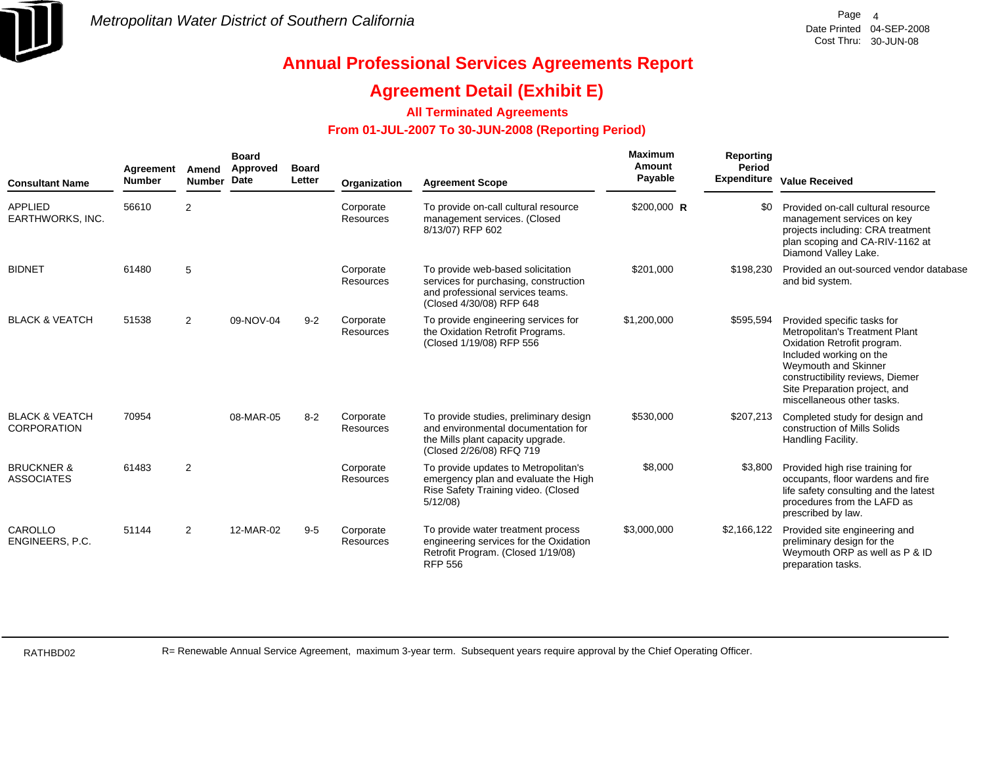

## **Agreement Detail (Exhibit E)**

### **All Terminated Agreements**

### **From 01-JUL-2007 To 30-JUN-2008 (Reporting Period)**

| <b>Consultant Name</b>                          | Agreement<br><b>Number</b> | Amend<br><b>Number</b> | <b>Board</b><br>Approved<br><b>Date</b> | <b>Board</b><br>Letter | Organization           | <b>Agreement Scope</b>                                                                                                                         | <b>Maximum</b><br>Amount<br>Payable | Reporting<br>Period | <b>Expenditure Value Received</b>                                                                                                                                                                                                                  |
|-------------------------------------------------|----------------------------|------------------------|-----------------------------------------|------------------------|------------------------|------------------------------------------------------------------------------------------------------------------------------------------------|-------------------------------------|---------------------|----------------------------------------------------------------------------------------------------------------------------------------------------------------------------------------------------------------------------------------------------|
| <b>APPLIED</b><br>EARTHWORKS, INC.              | 56610                      | 2                      |                                         |                        | Corporate<br>Resources | To provide on-call cultural resource<br>management services. (Closed<br>8/13/07) RFP 602                                                       | \$200,000 R                         |                     | Provided on-call cultural resource<br>management services on key<br>projects including: CRA treatment<br>plan scoping and CA-RIV-1162 at<br>Diamond Valley Lake.                                                                                   |
| <b>BIDNET</b>                                   | 61480                      | 5                      |                                         |                        | Corporate<br>Resources | To provide web-based solicitation<br>services for purchasing, construction<br>and professional services teams.<br>(Closed 4/30/08) RFP 648     | \$201,000                           | \$198,230           | Provided an out-sourced vendor database<br>and bid system.                                                                                                                                                                                         |
| <b>BLACK &amp; VEATCH</b>                       | 51538                      | $\overline{2}$         | 09-NOV-04                               | $9 - 2$                | Corporate<br>Resources | To provide engineering services for<br>the Oxidation Retrofit Programs.<br>(Closed 1/19/08) RFP 556                                            | \$1,200,000                         | \$595,594           | Provided specific tasks for<br>Metropolitan's Treatment Plant<br>Oxidation Retrofit program.<br>Included working on the<br>Weymouth and Skinner<br>constructibility reviews, Diemer<br>Site Preparation project, and<br>miscellaneous other tasks. |
| <b>BLACK &amp; VEATCH</b><br><b>CORPORATION</b> | 70954                      |                        | 08-MAR-05                               | $8 - 2$                | Corporate<br>Resources | To provide studies, preliminary design<br>and environmental documentation for<br>the Mills plant capacity upgrade.<br>(Closed 2/26/08) RFQ 719 | \$530,000                           | \$207,213           | Completed study for design and<br>construction of Mills Solids<br>Handling Facility.                                                                                                                                                               |
| <b>BRUCKNER &amp;</b><br><b>ASSOCIATES</b>      | 61483                      | 2                      |                                         |                        | Corporate<br>Resources | To provide updates to Metropolitan's<br>emergency plan and evaluate the High<br>Rise Safety Training video. (Closed<br>5/12/08                 | \$8,000                             | \$3,800             | Provided high rise training for<br>occupants, floor wardens and fire<br>life safety consulting and the latest<br>procedures from the LAFD as<br>prescribed by law.                                                                                 |
| CAROLLO<br>ENGINEERS, P.C.                      | 51144                      | $\overline{2}$         | 12-MAR-02                               | $9 - 5$                | Corporate<br>Resources | To provide water treatment process<br>engineering services for the Oxidation<br>Retrofit Program. (Closed 1/19/08)<br><b>RFP 556</b>           | \$3,000,000                         | \$2,166,122         | Provided site engineering and<br>preliminary design for the<br>Weymouth ORP as well as P & ID<br>preparation tasks.                                                                                                                                |

RATHBD02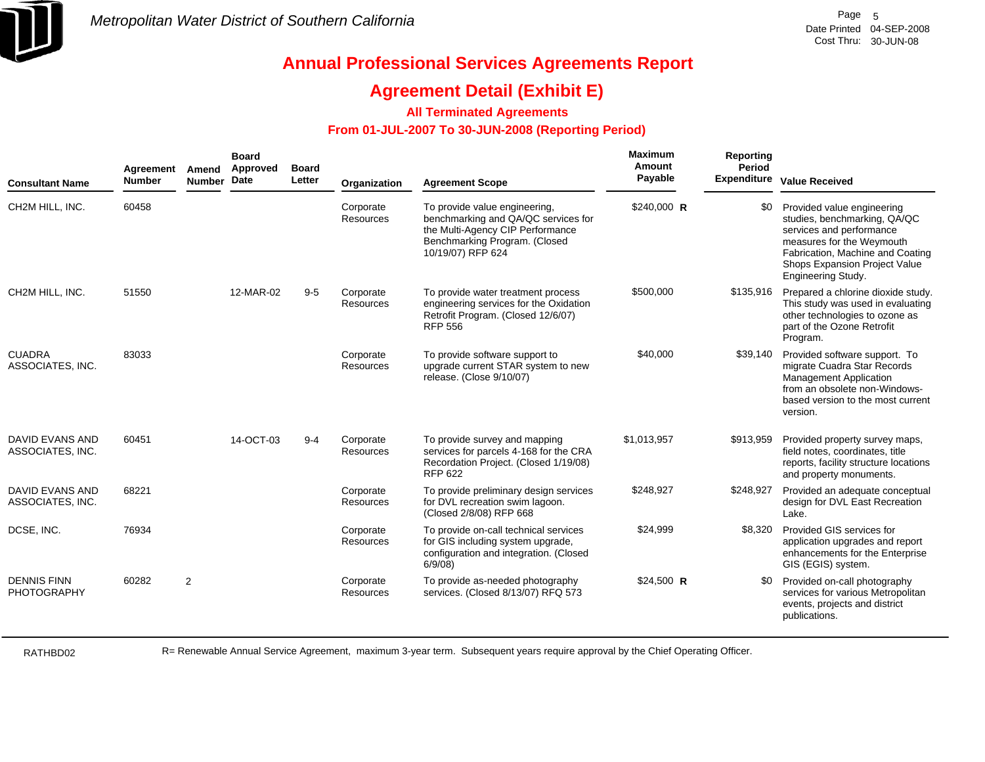

## **Agreement Detail (Exhibit E)**

### **All Terminated Agreements**

### **From 01-JUL-2007 To 30-JUN-2008 (Reporting Period)**

| <b>Consultant Name</b>                   | Agreement<br><b>Number</b> | Amend<br><b>Number</b> | <b>Board</b><br>Approved<br>Date | <b>Board</b><br>Letter | Organization                  | <b>Agreement Scope</b>                                                                                                                                         | Maximum<br>Amount<br>Payable | Reporting<br>Period | <b>Expenditure</b> Value Received                                                                                                                                                                              |
|------------------------------------------|----------------------------|------------------------|----------------------------------|------------------------|-------------------------------|----------------------------------------------------------------------------------------------------------------------------------------------------------------|------------------------------|---------------------|----------------------------------------------------------------------------------------------------------------------------------------------------------------------------------------------------------------|
| CH2M HILL, INC.                          | 60458                      |                        |                                  |                        | Corporate<br>Resources        | To provide value engineering,<br>benchmarking and QA/QC services for<br>the Multi-Agency CIP Performance<br>Benchmarking Program. (Closed<br>10/19/07) RFP 624 | \$240,000 R                  | \$0                 | Provided value engineering<br>studies, benchmarking, QA/QC<br>services and performance<br>measures for the Weymouth<br>Fabrication, Machine and Coating<br>Shops Expansion Project Value<br>Engineering Study. |
| CH2M HILL, INC.                          | 51550                      |                        | 12-MAR-02                        | $9-5$                  | Corporate<br><b>Resources</b> | To provide water treatment process<br>engineering services for the Oxidation<br>Retrofit Program. (Closed 12/6/07)<br><b>RFP 556</b>                           | \$500,000                    | \$135,916           | Prepared a chlorine dioxide study.<br>This study was used in evaluating<br>other technologies to ozone as<br>part of the Ozone Retrofit<br>Program.                                                            |
| <b>CUADRA</b><br>ASSOCIATES, INC.        | 83033                      |                        |                                  |                        | Corporate<br>Resources        | To provide software support to<br>upgrade current STAR system to new<br>release. (Close 9/10/07)                                                               | \$40,000                     | \$39,140            | Provided software support. To<br>migrate Cuadra Star Records<br>Management Application<br>from an obsolete non-Windows-<br>based version to the most current<br>version.                                       |
| DAVID EVANS AND<br>ASSOCIATES, INC.      | 60451                      |                        | 14-OCT-03                        | $9 - 4$                | Corporate<br><b>Resources</b> | To provide survey and mapping<br>services for parcels 4-168 for the CRA<br>Recordation Project. (Closed 1/19/08)<br><b>RFP 622</b>                             | \$1,013,957                  | \$913,959           | Provided property survey maps,<br>field notes, coordinates, title<br>reports, facility structure locations<br>and property monuments.                                                                          |
| DAVID EVANS AND<br>ASSOCIATES, INC.      | 68221                      |                        |                                  |                        | Corporate<br><b>Resources</b> | To provide preliminary design services<br>for DVL recreation swim lagoon.<br>(Closed 2/8/08) RFP 668                                                           | \$248,927                    | \$248,927           | Provided an adequate conceptual<br>design for DVL East Recreation<br>Lake.                                                                                                                                     |
| DCSE, INC.                               | 76934                      |                        |                                  |                        | Corporate<br><b>Resources</b> | To provide on-call technical services<br>for GIS including system upgrade,<br>configuration and integration. (Closed<br>6/9/08                                 | \$24,999                     | \$8.320             | Provided GIS services for<br>application upgrades and report<br>enhancements for the Enterprise<br>GIS (EGIS) system.                                                                                          |
| <b>DENNIS FINN</b><br><b>PHOTOGRAPHY</b> | 60282                      | $\overline{2}$         |                                  |                        | Corporate<br>Resources        | To provide as-needed photography<br>services. (Closed 8/13/07) RFQ 573                                                                                         | $$24,500$ R                  | \$0                 | Provided on-call photography<br>services for various Metropolitan<br>events, projects and district<br>publications.                                                                                            |

RATHBD02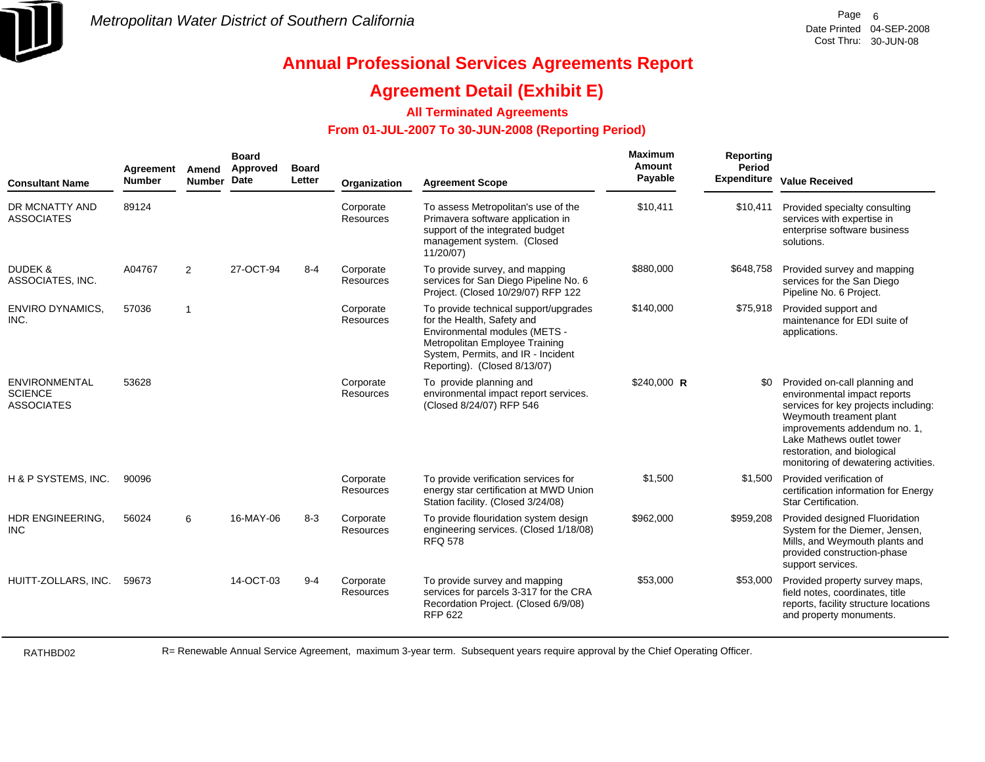

## **Agreement Detail (Exhibit E)**

### **All Terminated Agreements**

### **From 01-JUL-2007 To 30-JUN-2008 (Reporting Period)**

| <b>Consultant Name</b>                                      | Agreement<br><b>Number</b> | Amend<br><b>Number</b> | <b>Board</b><br>Approved<br><b>Date</b> | <b>Board</b><br>Letter | Organization           | <b>Agreement Scope</b>                                                                                                                                                                                       | Maximum<br>Amount<br>Payable | Reporting<br>Period<br><b>Expenditure</b> | <b>Value Received</b>                                                                                                                                                                                                                                                |
|-------------------------------------------------------------|----------------------------|------------------------|-----------------------------------------|------------------------|------------------------|--------------------------------------------------------------------------------------------------------------------------------------------------------------------------------------------------------------|------------------------------|-------------------------------------------|----------------------------------------------------------------------------------------------------------------------------------------------------------------------------------------------------------------------------------------------------------------------|
| DR MCNATTY AND<br><b>ASSOCIATES</b>                         | 89124                      |                        |                                         |                        | Corporate<br>Resources | To assess Metropolitan's use of the<br>Primavera software application in<br>support of the integrated budget<br>management system. (Closed<br>11/20/07)                                                      | \$10,411                     | \$10,411                                  | Provided specialty consulting<br>services with expertise in<br>enterprise software business<br>solutions.                                                                                                                                                            |
| <b>DUDEK &amp;</b><br>ASSOCIATES, INC.                      | A04767                     | 2                      | 27-OCT-94                               | $8 - 4$                | Corporate<br>Resources | To provide survey, and mapping<br>services for San Diego Pipeline No. 6<br>Project. (Closed 10/29/07) RFP 122                                                                                                | \$880,000                    | \$648,758                                 | Provided survey and mapping<br>services for the San Diego<br>Pipeline No. 6 Project.                                                                                                                                                                                 |
| <b>ENVIRO DYNAMICS,</b><br>INC.                             | 57036                      | $\overline{1}$         |                                         |                        | Corporate<br>Resources | To provide technical support/upgrades<br>for the Health, Safety and<br>Environmental modules (METS -<br>Metropolitan Employee Training<br>System, Permits, and IR - Incident<br>Reporting). (Closed 8/13/07) | \$140,000                    | \$75,918                                  | Provided support and<br>maintenance for EDI suite of<br>applications.                                                                                                                                                                                                |
| <b>ENVIRONMENTAL</b><br><b>SCIENCE</b><br><b>ASSOCIATES</b> | 53628                      |                        |                                         |                        | Corporate<br>Resources | To provide planning and<br>environmental impact report services.<br>(Closed 8/24/07) RFP 546                                                                                                                 | $$240,000$ R                 | \$0                                       | Provided on-call planning and<br>environmental impact reports<br>services for key projects including:<br>Weymouth treament plant<br>improvements addendum no. 1,<br>Lake Mathews outlet tower<br>restoration, and biological<br>monitoring of dewatering activities. |
| H & P SYSTEMS, INC.                                         | 90096                      |                        |                                         |                        | Corporate<br>Resources | To provide verification services for<br>energy star certification at MWD Union<br>Station facility. (Closed 3/24/08)                                                                                         | \$1,500                      | \$1,500                                   | Provided verification of<br>certification information for Energy<br>Star Certification.                                                                                                                                                                              |
| HDR ENGINEERING,<br><b>INC</b>                              | 56024                      | 6                      | 16-MAY-06                               | $8 - 3$                | Corporate<br>Resources | To provide flouridation system design<br>engineering services. (Closed 1/18/08)<br><b>RFQ 578</b>                                                                                                            | \$962,000                    | \$959,208                                 | Provided designed Fluoridation<br>System for the Diemer, Jensen,<br>Mills, and Weymouth plants and<br>provided construction-phase<br>support services.                                                                                                               |
| HUITT-ZOLLARS, INC.                                         | 59673                      |                        | 14-OCT-03                               | $9 - 4$                | Corporate<br>Resources | To provide survey and mapping<br>services for parcels 3-317 for the CRA<br>Recordation Project. (Closed 6/9/08)<br><b>RFP 622</b>                                                                            | \$53,000                     | \$53,000                                  | Provided property survey maps,<br>field notes, coordinates, title<br>reports, facility structure locations<br>and property monuments.                                                                                                                                |

RATHBD02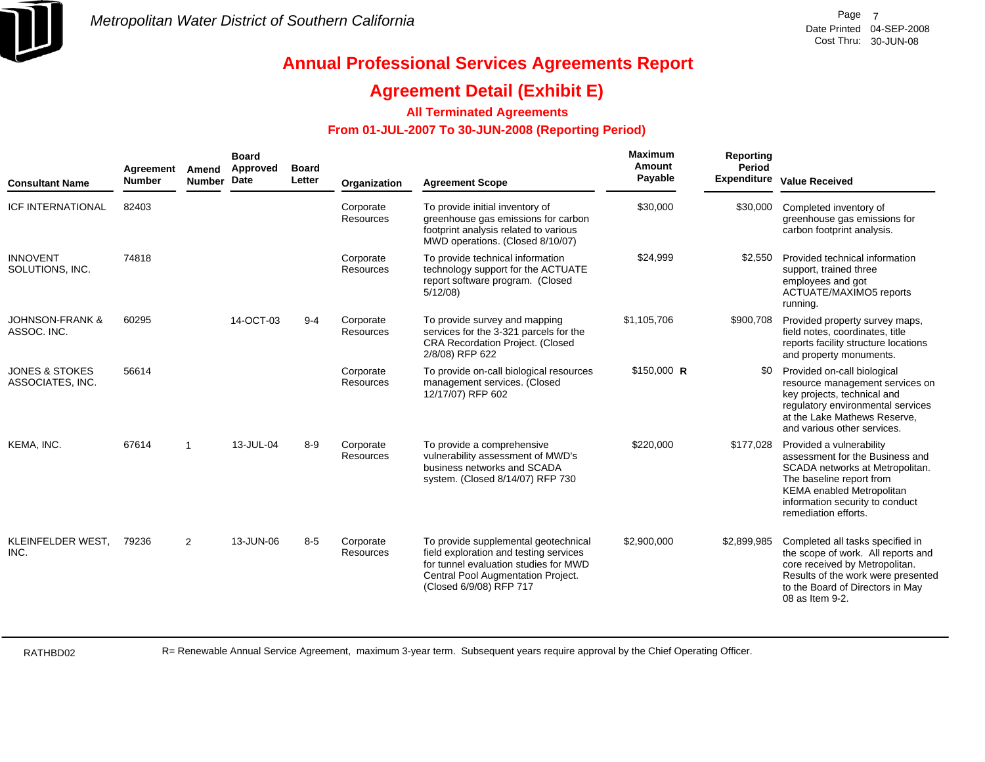

## **Agreement Detail (Exhibit E)**

### **All Terminated Agreements**

### **From 01-JUL-2007 To 30-JUN-2008 (Reporting Period)**

| <b>Consultant Name</b>                        | Agreement<br><b>Number</b> | Amend<br><b>Number</b> | <b>Board</b><br>Approved<br>Date | <b>Board</b><br>Letter | Organization           | <b>Agreement Scope</b>                                                                                                                                                                   | Maximum<br>Amount<br>Payable | Reporting<br><b>Period</b> | <b>Expenditure Value Received</b>                                                                                                                                                                                  |
|-----------------------------------------------|----------------------------|------------------------|----------------------------------|------------------------|------------------------|------------------------------------------------------------------------------------------------------------------------------------------------------------------------------------------|------------------------------|----------------------------|--------------------------------------------------------------------------------------------------------------------------------------------------------------------------------------------------------------------|
| <b>ICF INTERNATIONAL</b>                      | 82403                      |                        |                                  |                        | Corporate<br>Resources | To provide initial inventory of<br>greenhouse gas emissions for carbon<br>footprint analysis related to various<br>MWD operations. (Closed 8/10/07)                                      | \$30,000                     | \$30,000                   | Completed inventory of<br>greenhouse gas emissions for<br>carbon footprint analysis.                                                                                                                               |
| <b>INNOVENT</b><br>SOLUTIONS, INC.            | 74818                      |                        |                                  |                        | Corporate<br>Resources | To provide technical information<br>technology support for the ACTUATE<br>report software program. (Closed<br>5/12/08                                                                    | \$24,999                     | \$2.550                    | Provided technical information<br>support, trained three<br>employees and got<br>ACTUATE/MAXIMO5 reports<br>running.                                                                                               |
| <b>JOHNSON-FRANK &amp;</b><br>ASSOC. INC.     | 60295                      |                        | 14-OCT-03                        | $9 - 4$                | Corporate<br>Resources | To provide survey and mapping<br>services for the 3-321 parcels for the<br><b>CRA Recordation Project. (Closed</b><br>2/8/08) RFP 622                                                    | \$1,105,706                  | \$900,708                  | Provided property survey maps,<br>field notes, coordinates, title<br>reports facility structure locations<br>and property monuments.                                                                               |
| <b>JONES &amp; STOKES</b><br>ASSOCIATES, INC. | 56614                      |                        |                                  |                        | Corporate<br>Resources | To provide on-call biological resources<br>management services. (Closed<br>12/17/07) RFP 602                                                                                             | $$150,000$ R                 | \$0                        | Provided on-call biological<br>resource management services on<br>key projects, technical and<br>regulatory environmental services<br>at the Lake Mathews Reserve,<br>and various other services.                  |
| KEMA, INC.                                    | 67614                      | -1                     | 13-JUL-04                        | $8 - 9$                | Corporate<br>Resources | To provide a comprehensive<br>vulnerability assessment of MWD's<br>business networks and SCADA<br>system. (Closed 8/14/07) RFP 730                                                       | \$220,000                    | \$177,028                  | Provided a vulnerability<br>assessment for the Business and<br>SCADA networks at Metropolitan.<br>The baseline report from<br>KEMA enabled Metropolitan<br>information security to conduct<br>remediation efforts. |
| KLEINFELDER WEST.<br>INC.                     | 79236                      | 2                      | 13-JUN-06                        | $8 - 5$                | Corporate<br>Resources | To provide supplemental geotechnical<br>field exploration and testing services<br>for tunnel evaluation studies for MWD<br>Central Pool Augmentation Project.<br>(Closed 6/9/08) RFP 717 | \$2,900,000                  | \$2,899,985                | Completed all tasks specified in<br>the scope of work. All reports and<br>core received by Metropolitan.<br>Results of the work were presented<br>to the Board of Directors in May<br>08 as Item 9-2.              |

RATHBD02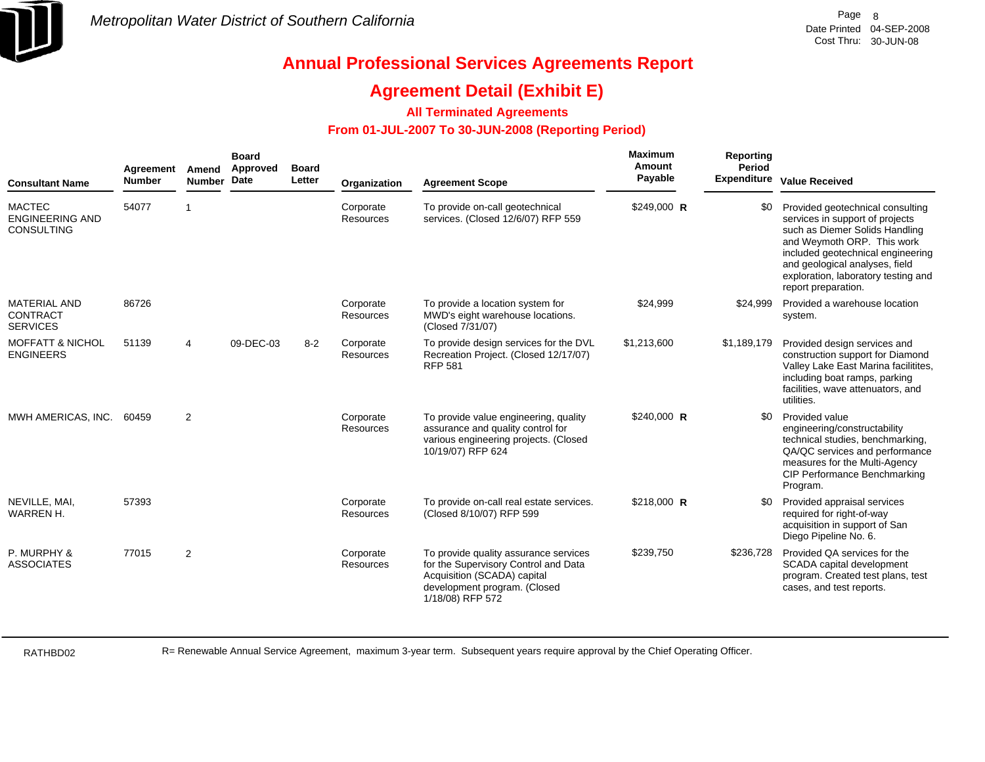

## **Agreement Detail (Exhibit E)**

### **All Terminated Agreements**

### **From 01-JUL-2007 To 30-JUN-2008 (Reporting Period)**

| <b>Consultant Name</b>                                       | Agreement<br><b>Number</b> | Amend<br>Number Date | <b>Board</b><br>Approved | <b>Board</b><br>Letter | Organization                  | <b>Agreement Scope</b>                                                                                                                                           | <b>Maximum</b><br>Amount<br>Payable | <b>Reporting</b><br>Period | Expenditure Value Received                                                                                                                                                                                                                                               |
|--------------------------------------------------------------|----------------------------|----------------------|--------------------------|------------------------|-------------------------------|------------------------------------------------------------------------------------------------------------------------------------------------------------------|-------------------------------------|----------------------------|--------------------------------------------------------------------------------------------------------------------------------------------------------------------------------------------------------------------------------------------------------------------------|
| <b>MACTEC</b><br><b>ENGINEERING AND</b><br><b>CONSULTING</b> | 54077                      | $\overline{1}$       |                          |                        | Corporate<br>Resources        | To provide on-call geotechnical<br>services. (Closed 12/6/07) RFP 559                                                                                            | $$249,000$ R                        | \$0                        | Provided geotechnical consulting<br>services in support of projects<br>such as Diemer Solids Handling<br>and Weymoth ORP. This work<br>included geotechnical engineering<br>and geological analyses, field<br>exploration, laboratory testing and<br>report preparation. |
| <b>MATERIAL AND</b><br><b>CONTRACT</b><br><b>SERVICES</b>    | 86726                      |                      |                          |                        | Corporate<br><b>Resources</b> | To provide a location system for<br>MWD's eight warehouse locations.<br>(Closed 7/31/07)                                                                         | \$24,999                            | \$24,999                   | Provided a warehouse location<br>system.                                                                                                                                                                                                                                 |
| <b>MOFFATT &amp; NICHOL</b><br><b>ENGINEERS</b>              | 51139                      | 4                    | 09-DEC-03                | $8 - 2$                | Corporate<br><b>Resources</b> | To provide design services for the DVL<br>Recreation Project. (Closed 12/17/07)<br><b>RFP 581</b>                                                                | \$1,213,600                         | \$1,189,179                | Provided design services and<br>construction support for Diamond<br>Valley Lake East Marina facilitites,<br>including boat ramps, parking<br>facilities, wave attenuators, and<br>utilities.                                                                             |
| MWH AMERICAS, INC.                                           | 60459                      | 2                    |                          |                        | Corporate<br><b>Resources</b> | To provide value engineering, quality<br>assurance and quality control for<br>various engineering projects. (Closed<br>10/19/07) RFP 624                         | $$240,000$ R                        | \$0                        | Provided value<br>engineering/constructability<br>technical studies, benchmarking,<br>QA/QC services and performance<br>measures for the Multi-Agency<br>CIP Performance Benchmarking<br>Program.                                                                        |
| NEVILLE, MAI,<br>WARREN H.                                   | 57393                      |                      |                          |                        | Corporate<br>Resources        | To provide on-call real estate services.<br>(Closed 8/10/07) RFP 599                                                                                             | \$218,000 R                         | \$0                        | Provided appraisal services<br>required for right-of-way<br>acquisition in support of San<br>Diego Pipeline No. 6.                                                                                                                                                       |
| P. MURPHY &<br><b>ASSOCIATES</b>                             | 77015                      | 2                    |                          |                        | Corporate<br><b>Resources</b> | To provide quality assurance services<br>for the Supervisory Control and Data<br>Acquisition (SCADA) capital<br>development program. (Closed<br>1/18/08) RFP 572 | \$239,750                           | \$236,728                  | Provided QA services for the<br>SCADA capital development<br>program. Created test plans, test<br>cases, and test reports.                                                                                                                                               |

RATHBD02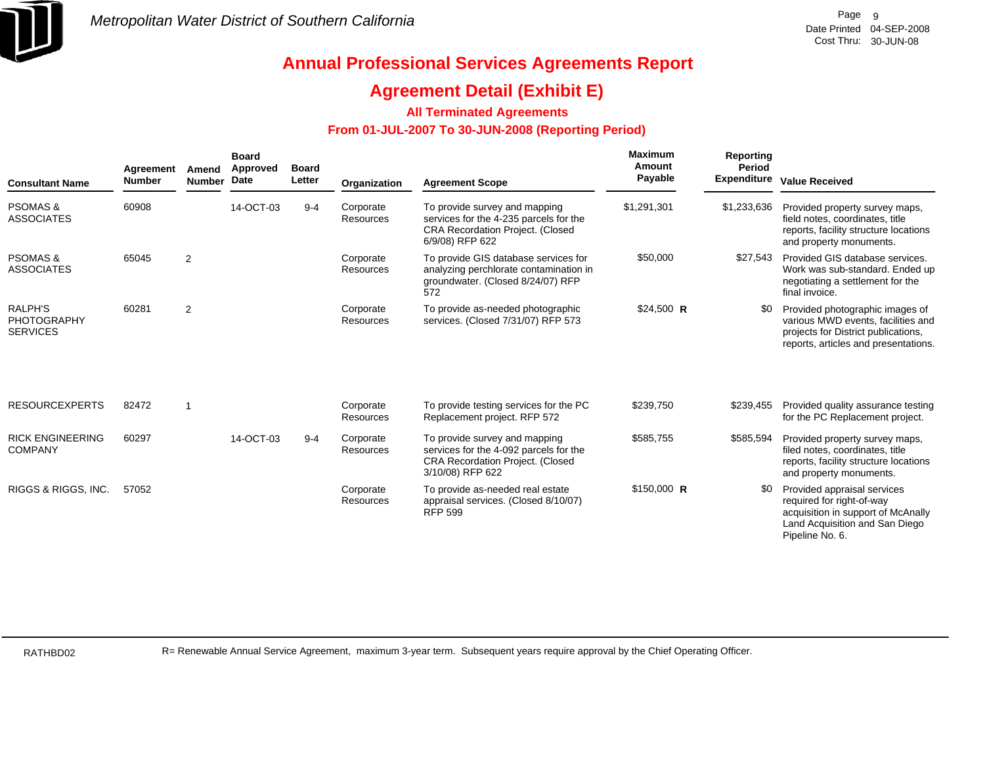

### **Agreement Detail (Exhibit E)**

### **All Terminated Agreements**

### **From 01-JUL-2007 To 30-JUN-2008 (Reporting Period)**

| <b>Consultant Name</b>                                  | Agreement<br><b>Number</b> | Amend<br><b>Number</b>  | <b>Board</b><br>Approved<br><b>Date</b> | <b>Board</b><br>Letter | Organization           | <b>Agreement Scope</b>                                                                                                                | Maximum<br>Amount<br>Payable | <b>Reporting</b><br>Period<br><b>Expenditure</b> | <b>Value Received</b>                                                                                                                                |
|---------------------------------------------------------|----------------------------|-------------------------|-----------------------------------------|------------------------|------------------------|---------------------------------------------------------------------------------------------------------------------------------------|------------------------------|--------------------------------------------------|------------------------------------------------------------------------------------------------------------------------------------------------------|
| <b>PSOMAS &amp;</b><br><b>ASSOCIATES</b>                | 60908                      |                         | 14-OCT-03                               | $9 - 4$                | Corporate<br>Resources | To provide survey and mapping<br>services for the 4-235 parcels for the<br><b>CRA Recordation Project. (Closed</b><br>6/9/08) RFP 622 | \$1,291,301                  | \$1,233,636                                      | Provided property survey maps,<br>field notes, coordinates, title<br>reports, facility structure locations<br>and property monuments.                |
| <b>PSOMAS &amp;</b><br><b>ASSOCIATES</b>                | 65045                      | 2                       |                                         |                        | Corporate<br>Resources | To provide GIS database services for<br>analyzing perchlorate contamination in<br>groundwater. (Closed 8/24/07) RFP<br>572            | \$50,000                     | \$27,543                                         | Provided GIS database services.<br>Work was sub-standard. Ended up<br>negotiating a settlement for the<br>final invoice.                             |
| <b>RALPH'S</b><br><b>PHOTOGRAPHY</b><br><b>SERVICES</b> | 60281                      | $\overline{2}$          |                                         |                        | Corporate<br>Resources | To provide as-needed photographic<br>services. (Closed 7/31/07) RFP 573                                                               | $$24,500$ R                  | \$0                                              | Provided photographic images of<br>various MWD events, facilities and<br>projects for District publications.<br>reports, articles and presentations. |
| <b>RESOURCEXPERTS</b>                                   | 82472                      | $\overline{\mathbf{1}}$ |                                         |                        | Corporate<br>Resources | To provide testing services for the PC<br>Replacement project. RFP 572                                                                | \$239,750                    | \$239,455                                        | Provided quality assurance testing<br>for the PC Replacement project.                                                                                |
| <b>RICK ENGINEERING</b><br><b>COMPANY</b>               | 60297                      |                         | 14-OCT-03                               | $9 - 4$                | Corporate<br>Resources | To provide survey and mapping<br>services for the 4-092 parcels for the<br>CRA Recordation Project. (Closed<br>3/10/08) RFP 622       | \$585,755                    | \$585,594                                        | Provided property survey maps,<br>filed notes, coordinates, title<br>reports, facility structure locations<br>and property monuments.                |
| RIGGS & RIGGS, INC.                                     | 57052                      |                         |                                         |                        | Corporate<br>Resources | To provide as-needed real estate<br>appraisal services. (Closed 8/10/07)<br><b>RFP 599</b>                                            | $$150,000$ R                 | \$0                                              | Provided appraisal services<br>required for right-of-way<br>acquisition in support of McAnally<br>Land Acquisition and San Diego<br>Pipeline No. 6.  |

RATHBD02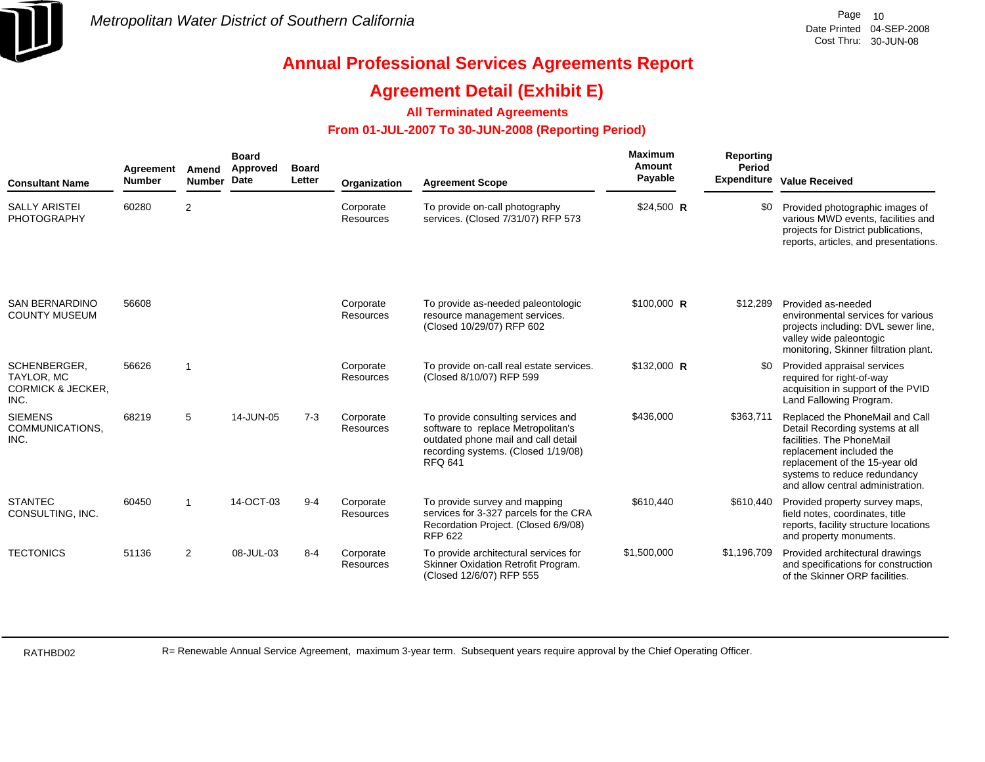

## **Agreement Detail (Exhibit E)**

### **All Terminated Agreements**

### **From 01-JUL-2007 To 30-JUN-2008 (Reporting Period)**

| <b>Consultant Name</b>                                                    | Agreement<br><b>Number</b> | Amend<br><b>Number</b>  | <b>Board</b><br>Approved<br>Date | <b>Board</b><br>Letter | Organization           | <b>Agreement Scope</b>                                                                                                                                                   | <b>Maximum</b><br>Amount<br>Payable | <b>Reporting</b><br>Period | Expenditure Value Received                                                                                                                                                                                                         |
|---------------------------------------------------------------------------|----------------------------|-------------------------|----------------------------------|------------------------|------------------------|--------------------------------------------------------------------------------------------------------------------------------------------------------------------------|-------------------------------------|----------------------------|------------------------------------------------------------------------------------------------------------------------------------------------------------------------------------------------------------------------------------|
| <b>SALLY ARISTEI</b><br><b>PHOTOGRAPHY</b>                                | 60280                      | 2                       |                                  |                        | Corporate<br>Resources | To provide on-call photography<br>services. (Closed 7/31/07) RFP 573                                                                                                     | \$24,500 R                          | \$0                        | Provided photographic images of<br>various MWD events, facilities and<br>projects for District publications,<br>reports, articles, and presentations.                                                                              |
| <b>SAN BERNARDINO</b><br><b>COUNTY MUSEUM</b>                             | 56608                      |                         |                                  |                        | Corporate<br>Resources | To provide as-needed paleontologic<br>resource management services.<br>(Closed 10/29/07) RFP 602                                                                         | \$100,000 R                         | \$12,289                   | Provided as-needed<br>environmental services for various<br>projects including: DVL sewer line,<br>valley wide paleontogic<br>monitoring, Skinner filtration plant.                                                                |
| SCHENBERGER.<br><b>TAYLOR, MC</b><br><b>CORMICK &amp; JECKER,</b><br>INC. | 56626                      | $\overline{\mathbf{1}}$ |                                  |                        | Corporate<br>Resources | To provide on-call real estate services.<br>(Closed 8/10/07) RFP 599                                                                                                     | \$132,000 R                         | \$0                        | Provided appraisal services<br>required for right-of-way<br>acquisition in support of the PVID<br>Land Fallowing Program.                                                                                                          |
| <b>SIEMENS</b><br>COMMUNICATIONS,<br>INC.                                 | 68219                      | 5                       | 14-JUN-05                        | $7 - 3$                | Corporate<br>Resources | To provide consulting services and<br>software to replace Metropolitan's<br>outdated phone mail and call detail<br>recording systems. (Closed 1/19/08)<br><b>RFQ 641</b> | \$436,000                           | \$363,711                  | Replaced the PhoneMail and Call<br>Detail Recording systems at all<br>facilities. The PhoneMail<br>replacement included the<br>replacement of the 15-year old<br>systems to reduce redundancy<br>and allow central administration. |
| <b>STANTEC</b><br>CONSULTING, INC.                                        | 60450                      | $\overline{1}$          | 14-OCT-03                        | $9 - 4$                | Corporate<br>Resources | To provide survey and mapping<br>services for 3-327 parcels for the CRA<br>Recordation Project. (Closed 6/9/08)<br><b>RFP 622</b>                                        | \$610,440                           | \$610,440                  | Provided property survey maps,<br>field notes, coordinates, title<br>reports, facility structure locations<br>and property monuments.                                                                                              |
| <b>TECTONICS</b>                                                          | 51136                      | 2                       | 08-JUL-03                        | $8 - 4$                | Corporate<br>Resources | To provide architectural services for<br>Skinner Oxidation Retrofit Program.<br>(Closed 12/6/07) RFP 555                                                                 | \$1,500,000                         | \$1,196,709                | Provided architectural drawings<br>and specifications for construction<br>of the Skinner ORP facilities.                                                                                                                           |

RATHBD02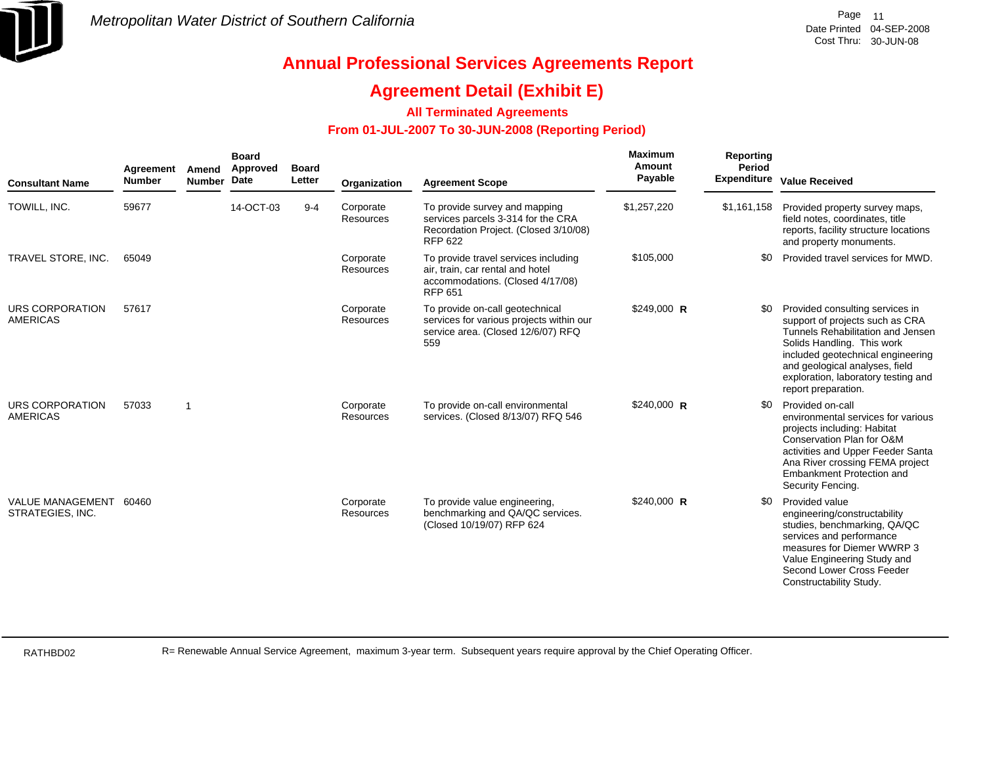

## **Agreement Detail (Exhibit E)**

### **All Terminated Agreements**

### **From 01-JUL-2007 To 30-JUN-2008 (Reporting Period)**

| <b>Consultant Name</b>                      | Agreement<br><b>Number</b> | Amend<br><b>Number</b>  | <b>Board</b><br>Approved<br>Date | <b>Board</b><br>Letter | Organization                  | <b>Agreement Scope</b>                                                                                                         | Maximum<br>Amount<br>Payable | Reporting<br>Period | Expenditure Value Received                                                                                                                                                                                                                                                 |
|---------------------------------------------|----------------------------|-------------------------|----------------------------------|------------------------|-------------------------------|--------------------------------------------------------------------------------------------------------------------------------|------------------------------|---------------------|----------------------------------------------------------------------------------------------------------------------------------------------------------------------------------------------------------------------------------------------------------------------------|
| TOWILL, INC.                                | 59677                      |                         | 14-OCT-03                        | $9 - 4$                | Corporate<br><b>Resources</b> | To provide survey and mapping<br>services parcels 3-314 for the CRA<br>Recordation Project. (Closed 3/10/08)<br><b>RFP 622</b> | \$1,257,220                  | \$1,161,158         | Provided property survey maps,<br>field notes, coordinates, title<br>reports, facility structure locations<br>and property monuments.                                                                                                                                      |
| TRAVEL STORE, INC.                          | 65049                      |                         |                                  |                        | Corporate<br>Resources        | To provide travel services including<br>air, train, car rental and hotel<br>accommodations. (Closed 4/17/08)<br><b>RFP 651</b> | \$105,000                    | \$0                 | Provided travel services for MWD.                                                                                                                                                                                                                                          |
| <b>URS CORPORATION</b><br><b>AMERICAS</b>   | 57617                      |                         |                                  |                        | Corporate<br>Resources        | To provide on-call geotechnical<br>services for various projects within our<br>service area. (Closed 12/6/07) RFQ<br>559       | \$249,000 R                  | \$0                 | Provided consulting services in<br>support of projects such as CRA<br>Tunnels Rehabilitation and Jensen<br>Solids Handling. This work<br>included geotechnical engineering<br>and geological analyses, field<br>exploration, laboratory testing and<br>report preparation. |
| URS CORPORATION<br><b>AMERICAS</b>          | 57033                      | $\overline{\mathbf{1}}$ |                                  |                        | Corporate<br><b>Resources</b> | To provide on-call environmental<br>services. (Closed 8/13/07) RFQ 546                                                         | $$240,000$ R                 | \$0                 | Provided on-call<br>environmental services for various<br>projects including: Habitat<br>Conservation Plan for O&M<br>activities and Upper Feeder Santa<br>Ana River crossing FEMA project<br>Embankment Protection and<br>Security Fencing.                               |
| <b>VALUE MANAGEMENT</b><br>STRATEGIES, INC. | 60460                      |                         |                                  |                        | Corporate<br><b>Resources</b> | To provide value engineering,<br>benchmarking and QA/QC services.<br>(Closed 10/19/07) RFP 624                                 | \$240,000 R                  | \$0                 | Provided value<br>engineering/constructability<br>studies, benchmarking, QA/QC<br>services and performance<br>measures for Diemer WWRP 3<br>Value Engineering Study and<br>Second Lower Cross Feeder<br>Constructability Study.                                            |

RATHBD02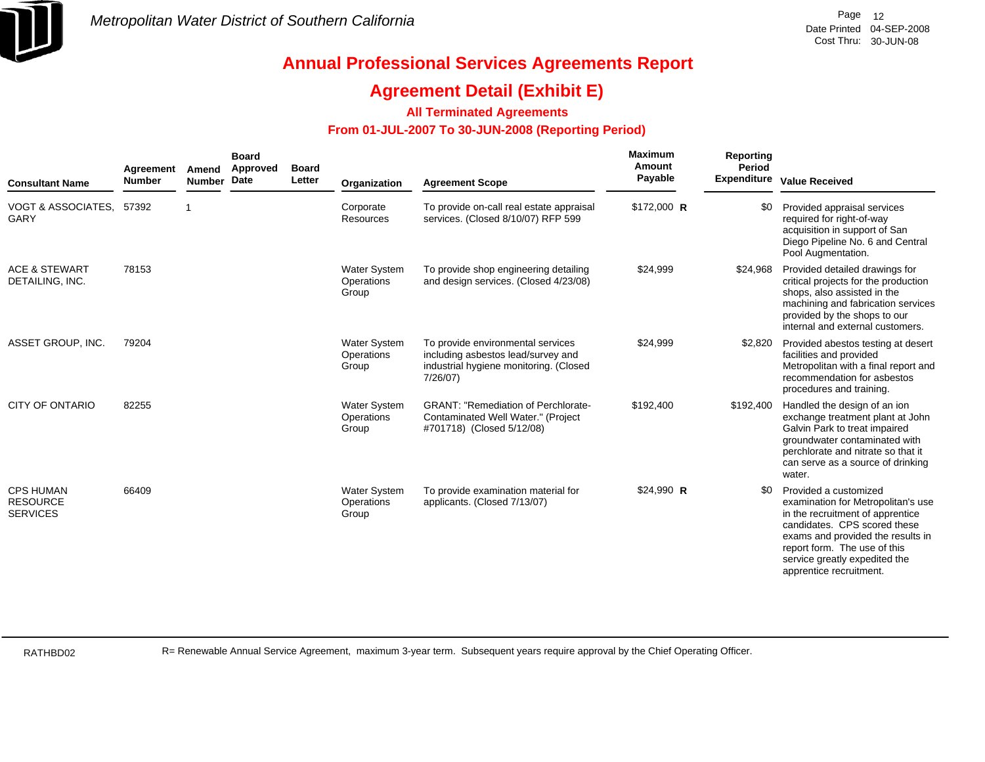

## **Agreement Detail (Exhibit E)**

**All Terminated Agreements**

### **From 01-JUL-2007 To 30-JUN-2008 (Reporting Period)**

| <b>Consultant Name</b>                                 | Agreement<br><b>Number</b> | Amend<br><b>Number</b> | <b>Board</b><br>Approved<br><b>Date</b> | <b>Board</b><br>Letter | Organization                               | <b>Agreement Scope</b>                                                                                                        | <b>Maximum</b><br>Amount<br>Payable | Reporting<br>Period | <b>Expenditure Value Received</b>                                                                                                                                                                                                                                |
|--------------------------------------------------------|----------------------------|------------------------|-----------------------------------------|------------------------|--------------------------------------------|-------------------------------------------------------------------------------------------------------------------------------|-------------------------------------|---------------------|------------------------------------------------------------------------------------------------------------------------------------------------------------------------------------------------------------------------------------------------------------------|
| VOGT & ASSOCIATES, 57392<br>GARY                       |                            |                        |                                         |                        | Corporate<br>Resources                     | To provide on-call real estate appraisal<br>services. (Closed 8/10/07) RFP 599                                                | \$172,000 R                         | \$0                 | Provided appraisal services<br>required for right-of-way<br>acquisition in support of San<br>Diego Pipeline No. 6 and Central<br>Pool Augmentation.                                                                                                              |
| <b>ACE &amp; STEWART</b><br>DETAILING, INC.            | 78153                      |                        |                                         |                        | <b>Water System</b><br>Operations<br>Group | To provide shop engineering detailing<br>and design services. (Closed 4/23/08)                                                | \$24,999                            | \$24,968            | Provided detailed drawings for<br>critical projects for the production<br>shops, also assisted in the<br>machining and fabrication services<br>provided by the shops to our<br>internal and external customers.                                                  |
| ASSET GROUP, INC.                                      | 79204                      |                        |                                         |                        | <b>Water System</b><br>Operations<br>Group | To provide environmental services<br>including asbestos lead/survey and<br>industrial hygiene monitoring. (Closed<br>7/26/07) | \$24,999                            | \$2,820             | Provided abestos testing at desert<br>facilities and provided<br>Metropolitan with a final report and<br>recommendation for asbestos<br>procedures and training.                                                                                                 |
| <b>CITY OF ONTARIO</b>                                 | 82255                      |                        |                                         |                        | <b>Water System</b><br>Operations<br>Group | <b>GRANT: "Remediation of Perchlorate-</b><br>Contaminated Well Water." (Project<br>#701718) (Closed 5/12/08)                 | \$192,400                           | \$192,400           | Handled the design of an ion<br>exchange treatment plant at John<br>Galvin Park to treat impaired<br>groundwater contaminated with<br>perchlorate and nitrate so that it<br>can serve as a source of drinking<br>water.                                          |
| <b>CPS HUMAN</b><br><b>RESOURCE</b><br><b>SERVICES</b> | 66409                      |                        |                                         |                        | <b>Water System</b><br>Operations<br>Group | To provide examination material for<br>applicants. (Closed 7/13/07)                                                           | \$24,990 R                          | \$0                 | Provided a customized<br>examination for Metropolitan's use<br>in the recruitment of apprentice<br>candidates. CPS scored these<br>exams and provided the results in<br>report form. The use of this<br>service greatly expedited the<br>apprentice recruitment. |

RATHBD02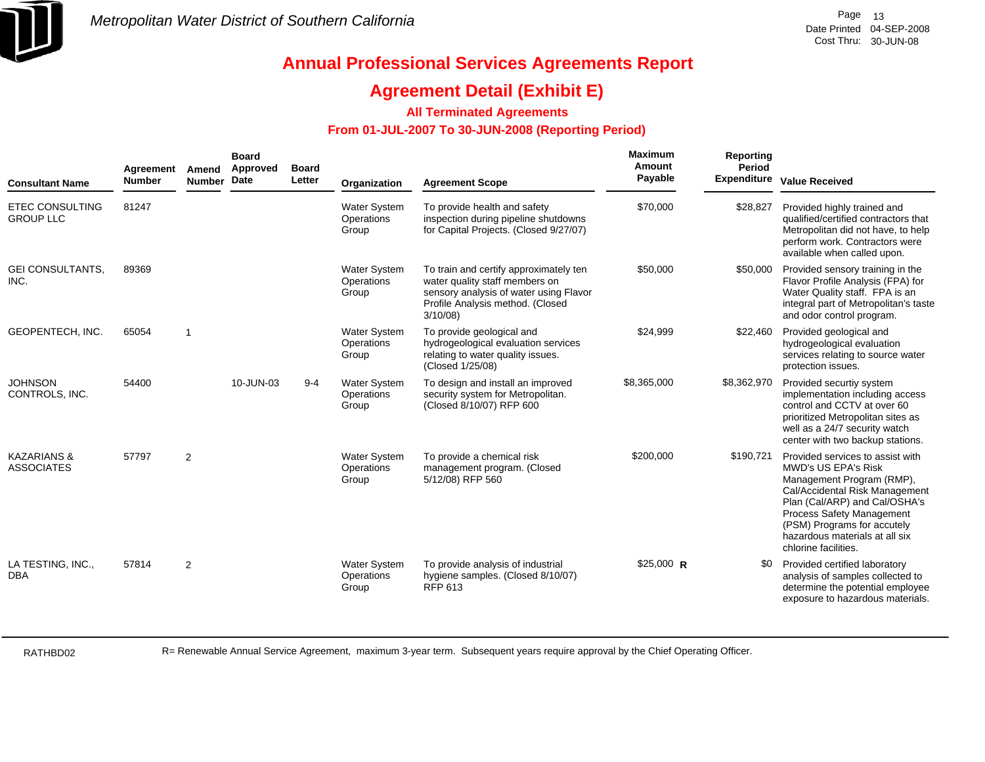

### **Agreement Detail (Exhibit E)**

**All Terminated Agreements**

### **From 01-JUL-2007 To 30-JUN-2008 (Reporting Period)**

| <b>Consultant Name</b>                      | Agreement<br><b>Number</b> | Amend<br>Number Date | <b>Board</b><br>Approved | <b>Board</b><br>Letter | Organization                               | <b>Agreement Scope</b>                                                                                                                                            | Maximum<br><b>Amount</b><br>Payable | <b>Reporting</b><br>Period<br><b>Expenditure</b> | <b>Value Received</b>                                                                                                                                                                                                                                                                |
|---------------------------------------------|----------------------------|----------------------|--------------------------|------------------------|--------------------------------------------|-------------------------------------------------------------------------------------------------------------------------------------------------------------------|-------------------------------------|--------------------------------------------------|--------------------------------------------------------------------------------------------------------------------------------------------------------------------------------------------------------------------------------------------------------------------------------------|
| <b>ETEC CONSULTING</b><br><b>GROUP LLC</b>  | 81247                      |                      |                          |                        | <b>Water System</b><br>Operations<br>Group | To provide health and safety<br>inspection during pipeline shutdowns<br>for Capital Projects. (Closed 9/27/07)                                                    | \$70,000                            | \$28,827                                         | Provided highly trained and<br>qualified/certified contractors that<br>Metropolitan did not have, to help<br>perform work. Contractors were<br>available when called upon.                                                                                                           |
| <b>GEI CONSULTANTS.</b><br>INC.             | 89369                      |                      |                          |                        | <b>Water System</b><br>Operations<br>Group | To train and certify approximately ten<br>water quality staff members on<br>sensory analysis of water using Flavor<br>Profile Analysis method. (Closed<br>3/10/08 | \$50,000                            | \$50,000                                         | Provided sensory training in the<br>Flavor Profile Analysis (FPA) for<br>Water Quality staff. FPA is an<br>integral part of Metropolitan's taste<br>and odor control program.                                                                                                        |
| GEOPENTECH, INC.                            | 65054                      | $\overline{1}$       |                          |                        | <b>Water System</b><br>Operations<br>Group | To provide geological and<br>hydrogeological evaluation services<br>relating to water quality issues.<br>(Closed 1/25/08)                                         | \$24,999                            | \$22,460                                         | Provided geological and<br>hydrogeological evaluation<br>services relating to source water<br>protection issues.                                                                                                                                                                     |
| <b>JOHNSON</b><br>CONTROLS, INC.            | 54400                      |                      | 10-JUN-03                | $9 - 4$                | <b>Water System</b><br>Operations<br>Group | To design and install an improved<br>security system for Metropolitan.<br>(Closed 8/10/07) RFP 600                                                                | \$8,365,000                         | \$8,362,970                                      | Provided securtiy system<br>implementation including access<br>control and CCTV at over 60<br>prioritized Metropolitan sites as<br>well as a 24/7 security watch<br>center with two backup stations.                                                                                 |
| <b>KAZARIANS &amp;</b><br><b>ASSOCIATES</b> | 57797                      | 2                    |                          |                        | <b>Water System</b><br>Operations<br>Group | To provide a chemical risk<br>management program. (Closed<br>5/12/08) RFP 560                                                                                     | \$200,000                           | \$190,721                                        | Provided services to assist with<br><b>MWD's US EPA's Risk</b><br>Management Program (RMP),<br>Cal/Accidental Risk Management<br>Plan (Cal/ARP) and Cal/OSHA's<br>Process Safety Management<br>(PSM) Programs for accutely<br>hazardous materials at all six<br>chlorine facilities. |
| LA TESTING, INC.,<br><b>DBA</b>             | 57814                      | $\overline{2}$       |                          |                        | <b>Water System</b><br>Operations<br>Group | To provide analysis of industrial<br>hygiene samples. (Closed 8/10/07)<br>RFP 613                                                                                 | \$25,000 R                          | \$0                                              | Provided certified laboratory<br>analysis of samples collected to<br>determine the potential employee<br>exposure to hazardous materials.                                                                                                                                            |

RATHBD02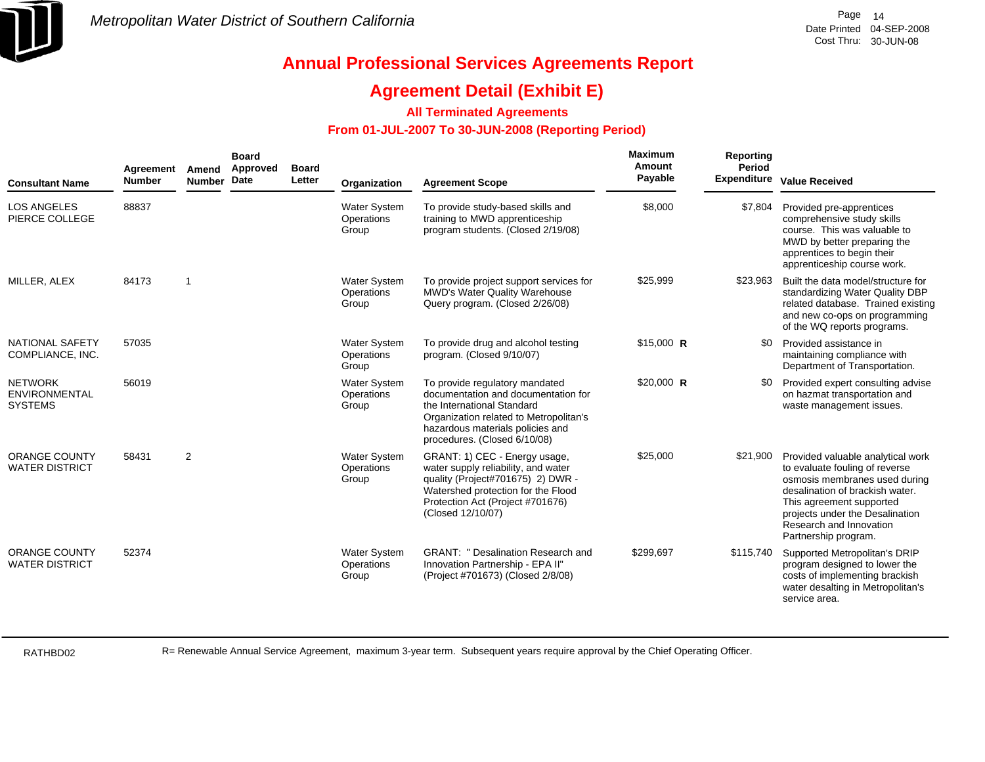

## **Agreement Detail (Exhibit E)**

### **All Terminated Agreements**

### **From 01-JUL-2007 To 30-JUN-2008 (Reporting Period)**

| <b>Consultant Name</b>                                   | Agreement<br><b>Number</b> | Amend<br><b>Number</b>  | <b>Board</b><br>Approved<br>Date | <b>Board</b><br>Letter | Organization                               | <b>Agreement Scope</b>                                                                                                                                                                                            | Maximum<br>Amount<br>Payable | Reporting<br>Period<br><b>Expenditure</b> | <b>Value Received</b>                                                                                                                                                                                                                                     |
|----------------------------------------------------------|----------------------------|-------------------------|----------------------------------|------------------------|--------------------------------------------|-------------------------------------------------------------------------------------------------------------------------------------------------------------------------------------------------------------------|------------------------------|-------------------------------------------|-----------------------------------------------------------------------------------------------------------------------------------------------------------------------------------------------------------------------------------------------------------|
| <b>LOS ANGELES</b><br>PIERCE COLLEGE                     | 88837                      |                         |                                  |                        | <b>Water System</b><br>Operations<br>Group | To provide study-based skills and<br>training to MWD apprenticeship<br>program students. (Closed 2/19/08)                                                                                                         | \$8,000                      | \$7,804                                   | Provided pre-apprentices<br>comprehensive study skills<br>course. This was valuable to<br>MWD by better preparing the<br>apprentices to begin their<br>apprenticeship course work.                                                                        |
| MILLER, ALEX                                             | 84173                      | $\overline{\mathbf{1}}$ |                                  |                        | <b>Water System</b><br>Operations<br>Group | To provide project support services for<br><b>MWD's Water Quality Warehouse</b><br>Query program. (Closed 2/26/08)                                                                                                | \$25,999                     | \$23,963                                  | Built the data model/structure for<br>standardizing Water Quality DBP<br>related database. Trained existing<br>and new co-ops on programming<br>of the WQ reports programs.                                                                               |
| <b>NATIONAL SAFETY</b><br>COMPLIANCE, INC.               | 57035                      |                         |                                  |                        | <b>Water System</b><br>Operations<br>Group | To provide drug and alcohol testing<br>program. (Closed 9/10/07)                                                                                                                                                  | $$15,000$ R                  | -90                                       | Provided assistance in<br>maintaining compliance with<br>Department of Transportation.                                                                                                                                                                    |
| <b>NETWORK</b><br><b>ENVIRONMENTAL</b><br><b>SYSTEMS</b> | 56019                      |                         |                                  |                        | <b>Water System</b><br>Operations<br>Group | To provide regulatory mandated<br>documentation and documentation for<br>the International Standard<br>Organization related to Metropolitan's<br>hazardous materials policies and<br>procedures. (Closed 6/10/08) | \$20,000 R                   | \$0                                       | Provided expert consulting advise<br>on hazmat transportation and<br>waste management issues.                                                                                                                                                             |
| <b>ORANGE COUNTY</b><br><b>WATER DISTRICT</b>            | 58431                      | $\overline{2}$          |                                  |                        | <b>Water System</b><br>Operations<br>Group | GRANT: 1) CEC - Energy usage,<br>water supply reliability, and water<br>quality (Project#701675) 2) DWR -<br>Watershed protection for the Flood<br>Protection Act (Project #701676)<br>(Closed 12/10/07)          | \$25,000                     | \$21,900                                  | Provided valuable analytical work<br>to evaluate fouling of reverse<br>osmosis membranes used during<br>desalination of brackish water.<br>This agreement supported<br>projects under the Desalination<br>Research and Innovation<br>Partnership program. |
| <b>ORANGE COUNTY</b><br><b>WATER DISTRICT</b>            | 52374                      |                         |                                  |                        | <b>Water System</b><br>Operations<br>Group | <b>GRANT: " Desalination Research and</b><br>Innovation Partnership - EPA II"<br>(Project #701673) (Closed 2/8/08)                                                                                                | \$299,697                    | \$115,740                                 | Supported Metropolitan's DRIP<br>program designed to lower the<br>costs of implementing brackish<br>water desalting in Metropolitan's<br>service area.                                                                                                    |

RATHBD02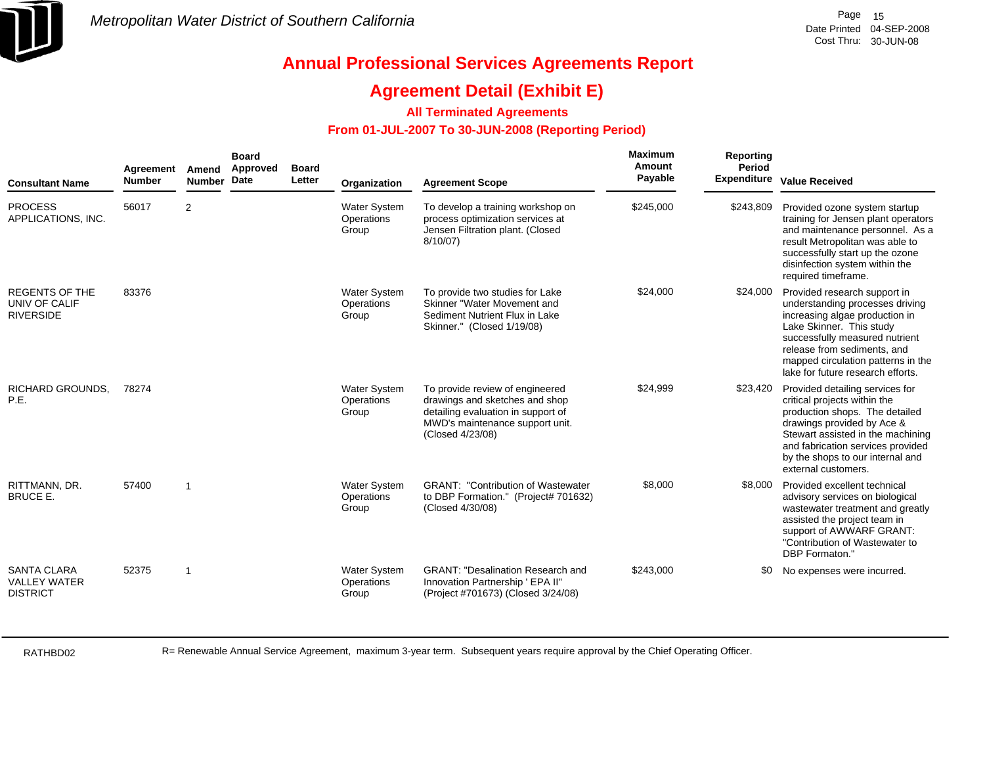

### **Agreement Detail (Exhibit E)**

### **All Terminated Agreements**

### **From 01-JUL-2007 To 30-JUN-2008 (Reporting Period)**

| <b>Consultant Name</b>                                       | Agreement<br><b>Number</b> | Amend<br><b>Number</b>  | <b>Board</b><br>Approved<br><b>Date</b> | <b>Board</b><br>Letter | Organization                               | <b>Agreement Scope</b>                                                                                                                                         | Maximum<br>Amount<br>Payable | Reporting<br>Period<br><b>Expenditure</b> | <b>Value Received</b>                                                                                                                                                                                                                                                     |
|--------------------------------------------------------------|----------------------------|-------------------------|-----------------------------------------|------------------------|--------------------------------------------|----------------------------------------------------------------------------------------------------------------------------------------------------------------|------------------------------|-------------------------------------------|---------------------------------------------------------------------------------------------------------------------------------------------------------------------------------------------------------------------------------------------------------------------------|
| <b>PROCESS</b><br>APPLICATIONS, INC.                         | 56017                      | $\overline{2}$          |                                         |                        | <b>Water System</b><br>Operations<br>Group | To develop a training workshop on<br>process optimization services at<br>Jensen Filtration plant. (Closed<br>8/10/07                                           | \$245,000                    | \$243,809                                 | Provided ozone system startup<br>training for Jensen plant operators<br>and maintenance personnel. As a<br>result Metropolitan was able to<br>successfully start up the ozone<br>disinfection system within the<br>required timeframe.                                    |
| <b>REGENTS OF THE</b><br>UNIV OF CALIF<br><b>RIVERSIDE</b>   | 83376                      |                         |                                         |                        | <b>Water System</b><br>Operations<br>Group | To provide two studies for Lake<br>Skinner "Water Movement and<br>Sediment Nutrient Flux in Lake<br>Skinner." (Closed 1/19/08)                                 | \$24,000                     | \$24,000                                  | Provided research support in<br>understanding processes driving<br>increasing algae production in<br>Lake Skinner. This study<br>successfully measured nutrient<br>release from sediments, and<br>mapped circulation patterns in the<br>lake for future research efforts. |
| <b>RICHARD GROUNDS.</b><br>P.E.                              | 78274                      |                         |                                         |                        | <b>Water System</b><br>Operations<br>Group | To provide review of engineered<br>drawings and sketches and shop<br>detailing evaluation in support of<br>MWD's maintenance support unit.<br>(Closed 4/23/08) | \$24,999                     | \$23,420                                  | Provided detailing services for<br>critical projects within the<br>production shops. The detailed<br>drawings provided by Ace &<br>Stewart assisted in the machining<br>and fabrication services provided<br>by the shops to our internal and<br>external customers.      |
| RITTMANN, DR.<br><b>BRUCE E.</b>                             | 57400                      | $\overline{\mathbf{1}}$ |                                         |                        | <b>Water System</b><br>Operations<br>Group | <b>GRANT: "Contribution of Wastewater</b><br>to DBP Formation." (Project# 701632)<br>(Closed 4/30/08)                                                          | \$8,000                      | \$8,000                                   | Provided excellent technical<br>advisory services on biological<br>wastewater treatment and greatly<br>assisted the project team in<br>support of AWWARF GRANT:<br>"Contribution of Wastewater to<br>DBP Formaton."                                                       |
| <b>SANTA CLARA</b><br><b>VALLEY WATER</b><br><b>DISTRICT</b> | 52375                      | $\overline{1}$          |                                         |                        | <b>Water System</b><br>Operations<br>Group | <b>GRANT: "Desalination Research and</b><br>Innovation Partnership ' EPA II"<br>(Project #701673) (Closed 3/24/08)                                             | \$243,000                    | \$0                                       | No expenses were incurred.                                                                                                                                                                                                                                                |

RATHBD02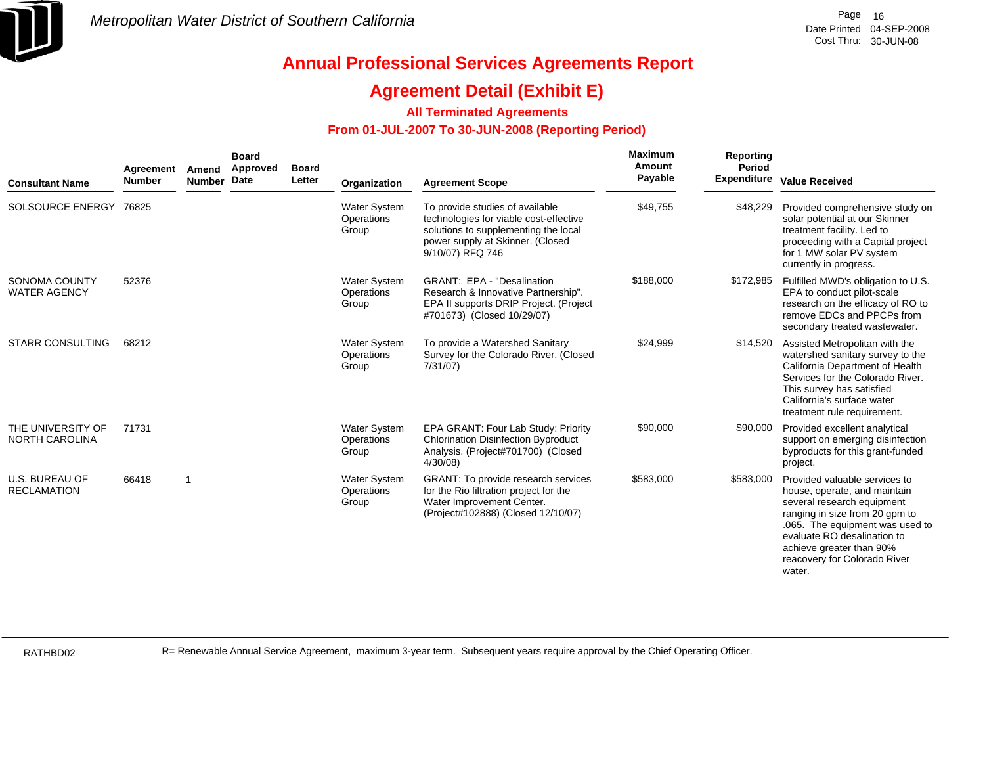

### **Agreement Detail (Exhibit E)**

### **All Terminated Agreements**

### **From 01-JUL-2007 To 30-JUN-2008 (Reporting Period)**

| <b>Consultant Name</b>                      | Agreement<br><b>Number</b> | Amend<br><b>Number</b> | <b>Board</b><br>Approved<br><b>Date</b> | <b>Board</b><br>Letter | Organization                               | <b>Agreement Scope</b>                                                                                                                                                    | Maximum<br>Amount<br>Payable | <b>Reporting</b><br>Period | <b>Expenditure Value Received</b>                                                                                                                                                                                                                                     |
|---------------------------------------------|----------------------------|------------------------|-----------------------------------------|------------------------|--------------------------------------------|---------------------------------------------------------------------------------------------------------------------------------------------------------------------------|------------------------------|----------------------------|-----------------------------------------------------------------------------------------------------------------------------------------------------------------------------------------------------------------------------------------------------------------------|
| SOLSOURCE ENERGY 76825                      |                            |                        |                                         |                        | Water System<br>Operations<br>Group        | To provide studies of available<br>technologies for viable cost-effective<br>solutions to supplementing the local<br>power supply at Skinner. (Closed<br>9/10/07) RFQ 746 | \$49,755                     | \$48,229                   | Provided comprehensive study on<br>solar potential at our Skinner<br>treatment facility. Led to<br>proceeding with a Capital project<br>for 1 MW solar PV system<br>currently in progress.                                                                            |
| <b>SONOMA COUNTY</b><br><b>WATER AGENCY</b> | 52376                      |                        |                                         |                        | <b>Water System</b><br>Operations<br>Group | <b>GRANT: EPA - "Desalination</b><br>Research & Innovative Partnership".<br>EPA II supports DRIP Project. (Project<br>#701673) (Closed 10/29/07)                          | \$188,000                    | \$172,985                  | Fulfilled MWD's obligation to U.S.<br>EPA to conduct pilot-scale<br>research on the efficacy of RO to<br>remove EDCs and PPCPs from<br>secondary treated wastewater.                                                                                                  |
| <b>STARR CONSULTING</b>                     | 68212                      |                        |                                         |                        | <b>Water System</b><br>Operations<br>Group | To provide a Watershed Sanitary<br>Survey for the Colorado River. (Closed<br>7/31/07                                                                                      | \$24,999                     | \$14,520                   | Assisted Metropolitan with the<br>watershed sanitary survey to the<br>California Department of Health<br>Services for the Colorado River.<br>This survey has satisfied<br>California's surface water<br>treatment rule requirement.                                   |
| THE UNIVERSITY OF<br><b>NORTH CAROLINA</b>  | 71731                      |                        |                                         |                        | <b>Water System</b><br>Operations<br>Group | EPA GRANT: Four Lab Study: Priority<br><b>Chlorination Disinfection Byproduct</b><br>Analysis. (Project#701700) (Closed<br>4/30/08                                        | \$90,000                     | \$90,000                   | Provided excellent analytical<br>support on emerging disinfection<br>byproducts for this grant-funded<br>project.                                                                                                                                                     |
| <b>U.S. BUREAU OF</b><br><b>RECLAMATION</b> | 66418                      | -1                     |                                         |                        | <b>Water System</b><br>Operations<br>Group | <b>GRANT: To provide research services</b><br>for the Rio filtration project for the<br>Water Improvement Center.<br>(Project#102888) (Closed 12/10/07)                   | \$583,000                    | \$583,000                  | Provided valuable services to<br>house, operate, and maintain<br>several research equipment<br>ranging in size from 20 gpm to<br>.065. The equipment was used to<br>evaluate RO desalination to<br>achieve greater than 90%<br>reacovery for Colorado River<br>water. |

RATHBD02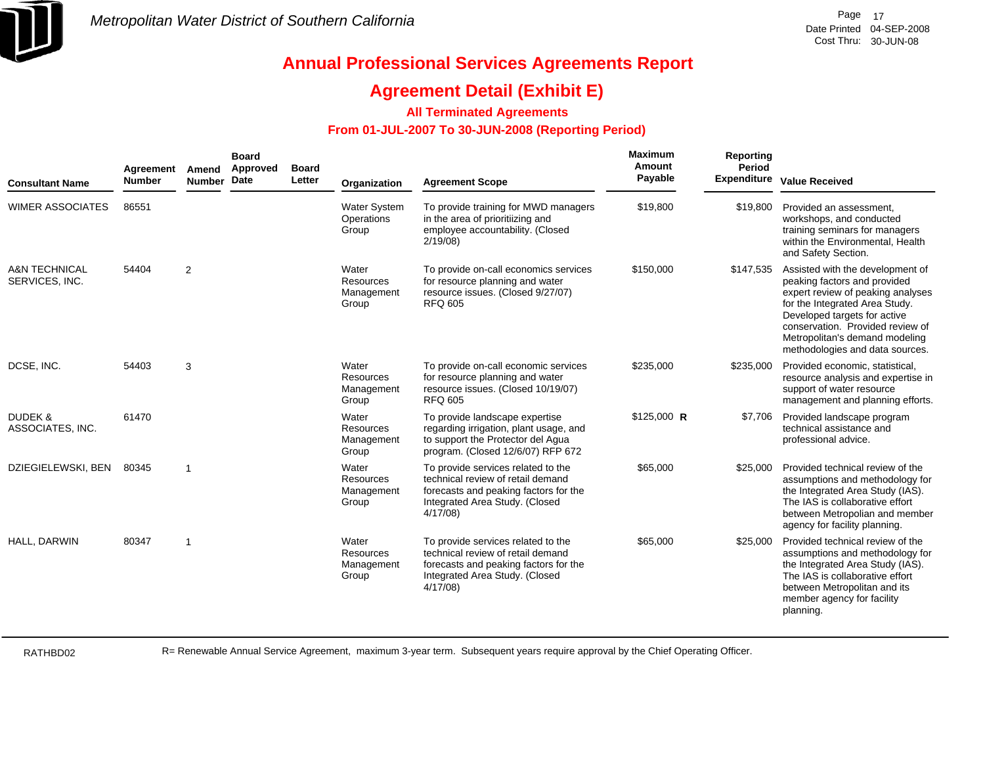

## **Agreement Detail (Exhibit E)**

### **All Terminated Agreements**

### **From 01-JUL-2007 To 30-JUN-2008 (Reporting Period)**

| <b>Consultant Name</b>                     | Agreement<br><b>Number</b> | Amend<br><b>Number</b>  | <b>Board</b><br>Approved<br>Date | <b>Board</b><br>Letter | Organization                                     | <b>Agreement Scope</b>                                                                                                                                        | Maximum<br>Amount<br>Payable | Reporting<br>Period<br><b>Expenditure</b> | <b>Value Received</b>                                                                                                                                                                                                                                                            |
|--------------------------------------------|----------------------------|-------------------------|----------------------------------|------------------------|--------------------------------------------------|---------------------------------------------------------------------------------------------------------------------------------------------------------------|------------------------------|-------------------------------------------|----------------------------------------------------------------------------------------------------------------------------------------------------------------------------------------------------------------------------------------------------------------------------------|
| <b>WIMER ASSOCIATES</b>                    | 86551                      |                         |                                  |                        | <b>Water System</b><br>Operations<br>Group       | To provide training for MWD managers<br>in the area of prioritiizing and<br>employee accountability. (Closed<br>2/19/08                                       | \$19,800                     | \$19,800                                  | Provided an assessment.<br>workshops, and conducted<br>training seminars for managers<br>within the Environmental, Health<br>and Safety Section.                                                                                                                                 |
| <b>A&amp;N TECHNICAL</b><br>SERVICES, INC. | 54404                      | $\overline{2}$          |                                  |                        | Water<br>Resources<br>Management<br>Group        | To provide on-call economics services<br>for resource planning and water<br>resource issues. (Closed 9/27/07)<br><b>RFQ 605</b>                               | \$150,000                    | \$147,535                                 | Assisted with the development of<br>peaking factors and provided<br>expert review of peaking analyses<br>for the Integrated Area Study.<br>Developed targets for active<br>conservation. Provided review of<br>Metropolitan's demand modeling<br>methodologies and data sources. |
| DCSE, INC.                                 | 54403                      | 3                       |                                  |                        | Water<br>Resources<br>Management<br>Group        | To provide on-call economic services<br>for resource planning and water<br>resource issues. (Closed 10/19/07)<br><b>RFQ 605</b>                               | \$235,000                    | \$235,000                                 | Provided economic, statistical,<br>resource analysis and expertise in<br>support of water resource<br>management and planning efforts.                                                                                                                                           |
| <b>DUDEK &amp;</b><br>ASSOCIATES, INC.     | 61470                      |                         |                                  |                        | Water<br>Resources<br>Management<br>Group        | To provide landscape expertise<br>regarding irrigation, plant usage, and<br>to support the Protector del Agua<br>program. (Closed 12/6/07) RFP 672            | $$125,000$ R                 | \$7,706                                   | Provided landscape program<br>technical assistance and<br>professional advice.                                                                                                                                                                                                   |
| DZIEGIELEWSKI, BEN                         | 80345                      | $\overline{1}$          |                                  |                        | Water<br><b>Resources</b><br>Management<br>Group | To provide services related to the<br>technical review of retail demand<br>forecasts and peaking factors for the<br>Integrated Area Study. (Closed<br>4/17/08 | \$65,000                     | \$25,000                                  | Provided technical review of the<br>assumptions and methodology for<br>the Integrated Area Study (IAS).<br>The IAS is collaborative effort<br>between Metropolian and member<br>agency for facility planning.                                                                    |
| HALL, DARWIN                               | 80347                      | $\overline{\mathbf{1}}$ |                                  |                        | Water<br>Resources<br>Management<br>Group        | To provide services related to the<br>technical review of retail demand<br>forecasts and peaking factors for the<br>Integrated Area Study. (Closed<br>4/17/08 | \$65,000                     | \$25,000                                  | Provided technical review of the<br>assumptions and methodology for<br>the Integrated Area Study (IAS).<br>The IAS is collaborative effort<br>between Metropolitan and its<br>member agency for facility<br>planning.                                                            |

RATHBD02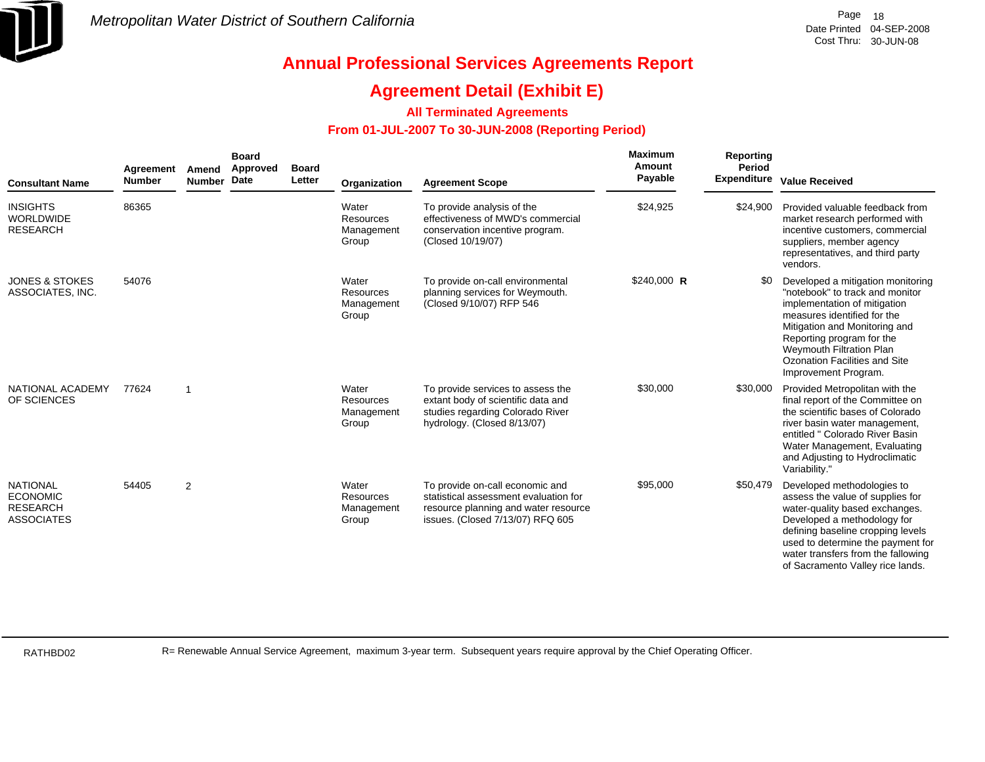

### **Agreement Detail (Exhibit E)**

### **All Terminated Agreements**

### **From 01-JUL-2007 To 30-JUN-2008 (Reporting Period)**

| <b>Consultant Name</b>                                                     | Agreement<br><b>Number</b> | Amend<br>Number Date    | <b>Board</b><br>Approved | <b>Board</b><br>Letter | Organization                                     | <b>Agreement Scope</b>                                                                                                                               | Maximum<br>Amount<br>Payable | Reporting<br>Period | <b>Expenditure Value Received</b>                                                                                                                                                                                                                                                      |
|----------------------------------------------------------------------------|----------------------------|-------------------------|--------------------------|------------------------|--------------------------------------------------|------------------------------------------------------------------------------------------------------------------------------------------------------|------------------------------|---------------------|----------------------------------------------------------------------------------------------------------------------------------------------------------------------------------------------------------------------------------------------------------------------------------------|
| <b>INSIGHTS</b><br><b>WORLDWIDE</b><br><b>RESEARCH</b>                     | 86365                      |                         |                          |                        | Water<br><b>Resources</b><br>Management<br>Group | To provide analysis of the<br>effectiveness of MWD's commercial<br>conservation incentive program.<br>(Closed 10/19/07)                              | \$24,925                     | \$24,900            | Provided valuable feedback from<br>market research performed with<br>incentive customers, commercial<br>suppliers, member agency<br>representatives, and third party<br>vendors.                                                                                                       |
| <b>JONES &amp; STOKES</b><br>ASSOCIATES, INC.                              | 54076                      |                         |                          |                        | Water<br>Resources<br>Management<br>Group        | To provide on-call environmental<br>planning services for Weymouth.<br>(Closed 9/10/07) RFP 546                                                      | $$240,000$ R                 | \$0                 | Developed a mitigation monitoring<br>"notebook" to track and monitor<br>implementation of mitigation<br>measures identified for the<br>Mitigation and Monitoring and<br>Reporting program for the<br>Weymouth Filtration Plan<br>Ozonation Facilities and Site<br>Improvement Program. |
| NATIONAL ACADEMY<br>OF SCIENCES                                            | 77624                      | $\overline{\mathbf{1}}$ |                          |                        | Water<br>Resources<br>Management<br>Group        | To provide services to assess the<br>extant body of scientific data and<br>studies regarding Colorado River<br>hydrology. (Closed 8/13/07)           | \$30,000                     | \$30,000            | Provided Metropolitan with the<br>final report of the Committee on<br>the scientific bases of Colorado<br>river basin water management,<br>entitled " Colorado River Basin<br>Water Management, Evaluating<br>and Adjusting to Hydroclimatic<br>Variability."                          |
| <b>NATIONAL</b><br><b>ECONOMIC</b><br><b>RESEARCH</b><br><b>ASSOCIATES</b> | 54405                      | 2                       |                          |                        | Water<br>Resources<br>Management<br>Group        | To provide on-call economic and<br>statistical assessment evaluation for<br>resource planning and water resource<br>issues. (Closed 7/13/07) RFQ 605 | \$95,000                     | \$50,479            | Developed methodologies to<br>assess the value of supplies for<br>water-quality based exchanges.<br>Developed a methodology for<br>defining baseline cropping levels<br>used to determine the payment for<br>water transfers from the fallowing<br>of Sacramento Valley rice lands.    |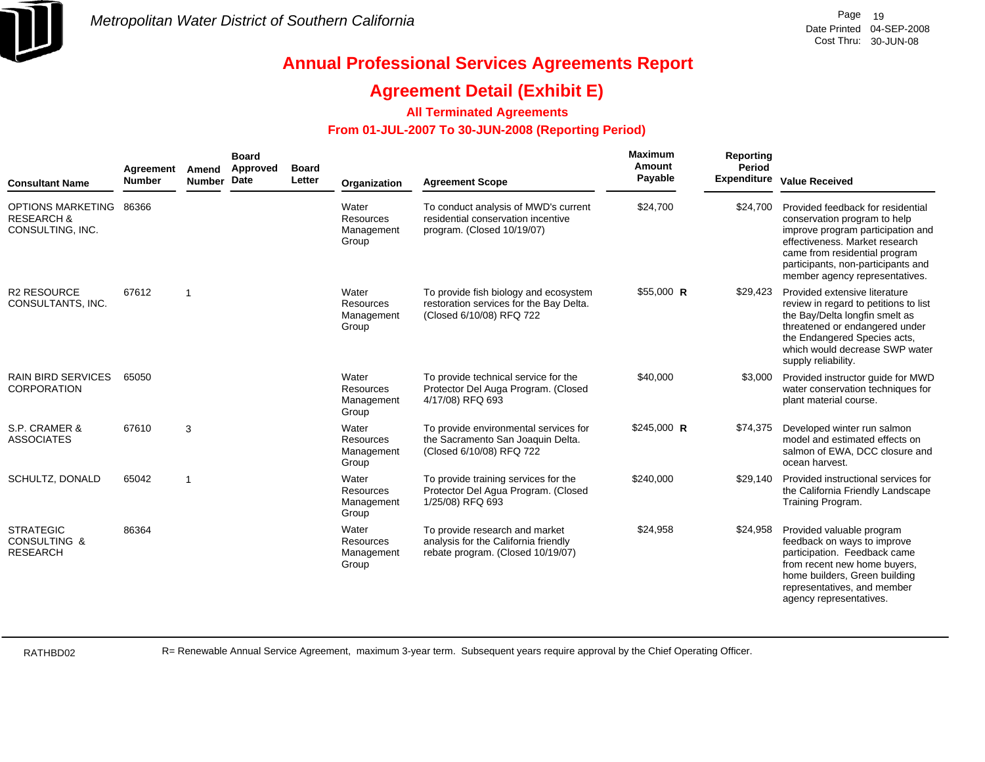

### **Agreement Detail (Exhibit E)**

### **All Terminated Agreements**

### **From 01-JUL-2007 To 30-JUN-2008 (Reporting Period)**

| <b>Consultant Name</b>                                         | Agreement<br><b>Number</b> | Amend<br><b>Number</b> | <b>Board</b><br>Approved<br>Date | <b>Board</b><br>Letter | Organization                              | <b>Agreement Scope</b>                                                                                       | Maximum<br>Amount<br>Payable | Reporting<br>Period<br><b>Expenditure</b> | <b>Value Received</b>                                                                                                                                                                                                                             |
|----------------------------------------------------------------|----------------------------|------------------------|----------------------------------|------------------------|-------------------------------------------|--------------------------------------------------------------------------------------------------------------|------------------------------|-------------------------------------------|---------------------------------------------------------------------------------------------------------------------------------------------------------------------------------------------------------------------------------------------------|
| OPTIONS MARKETING<br><b>RESEARCH &amp;</b><br>CONSULTING, INC. | 86366                      |                        |                                  |                        | Water<br>Resources<br>Management<br>Group | To conduct analysis of MWD's current<br>residential conservation incentive<br>program. (Closed 10/19/07)     | \$24,700                     | \$24.700                                  | Provided feedback for residential<br>conservation program to help<br>improve program participation and<br>effectiveness. Market research<br>came from residential program<br>participants, non-participants and<br>member agency representatives. |
| <b>R2 RESOURCE</b><br>CONSULTANTS, INC.                        | 67612                      | $\overline{1}$         |                                  |                        | Water<br>Resources<br>Management<br>Group | To provide fish biology and ecosystem<br>restoration services for the Bay Delta.<br>(Closed 6/10/08) RFQ 722 | $$55,000$ R                  | \$29,423                                  | Provided extensive literature<br>review in regard to petitions to list<br>the Bay/Delta longfin smelt as<br>threatened or endangered under<br>the Endangered Species acts,<br>which would decrease SWP water<br>supply reliability.               |
| <b>RAIN BIRD SERVICES</b><br><b>CORPORATION</b>                | 65050                      |                        |                                  |                        | Water<br>Resources<br>Management<br>Group | To provide technical service for the<br>Protector Del Auga Program. (Closed<br>4/17/08) RFQ 693              | \$40,000                     | \$3,000                                   | Provided instructor guide for MWD<br>water conservation techniques for<br>plant material course.                                                                                                                                                  |
| S.P. CRAMER &<br><b>ASSOCIATES</b>                             | 67610                      | 3                      |                                  |                        | Water<br>Resources<br>Management<br>Group | To provide environmental services for<br>the Sacramento San Joaquin Delta.<br>(Closed 6/10/08) RFQ 722       | $$245,000$ R                 | \$74,375                                  | Developed winter run salmon<br>model and estimated effects on<br>salmon of EWA, DCC closure and<br>ocean harvest.                                                                                                                                 |
| SCHULTZ, DONALD                                                | 65042                      | $\overline{1}$         |                                  |                        | Water<br>Resources<br>Management<br>Group | To provide training services for the<br>Protector Del Agua Program. (Closed<br>1/25/08) RFQ 693              | \$240,000                    | \$29,140                                  | Provided instructional services for<br>the California Friendly Landscape<br>Training Program.                                                                                                                                                     |
| <b>STRATEGIC</b><br><b>CONSULTING &amp;</b><br><b>RESEARCH</b> | 86364                      |                        |                                  |                        | Water<br>Resources<br>Management<br>Group | To provide research and market<br>analysis for the California friendly<br>rebate program. (Closed 10/19/07)  | \$24,958                     | \$24,958                                  | Provided valuable program<br>feedback on ways to improve<br>participation. Feedback came<br>from recent new home buyers,<br>home builders, Green building<br>representatives, and member<br>agency representatives.                               |

RATHBD02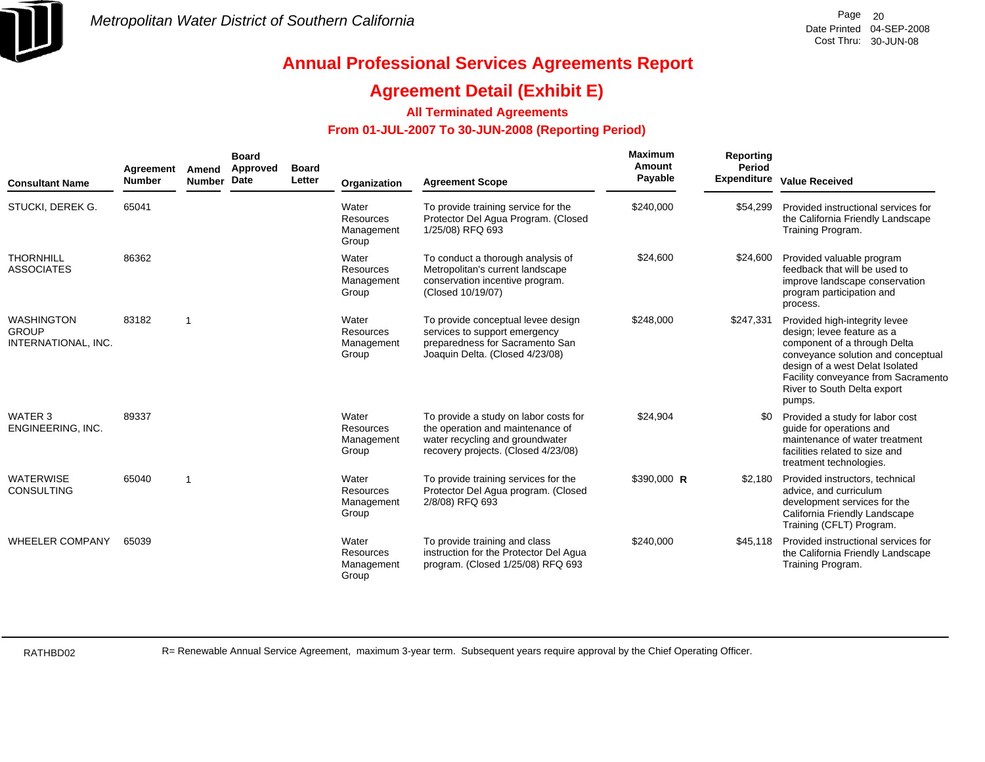

## **Agreement Detail (Exhibit E)**

### **All Terminated Agreements**

### **From 01-JUL-2007 To 30-JUN-2008 (Reporting Period)**

| <b>Consultant Name</b>                                   | Agreement<br><b>Number</b> | Amend<br><b>Number</b> | <b>Board</b><br>Approved<br>Date | <b>Board</b><br>Letter | Organization                                     | <b>Agreement Scope</b>                                                                                                                              | Maximum<br>Amount<br>Payable | Reporting<br>Period | <b>Expenditure Value Received</b>                                                                                                                                                                                                                    |
|----------------------------------------------------------|----------------------------|------------------------|----------------------------------|------------------------|--------------------------------------------------|-----------------------------------------------------------------------------------------------------------------------------------------------------|------------------------------|---------------------|------------------------------------------------------------------------------------------------------------------------------------------------------------------------------------------------------------------------------------------------------|
| STUCKI, DEREK G.                                         | 65041                      |                        |                                  |                        | Water<br><b>Resources</b><br>Management<br>Group | To provide training service for the<br>Protector Del Agua Program. (Closed<br>1/25/08) RFQ 693                                                      | \$240,000                    | \$54.299            | Provided instructional services for<br>the California Friendly Landscape<br>Training Program.                                                                                                                                                        |
| <b>THORNHILL</b><br><b>ASSOCIATES</b>                    | 86362                      |                        |                                  |                        | Water<br>Resources<br>Management<br>Group        | To conduct a thorough analysis of<br>Metropolitan's current landscape<br>conservation incentive program.<br>(Closed 10/19/07)                       | \$24.600                     | \$24,600            | Provided valuable program<br>feedback that will be used to<br>improve landscape conservation<br>program participation and<br>process.                                                                                                                |
| <b>WASHINGTON</b><br><b>GROUP</b><br>INTERNATIONAL, INC. | 83182                      | -1                     |                                  |                        | Water<br>Resources<br>Management<br>Group        | To provide conceptual levee design<br>services to support emergency<br>preparedness for Sacramento San<br>Joaquin Delta. (Closed 4/23/08)           | \$248,000                    | \$247,331           | Provided high-integrity levee<br>design; levee feature as a<br>component of a through Delta<br>conveyance solution and conceptual<br>design of a west Delat Isolated<br>Facility conveyance from Sacramento<br>River to South Delta export<br>pumps. |
| WATER 3<br>ENGINEERING, INC.                             | 89337                      |                        |                                  |                        | Water<br>Resources<br>Management<br>Group        | To provide a study on labor costs for<br>the operation and maintenance of<br>water recycling and groundwater<br>recovery projects. (Closed 4/23/08) | \$24,904                     | \$0                 | Provided a study for labor cost<br>quide for operations and<br>maintenance of water treatment<br>facilities related to size and<br>treatment technologies.                                                                                           |
| <b>WATERWISE</b><br><b>CONSULTING</b>                    | 65040                      | 1                      |                                  |                        | Water<br><b>Resources</b><br>Management<br>Group | To provide training services for the<br>Protector Del Agua program. (Closed<br>2/8/08) RFQ 693                                                      | \$390,000 R                  | \$2,180             | Provided instructors, technical<br>advice, and curriculum<br>development services for the<br>California Friendly Landscape<br>Training (CFLT) Program.                                                                                               |
| <b>WHEELER COMPANY</b>                                   | 65039                      |                        |                                  |                        | Water<br>Resources<br>Management<br>Group        | To provide training and class<br>instruction for the Protector Del Agua<br>program. (Closed 1/25/08) RFQ 693                                        | \$240,000                    | \$45,118            | Provided instructional services for<br>the California Friendly Landscape<br>Training Program.                                                                                                                                                        |

RATHBD02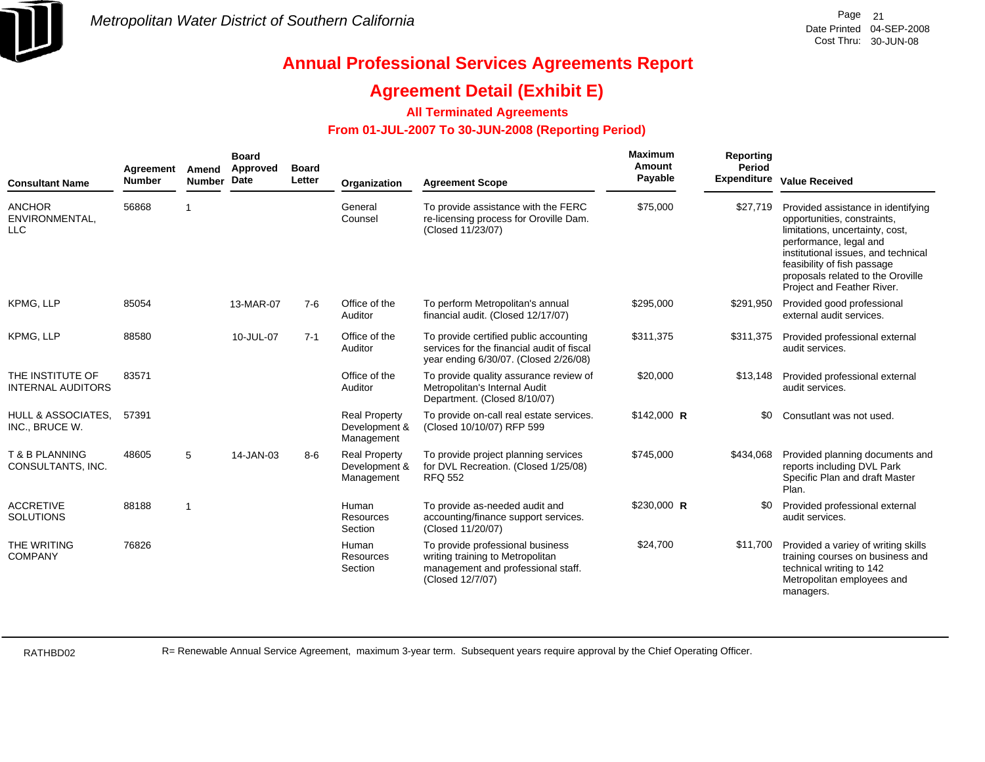

### **Agreement Detail (Exhibit E)**

### **All Terminated Agreements**

### **From 01-JUL-2007 To 30-JUN-2008 (Reporting Period)**

| <b>Consultant Name</b>                          | Agreement<br><b>Number</b> | Amend<br><b>Number</b>  | <b>Board</b><br>Approved<br><b>Date</b> | <b>Board</b><br>Letter | Organization                                        | <b>Agreement Scope</b>                                                                                                         | Maximum<br>Amount<br>Payable | <b>Reporting</b><br>Period | Expenditure Value Received                                                                                                                                                                                                                                              |
|-------------------------------------------------|----------------------------|-------------------------|-----------------------------------------|------------------------|-----------------------------------------------------|--------------------------------------------------------------------------------------------------------------------------------|------------------------------|----------------------------|-------------------------------------------------------------------------------------------------------------------------------------------------------------------------------------------------------------------------------------------------------------------------|
| <b>ANCHOR</b><br>ENVIRONMENTAL,<br><b>LLC</b>   | 56868                      | $\overline{\mathbf{1}}$ |                                         |                        | General<br>Counsel                                  | To provide assistance with the FERC<br>re-licensing process for Oroville Dam.<br>(Closed 11/23/07)                             | \$75,000                     | \$27,719                   | Provided assistance in identifying<br>opportunities, constraints,<br>limitations, uncertainty, cost,<br>performance, legal and<br>institutional issues, and technical<br>feasibility of fish passage<br>proposals related to the Oroville<br>Project and Feather River. |
| KPMG, LLP                                       | 85054                      |                         | 13-MAR-07                               | $7-6$                  | Office of the<br>Auditor                            | To perform Metropolitan's annual<br>financial audit. (Closed 12/17/07)                                                         | \$295,000                    | \$291,950                  | Provided good professional<br>external audit services.                                                                                                                                                                                                                  |
| KPMG, LLP                                       | 88580                      |                         | 10-JUL-07                               | $7 - 1$                | Office of the<br>Auditor                            | To provide certified public accounting<br>services for the financial audit of fiscal<br>year ending 6/30/07. (Closed 2/26/08)  | \$311,375                    | \$311,375                  | Provided professional external<br>audit services.                                                                                                                                                                                                                       |
| THE INSTITUTE OF<br><b>INTERNAL AUDITORS</b>    | 83571                      |                         |                                         |                        | Office of the<br>Auditor                            | To provide quality assurance review of<br>Metropolitan's Internal Audit<br>Department. (Closed 8/10/07)                        | \$20,000                     | \$13,148                   | Provided professional external<br>audit services.                                                                                                                                                                                                                       |
| <b>HULL &amp; ASSOCIATES.</b><br>INC., BRUCE W. | 57391                      |                         |                                         |                        | <b>Real Property</b><br>Development &<br>Management | To provide on-call real estate services.<br>(Closed 10/10/07) RFP 599                                                          | \$142,000 R                  | \$0                        | Consutlant was not used.                                                                                                                                                                                                                                                |
| T & B PLANNING<br>CONSULTANTS, INC.             | 48605                      | 5                       | 14-JAN-03                               | $8 - 6$                | <b>Real Property</b><br>Development &<br>Management | To provide project planning services<br>for DVL Recreation. (Closed 1/25/08)<br><b>RFQ 552</b>                                 | \$745,000                    | \$434,068                  | Provided planning documents and<br>reports including DVL Park<br>Specific Plan and draft Master<br>Plan.                                                                                                                                                                |
| <b>ACCRETIVE</b><br><b>SOLUTIONS</b>            | 88188                      | $\overline{1}$          |                                         |                        | Human<br>Resources<br>Section                       | To provide as-needed audit and<br>accounting/finance support services.<br>(Closed 11/20/07)                                    | \$230,000 R                  | \$0                        | Provided professional external<br>audit services.                                                                                                                                                                                                                       |
| THE WRITING<br><b>COMPANY</b>                   | 76826                      |                         |                                         |                        | Human<br>Resources<br>Section                       | To provide professional business<br>writing training to Metropolitan<br>management and professional staff.<br>(Closed 12/7/07) | \$24,700                     | \$11,700                   | Provided a variey of writing skills<br>training courses on business and<br>technical writing to 142<br>Metropolitan employees and<br>managers.                                                                                                                          |

RATHBD02